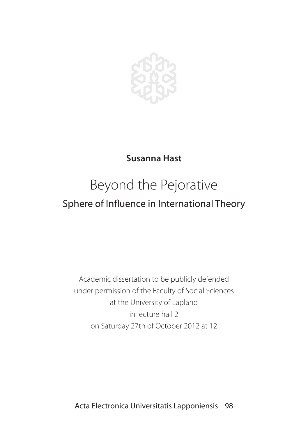

## **Susanna Hast**

# Beyond the Pejorative Sphere of Influence in International Theory

Academic dissertation to be publicly defended under permission of the Faculty of Social Sciences at the University of Lapland in lecture hall 2 on Saturday 27th of October 2012 at 12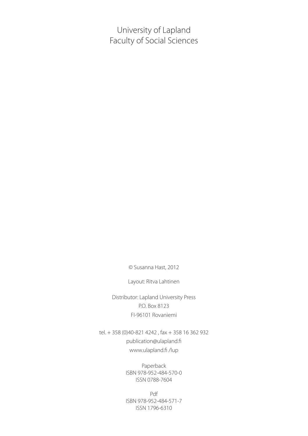University of Lapland Faculty of Social Sciences

© Susanna Hast, 2012

Layout: Ritva Lahtinen

Distributor: Lapland University Press P.O. Box 8123 FI-96101 Rovaniemi

tel. + 358 (0)40-821 4242 , fax + 358 16 362 932 publication@ulapland.fi www.ulapland.fi /lup

> Paperback ISBN 978-952-484-570-0 ISSN 0788-7604

> Pdf ISBN 978-952-484-571-7 ISSN 1796-6310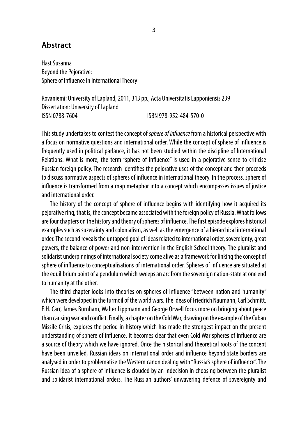#### **Abstract**

Hast Susanna Beyond the Pejorative: Sphere of Influence in International Theory

Rovaniemi: University of Lapland, 2011, 313 pp., Acta Universitatis Lapponiensis 239 Dissertation: University of Lapland ISSN 0788-7604 ISBN 978-952-484-570-0

This study undertakes to contest the concept of *sphere of influence* from a historical perspective with a focus on normative questions and international order. While the concept of sphere of influence is frequently used in political parlance, it has not been studied within the discipline of International Relations. What is more, the term "sphere of influence" is used in a peiorative sense to criticise Russian foreign policy. The research identifies the pejorative uses of the concept and then proceeds to discuss normative aspects of spheres of influence in international theory. In the process, sphere of influence is transformed from a map metaphor into a concept which encompasses issues of justice and international order.

The history of the concept of sphere of influence begins with identifying how it acquired its pejorative ring, that is, the concept became associated with the foreign policy of Russia. What follows are four chapters on the history and theory of spheres of influence. The first episode explores historical examples such as suzerainty and colonialism, as well as the emergence of a hierarchical international order. The second reveals the untapped pool of ideas related to international order, sovereignty, great powers, the balance of power and non-intervention in the English School theory. The pluralist and solidarist underpinnings of international society come alive as a framework for linking the concept of sphere of influence to conceptualisations of international order. Spheres of influence are situated at the equilibrium point of a pendulum which sweeps an arc from the sovereign nation-state at one end to humanity at the other.

The third chapter looks into theories on spheres of influence "between nation and humanity" which were developed in the turmoil of the world wars. The ideas of Friedrich Naumann, Carl Schmitt, E.H. Carr, James Burnham, Walter Lippmann and George Orwell focus more on bringing about peace than causing war and conflict. Finally, a chapter on the Cold War, drawing on the example of the Cuban Missile Crisis, explores the period in history which has made the strongest impact on the present understanding of sphere of influence. It becomes clear that even Cold War spheres of influence are a source of theory which we have ignored. Once the historical and theoretical roots of the concept have been unveiled. Russian ideas on international order and influence beyond state borders are analysed in order to problematise the Western canon dealing with "Russia's sphere of influence". The Russian idea of a sphere of influence is clouded by an indecision in choosing between the pluralist and solidarist international orders. The Russian authors' unwavering defence of sovereignty and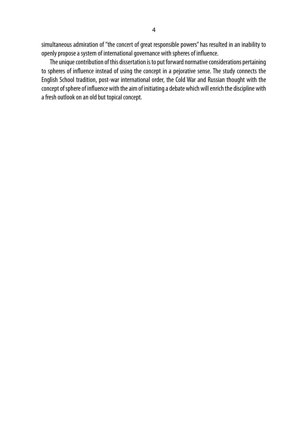simultaneous admiration of "the concert of great responsible powers" has resulted in an inability to openly propose a system of international governance with spheres of influence.

The unique contribution of this dissertation is to put forward normative considerations pertaining to spheres of influence instead of using the concept in a pejorative sense. The study connects the English School tradition, post-war international order, the Cold War and Russian thought with the concept of sphere of influence with the aim of initiating a debate which will enrich the discipline with a fresh outlook on an old but topical concept.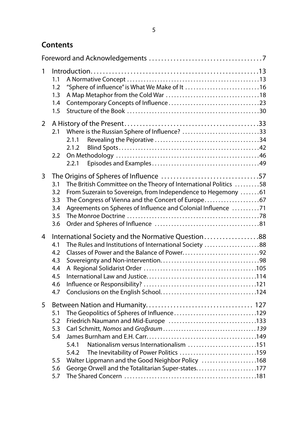### **Contents**

| 1 | 1.1<br>"Sphere of influence" is What We Make of It 16<br>1.2<br>1.3<br>1.4<br>1.5                                                                                                                                                                               |  |  |  |  |  |
|---|-----------------------------------------------------------------------------------------------------------------------------------------------------------------------------------------------------------------------------------------------------------------|--|--|--|--|--|
| 2 | Where is the Russian Sphere of Influence? 33<br>2.1<br>2.1.1<br>2.1.2<br>2.2<br>2.2.1                                                                                                                                                                           |  |  |  |  |  |
| 3 | The British Committee on the Theory of International Politics 58<br>3.1<br>3.2<br>From Suzerain to Sovereign, from Independence to Hegemony 61<br>3.3<br>Agreements on Spheres of Influence and Colonial Influence 71<br>3.4<br>3.5<br>3.6                      |  |  |  |  |  |
| 4 | International Society and the Normative Question88<br>The Rules and Institutions of International Society 88<br>4.1<br>4.2<br>4.3<br>4.4<br>4.5<br>4.6<br>4.7                                                                                                   |  |  |  |  |  |
| 5 | 5.1<br>5.2<br>5.3<br>5.4<br>Nationalism versus Internationalism 151<br>5.4.1<br>The Inevitability of Power Politics 159<br>5.4.2<br>Walter Lippmann and the Good Neighbor Policy 168<br>5.5<br>George Orwell and the Totalitarian Super-states177<br>5.6<br>5.7 |  |  |  |  |  |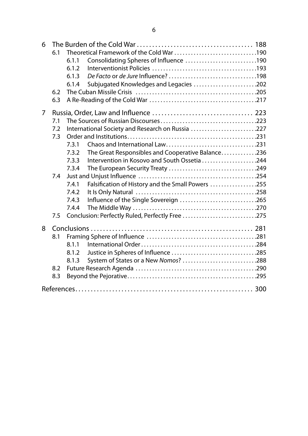| 6 | 6.1 | 6.1.1<br>6.1.2<br>6.1.3 | Consolidating Spheres of Influence 190            |  |  |  |
|---|-----|-------------------------|---------------------------------------------------|--|--|--|
|   |     | 6.1.4                   | Subjugated Knowledges and Legacies 202            |  |  |  |
|   | 6.2 |                         |                                                   |  |  |  |
|   | 6.3 |                         |                                                   |  |  |  |
| 7 |     |                         |                                                   |  |  |  |
|   | 7.1 |                         |                                                   |  |  |  |
|   | 7.2 |                         | International Society and Research on Russia 227  |  |  |  |
|   | 7.3 |                         |                                                   |  |  |  |
|   |     | 7.3.1                   |                                                   |  |  |  |
|   |     | 7.3.2                   | The Great Responsibles and Cooperative Balance236 |  |  |  |
|   |     | 7.3.3                   | Intervention in Kosovo and South Ossetia244       |  |  |  |
|   |     | 7.3.4                   |                                                   |  |  |  |
|   | 7.4 |                         |                                                   |  |  |  |
|   |     | 7.4.1                   | Falsification of History and the Small Powers 255 |  |  |  |
|   |     | 7.4.2                   |                                                   |  |  |  |
|   |     | 7.4.3                   | Influence of the Single Sovereign 265             |  |  |  |
|   |     | 7.4.4                   |                                                   |  |  |  |
|   | 7.5 |                         | Conclusion: Perfectly Ruled, Perfectly Free 275   |  |  |  |
| 8 |     |                         |                                                   |  |  |  |
|   | 8.1 |                         |                                                   |  |  |  |
|   |     | 8.1.1                   |                                                   |  |  |  |
|   |     | 8.1.2                   |                                                   |  |  |  |
|   |     | 8.1.3                   | System of States or a New Nomos? 288              |  |  |  |
|   | 8.2 |                         |                                                   |  |  |  |
|   | 8.3 |                         |                                                   |  |  |  |
|   |     |                         |                                                   |  |  |  |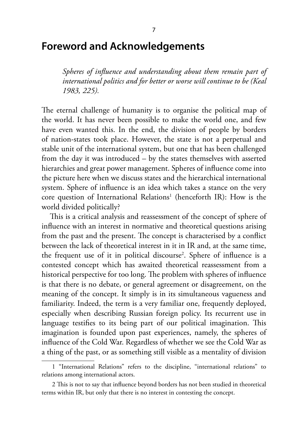## **Foreword and Acknowledgements**

Spheres of influence and understanding about them remain part of *international politics and for better or worse will continue to be (Keal 1983, 225).* 

The eternal challenge of humanity is to organise the political map of the world. It has never been possible to make the world one, and few have even wanted this. In the end, the division of people by borders of nation-states took place. However, the state is not a perpetual and stable unit of the international system, but one that has been challenged from the day it was introduced – by the states themselves with asserted hierarchies and great power management. Spheres of influence come into the picture here when we discuss states and the hierarchical international system. Sphere of influence is an idea which takes a stance on the very core question of International Relations<sup>1</sup> (henceforth IR): How is the world divided politically?

This is a critical analysis and reassessment of the concept of sphere of influence with an interest in normative and theoretical questions arising from the past and the present. The concept is characterised by a conflict between the lack of theoretical interest in it in IR and, at the same time, the frequent use of it in political discourse<sup>2</sup>. Sphere of influence is a contested concept which has awaited theoretical reassessment from a historical perspective for too long. The problem with spheres of influence is that there is no debate, or general agreement or disagreement, on the meaning of the concept. It simply is in its simultaneous vagueness and familiarity. Indeed, the term is a very familiar one, frequently deployed, especially when describing Russian foreign policy. Its recurrent use in language testifies to its being part of our political imagination. This imagination is founded upon past experiences, namely, the spheres of influence of the Cold War. Regardless of whether we see the Cold War as a thing of the past, or as something still visible as a mentality of division

<sup>1 &</sup>quot;International Relations" refers to the discipline, "international relations" to relations among international actors.

<sup>2</sup> This is not to say that influence beyond borders has not been studied in theoretical terms within IR, but only that there is no interest in contesting the concept.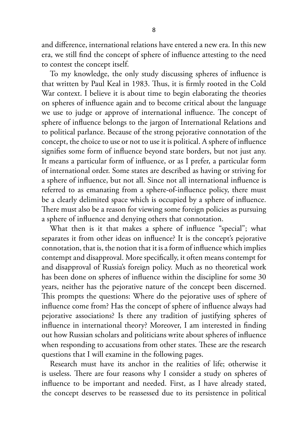and difference, international relations have entered a new era. In this new era, we still find the concept of sphere of influence attesting to the need to contest the concept itself.

To my knowledge, the only study discussing spheres of influence is that written by Paul Keal in 1983. Thus, it is firmly rooted in the Cold War context. I believe it is about time to begin elaborating the theories on spheres of influence again and to become critical about the language we use to judge or approve of international influence. The concept of sphere of influence belongs to the jargon of International Relations and to political parlance. Because of the strong pejorative connotation of the concept, the choice to use or not to use it is political. A sphere of influence signifies some form of influence beyond state borders, but not just any. It means a particular form of influence, or as I prefer, a particular form of international order. Some states are described as having or striving for a sphere of influence, but not all. Since not all international influence is referred to as emanating from a sphere-of-influence policy, there must be a clearly delimited space which is occupied by a sphere of influence. There must also be a reason for viewing some foreign policies as pursuing a sphere of influence and denying others that connotation.

What then is it that makes a sphere of influence "special"; what separates it from other ideas on influence? It is the concept's pejorative connotation, that is, the notion that it is a form of influence which implies contempt and disapproval. More specifically, it often means contempt for and disapproval of Russia's foreign policy. Much as no theoretical work has been done on spheres of influence within the discipline for some 30 years, neither has the pejorative nature of the concept been discerned. This prompts the questions: Where do the pejorative uses of sphere of influence come from? Has the concept of sphere of influence always had pejorative associations? Is there any tradition of justifying spheres of influence in international theory? Moreover, I am interested in finding out how Russian scholars and politicians write about spheres of influence when responding to accusations from other states. These are the research questions that I will examine in the following pages.

Research must have its anchor in the realities of life; otherwise it is useless. There are four reasons why I consider a study on spheres of influence to be important and needed. First, as I have already stated, the concept deserves to be reassessed due to its persistence in political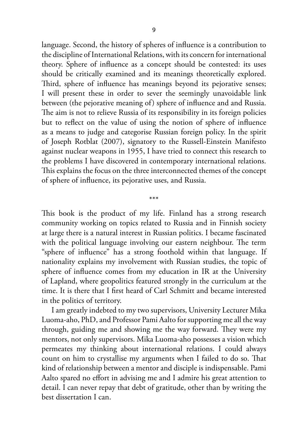language. Second, the history of spheres of influence is a contribution to the discipline of International Relations, with its concern for international theory. Sphere of influence as a concept should be contested: its uses should be critically examined and its meanings theoretically explored. Third, sphere of influence has meanings beyond its pejorative senses; I will present these in order to sever the seemingly unavoidable link between (the pejorative meaning of) sphere of influence and and Russia. The aim is not to relieve Russia of its responsibility in its foreign policies but to reflect on the value of using the notion of sphere of influence as a means to judge and categorise Russian foreign policy. In the spirit of Joseph Rotblat (2007), signatory to the Russell-Einstein Manifesto against nuclear weapons in 1955, I have tried to connect this research to the problems I have discovered in contemporary international relations. This explains the focus on the three interconnected themes of the concept of sphere of influence, its pejorative uses, and Russia.

This book is the product of my life. Finland has a strong research community working on topics related to Russia and in Finnish society at large there is a natural interest in Russian politics. I became fascinated with the political language involving our eastern neighbour. The term "sphere of influence" has a strong foothold within that language. If nationality explains my involvement with Russian studies, the topic of sphere of influence comes from my education in IR at the University of Lapland, where geopolitics featured strongly in the curriculum at the time. It is there that I first heard of Carl Schmitt and became interested in the politics of territory.

\*\*\*

 I am greatly indebted to my two supervisors, University Lecturer Mika Luoma-aho, PhD, and Professor Pami Aalto for supporting me all the way through, guiding me and showing me the way forward. They were my mentors, not only supervisors. Mika Luoma-aho possesses a vision which permeates my thinking about international relations. I could always count on him to crystallise my arguments when I failed to do so. That kind of relationship between a mentor and disciple is indispensable. Pami Aalto spared no effort in advising me and I admire his great attention to detail. I can never repay that debt of gratitude, other than by writing the best dissertation I can.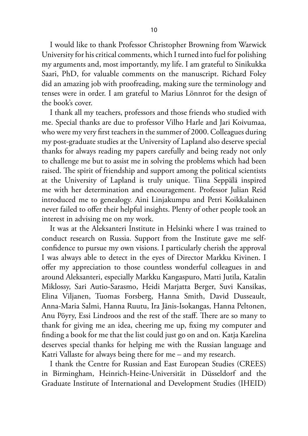I would like to thank Professor Christopher Browning from Warwick University for his critical comments, which I turned into fuel for polishing my arguments and, most importantly, my life. I am grateful to Sinikukka Saari, PhD, for valuable comments on the manuscript. Richard Foley did an amazing job with proofreading, making sure the terminology and tenses were in order. I am grateful to Marius Lönnrot for the design of the book's cover.

I thank all my teachers, professors and those friends who studied with me. Special thanks are due to professor Vilho Harle and Jari Koivumaa, who were my very first teachers in the summer of 2000. Colleagues during my post-graduate studies at the University of Lapland also deserve special thanks for always reading my papers carefully and being ready not only to challenge me but to assist me in solving the problems which had been raised. The spirit of friendship and support among the political scientists at the University of Lapland is truly unique. Tiina Seppälä inspired me with her determination and encouragement. Professor Julian Reid introduced me to genealogy. Aini Linjakumpu and Petri Koikkalainen never failed to offer their helpful insights. Plenty of other people took an interest in advising me on my work.

It was at the Aleksanteri Institute in Helsinki where I was trained to conduct research on Russia. Support from the Institute gave me selfconfidence to pursue my own visions. I particularly cherish the approval I was always able to detect in the eyes of Director Markku Kivinen. I offer my appreciation to those countless wonderful colleagues in and around Aleksanteri, especially Markku Kangaspuro, Matti Jutila, Katalin Miklossy, Sari Autio-Sarasmo, Heidi Marjatta Berger, Suvi Kansikas, Elina Viljanen, Tuomas Forsberg, Hanna Smith, David Dusseault, Anna-Maria Salmi, Hanna Ruutu, Ira Jänis-Isokangas, Hanna Peltonen, Anu Pöyry, Essi Lindroos and the rest of the staff. There are so many to thank for giving me an idea, cheering me up, fixing my computer and finding a book for me that the list could just go on and on. Katja Karelina deserves special thanks for helping me with the Russian language and Katri Vallaste for always being there for me – and my research.

I thank the Centre for Russian and East European Studies (CREES) in Birmingham, Heinrich-Heine-Universität in Düsseldorf and the Graduate Institute of International and Development Studies (IHEID)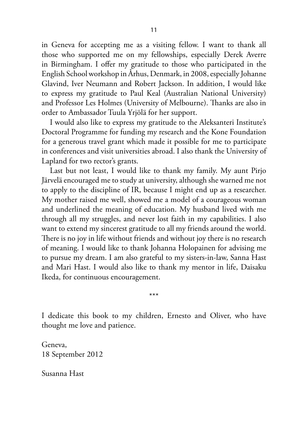in Geneva for accepting me as a visiting fellow. I want to thank all those who supported me on my fellowships, especially Derek Averre in Birmingham. I offer my gratitude to those who participated in the English School workshop in Århus, Denmark, in 2008, especially Johanne Glavind, Iver Neumann and Robert Jackson. In addition, I would like to express my gratitude to Paul Keal (Australian National University) and Professor Les Holmes (University of Melbourne). Thanks are also in order to Ambassador Tuula Yrjölä for her support.

I would also like to express my gratitude to the Aleksanteri Institute's Doctoral Programme for funding my research and the Kone Foundation for a generous travel grant which made it possible for me to participate in conferences and visit universities abroad. I also thank the University of Lapland for two rector's grants.

Last but not least, I would like to thank my family. My aunt Pirjo Järvelä encouraged me to study at university, although she warned me not to apply to the discipline of IR, because I might end up as a researcher. My mother raised me well, showed me a model of a courageous woman and underlined the meaning of education. My husband lived with me through all my struggles, and never lost faith in my capabilities. I also want to extend my sincerest gratitude to all my friends around the world. There is no joy in life without friends and without joy there is no research of meaning. I would like to thank Johanna Holopainen for advising me to pursue my dream. I am also grateful to my sisters-in-law, Sanna Hast and Mari Hast. I would also like to thank my mentor in life, Daisaku Ikeda, for continuous encouragement.

I dedicate this book to my children, Ernesto and Oliver, who have thought me love and patience.

\*\*\*

Geneva, 18 September 2012

Susanna Hast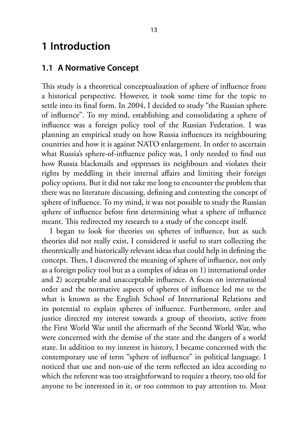## **1 Introduction**

#### **1.1 A Normative Concept**

This study is a theoretical conceptualisation of sphere of influence from a historical perspective. However, it took some time for the topic to settle into its final form. In 2004, I decided to study "the Russian sphere of infl uence". To my mind, establishing and consolidating a sphere of influence was a foreign policy tool of the Russian Federation. I was planning an empirical study on how Russia influences its neighbouring countries and how it is against NATO enlargement. In order to ascertain what Russia's sphere-of-influence policy was, I only needed to find out how Russia blackmails and oppresses its neighbours and violates their rights by meddling in their internal affairs and limiting their foreign policy options. But it did not take me long to encounter the problem that there was no literature discussing, defining and contesting the concept of sphere of influence. To my mind, it was not possible to study the Russian sphere of influence before first determining what a sphere of influence meant. This redirected my research to a study of the concept itself.

I began to look for theories on spheres of influence, but as such theories did not really exist, I considered it useful to start collecting the theoretically and historically relevant ideas that could help in defining the concept. Then, I discovered the meaning of sphere of influence, not only as a foreign policy tool but as a complex of ideas on 1) international order and 2) acceptable and unacceptable influence. A focus on international order and the normative aspects of spheres of influence led me to the what is known as the English School of International Relations and its potential to explain spheres of influence. Furthermore, order and justice directed my interest towards a group of theorists, active from the First World War until the aftermath of the Second World War, who were concerned with the demise of the state and the dangers of a world state. In addition to my interest in history, I became concerned with the contemporary use of term "sphere of influence" in political language. I noticed that use and non-use of the term reflected an idea according to which the referent was too straightforward to require a theory, too old for anyone to be interested in it, or too common to pay attention to. Most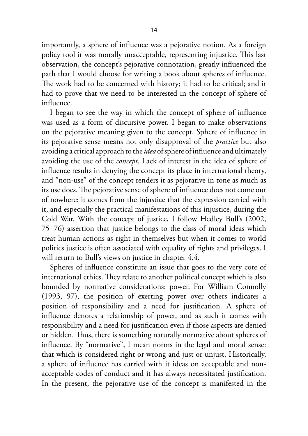importantly, a sphere of influence was a pejorative notion. As a foreign policy tool it was morally unacceptable, representing injustice. This last observation, the concept's pejorative connotation, greatly influenced the path that I would choose for writing a book about spheres of influence. The work had to be concerned with history; it had to be critical; and it had to prove that we need to be interested in the concept of sphere of influence

I began to see the way in which the concept of sphere of influence was used as a form of discursive power. I began to make observations on the pejorative meaning given to the concept. Sphere of influence in its pejorative sense means not only disapproval of the *practice* but also avoiding a critical approach to the *idea* of sphere of influence and ultimately avoiding the use of the *concept*. Lack of interest in the idea of sphere of influence results in denying the concept its place in international theory, and "non-use" of the concept renders it as pejorative in tone as much as its use does. The pejorative sense of sphere of influence does not come out of nowhere: it comes from the injustice that the expression carried with it, and especially the practical manifestations of this injustice, during the Cold War. With the concept of justice, I follow Hedley Bull's (2002, 75–76) assertion that justice belongs to the class of moral ideas which treat human actions as right in themselves but when it comes to world politics justice is often associated with equality of rights and privileges. I will return to Bull's views on justice in chapter 4.4.

Spheres of influence constitute an issue that goes to the very core of international ethics. They relate to another political concept which is also bounded by normative considerations: power. For William Connolly (1993, 97), the position of exerting power over others indicates a position of responsibility and a need for justification. A sphere of influence denotes a relationship of power, and as such it comes with responsibility and a need for justification even if those aspects are denied or hidden. Thus, there is something naturally normative about spheres of influence. By "normative", I mean norms in the legal and moral sense: that which is considered right or wrong and just or unjust. Historically, a sphere of influence has carried with it ideas on acceptable and nonacceptable codes of conduct and it has always necessitated justification. In the present, the pejorative use of the concept is manifested in the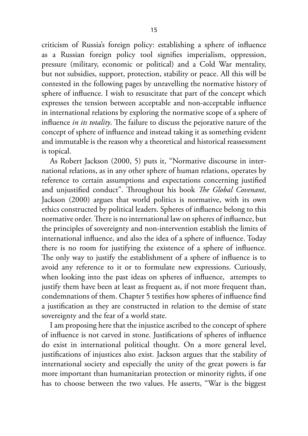criticism of Russia's foreign policy: establishing a sphere of influence as a Russian foreign policy tool signifies imperialism, oppression, pressure (military, economic or political) and a Cold War mentality, but not subsidies, support, protection, stability or peace. All this will be contested in the following pages by unravelling the normative history of sphere of influence. I wish to resuscitate that part of the concept which expresses the tension between acceptable and non-acceptable influence in international relations by exploring the normative scope of a sphere of influence *in its totality*. The failure to discuss the pejorative nature of the concept of sphere of influence and instead taking it as something evident and immutable is the reason why a theoretical and historical reassessment is topical.

As Robert Jackson (2000, 5) puts it, "Normative discourse in international relations, as in any other sphere of human relations, operates by reference to certain assumptions and expectations concerning justified and unjustified conduct". Throughout his book *The Global Covenant*, Jackson (2000) argues that world politics is normative, with its own ethics constructed by political leaders. Spheres of influence belong to this normative order. There is no international law on spheres of influence, but the principles of sovereignty and non-intervention establish the limits of international influence, and also the idea of a sphere of influence. Today there is no room for justifying the existence of a sphere of influence. The only way to justify the establishment of a sphere of influence is to avoid any reference to it or to formulate new expressions. Curiously, when looking into the past ideas on spheres of influence, attempts to justify them have been at least as frequent as, if not more frequent than, condemnations of them. Chapter 5 testifies how spheres of influence find a justification as they are constructed in relation to the demise of state sovereignty and the fear of a world state.

I am proposing here that the injustice ascribed to the concept of sphere of influence is not carved in stone. Justifications of spheres of influence do exist in international political thought. On a more general level, justifications of injustices also exist. Jackson argues that the stability of international society and especially the unity of the great powers is far more important than humanitarian protection or minority rights, if one has to choose between the two values. He asserts, "War is the biggest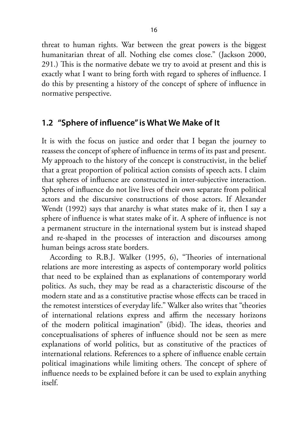threat to human rights. War between the great powers is the biggest humanitarian threat of all. Nothing else comes close." (Jackson 2000, 291.) This is the normative debate we try to avoid at present and this is exactly what I want to bring forth with regard to spheres of influence. I do this by presenting a history of the concept of sphere of influence in normative perspective.

#### 1.2 "Sphere of influence" is What We Make of It

It is with the focus on justice and order that I began the journey to reassess the concept of sphere of influence in terms of its past and present. My approach to the history of the concept is constructivist, in the belief that a great proportion of political action consists of speech acts. I claim that spheres of influence are constructed in inter-subjective interaction. Spheres of influence do not live lives of their own separate from political actors and the discursive constructions of those actors. If Alexander Wendt (1992) says that anarchy is what states make of it, then I say a sphere of influence is what states make of it. A sphere of influence is not a permanent structure in the international system but is instead shaped and re-shaped in the processes of interaction and discourses among human beings across state borders.

According to R.B.J. Walker (1995, 6), "Theories of international relations are more interesting as aspects of contemporary world politics that need to be explained than as explanations of contemporary world politics. As such, they may be read as a characteristic discourse of the modern state and as a constitutive practise whose effects can be traced in the remotest interstices of everyday life." Walker also writes that "theories of international relations express and affirm the necessary horizons of the modern political imagination" (ibid). The ideas, theories and conceptualisations of spheres of influence should not be seen as mere explanations of world politics, but as constitutive of the practices of international relations. References to a sphere of influence enable certain political imaginations while limiting others. The concept of sphere of influence needs to be explained before it can be used to explain anything itself.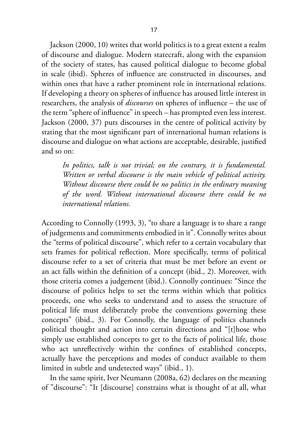Jackson (2000, 10) writes that world politics is to a great extent a realm of discourse and dialogue. Modern statecraft, along with the expansion of the society of states, has caused political dialogue to become global in scale (ibid). Spheres of influence are constructed in discourses, and within ones that have a rather prominent role in international relations. If developing a theory on spheres of influence has aroused little interest in researchers, the analysis of *discourses* on spheres of influence – the use of the term "sphere of influence" in speech – has prompted even less interest. Jackson (2000, 37) puts discourses in the centre of political activity by stating that the most significant part of international human relations is discourse and dialogue on what actions are acceptable, desirable, justified and so on:

*In politics, talk is not trivial; on the contrary, it is fundamental. Written or verbal discourse is the main vehicle of political activity. Without discourse there could be no politics in the ordinary meaning of the word. Without international discourse there could be no international relations.*

According to Connolly (1993, 3), "to share a language is to share a range of judgements and commitments embodied in it". Connolly writes about the "terms of political discourse", which refer to a certain vocabulary that sets frames for political reflection. More specifically, terms of political discourse refer to a set of criteria that must be met before an event or an act falls within the definition of a concept (ibid., 2). Moreover, with those criteria comes a judgement (ibid.). Connolly continues: "Since the discourse of politics helps to set the terms within which that politics proceeds, one who seeks to understand and to assess the structure of political life must deliberately probe the conventions governing these concepts" (ibid., 3). For Connolly, the language of politics channels political thought and action into certain directions and "[t]hose who simply use established concepts to get to the facts of political life, those who act unreflectively within the confines of established concepts, actually have the perceptions and modes of conduct available to them limited in subtle and undetected ways" (ibid., 1).

In the same spirit, Iver Neumann (2008a, 62) declares on the meaning of "discourse": "It [discourse] constrains what is thought of at all, what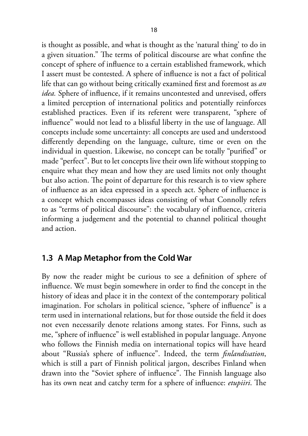is thought as possible, and what is thought as the 'natural thing' to do in a given situation." The terms of political discourse are what confine the concept of sphere of influence to a certain established framework, which I assert must be contested. A sphere of influence is not a fact of political life that can go without being critically examined first and foremost as *an idea*. Sphere of influence, if it remains uncontested and unrevised, offers a limited perception of international politics and potentially reinforces established practices. Even if its referent were transparent, "sphere of influence" would not lead to a blissful liberty in the use of language. All concepts include some uncertainty: all concepts are used and understood differently depending on the language, culture, time or even on the individual in question. Likewise, no concept can be totally "purified" or made "perfect". But to let concepts live their own life without stopping to enquire what they mean and how they are used limits not only thought but also action. The point of departure for this research is to view sphere of influence as an idea expressed in a speech act. Sphere of influence is a concept which encompasses ideas consisting of what Connolly refers to as "terms of political discourse": the vocabulary of influence, criteria informing a judgement and the potential to channel political thought and action.

#### **1.3 A Map Metaphor from the Cold War**

By now the reader might be curious to see a definition of sphere of influence. We must begin somewhere in order to find the concept in the history of ideas and place it in the context of the contemporary political imagination. For scholars in political science, "sphere of influence" is a term used in international relations, but for those outside the field it does not even necessarily denote relations among states. For Finns, such as me, "sphere of influence" is well established in popular language. Anyone who follows the Finnish media on international topics will have heard about "Russia's sphere of influence". Indeed, the term *finlandisation*, which is still a part of Finnish political jargon, describes Finland when drawn into the "Soviet sphere of influence". The Finnish language also has its own neat and catchy term for a sphere of influence: *etupiiri*. The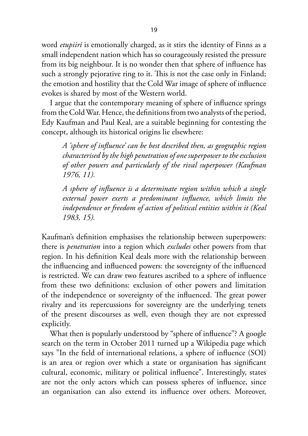word *etupiiri* is emotionally charged, as it stirs the identity of Finns as a small independent nation which has so courageously resisted the pressure from its big neighbour. It is no wonder then that sphere of influence has such a strongly pejorative ring to it. This is not the case only in Finland; the emotion and hostility that the Cold War image of sphere of influence evokes is shared by most of the Western world.

I argue that the contemporary meaning of sphere of influence springs from the Cold War. Hence, the definitions from two analysts of the period, Edy Kaufman and Paul Keal, are a suitable beginning for contesting the concept, although its historical origins lie elsewhere:

*A 'sphere of infl uence' can be best described then, as geographic region characterised by the high penetration of one superpower to the exclusion of other powers and particularly of the rival superpower (Kaufman 1976, 11).*

*A sphere of infl uence is a determinate region within which a single*  external power exerts a predominant influence, which limits the *independence or freedom of action of political entities within it (Keal 1983, 15).* 

Kaufman's definition emphasises the relationship between superpowers: there is *penetration* into a region which *excludes* other powers from that region. In his definition Keal deals more with the relationship between the influencing and influenced powers: the sovereignty of the influenced is restricted. We can draw two features ascribed to a sphere of influence from these two definitions: exclusion of other powers and limitation of the independence or sovereignty of the influenced. The great power rivalry and its repercussions for sovereignty are the underlying tenets of the present discourses as well, even though they are not expressed explicitly.

What then is popularly understood by "sphere of influence"? A google search on the term in October 2011 turned up a Wikipedia page which says "In the field of international relations, a sphere of influence (SOI) is an area or region over which a state or organisation has significant cultural, economic, military or political influence". Interestingly, states are not the only actors which can possess spheres of influence, since an organisation can also extend its influence over others. Moreover,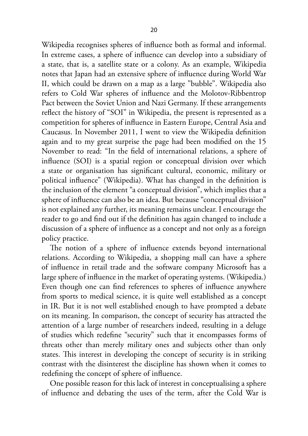Wikipedia recognises spheres of influence both as formal and informal. In extreme cases, a sphere of influence can develop into a subsidiary of a state, that is, a satellite state or a colony. As an example, Wikipedia notes that Japan had an extensive sphere of influence during World War II, which could be drawn on a map as a large "bubble". Wikipedia also refers to Cold War spheres of influence and the Molotov-Ribbentrop Pact between the Soviet Union and Nazi Germany. If these arrangements reflect the history of "SOI" in Wikipedia, the present is represented as a competition for spheres of influence in Eastern Europe, Central Asia and Caucasus. In November 2011, I went to view the Wikipedia definition again and to my great surprise the page had been modified on the 15 November to read: "In the field of international relations, a sphere of influence (SOI) is a spatial region or conceptual division over which a state or organisation has significant cultural, economic, military or political influence" (Wikipedia). What has changed in the definition is the inclusion of the element "a conceptual division", which implies that a sphere of influence can also be an idea. But because "conceptual division" is not explained any further, its meaning remains unclear. I encourage the reader to go and find out if the definition has again changed to include a discussion of a sphere of influence as a concept and not only as a foreign policy practice.

The notion of a sphere of influence extends beyond international relations. According to Wikipedia, a shopping mall can have a sphere of influence in retail trade and the software company Microsoft has a large sphere of influence in the market of operating systems. (Wikipedia.) Even though one can find references to spheres of influence anywhere from sports to medical science, it is quite well established as a concept in IR. But it is not well established enough to have prompted a debate on its meaning. In comparison, the concept of security has attracted the attention of a large number of researchers indeed, resulting in a deluge of studies which redefine "security" such that it encompasses forms of threats other than merely military ones and subjects other than only states. This interest in developing the concept of security is in striking contrast with the disinterest the discipline has shown when it comes to redefining the concept of sphere of influence.

One possible reason for this lack of interest in conceptualising a sphere of influence and debating the uses of the term, after the Cold War is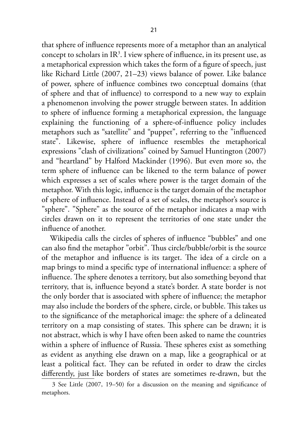that sphere of influence represents more of a metaphor than an analytical concept to scholars in IR<sup>3</sup>. I view sphere of influence, in its present use, as a metaphorical expression which takes the form of a figure of speech, just like Richard Little (2007, 21–23) views balance of power. Like balance of power, sphere of influence combines two conceptual domains (that of sphere and that of influence) to correspond to a new way to explain a phenomenon involving the power struggle between states. In addition to sphere of influence forming a metaphorical expression, the language explaining the functioning of a sphere-of-influence policy includes metaphors such as "satellite" and "puppet", referring to the "influenced state". Likewise, sphere of influence resembles the metaphorical expressions "clash of civilizations" coined by Samuel Huntington (2007) and "heartland" by Halford Mackinder (1996). But even more so, the term sphere of influence can be likened to the term balance of power which expresses a set of scales where power is the target domain of the metaphor. With this logic, influence is the target domain of the metaphor of sphere of influence. Instead of a set of scales, the metaphor's source is "sphere". "Sphere" as the source of the metaphor indicates a map with circles drawn on it to represent the territories of one state under the influence of another.

Wikipedia calls the circles of spheres of influence "bubbles" and one can also find the metaphor "orbit". Thus circle/bubble/orbit is the source of the metaphor and influence is its target. The idea of a circle on a map brings to mind a specific type of international influence: a sphere of influence. The sphere denotes a territory, but also something beyond that territory, that is, influence beyond a state's border. A state border is not the only border that is associated with sphere of influence; the metaphor may also include the borders of the sphere, circle, or bubble. This takes us to the significance of the metaphorical image: the sphere of a delineated territory on a map consisting of states. This sphere can be drawn; it is not abstract, which is why I have often been asked to name the countries within a sphere of influence of Russia. These spheres exist as something as evident as anything else drawn on a map, like a geographical or at least a political fact. They can be refuted in order to draw the circles differently, just like borders of states are sometimes re-drawn, but the

 $3$  See Little (2007, 19–50) for a discussion on the meaning and significance of metaphors.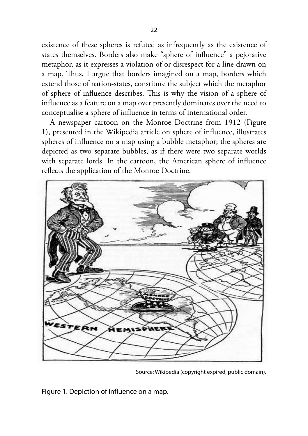existence of these spheres is refuted as infrequently as the existence of states themselves. Borders also make "sphere of influence" a pejorative metaphor, as it expresses a violation of or disrespect for a line drawn on a map. Thus, I argue that borders imagined on a map, borders which extend those of nation-states, constitute the subject which the metaphor of sphere of influence describes. This is why the vision of a sphere of influence as a feature on a map over presently dominates over the need to conceptualise a sphere of influence in terms of international order.

A newspaper cartoon on the Monroe Doctrine from 1912 (Figure 1), presented in the Wikipedia article on sphere of influence, illustrates spheres of influence on a map using a bubble metaphor; the spheres are depicted as two separate bubbles, as if there were two separate worlds with separate lords. In the cartoon, the American sphere of influence reflects the application of the Monroe Doctrine.



Source: Wikipedia (copyright expired, public domain).

Figure 1. Depiction of influence on a map.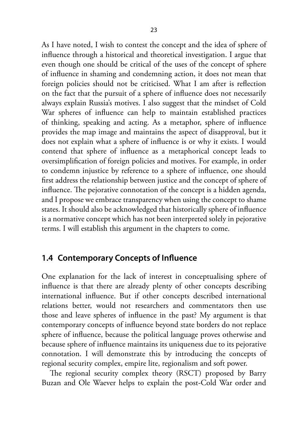As I have noted, I wish to contest the concept and the idea of sphere of influence through a historical and theoretical investigation. I argue that even though one should be critical of the uses of the concept of sphere of influence in shaming and condemning action, it does not mean that foreign policies should not be criticised. What I am after is reflection on the fact that the pursuit of a sphere of influence does not necessarily always explain Russia's motives. I also suggest that the mindset of Cold War spheres of influence can help to maintain established practices of thinking, speaking and acting. As a metaphor, sphere of influence provides the map image and maintains the aspect of disapproval, but it does not explain what a sphere of influence is or why it exists. I would contend that sphere of influence as a metaphorical concept leads to oversimplification of foreign policies and motives. For example, in order to condemn injustice by reference to a sphere of influence, one should first address the relationship between justice and the concept of sphere of influence. The pejorative connotation of the concept is a hidden agenda, and I propose we embrace transparency when using the concept to shame states. It should also be acknowledged that historically sphere of influence is a normative concept which has not been interpreted solely in pejorative terms. I will establish this argument in the chapters to come.

#### **1.4 Contemporary Concepts of Influence**

One explanation for the lack of interest in conceptualising sphere of influence is that there are already plenty of other concepts describing international influence. But if other concepts described international relations better, would not researchers and commentators then use those and leave spheres of influence in the past? My argument is that contemporary concepts of influence beyond state borders do not replace sphere of influence, because the political language proves otherwise and because sphere of influence maintains its uniqueness due to its pejorative connotation. I will demonstrate this by introducing the concepts of regional security complex, empire lite, regionalism and soft power.

The regional security complex theory (RSCT) proposed by Barry Buzan and Ole Waever helps to explain the post-Cold War order and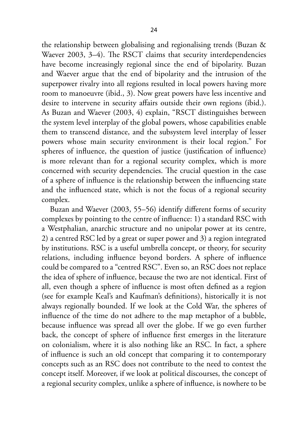the relationship between globalising and regionalising trends (Buzan & Waever 2003, 3–4). The RSCT claims that security interdependencies have become increasingly regional since the end of bipolarity. Buzan and Waever argue that the end of bipolarity and the intrusion of the superpower rivalry into all regions resulted in local powers having more room to manoeuvre (ibid., 3). Now great powers have less incentive and desire to intervene in security affairs outside their own regions (ibid.). As Buzan and Waever (2003, 4) explain, "RSCT distinguishes between the system level interplay of the global powers, whose capabilities enable them to transcend distance, and the subsystem level interplay of lesser powers whose main security environment is their local region." For spheres of influence, the question of justice (justification of influence) is more relevant than for a regional security complex, which is more concerned with security dependencies. The crucial question in the case of a sphere of influence is the relationship between the influencing state and the influenced state, which is not the focus of a regional security complex.

Buzan and Waever (2003, 55–56) identify different forms of security complexes by pointing to the centre of influence: 1) a standard RSC with a Westphalian, anarchic structure and no unipolar power at its centre, 2) a centred RSC led by a great or super power and 3) a region integrated by institutions. RSC is a useful umbrella concept, or theory, for security relations, including influence beyond borders. A sphere of influence could be compared to a "centred RSC". Even so, an RSC does not replace the idea of sphere of influence, because the two are not identical. First of all, even though a sphere of influence is most often defined as a region (see for example Keal's and Kaufman's definitions), historically it is not always regionally bounded. If we look at the Cold War, the spheres of influence of the time do not adhere to the map metaphor of a bubble, because influence was spread all over the globe. If we go even further back, the concept of sphere of influence first emerges in the literature on colonialism, where it is also nothing like an RSC. In fact, a sphere of influence is such an old concept that comparing it to contemporary concepts such as an RSC does not contribute to the need to contest the concept itself. Moreover, if we look at political discourses, the concept of a regional security complex, unlike a sphere of influence, is nowhere to be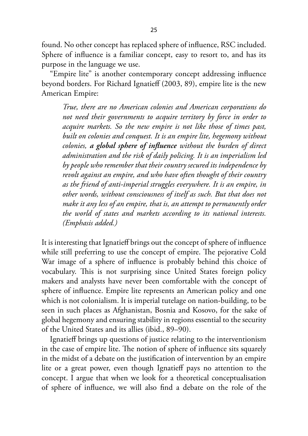found. No other concept has replaced sphere of influence, RSC included. Sphere of influence is a familiar concept, easy to resort to, and has its purpose in the language we use.

"Empire lite" is another contemporary concept addressing influence beyond borders. For Richard Ignatieff (2003, 89), empire lite is the new American Empire:

*True, there are no American colonies and American corporations do not need their governments to acquire territory by force in order to acquire markets. So the new empire is not like those of times past, built on colonies and conquest. It is an empire lite, hegemony without colonies, a global sphere of infl uence without the burden of direct administration and the risk of daily policing. It is an imperialism led by people who remember that their country secured its independence by revolt against an empire, and who have often thought of their country as the friend of anti-imperial struggles everywhere. It is an empire, in other words, without consciousness of itself as such. But that does not make it any less of an empire, that is, an attempt to permanently order the world of states and markets according to its national interests. (Emphasis added.)*

It is interesting that Ignatieff brings out the concept of sphere of influence while still preferring to use the concept of empire. The pejorative Cold War image of a sphere of influence is probably behind this choice of vocabulary. This is not surprising since United States foreign policy makers and analysts have never been comfortable with the concept of sphere of influence. Empire lite represents an American policy and one which is not colonialism. It is imperial tutelage on nation-building, to be seen in such places as Afghanistan, Bosnia and Kosovo, for the sake of global hegemony and ensuring stability in regions essential to the security of the United States and its allies (ibid., 89–90).

Ignatieff brings up questions of justice relating to the interventionism in the case of empire lite. The notion of sphere of influence sits squarely in the midst of a debate on the justification of intervention by an empire lite or a great power, even though Ignatieff pays no attention to the concept. I argue that when we look for a theoretical conceptualisation of sphere of influence, we will also find a debate on the role of the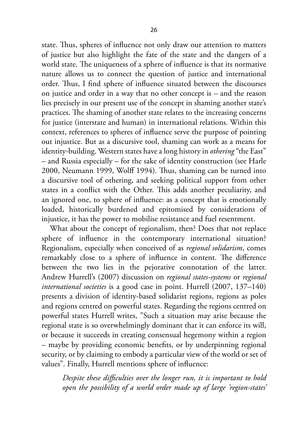state. Thus, spheres of influence not only draw our attention to matters of justice but also highlight the fate of the state and the dangers of a world state. The uniqueness of a sphere of influence is that its normative nature allows us to connect the question of justice and international order. Thus, I find sphere of influence situated between the discourses on justice and order in a way that no other concept is – and the reason lies precisely in our present use of the concept in shaming another state's practices. The shaming of another state relates to the increasing concerns for justice (interstate and human) in international relations. Within this context, references to spheres of influence serve the purpose of pointing out injustice. But as a discursive tool, shaming can work as a means for identity-building. Western states have a long history in *othering* "the East" – and Russia especially – for the sake of identity construction (see Harle 2000, Neumann 1999, Wolff 1994). Thus, shaming can be turned into a discursive tool of othering, and seeking political support from other states in a conflict with the Other. This adds another peculiarity, and an ignored one, to sphere of influence: as a concept that is emotionally loaded, historically burdened and epitomised by considerations of injustice, it has the power to mobilise resistance and fuel resentment.

What about the concept of regionalism, then? Does that not replace sphere of influence in the contemporary international situation? Regionalism, especially when conceived of as *regional solidarism*, comes remarkably close to a sphere of influence in content. The difference between the two lies in the pejorative connotation of the latter. Andrew Hurrell's (2007) discussion on *regional states-systems* or *regional international societies* is a good case in point. Hurrell (2007, 137–140) presents a division of identity-based solidarist regions, regions as poles and regions centred on powerful states. Regarding the regions centred on powerful states Hurrell writes, "Such a situation may arise because the regional state is so overwhelmingly dominant that it can enforce its will, or because it succeeds in creating consensual hegemony within a region – maybe by providing economic benefits, or by underpinning regional security, or by claiming to embody a particular view of the world or set of values". Finally, Hurrell mentions sphere of influence:

*Despite these difficulties over the longer run, it is important to hold open the possibility of a world order made up of large 'region-states'*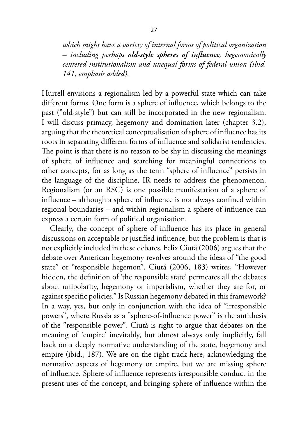*which might have a variety of internal forms of political organization – including perhaps old-style spheres of infl uence, hegemonically centered institutionalism and unequal forms of federal union (ibid. 141, emphasis added).* 

Hurrell envisions a regionalism led by a powerful state which can take different forms. One form is a sphere of influence, which belongs to the past ("old-style") but can still be incorporated in the new regionalism. I will discuss primacy, hegemony and domination later (chapter 3.2), arguing that the theoretical conceptualisation of sphere of influence has its roots in separating different forms of influence and solidarist tendencies. The point is that there is no reason to be shy in discussing the meanings of sphere of influence and searching for meaningful connections to other concepts, for as long as the term "sphere of influence" persists in the language of the discipline, IR needs to address the phenomenon. Regionalism (or an RSC) is one possible manifestation of a sphere of influence – although a sphere of influence is not always confined within regional boundaries – and within regionalism a sphere of influence can express a certain form of political organisation.

Clearly, the concept of sphere of influence has its place in general discussions on acceptable or justified influence, but the problem is that is not explicitly included in these debates. Felix Ciută (2006) argues that the debate over American hegemony revolves around the ideas of "the good state" or "responsible hegemon". Ciută (2006, 183) writes, "However hidden, the definition of 'the responsible state' permeates all the debates about unipolarity, hegemony or imperialism, whether they are for, or against specific policies." Is Russian hegemony debated in this framework? In a way, yes, but only in conjunction with the idea of "irresponsible powers", where Russia as a "sphere-of-influence power" is the antithesis of the "responsible power". Ciută is right to argue that debates on the meaning of 'empire' inevitably, but almost always only implicitly, fall back on a deeply normative understanding of the state, hegemony and empire (ibid., 187). We are on the right track here, acknowledging the normative aspects of hegemony or empire, but we are missing sphere of influence. Sphere of influence represents irresponsible conduct in the present uses of the concept, and bringing sphere of influence within the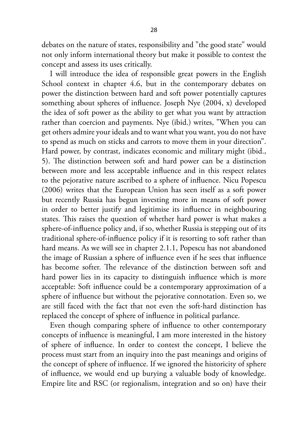debates on the nature of states, responsibility and "the good state" would not only inform international theory but make it possible to contest the concept and assess its uses critically.

I will introduce the idea of responsible great powers in the English School context in chapter 4.6, but in the contemporary debates on power the distinction between hard and soft power potentially captures something about spheres of influence. Joseph Nye (2004, x) developed the idea of soft power as the ability to get what you want by attraction rather than coercion and payments. Nye (ibid.) writes, "When you can get others admire your ideals and to want what you want, you do not have to spend as much on sticks and carrots to move them in your direction". Hard power, by contrast, indicates economic and military might (ibid., 5). The distinction between soft and hard power can be a distinction between more and less acceptable influence and in this respect relates to the pejorative nature ascribed to a sphere of influence. Nicu Popescu (2006) writes that the European Union has seen itself as a soft power but recently Russia has begun investing more in means of soft power in order to better justify and legitimise its influence in neighbouring states. This raises the question of whether hard power is what makes a sphere-of-influence policy and, if so, whether Russia is stepping out of its traditional sphere-of-influence policy if it is resorting to soft rather than hard means. As we will see in chapter 2.1.1, Popescu has not abandoned the image of Russian a sphere of influence even if he sees that influence has become softer. The relevance of the distinction between soft and hard power lies in its capacity to distinguish influence which is more acceptable: Soft influence could be a contemporary approximation of a sphere of influence but without the pejorative connotation. Even so, we are still faced with the fact that not even the soft-hard distinction has replaced the concept of sphere of influence in political parlance.

Even though comparing sphere of influence to other contemporary concepts of influence is meaningful, I am more interested in the history of sphere of influence. In order to contest the concept, I believe the process must start from an inquiry into the past meanings and origins of the concept of sphere of influence. If we ignored the historicity of sphere of influence, we would end up burying a valuable body of knowledge. Empire lite and RSC (or regionalism, integration and so on) have their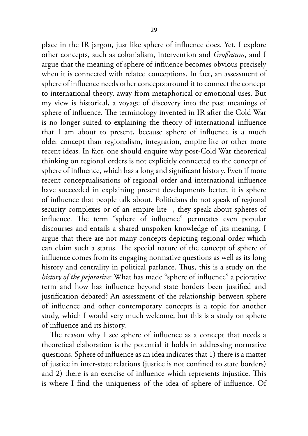place in the IR jargon, just like sphere of influence does. Yet, I explore other concepts, such as colonialism, intervention and *Großraum*, and I argue that the meaning of sphere of influence becomes obvious precisely when it is connected with related conceptions. In fact, an assessment of sphere of influence needs other concepts around it to connect the concept to international theory, away from metaphorical or emotional uses. But my view is historical, a voyage of discovery into the past meanings of sphere of influence. The terminology invented in IR after the Cold War is no longer suited to explaining the theory of international influence that I am about to present, because sphere of influence is a much older concept than regionalism, integration, empire lite or other more recent ideas. In fact, one should enquire why post-Cold War theoretical thinking on regional orders is not explicitly connected to the concept of sphere of influence, which has a long and significant history. Even if more recent conceptualisations of regional order and international influence have succeeded in explaining present developments better, it is sphere of influence that people talk about. Politicians do not speak of regional security complexes or of an empire lite , they speak about spheres of influence. The term "sphere of influence" permeates even popular discourses and entails a shared unspoken knowledge of ,its meaning. I argue that there are not many concepts depicting regional order which can claim such a status. The special nature of the concept of sphere of influence comes from its engaging normative questions as well as its long history and centrality in political parlance. Thus, this is a study on the *history of the pejorative*: What has made "sphere of influence" a pejorative term and how has influence beyond state borders been justified and justification debated? An assessment of the relationship between sphere of influence and other contemporary concepts is a topic for another study, which I would very much welcome, but this is a study on sphere of influence and its history.

The reason why I see sphere of influence as a concept that needs a theoretical elaboration is the potential it holds in addressing normative questions. Sphere of influence as an idea indicates that 1) there is a matter of justice in inter-state relations (justice is not confined to state borders) and 2) there is an exercise of influence which represents injustice. This is where I find the uniqueness of the idea of sphere of influence. Of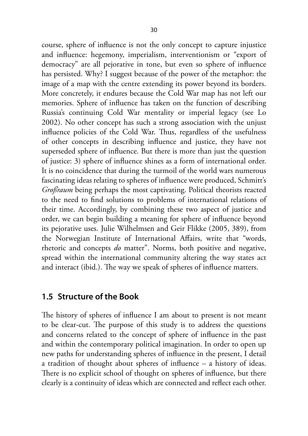course, sphere of influence is not the only concept to capture injustice and influence: hegemony, imperialism, interventionism or "export of democracy" are all pejorative in tone, but even so sphere of influence has persisted. Why? I suggest because of the power of the metaphor: the image of a map with the centre extending its power beyond its borders. More concretely, it endures because the Cold War map has not left our memories. Sphere of influence has taken on the function of describing Russia's continuing Cold War mentality or imperial legacy (see Lo 2002). No other concept has such a strong association with the unjust influence policies of the Cold War. Thus, regardless of the usefulness of other concepts in describing influence and justice, they have not superseded sphere of influence. But there is more than just the question of justice: 3) sphere of influence shines as a form of international order. It is no coincidence that during the turmoil of the world wars numerous fascinating ideas relating to spheres of influence were produced, Schmitt's *Großraum* being perhaps the most captivating. Political theorists reacted to the need to find solutions to problems of international relations of their time. Accordingly, by combining these two aspect of justice and order, we can begin building a meaning for sphere of influence beyond its pejorative uses. Julie Wilhelmsen and Geir Flikke (2005, 389), from the Norwegian Institute of International Affairs, write that "words, rhetoric and concepts *do* matter". Norms, both positive and negative, spread within the international community altering the way states act and interact (ibid.). The way we speak of spheres of influence matters.

#### **1.5 Structure of the Book**

The history of spheres of influence I am about to present is not meant to be clear-cut. The purpose of this study is to address the questions and concerns related to the concept of sphere of influence in the past and within the contemporary political imagination. In order to open up new paths for understanding spheres of influence in the present, I detail a tradition of thought about spheres of influence  $-$  a history of ideas. There is no explicit school of thought on spheres of influence, but there clearly is a continuity of ideas which are connected and reflect each other.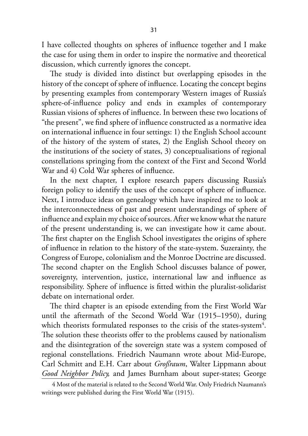I have collected thoughts on spheres of influence together and I make the case for using them in order to inspire the normative and theoretical discussion, which currently ignores the concept.

The study is divided into distinct but overlapping episodes in the history of the concept of sphere of influence. Locating the concept begins by presenting examples from contemporary Western images of Russia's sphere-of-influence policy and ends in examples of contemporary Russian visions of spheres of influence. In between these two locations of "the present", we find sphere of influence constructed as a normative idea on international influence in four settings: 1) the English School account of the history of the system of states, 2) the English School theory on the institutions of the society of states, 3) conceptualisations of regional constellations springing from the context of the First and Second World War and 4) Cold War spheres of influence.

In the next chapter, I explore research papers discussing Russia's foreign policy to identify the uses of the concept of sphere of influence. Next, I introduce ideas on genealogy which have inspired me to look at the interconnectedness of past and present understandings of sphere of influence and explain my choice of sources. After we know what the nature of the present understanding is, we can investigate how it came about. The first chapter on the English School investigates the origins of sphere of influence in relation to the history of the state-system. Suzerainty, the Congress of Europe, colonialism and the Monroe Doctrine are discussed. The second chapter on the English School discusses balance of power, sovereignty, intervention, justice, international law and influence as responsibility. Sphere of influence is fitted within the pluralist-solidarist debate on international order.

The third chapter is an episode extending from the First World War until the aftermath of the Second World War (1915–1950), during which theorists formulated responses to the crisis of the states-system<sup>4</sup>. The solution these theorists offer to the problems caused by nationalism and the disintegration of the sovereign state was a system composed of regional constellations. Friedrich Naumann wrote about Mid-Europe, Carl Schmitt and E.H. Carr about *Großraum*, Walter Lippmann about *Good Neighbor Policy,* and James Burnham about super-states; George

<sup>4</sup> Most of the material is related to the Second World War. Only Friedrich Naumann's writings were published during the First World War (1915).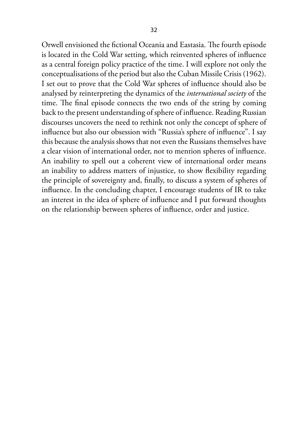Orwell envisioned the fictional Oceania and Eastasia. The fourth episode is located in the Cold War setting, which reinvented spheres of influence as a central foreign policy practice of the time. I will explore not only the conceptualisations of the period but also the Cuban Missile Crisis (1962). I set out to prove that the Cold War spheres of influence should also be analysed by reinterpreting the dynamics of the *international society* of the time. The final episode connects the two ends of the string by coming back to the present understanding of sphere of influence. Reading Russian discourses uncovers the need to rethink not only the concept of sphere of influence but also our obsession with "Russia's sphere of influence". I say this because the analysis shows that not even the Russians themselves have a clear vision of international order, not to mention spheres of influence. An inability to spell out a coherent view of international order means an inability to address matters of injustice, to show flexibility regarding the principle of sovereignty and, finally, to discuss a system of spheres of influence. In the concluding chapter, I encourage students of IR to take an interest in the idea of sphere of influence and I put forward thoughts on the relationship between spheres of influence, order and justice.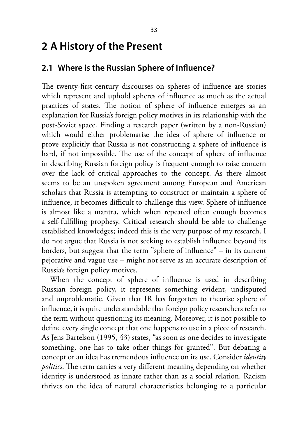### **2 A History of the Present**

#### **2.1 Where is the Russian Sphere of Influence?**

The twenty-first-century discourses on spheres of influence are stories which represent and uphold spheres of influence as much as the actual practices of states. The notion of sphere of influence emerges as an explanation for Russia's foreign policy motives in its relationship with the post-Soviet space. Finding a research paper (written by a non-Russian) which would either problematise the idea of sphere of influence or prove explicitly that Russia is not constructing a sphere of influence is hard, if not impossible. The use of the concept of sphere of influence in describing Russian foreign policy is frequent enough to raise concern over the lack of critical approaches to the concept. As there almost seems to be an unspoken agreement among European and American scholars that Russia is attempting to construct or maintain a sphere of influence, it becomes difficult to challenge this view. Sphere of influence is almost like a mantra, which when repeated often enough becomes a self-fulfilling prophesy. Critical research should be able to challenge established knowledges; indeed this is the very purpose of my research. I do not argue that Russia is not seeking to establish influence beyond its borders, but suggest that the term "sphere of influence"  $-$  in its current pejorative and vague use – might not serve as an accurate description of Russia's foreign policy motives.

When the concept of sphere of influence is used in describing Russian foreign policy, it represents something evident, undisputed and unproblematic. Given that IR has forgotten to theorise sphere of influence, it is quite understandable that foreign policy researchers refer to the term without questioning its meaning. Moreover, it is not possible to define every single concept that one happens to use in a piece of research. As Jens Bartelson (1995, 43) states, "as soon as one decides to investigate something, one has to take other things for granted". But debating a concept or an idea has tremendous influence on its use. Consider *identity politics*. The term carries a very different meaning depending on whether identity is understood as innate rather than as a social relation. Racism thrives on the idea of natural characteristics belonging to a particular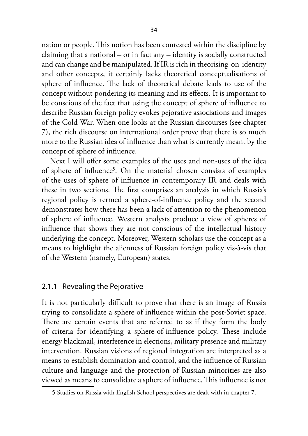nation or people. This notion has been contested within the discipline by claiming that a national – or in fact any – identity is socially constructed and can change and be manipulated. If IR is rich in theorising on identity and other concepts, it certainly lacks theoretical conceptualisations of sphere of influence. The lack of theoretical debate leads to use of the concept without pondering its meaning and its effects. It is important to be conscious of the fact that using the concept of sphere of influence to describe Russian foreign policy evokes pejorative associations and images of the Cold War. When one looks at the Russian discourses (see chapter 7), the rich discourse on international order prove that there is so much more to the Russian idea of influence than what is currently meant by the concept of sphere of influence.

Next I will offer some examples of the uses and non-uses of the idea of sphere of influence<sup>5</sup>. On the material chosen consists of examples of the uses of sphere of influence in contemporary IR and deals with these in two sections. The first comprises an analysis in which Russia's regional policy is termed a sphere-of-influence policy and the second demonstrates how there has been a lack of attention to the phenomenon of sphere of influence. Western analysts produce a view of spheres of influence that shows they are not conscious of the intellectual history underlying the concept. Moreover, Western scholars use the concept as a means to highlight the alienness of Russian foreign policy vis-à-vis that of the Western (namely, European) states.

#### 2.1.1 Revealing the Pejorative

It is not particularly difficult to prove that there is an image of Russia trying to consolidate a sphere of influence within the post-Soviet space. There are certain events that are referred to as if they form the body of criteria for identifying a sphere-of-influence policy. These include energy blackmail, interference in elections, military presence and military intervention. Russian visions of regional integration are interpreted as a means to establish domination and control, and the influence of Russian culture and language and the protection of Russian minorities are also viewed as means to consolidate a sphere of influence. This influence is not

<sup>5</sup> Studies on Russia with English School perspectives are dealt with in chapter 7.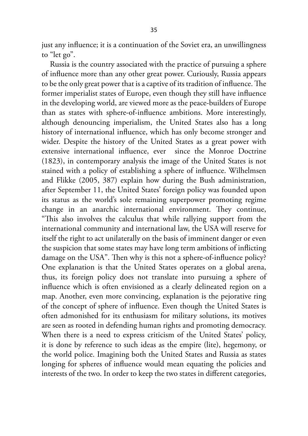just any influence; it is a continuation of the Soviet era, an unwillingness to "let go".

Russia is the country associated with the practice of pursuing a sphere of influence more than any other great power. Curiously, Russia appears to be the only great power that is a captive of its tradition of influence. The former imperialist states of Europe, even though they still have influence in the developing world, are viewed more as the peace-builders of Europe than as states with sphere-of-influence ambitions. More interestingly, although denouncing imperialism, the United States also has a long history of international influence, which has only become stronger and wider. Despite the history of the United States as a great power with extensive international influence, ever since the Monroe Doctrine (1823), in contemporary analysis the image of the United States is not stained with a policy of establishing a sphere of influence. Wilhelmsen and Flikke (2005, 387) explain how during the Bush administration, after September 11, the United States' foreign policy was founded upon its status as the world's sole remaining superpower promoting regime change in an anarchic international environment. They continue, "This also involves the calculus that while rallying support from the international community and international law, the USA will reserve for itself the right to act unilaterally on the basis of imminent danger or even the suspicion that some states may have long term ambitions of inflicting damage on the USA". Then why is this not a sphere-of-influence policy? One explanation is that the United States operates on a global arena, thus, its foreign policy does not translate into pursuing a sphere of influence which is often envisioned as a clearly delineated region on a map. Another, even more convincing, explanation is the pejorative ring of the concept of sphere of influence. Even though the United States is often admonished for its enthusiasm for military solutions, its motives are seen as rooted in defending human rights and promoting democracy. When there is a need to express criticism of the United States' policy, it is done by reference to such ideas as the empire (lite), hegemony, or the world police. Imagining both the United States and Russia as states longing for spheres of influence would mean equating the policies and interests of the two. In order to keep the two states in different categories,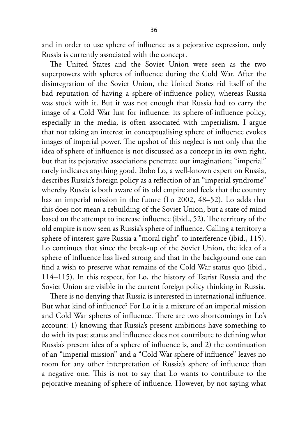and in order to use sphere of influence as a pejorative expression, only Russia is currently associated with the concept.

The United States and the Soviet Union were seen as the two superpowers with spheres of influence during the Cold War. After the disintegration of the Soviet Union, the United States rid itself of the bad reputation of having a sphere-of-influence policy, whereas Russia was stuck with it. But it was not enough that Russia had to carry the image of a Cold War lust for influence: its sphere-of-influence policy, especially in the media, is often associated with imperialism. I argue that not taking an interest in conceptualising sphere of influence evokes images of imperial power. The upshot of this neglect is not only that the idea of sphere of influence is not discussed as a concept in its own right, but that its pejorative associations penetrate our imagination; "imperial" rarely indicates anything good. Bobo Lo, a well-known expert on Russia, describes Russia's foreign policy as a reflection of an "imperial syndrome" whereby Russia is both aware of its old empire and feels that the country has an imperial mission in the future (Lo 2002, 48–52). Lo adds that this does not mean a rebuilding of the Soviet Union, but a state of mind based on the attempt to increase influence (ibid., 52). The territory of the old empire is now seen as Russia's sphere of influence. Calling a territory a sphere of interest gave Russia a "moral right" to interference (ibid., 115). Lo continues that since the break-up of the Soviet Union, the idea of a sphere of influence has lived strong and that in the background one can find a wish to preserve what remains of the Cold War status quo (ibid., 114–115). In this respect, for Lo, the history of Tsarist Russia and the Soviet Union are visible in the current foreign policy thinking in Russia.

There is no denying that Russia is interested in international influence. But what kind of influence? For Lo it is a mixture of an imperial mission and Cold War spheres of influence. There are two shortcomings in Lo's account: 1) knowing that Russia's present ambitions have something to do with its past status and influence does not contribute to defining what Russia's present idea of a sphere of influence is, and 2) the continuation of an "imperial mission" and a "Cold War sphere of influence" leaves no room for any other interpretation of Russia's sphere of influence than a negative one. This is not to say that Lo wants to contribute to the pejorative meaning of sphere of influence. However, by not saying what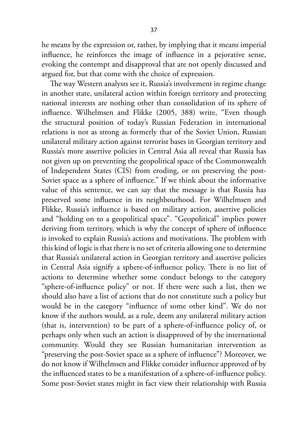he means by the expression or, rather, by implying that it means imperial influence, he reinforces the image of influence in a pejorative sense, evoking the contempt and disapproval that are not openly discussed and argued for, but that come with the choice of expression.

The way Western analysts see it, Russia's involvement in regime change in another state, unilateral action within foreign territory and protecting national interests are nothing other than consolidation of its sphere of influence. Wilhelmsen and Flikke (2005, 388) write, "Even though the structural position of today's Russian Federation in international relations is not as strong as formerly that of the Soviet Union, Russian unilateral military action against terrorist bases in Georgian territory and Russia's more assertive policies in Central Asia all reveal that Russia has not given up on preventing the geopolitical space of the Commonwealth of Independent States (CIS) from eroding, or on preserving the post-Soviet space as a sphere of influence." If we think about the informative value of this sentence, we can say that the message is that Russia has preserved some influence in its neighbourhood. For Wilhelmsen and Flikke, Russia's influence is based on military action, assertive policies and "holding on to a geopolitical space". "Geopolitical" implies power deriving from territory, which is why the concept of sphere of influence is invoked to explain Russia's actions and motivations. The problem with this kind of logic is that there is no set of criteria allowing one to determine that Russia's unilateral action in Georgian territory and assertive policies in Central Asia signify a sphere-of-influence policy. There is no list of actions to determine whether some conduct belongs to the category "sphere-of-influence policy" or not. If there were such a list, then we should also have a list of actions that do not constitute such a policy but would be in the category "influence of some other kind". We do not know if the authors would, as a rule, deem any unilateral military action (that is, intervention) to be part of a sphere-of-influence policy of, or perhaps only when such an action is disapproved of by the international community. Would they see Russian humanitarian intervention as "preserving the post-Soviet space as a sphere of influence"? Moreover, we do not know if Wilhelmsen and Flikke consider influence approved of by the influenced states to be a manifestation of a sphere-of-influence policy. Some post-Soviet states might in fact view their relationship with Russia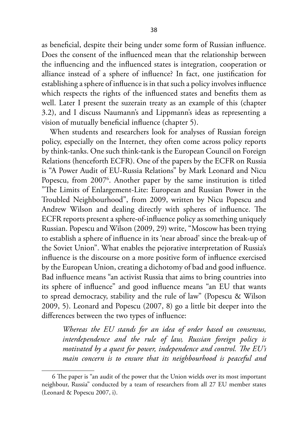as beneficial, despite their being under some form of Russian influence. Does the consent of the influenced mean that the relationship between the influencing and the influenced states is integration, cooperation or alliance instead of a sphere of influence? In fact, one justification for establishing a sphere of influence is in that such a policy involves influence which respects the rights of the influenced states and benefits them as well. Later I present the suzerain treaty as an example of this (chapter 3.2), and I discuss Naumann's and Lippmann's ideas as representing a vision of mutually beneficial influence (chapter 5).

When students and researchers look for analyses of Russian foreign policy, especially on the Internet, they often come across policy reports by think-tanks. One such think-tank is the European Council on Foreign Relations (henceforth ECFR). One of the papers by the ECFR on Russia is "A Power Audit of EU-Russia Relations" by Mark Leonard and Nicu Popescu, from 20076 . Another paper by the same institution is titled "The Limits of Enlargement-Lite: European and Russian Power in the Troubled Neighbourhood", from 2009, written by Nicu Popescu and Andrew Wilson and dealing directly with spheres of influence. The ECFR reports present a sphere-of-influence policy as something uniquely Russian. Popescu and Wilson (2009, 29) write, "Moscow has been trying to establish a sphere of influence in its 'near abroad' since the break-up of the Soviet Union". What enables the pejorative interpretation of Russia's influence is the discourse on a more positive form of influence exercised by the European Union, creating a dichotomy of bad and good influence. Bad influence means "an activist Russia that aims to bring countries into its sphere of influence" and good influence means "an EU that wants to spread democracy, stability and the rule of law" (Popescu & Wilson 2009, 5). Leonard and Popescu (2007, 8) go a little bit deeper into the differences between the two types of influence:

*Whereas the EU stands for an idea of order based on consensus, interdependence and the rule of law, Russian foreign policy is motivated by a quest for power, independence and control. The EU's main concern is to ensure that its neighbourhood is peaceful and* 

<sup>6</sup> The paper is "an audit of the power that the Union wields over its most important neighbour, Russia" conducted by a team of researchers from all 27 EU member states (Leonard & Popescu 2007, i).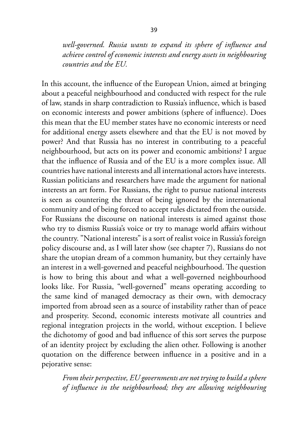*well-governed. Russia wants to expand its sphere of influence and achieve control of economic interests and energy assets in neighbouring countries and the EU.*

In this account, the influence of the European Union, aimed at bringing about a peaceful neighbourhood and conducted with respect for the rule of law, stands in sharp contradiction to Russia's influence, which is based on economic interests and power ambitions (sphere of influence). Does this mean that the EU member states have no economic interests or need for additional energy assets elsewhere and that the EU is not moved by power? And that Russia has no interest in contributing to a peaceful neighbourhood, but acts on its power and economic ambitions? I argue that the influence of Russia and of the EU is a more complex issue. All countries have national interests and all international actors have interests. Russian politicians and researchers have made the argument for national interests an art form. For Russians, the right to pursue national interests is seen as countering the threat of being ignored by the international community and of being forced to accept rules dictated from the outside. For Russians the discourse on national interests is aimed against those who try to dismiss Russia's voice or try to manage world affairs without the country. "National interests" is a sort of realist voice in Russia's foreign policy discourse and, as I will later show (see chapter 7), Russians do not share the utopian dream of a common humanity, but they certainly have an interest in a well-governed and peaceful neighbourhood. The question is how to bring this about and what a well-governed neighbourhood looks like. For Russia, "well-governed" means operating according to the same kind of managed democracy as their own, with democracy imported from abroad seen as a source of instability rather than of peace and prosperity. Second, economic interests motivate all countries and regional integration projects in the world, without exception. I believe the dichotomy of good and bad influence of this sort serves the purpose of an identity project by excluding the alien other. Following is another quotation on the difference between influence in a positive and in a pejorative sense:

*From their perspective, EU governments are not trying to build a sphere of infl uence in the neighbourhood; they are allowing neighbouring*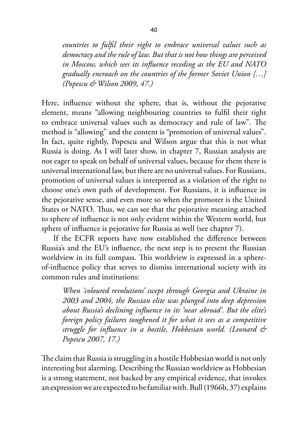*countries to fulfi l their right to embrace universal values such as democracy and the rule of law. But that is not how things are perceived*  in Moscow, which sees its influence receding as the EU and NATO *gradually encroach on the countries of the former Soviet Union […] (Popescu & Wilson 2009, 47.)*

Here, influence without the sphere, that is, without the pejorative element, means "allowing neighbouring countries to fulfil their right to embrace universal values such as democracy and rule of law". The method is "allowing" and the content is "promotion of universal values". In fact, quite rightly, Popescu and Wilson argue that this is not what Russia is doing. As I will later show, in chapter 7, Russian analysts are not eager to speak on behalf of universal values, because for them there is universal international law, but there are no universal values. For Russians, promotion of universal values is interpreted as a violation of the right to choose one's own path of development. For Russians, it is influence in the pejorative sense, and even more so when the promoter is the United States or NATO. Thus, we can see that the pejorative meaning attached to sphere of influence is not only evident within the Western world, but sphere of influence is pejorative for Russia as well (see chapter 7).

If the ECFR reports have now established the difference between Russia's and the EU's influence, the next step is to present the Russian worldview in its full compass. This worldview is expressed in a sphereof-influence policy that serves to dismiss international society with its common rules and institutions:

*When 'coloured revolutions' swept through Georgia and Ukraine in 2003 and 2004, the Russian elite was plunged into deep depression about Russia's declining infl uence in its 'near abroad'. But the elite's foreign policy failures toughened it for what it sees as a competitive*  struggle for influence in a hostile, Hobbesian world. (Leonard & *Popescu 2007, 17.)*

The claim that Russia is struggling in a hostile Hobbesian world is not only interesting but alarming. Describing the Russian worldview as Hobbesian is a strong statement, not backed by any empirical evidence, that invokes an expression we are expected to be familiar with. Bull (1966b, 37) explains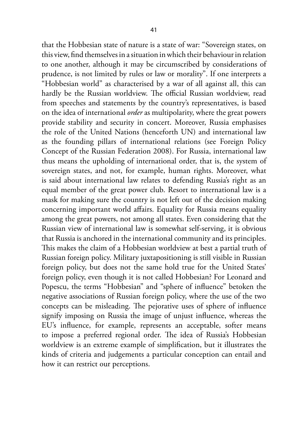that the Hobbesian state of nature is a state of war: "Sovereign states, on this view, find themselves in a situation in which their behaviour in relation to one another, although it may be circumscribed by considerations of prudence, is not limited by rules or law or morality". If one interprets a "Hobbesian world" as characterised by a war of all against all, this can hardly be the Russian worldview. The official Russian worldview, read from speeches and statements by the country's representatives, is based on the idea of international *order* as multipolarity, where the great powers provide stability and security in concert. Moreover, Russia emphasises the role of the United Nations (henceforth UN) and international law as the founding pillars of international relations (see Foreign Policy Concept of the Russian Federation 2008). For Russia, international law thus means the upholding of international order, that is, the system of sovereign states, and not, for example, human rights. Moreover, what is said about international law relates to defending Russia's right as an equal member of the great power club. Resort to international law is a mask for making sure the country is not left out of the decision making concerning important world affairs. Equality for Russia means equality among the great powers, not among all states. Even considering that the Russian view of international law is somewhat self-serving, it is obvious that Russia is anchored in the international community and its principles. This makes the claim of a Hobbesian worldview at best a partial truth of Russian foreign policy. Military juxtapositioning is still visible in Russian foreign policy, but does not the same hold true for the United States' foreign policy, even though it is not called Hobbesian? For Leonard and Popescu, the terms "Hobbesian" and "sphere of influence" betoken the negative associations of Russian foreign policy, where the use of the two concepts can be misleading. The pejorative uses of sphere of influence signify imposing on Russia the image of unjust influence, whereas the EU's influence, for example, represents an acceptable, softer means to impose a preferred regional order. The idea of Russia's Hobbesian worldview is an extreme example of simplification, but it illustrates the kinds of criteria and judgements a particular conception can entail and how it can restrict our perceptions.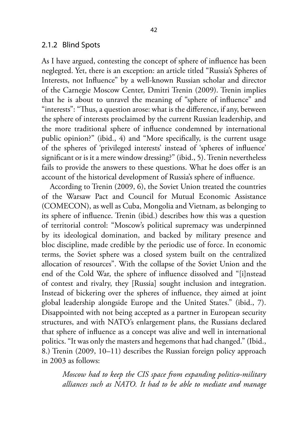#### 2.1.2 Blind Spots

As I have argued, contesting the concept of sphere of influence has been neglegted. Yet, there is an exception: an article titled "Russia's Spheres of Interests, not Influence" by a well-known Russian scholar and director of the Carnegie Moscow Center, Dmitri Trenin (2009). Trenin implies that he is about to unravel the meaning of "sphere of influence" and "interests": "Thus, a question arose: what is the difference, if any, between the sphere of interests proclaimed by the current Russian leadership, and the more traditional sphere of influence condemned by international public opinion?" (ibid., 4) and "More specifically, is the current usage of the spheres of 'privileged interests' instead of 'spheres of influence' significant or is it a mere window dressing?" (ibid., 5). Trenin nevertheless fails to provide the answers to these questions. What he does offer is an account of the historical development of Russia's sphere of influence.

According to Trenin (2009, 6), the Soviet Union treated the countries of the Warsaw Pact and Council for Mutual Economic Assistance (COMECON), as well as Cuba, Mongolia and Vietnam, as belonging to its sphere of influence. Trenin (ibid.) describes how this was a question of territorial control: "Moscow's political supremacy was underpinned by its ideological domination, and backed by military presence and bloc discipline, made credible by the periodic use of force. In economic terms, the Soviet sphere was a closed system built on the centralized allocation of resources". With the collapse of the Soviet Union and the end of the Cold War, the sphere of influence dissolved and "[i]nstead of contest and rivalry, they [Russia] sought inclusion and integration. Instead of bickering over the spheres of influence, they aimed at joint global leadership alongside Europe and the United States." (ibid., 7). Disappointed with not being accepted as a partner in European security structures, and with NATO's enlargement plans, the Russians declared that sphere of influence as a concept was alive and well in international politics. "It was only the masters and hegemons that had changed." (Ibid., 8.) Trenin (2009, 10–11) describes the Russian foreign policy approach in 2003 as follows:

*Moscow had to keep the CIS space from expanding politico-military alliances such as NATO. It had to be able to mediate and manage*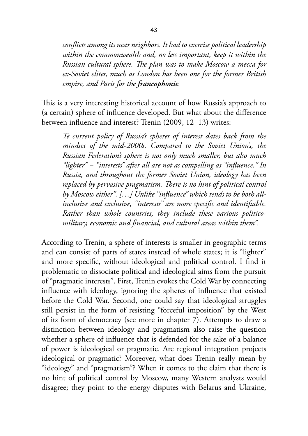*confl icts among its near neighbors. It had to exercise political leadership within the commonwealth and, no less important, keep it within the Russian cultural sphere. The plan was to make Moscow a mecca for ex-Soviet elites, much as London has been one for the former British empire, and Paris for the francophonie.* 

This is a very interesting historical account of how Russia's approach to (a certain) sphere of influence developed. But what about the difference between influence and interest? Trenin (2009, 12–13) writes:

*Te current policy of Russia's spheres of interest dates back from the mindset of the mid-2000s. Compared to the Soviet Union's, the Russian Federation's sphere is not only much smaller, but also much ''lighter'' − ''interests'' after all are not as compelling as ''infl uence.'' In Russia, and throughout the former Soviet Union, ideology has been replaced by pervasive pragmatism. There is no hint of political control by Moscow either". […] Unlike ''infl uence'' which tends to be both all*inclusive and exclusive, "interests" are more specific and identifiable. *Rather than whole countries, they include these various politico*military, economic and financial, and cultural areas within them".

According to Trenin, a sphere of interests is smaller in geographic terms and can consist of parts of states instead of whole states; it is "lighter" and more specific, without ideological and political control. I find it problematic to dissociate political and ideological aims from the pursuit of "pragmatic interests". First, Trenin evokes the Cold War by connecting influence with ideology, ignoring the spheres of influence that existed before the Cold War. Second, one could say that ideological struggles still persist in the form of resisting "forceful imposition" by the West of its form of democracy (see more in chapter 7). Attempts to draw a distinction between ideology and pragmatism also raise the question whether a sphere of influence that is defended for the sake of a balance of power is ideological or pragmatic. Are regional integration projects ideological or pragmatic? Moreover, what does Trenin really mean by "ideology" and "pragmatism"? When it comes to the claim that there is no hint of political control by Moscow, many Western analysts would disagree; they point to the energy disputes with Belarus and Ukraine,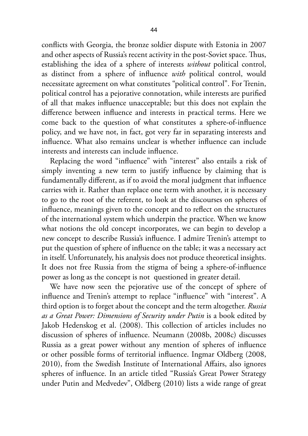conflicts with Georgia, the bronze soldier dispute with Estonia in 2007 and other aspects of Russia's recent activity in the post-Soviet space. Thus, establishing the idea of a sphere of interests *without* political control, as distinct from a sphere of influence *with* political control, would necessitate agreement on what constitutes "political control". For Trenin, political control has a pejorative connotation, while interests are purified of all that makes influence unacceptable; but this does not explain the difference between influence and interests in practical terms. Here we come back to the question of what constitutes a sphere-of-influence policy, and we have not, in fact, got very far in separating interests and influence. What also remains unclear is whether influence can include interests and interests can include influence

Replacing the word "influence" with "interest" also entails a risk of simply inventing a new term to justify influence by claiming that is fundamentally different, as if to avoid the moral judgment that influence carries with it. Rather than replace one term with another, it is necessary to go to the root of the referent, to look at the discourses on spheres of influence, meanings given to the concept and to reflect on the structures of the international system which underpin the practice. When we know what notions the old concept incorporates, we can begin to develop a new concept to describe Russia's influence. I admire Trenin's attempt to put the question of sphere of influence on the table; it was a necessary act in itself. Unfortunately, his analysis does not produce theoretical insights. It does not free Russia from the stigma of being a sphere-of-influence power as long as the concept is not questioned in greater detail.

We have now seen the pejorative use of the concept of sphere of influence and Trenin's attempt to replace "influence" with "interest". A third option is to forget about the concept and the term altogether. *Russia as a Great Power: Dimensions of Security under Putin* is a book edited by Jakob Hedenskog et al. (2008). This collection of articles includes no discussion of spheres of influence. Neumann (2008b, 2008c) discusses Russia as a great power without any mention of spheres of influence or other possible forms of territorial influence. Ingmar Oldberg (2008, 2010), from the Swedish Institute of International Affairs, also ignores spheres of influence. In an article titled "Russia's Great Power Strategy under Putin and Medvedev", Oldberg (2010) lists a wide range of great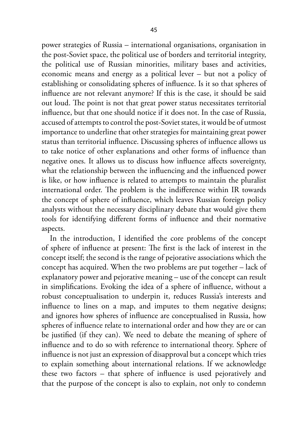power strategies of Russia – international organisations, organisation in the post-Soviet space, the political use of borders and territorial integrity, the political use of Russian minorities, military bases and activities, economic means and energy as a political lever – but not a policy of establishing or consolidating spheres of influence. Is it so that spheres of influence are not relevant anymore? If this is the case, it should be said out loud. The point is not that great power status necessitates territorial influence, but that one should notice if it does not. In the case of Russia, accused of attempts to control the post-Soviet states, it would be of utmost importance to underline that other strategies for maintaining great power status than territorial influence. Discussing spheres of influence allows us to take notice of other explanations and other forms of influence than negative ones. It allows us to discuss how influence affects sovereignty, what the relationship between the influencing and the influenced power is like, or how influence is related to attempts to maintain the pluralist international order. The problem is the indifference within IR towards the concept of sphere of influence, which leaves Russian foreign policy analysts without the necessary disciplinary debate that would give them tools for identifying different forms of influence and their normative aspects.

In the introduction, I identified the core problems of the concept of sphere of influence at present: The first is the lack of interest in the concept itself; the second is the range of pejorative associations which the concept has acquired. When the two problems are put together – lack of explanatory power and pejorative meaning – use of the concept can result in simplifications. Evoking the idea of a sphere of influence, without a robust conceptualisation to underpin it, reduces Russia's interests and influence to lines on a map, and imputes to them negative designs; and ignores how spheres of influence are conceptualised in Russia, how spheres of influence relate to international order and how they are or can be justified (if they can). We need to debate the meaning of sphere of influence and to do so with reference to international theory. Sphere of influence is not just an expression of disapproval but a concept which tries to explain something about international relations. If we acknowledge these two factors  $-$  that sphere of influence is used pejoratively and that the purpose of the concept is also to explain, not only to condemn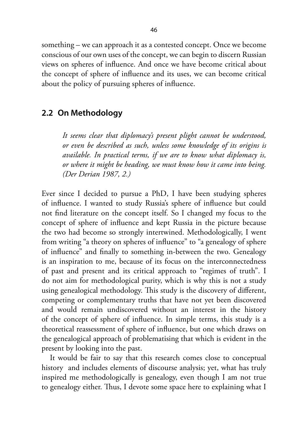something – we can approach it as a contested concept. Once we become conscious of our own uses of the concept, we can begin to discern Russian views on spheres of influence. And once we have become critical about the concept of sphere of influence and its uses, we can become critical about the policy of pursuing spheres of influence.

### **2.2 On Methodology**

*It seems clear that diplomacy's present plight cannot be understood, or even be described as such, unless some knowledge of its origins is available. In practical terms, if we are to know what diplomacy is, or where it might be heading, we must know how it came into being. (Der Derian 1987, 2.)*

Ever since I decided to pursue a PhD, I have been studying spheres of influence. I wanted to study Russia's sphere of influence but could not find literature on the concept itself. So I changed my focus to the concept of sphere of influence and kept Russia in the picture because the two had become so strongly intertwined. Methodologically, I went from writing "a theory on spheres of influence" to "a genealogy of sphere of influence" and finally to something in-between the two. Genealogy is an inspiration to me, because of its focus on the interconnectedness of past and present and its critical approach to "regimes of truth". I do not aim for methodological purity, which is why this is not a study using genealogical methodology. This study is the discovery of different, competing or complementary truths that have not yet been discovered and would remain undiscovered without an interest in the history of the concept of sphere of influence. In simple terms, this study is a theoretical reassessment of sphere of influence, but one which draws on the genealogical approach of problematising that which is evident in the present by looking into the past.

It would be fair to say that this research comes close to conceptual history and includes elements of discourse analysis; yet, what has truly inspired me methodologically is genealogy, even though I am not true to genealogy either. Thus, I devote some space here to explaining what I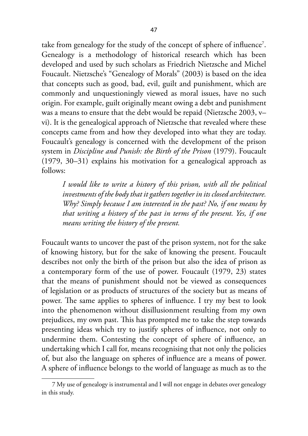take from genealogy for the study of the concept of sphere of influence<sup>7</sup>. Genealogy is a methodology of historical research which has been developed and used by such scholars as Friedrich Nietzsche and Michel Foucault. Nietzsche's "Genealogy of Morals" (2003) is based on the idea that concepts such as good, bad, evil, guilt and punishment, which are commonly and unquestioningly viewed as moral issues, have no such origin. For example, guilt originally meant owing a debt and punishment was a means to ensure that the debt would be repaid (Nietzsche 2003, v– vi). It is the genealogical approach of Nietzsche that revealed where these concepts came from and how they developed into what they are today. Foucault's genealogy is concerned with the development of the prison system in *Discipline and Punish: the Birth of the Prison* (1979). Foucault (1979, 30–31) explains his motivation for a genealogical approach as follows:

*I would like to write a history of this prison, with all the political investments of the body that it gathers together in its closed architecture. Why? Simply because I am interested in the past? No, if one means by that writing a history of the past in terms of the present. Yes, if one means writing the history of the present.* 

Foucault wants to uncover the past of the prison system, not for the sake of knowing history, but for the sake of knowing the present. Foucault describes not only the birth of the prison but also the idea of prison as a contemporary form of the use of power. Foucault (1979, 23) states that the means of punishment should not be viewed as consequences of legislation or as products of structures of the society but as means of power. The same applies to spheres of influence. I try my best to look into the phenomenon without disillusionment resulting from my own prejudices, my own past. This has prompted me to take the step towards presenting ideas which try to justify spheres of influence, not only to undermine them. Contesting the concept of sphere of influence, an undertaking which I call for, means recognising that not only the policies of, but also the language on spheres of influence are a means of power. A sphere of influence belongs to the world of language as much as to the

<sup>7</sup> My use of genealogy is instrumental and I will not engage in debates over genealogy in this study.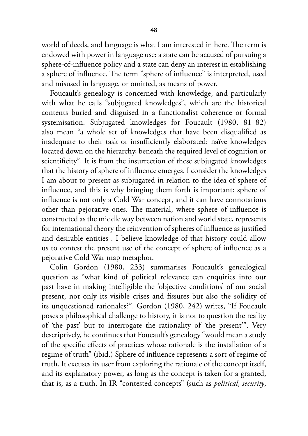world of deeds, and language is what I am interested in here. The term is endowed with power in language use: a state can be accused of pursuing a sphere-of-influence policy and a state can deny an interest in establishing a sphere of influence. The term "sphere of influence" is interpreted, used and misused in language, or omitted, as means of power.

Foucault's genealogy is concerned with knowledge, and particularly with what he calls "subjugated knowledges", which are the historical contents buried and disguised in a functionalist coherence or formal systemisation. Subjugated knowledges for Foucault (1980, 81–82) also mean "a whole set of knowledges that have been disqualified as inadequate to their task or insufficiently elaborated: naïve knowledges located down on the hierarchy, beneath the required level of cognition or scientificity". It is from the insurrection of these subjugated knowledges that the history of sphere of influence emerges. I consider the knowledges I am about to present as subjugated in relation to the idea of sphere of influence, and this is why bringing them forth is important: sphere of influence is not only a Cold War concept, and it can have connotations other than pejorative ones. The material, where sphere of influence is constructed as the middle way between nation and world state, represents for international theory the reinvention of spheres of influence as justified and desirable entities . I believe knowledge of that history could allow us to contest the present use of the concept of sphere of influence as a pejorative Cold War map metaphor.

Colin Gordon (1980, 233) summarises Foucault's genealogical question as "what kind of political relevance can enquiries into our past have in making intelligible the 'objective conditions' of our social present, not only its visible crises and fissures but also the solidity of its unquestioned rationales?". Gordon (1980, 242) writes, "If Foucault poses a philosophical challenge to history, it is not to question the reality of 'the past' but to interrogate the rationality of 'the present'". Very descriptively, he continues that Foucault's genealogy "would mean a study of the specific effects of practices whose rationale is the installation of a regime of truth" (ibid.) Sphere of influence represents a sort of regime of truth. It excuses its user from exploring the rationale of the concept itself, and its explanatory power, as long as the concept is taken for a granted, that is, as a truth. In IR "contested concepts" (such as *political*, *security*,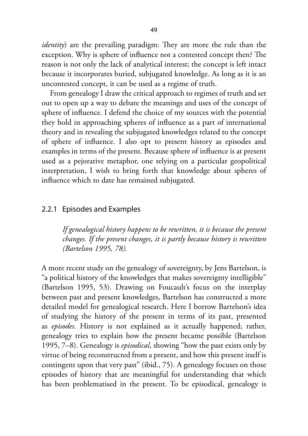*identity*) are the prevailing paradigm: They are more the rule than the exception. Why is sphere of influence not a contested concept then? The reason is not only the lack of analytical interest; the concept is left intact because it incorporates buried, subjugated knowledge. As long as it is an uncontested concept, it can be used as a regime of truth.

From genealogy I draw the critical approach to regimes of truth and set out to open up a way to debate the meanings and uses of the concept of sphere of influence. I defend the choice of my sources with the potential they hold in approaching spheres of influence as a part of international theory and in revealing the subjugated knowledges related to the concept of sphere of influence. I also opt to present history as episodes and examples in terms of the present. Because sphere of influence is at present used as a pejorative metaphor, one relying on a particular geopolitical interpretation, I wish to bring forth that knowledge about spheres of influence which to date has remained subjugated.

#### 2.2.1 Episodes and Examples

*If genealogical history happens to be rewritten, it is because the present changes. If the present changes, it is partly because history is rewritten (Bartelson 1995, 78).*

A more recent study on the genealogy of sovereignty, by Jens Bartelson, is "a political history of the knowledges that makes sovereignty intelligible" (Bartelson 1995, 53). Drawing on Foucault's focus on the interplay between past and present knowledges, Bartelson has constructed a more detailed model for genealogical research. Here I borrow Bartelson's idea of studying the history of the present in terms of its past, presented as *episodes*. History is not explained as it actually happened; rather, genealogy tries to explain how the present became possible (Bartelson 1995, 7–8). Genealogy is *episodical*, showing "how the past exists only by virtue of being reconstructed from a present, and how this present itself is contingent upon that very past" (ibid., 75). A genealogy focuses on those episodes of history that are meaningful for understanding that which has been problematised in the present. To be episodical, genealogy is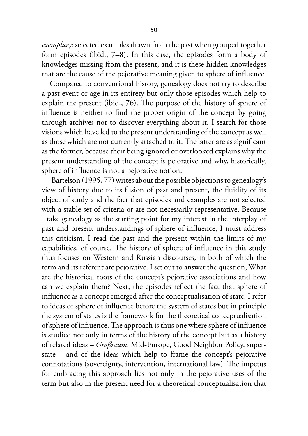*exemplary*: selected examples drawn from the past when grouped together form episodes (ibid., 7–8). In this case, the episodes form a body of knowledges missing from the present, and it is these hidden knowledges that are the cause of the pejorative meaning given to sphere of influence.

Compared to conventional history, genealogy does not try to describe a past event or age in its entirety but only those episodes which help to explain the present (ibid., 76). The purpose of the history of sphere of influence is neither to find the proper origin of the concept by going through archives nor to discover everything about it. I search for those visions which have led to the present understanding of the concept as well as those which are not currently attached to it. The latter are as significant as the former, because their being ignored or overlooked explains why the present understanding of the concept is pejorative and why, historically, sphere of influence is not a pejorative notion.

 Bartelson (1995, 77) writes about the possible objections to genealogy's view of history due to its fusion of past and present, the fluidity of its object of study and the fact that episodes and examples are not selected with a stable set of criteria or are not necessarily representative. Because I take genealogy as the starting point for my interest in the interplay of past and present understandings of sphere of influence, I must address this criticism. I read the past and the present within the limits of my capabilities, of course. The history of sphere of influence in this study thus focuses on Western and Russian discourses, in both of which the term and its referent are pejorative. I set out to answer the question, What are the historical roots of the concept's pejorative associations and how can we explain them? Next, the episodes reflect the fact that sphere of influence as a concept emerged after the conceptualisation of state. I refer to ideas of sphere of influence before the system of states but in principle the system of states is the framework for the theoretical conceptualisation of sphere of influence. The approach is thus one where sphere of influence is studied not only in terms of the history of the concept but as a history of related ideas – *Großraum*, Mid-Europe, Good Neighbor Policy, superstate – and of the ideas which help to frame the concept's pejorative connotations (sovereignty, intervention, international law). The impetus for embracing this approach lies not only in the pejorative uses of the term but also in the present need for a theoretical conceptualisation that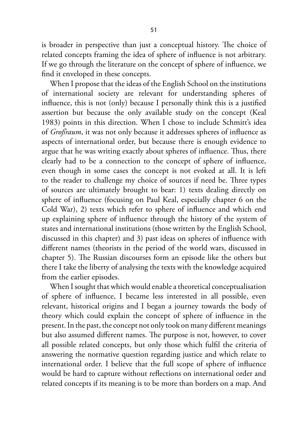is broader in perspective than just a conceptual history. The choice of related concepts framing the idea of sphere of influence is not arbitrary. If we go through the literature on the concept of sphere of influence, we find it enveloped in these concepts.

When I propose that the ideas of the English School on the institutions of international society are relevant for understanding spheres of influence, this is not (only) because I personally think this is a justified assertion but because the only available study on the concept (Keal 1983) points in this direction. When I chose to include Schmitt's idea of *Großraum*, it was not only because it addresses spheres of influence as aspects of international order, but because there is enough evidence to argue that he was writing exactly about spheres of influence. Thus, there clearly had to be a connection to the concept of sphere of influence, even though in some cases the concept is not evoked at all. It is left to the reader to challenge my choice of sources if need be. Three types of sources are ultimately brought to bear: 1) texts dealing directly on sphere of influence (focusing on Paul Keal, especially chapter 6 on the Cold War), 2) texts which refer to sphere of influence and which end up explaining sphere of influence through the history of the system of states and international institutions (those written by the English School, discussed in this chapter) and 3) past ideas on spheres of influence with different names (theorists in the period of the world wars, discussed in chapter 5). The Russian discourses form an episode like the others but there I take the liberty of analysing the texts with the knowledge acquired from the earlier episodes.

When I sought that which would enable a theoretical conceptualisation of sphere of influence, I became less interested in all possible, even relevant, historical origins and I began a journey towards the body of theory which could explain the concept of sphere of influence in the present. In the past, the concept not only took on many different meanings but also assumed different names. The purpose is not, however, to cover all possible related concepts, but only those which fulfil the criteria of answering the normative question regarding justice and which relate to international order. I believe that the full scope of sphere of influence would be hard to capture without reflections on international order and related concepts if its meaning is to be more than borders on a map. And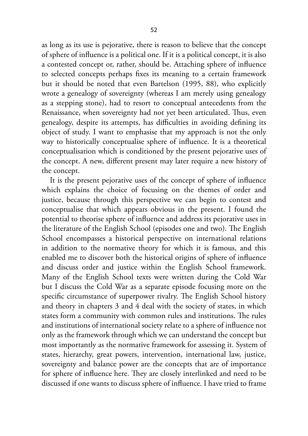as long as its use is pejorative, there is reason to believe that the concept of sphere of influence is a political one. If it is a political concept, it is also a contested concept or, rather, should be. Attaching sphere of influence to selected concepts perhaps fixes its meaning to a certain framework but it should be noted that even Bartelson (1995, 88), who explicitly wrote a genealogy of sovereignty (whereas I am merely using genealogy as a stepping stone), had to resort to conceptual antecedents from the Renaissance, when sovereignty had not yet been articulated. Thus, even genealogy, despite its attempts, has difficulties in avoiding defining its object of study. I want to emphasise that my approach is not the only way to historically conceptualise sphere of influence. It is a theoretical conceptualisation which is conditioned by the present pejorative uses of the concept. A new, different present may later require a new history of the concept.

It is the present pejorative uses of the concept of sphere of influence which explains the choice of focusing on the themes of order and justice, because through this perspective we can begin to contest and conceptualise that which appears obvious in the present. I found the potential to theorise sphere of influence and address its pejorative uses in the literature of the English School (episodes one and two). The English School encompasses a historical perspective on international relations in addition to the normative theory for which it is famous, and this enabled me to discover both the historical origins of sphere of influence and discuss order and justice within the English School framework. Many of the English School texts were written during the Cold War but I discuss the Cold War as a separate episode focusing more on the specific circumstance of superpower rivalry. The English School history and theory in chapters 3 and 4 deal with the society of states, in which states form a community with common rules and institutions. The rules and institutions of international society relate to a sphere of influence not only as the framework through which we can understand the concept but most importantly as the normative framework for assessing it. System of states, hierarchy, great powers, intervention, international law, justice, sovereignty and balance power are the concepts that are of importance for sphere of influence here. They are closely interlinked and need to be discussed if one wants to discuss sphere of influence. I have tried to frame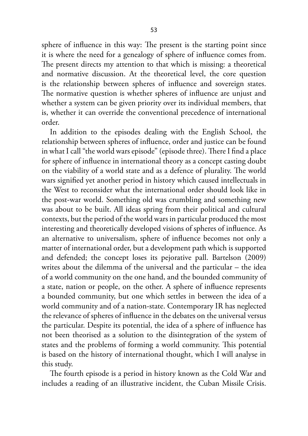sphere of influence in this way: The present is the starting point since it is where the need for a genealogy of sphere of influence comes from. The present directs my attention to that which is missing: a theoretical and normative discussion. At the theoretical level, the core question is the relationship between spheres of influence and sovereign states. The normative question is whether spheres of influence are unjust and whether a system can be given priority over its individual members, that is, whether it can override the conventional precedence of international order.

In addition to the episodes dealing with the English School, the relationship between spheres of influence, order and justice can be found in what I call "the world wars episode" (episode three). There I find a place for sphere of influence in international theory as a concept casting doubt on the viability of a world state and as a defence of plurality. The world wars signified yet another period in history which caused intellectuals in the West to reconsider what the international order should look like in the post-war world. Something old was crumbling and something new was about to be built. All ideas spring from their political and cultural contexts, but the period of the world wars in particular produced the most interesting and theoretically developed visions of spheres of influence. As an alternative to universalism, sphere of influence becomes not only a matter of international order, but a development path which is supported and defended; the concept loses its pejorative pall. Bartelson (2009) writes about the dilemma of the universal and the particular – the idea of a world community on the one hand, and the bounded community of a state, nation or people, on the other. A sphere of influence represents a bounded community, but one which settles in between the idea of a world community and of a nation-state. Contemporary IR has neglected the relevance of spheres of influence in the debates on the universal versus the particular. Despite its potential, the idea of a sphere of influence has not been theorised as a solution to the disintegration of the system of states and the problems of forming a world community. This potential is based on the history of international thought, which I will analyse in this study.

The fourth episode is a period in history known as the Cold War and includes a reading of an illustrative incident, the Cuban Missile Crisis.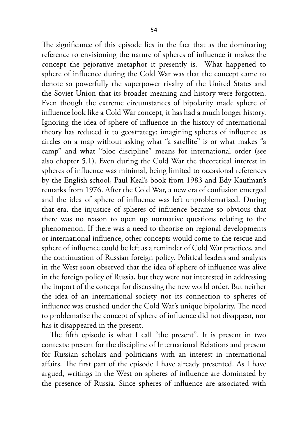The significance of this episode lies in the fact that as the dominating reference to envisioning the nature of spheres of influence it makes the concept the pejorative metaphor it presently is. What happened to sphere of influence during the Cold War was that the concept came to denote so powerfully the superpower rivalry of the United States and the Soviet Union that its broader meaning and history were forgotten. Even though the extreme circumstances of bipolarity made sphere of influence look like a Cold War concept, it has had a much longer history. Ignoring the idea of sphere of influence in the history of international theory has reduced it to geostrategy: imagining spheres of influence as circles on a map without asking what "a satellite" is or what makes "a camp" and what "bloc discipline" means for international order (see also chapter 5.1). Even during the Cold War the theoretical interest in spheres of influence was minimal, being limited to occasional references by the English school, Paul Keal's book from 1983 and Edy Kaufman's remarks from 1976. After the Cold War, a new era of confusion emerged and the idea of sphere of influence was left unproblematised. During that era, the injustice of spheres of influence became so obvious that there was no reason to open up normative questions relating to the phenomenon. If there was a need to theorise on regional developments or international influence, other concepts would come to the rescue and sphere of influence could be left as a reminder of Cold War practices, and the continuation of Russian foreign policy. Political leaders and analysts in the West soon observed that the idea of sphere of influence was alive in the foreign policy of Russia, but they were not interested in addressing the import of the concept for discussing the new world order. But neither the idea of an international society nor its connection to spheres of influence was crushed under the Cold War's unique bipolarity. The need to problematise the concept of sphere of influence did not disappear, nor has it disappeared in the present.

The fifth episode is what I call "the present". It is present in two contexts: present for the discipline of International Relations and present for Russian scholars and politicians with an interest in international affairs. The first part of the episode I have already presented. As I have argued, writings in the West on spheres of influence are dominated by the presence of Russia. Since spheres of influence are associated with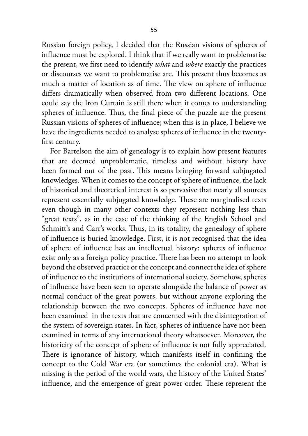Russian foreign policy, I decided that the Russian visions of spheres of influence must be explored. I think that if we really want to problematise the present, we first need to identify *what* and *where* exactly the practices or discourses we want to problematise are. This present thus becomes as much a matter of location as of time. The view on sphere of influence differs dramatically when observed from two different locations. One could say the Iron Curtain is still there when it comes to understanding spheres of influence. Thus, the final piece of the puzzle are the present Russian visions of spheres of influence; when this is in place, I believe we have the ingredients needed to analyse spheres of influence in the twentyfirst century.

For Bartelson the aim of genealogy is to explain how present features that are deemed unproblematic, timeless and without history have been formed out of the past. This means bringing forward subjugated knowledges. When it comes to the concept of sphere of influence, the lack of historical and theoretical interest is so pervasive that nearly all sources represent essentially subjugated knowledge. These are marginalised texts even though in many other contexts they represent nothing less than "great texts", as in the case of the thinking of the English School and Schmitt's and Carr's works. Thus, in its totality, the genealogy of sphere of influence is buried knowledge. First, it is not recognised that the idea of sphere of influence has an intellectual history: spheres of influence exist only as a foreign policy practice. There has been no attempt to look beyond the observed practice or the concept and connect the idea of sphere of influence to the institutions of international society. Somehow, spheres of influence have been seen to operate alongside the balance of power as normal conduct of the great powers, but without anyone exploring the relationship between the two concepts. Spheres of influence have not been examined in the texts that are concerned with the disintegration of the system of sovereign states. In fact, spheres of influence have not been examined in terms of any international theory whatsoever. Moreover, the historicity of the concept of sphere of influence is not fully appreciated. There is ignorance of history, which manifests itself in confining the concept to the Cold War era (or sometimes the colonial era). What is missing is the period of the world wars, the history of the United States' influence, and the emergence of great power order. These represent the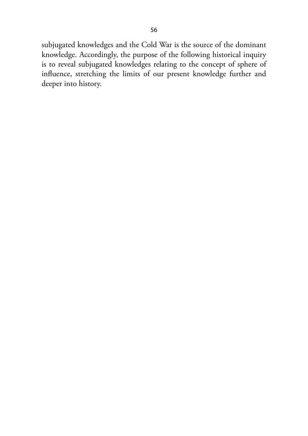subjugated knowledges and the Cold War is the source of the dominant knowledge. Accordingly, the purpose of the following historical inquiry is to reveal subjugated knowledges relating to the concept of sphere of influence, stretching the limits of our present knowledge further and deeper into history.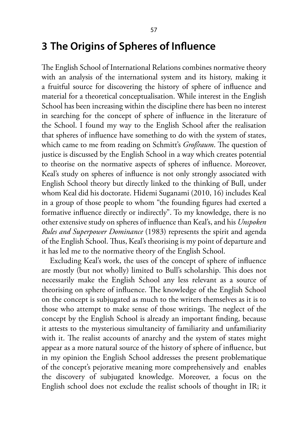# **3 The Origins of Spheres of Infl uence**

The English School of International Relations combines normative theory with an analysis of the international system and its history, making it a fruitful source for discovering the history of sphere of influence and material for a theoretical conceptualisation. While interest in the English School has been increasing within the discipline there has been no interest in searching for the concept of sphere of influence in the literature of the School. I found my way to the English School after the realisation that spheres of influence have something to do with the system of states, which came to me from reading on Schmitt's *Großraum*. The question of justice is discussed by the English School in a way which creates potential to theorise on the normative aspects of spheres of influence. Moreover, Keal's study on spheres of influence is not only strongly associated with English School theory but directly linked to the thinking of Bull, under whom Keal did his doctorate. Hidemi Suganami (2010, 16) includes Keal in a group of those people to whom "the founding figures had exerted a formative influence directly or indirectly". To my knowledge, there is no other extensive study on spheres of influence than Keal's, and his *Unspoken Rules and Superpower Dominance* (1983) represents the spirit and agenda of the English School. Thus, Keal's theorising is my point of departure and it has led me to the normative theory of the English School.

Excluding Keal's work, the uses of the concept of sphere of influence are mostly (but not wholly) limited to Bull's scholarship. This does not necessarily make the English School any less relevant as a source of theorising on sphere of influence. The knowledge of the English School on the concept is subjugated as much to the writers themselves as it is to those who attempt to make sense of those writings. The neglect of the concept by the English School is already an important finding, because it attests to the mysterious simultaneity of familiarity and unfamiliarity with it. The realist accounts of anarchy and the system of states might appear as a more natural source of the history of sphere of influence, but in my opinion the English School addresses the present problematique of the concept's pejorative meaning more comprehensively and enables the discovery of subjugated knowledge. Moreover, a focus on the English school does not exclude the realist schools of thought in IR; it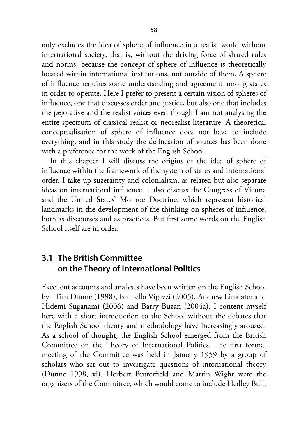only excludes the idea of sphere of influence in a realist world without international society, that is, without the driving force of shared rules and norms, because the concept of sphere of influence is theoretically located within international institutions, not outside of them. A sphere of influence requires some understanding and agreement among states in order to operate. Here I prefer to present a certain vision of spheres of influence, one that discusses order and justice, but also one that includes the pejorative and the realist voices even though I am not analysing the entire spectrum of classical realist or neorealist literature. A theoretical conceptualisation of sphere of influence does not have to include everything, and in this study the delineation of sources has been done with a preference for the work of the English School.

In this chapter I will discuss the origins of the idea of sphere of influence within the framework of the system of states and international order. I take up suzerainty and colonialism, as related but also separate ideas on international influence. I also discuss the Congress of Vienna and the United States' Monroe Doctrine, which represent historical landmarks in the development of the thinking on spheres of influence, both as discourses and as practices. But first some words on the English School itself are in order.

# **3.1 The British Committee on the Theory of International Politics**

Excellent accounts and analyses have been written on the English School by Tim Dunne (1998), Brunello Vigezzi (2005), Andrew Linklater and Hidemi Suganami (2006) and Barry Buzan (2004a). I content myself here with a short introduction to the School without the debates that the English School theory and methodology have increasingly aroused. As a school of thought, the English School emerged from the British Committee on the Theory of International Politics. The first formal meeting of the Committee was held in January 1959 by a group of scholars who set out to investigate questions of international theory (Dunne 1998, xi). Herbert Butterfield and Martin Wight were the organisers of the Committee, which would come to include Hedley Bull,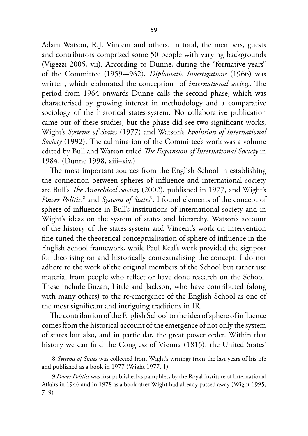Adam Watson, R.J. Vincent and others. In total, the members, guests and contributors comprised some 50 people with varying backgrounds (Vigezzi 2005, vii). According to Dunne, during the "formative years" of the Committee (1959-–962), *Diplomatic Investigations* (1966) was written, which elaborated the conception of *international society*. The period from 1964 onwards Dunne calls the second phase, which was characterised by growing interest in methodology and a comparative sociology of the historical states-system. No collaborative publication came out of these studies, but the phase did see two significant works, Wight's *Systems of States* (1977) and Watson's *Evolution of International Society* (1992). The culmination of the Committee's work was a volume edited by Bull and Watson titled *The Expansion of International Society* in 1984. (Dunne 1998, xiii–xiv.)

The most important sources from the English School in establishing the connection between spheres of influence and international society are Bull's *The Anarchical Society* (2002), published in 1977, and Wight's *Power Politics*<sup>8</sup> and *Systems of States*<sup>9</sup> . I found elements of the concept of sphere of influence in Bull's institutions of international society and in Wight's ideas on the system of states and hierarchy. Watson's account of the history of the states-system and Vincent's work on intervention fine-tuned the theoretical conceptualisation of sphere of influence in the English School framework, while Paul Keal's work provided the signpost for theorising on and historically contextualising the concept. I do not adhere to the work of the original members of the School but rather use material from people who reflect or have done research on the School. These include Buzan, Little and Jackson, who have contributed (along with many others) to the re-emergence of the English School as one of the most significant and intriguing traditions in IR.

The contribution of the English School to the idea of sphere of influence comes from the historical account of the emergence of not only the system of states but also, and in particular, the great power order. Within that history we can find the Congress of Vienna (1815), the United States'

<sup>8</sup> *Systems of States* was collected from Wight's writings from the last years of his life and published as a book in 1977 (Wight 1977, 1).

<sup>9</sup> Power Politics was first published as pamphlets by the Royal Institute of International Affairs in 1946 and in 1978 as a book after Wight had already passed away (Wight 1995,  $7-9$ ).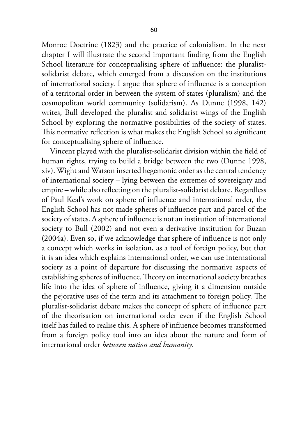Monroe Doctrine (1823) and the practice of colonialism. In the next chapter I will illustrate the second important finding from the English School literature for conceptualising sphere of influence: the pluralistsolidarist debate, which emerged from a discussion on the institutions of international society. I argue that sphere of influence is a conception of a territorial order in between the system of states (pluralism) and the cosmopolitan world community (solidarism). As Dunne (1998, 142) writes, Bull developed the pluralist and solidarist wings of the English School by exploring the normative possibilities of the society of states. This normative reflection is what makes the English School so significant for conceptualising sphere of influence.

Vincent played with the pluralist-solidarist division within the field of human rights, trying to build a bridge between the two (Dunne 1998, xiv). Wight and Watson inserted hegemonic order as the central tendency of international society – lying between the extremes of sovereignty and empire – while also reflecting on the pluralist-solidarist debate. Regardless of Paul Keal's work on sphere of influence and international order, the English School has not made spheres of influence part and parcel of the society of states. A sphere of influence is not an institution of international society to Bull (2002) and not even a derivative institution for Buzan  $(2004a)$ . Even so, if we acknowledge that sphere of influence is not only a concept which works in isolation, as a tool of foreign policy, but that it is an idea which explains international order, we can use international society as a point of departure for discussing the normative aspects of establishing spheres of influence. Theory on international society breathes life into the idea of sphere of influence, giving it a dimension outside the pejorative uses of the term and its attachment to foreign policy. The pluralist-solidarist debate makes the concept of sphere of influence part of the theorisation on international order even if the English School itself has failed to realise this. A sphere of influence becomes transformed from a foreign policy tool into an idea about the nature and form of international order *between nation and humanity*.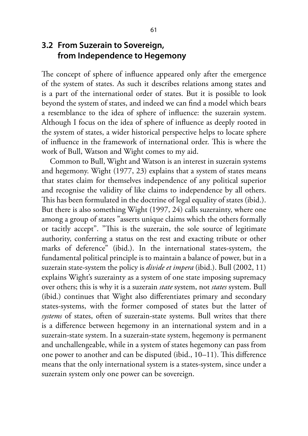### **3.2 From Suzerain to Sovereign, from Independence to Hegemony**

The concept of sphere of influence appeared only after the emergence of the system of states. As such it describes relations among states and is a part of the international order of states. But it is possible to look beyond the system of states, and indeed we can find a model which bears a resemblance to the idea of sphere of influence: the suzerain system. Although I focus on the idea of sphere of influence as deeply rooted in the system of states, a wider historical perspective helps to locate sphere of influence in the framework of international order. This is where the work of Bull, Watson and Wight comes to my aid.

Common to Bull, Wight and Watson is an interest in suzerain systems and hegemony. Wight (1977, 23) explains that a system of states means that states claim for themselves independence of any political superior and recognise the validity of like claims to independence by all others. This has been formulated in the doctrine of legal equality of states (ibid.). But there is also something Wight (1997, 24) calls suzerainty, where one among a group of states "asserts unique claims which the others formally or tacitly accept". "This is the suzerain, the sole source of legitimate authority, conferring a status on the rest and exacting tribute or other marks of deference" (ibid.). In the international states-system, the fundamental political principle is to maintain a balance of power, but in a suzerain state-system the policy is *divide et impera* (ibid.). Bull (2002, 11) explains Wight's suzerainty as a system of one state imposing supremacy over others; this is why it is a suzerain *state* system, not *states* system. Bull (ibid.) continues that Wight also differentiates primary and secondary states-systems, with the former composed of states but the latter of *systems* of states, often of suzerain-state systems. Bull writes that there is a difference between hegemony in an international system and in a suzerain-state system. In a suzerain-state system, hegemony is permanent and unchallengeable, while in a system of states hegemony can pass from one power to another and can be disputed (ibid., 10–11). This difference means that the only international system is a states-system, since under a suzerain system only one power can be sovereign.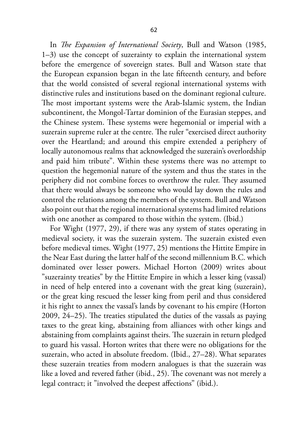In *The Expansion of International Society*, Bull and Watson (1985, 1–3) use the concept of suzerainty to explain the international system before the emergence of sovereign states. Bull and Watson state that the European expansion began in the late fifteenth century, and before that the world consisted of several regional international systems with distinctive rules and institutions based on the dominant regional culture. The most important systems were the Arab-Islamic system, the Indian subcontinent, the Mongol-Tartar dominion of the Eurasian steppes, and the Chinese system. These systems were hegemonial or imperial with a suzerain supreme ruler at the centre. The ruler "exercised direct authority over the Heartland; and around this empire extended a periphery of locally autonomous realms that acknowledged the suzerain's overlordship and paid him tribute". Within these systems there was no attempt to question the hegemonial nature of the system and thus the states in the periphery did not combine forces to overthrow the ruler. They assumed that there would always be someone who would lay down the rules and control the relations among the members of the system. Bull and Watson also point out that the regional international systems had limited relations with one another as compared to those within the system. (Ibid.)

For Wight (1977, 29), if there was any system of states operating in medieval society, it was the suzerain system. The suzerain existed even before medieval times. Wight (1977, 25) mentions the Hittite Empire in the Near East during the latter half of the second millennium B.C. which dominated over lesser powers. Michael Horton (2009) writes about "suzerainty treaties" by the Hittite Empire in which a lesser king (vassal) in need of help entered into a covenant with the great king (suzerain), or the great king rescued the lesser king from peril and thus considered it his right to annex the vassal's lands by covenant to his empire (Horton  $2009, 24-25$ ). The treaties stipulated the duties of the vassals as paying taxes to the great king, abstaining from alliances with other kings and abstaining from complaints against theirs. The suzerain in return pledged to guard his vassal. Horton writes that there were no obligations for the suzerain, who acted in absolute freedom. (Ibid., 27–28). What separates these suzerain treaties from modern analogues is that the suzerain was like a loved and revered father (ibid., 25). The covenant was not merely a legal contract; it "involved the deepest affections" (ibid.).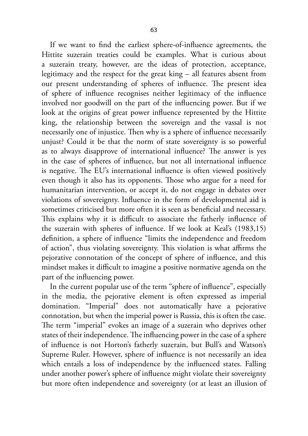If we want to find the earliest sphere-of-influence agreements, the Hittite suzerain treaties could be examples. What is curious about a suzerain treaty, however, are the ideas of protection, acceptance, legitimacy and the respect for the great king – all features absent from our present understanding of spheres of influence. The present idea of sphere of influence recognises neither legitimacy of the influence involved nor goodwill on the part of the influencing power. But if we look at the origins of great power influence represented by the Hittite king, the relationship between the sovereign and the vassal is not necessarily one of injustice. Then why is a sphere of influence necessarily unjust? Could it be that the norm of state sovereignty is so powerful as to always disapprove of international influence? The answer is yes in the case of spheres of influence, but not all international influence is negative. The EU's international influence is often viewed positively even though it also has its opponents. Those who argue for a need for humanitarian intervention, or accept it, do not engage in debates over violations of sovereignty. Influence in the form of developmental aid is sometimes criticised but more often it is seen as beneficial and necessary. This explains why it is difficult to associate the fatherly influence of the suzerain with spheres of influence. If we look at Keal's (1983,15) definition, a sphere of influence "limits the independence and freedom of action", thus violating sovereignty. This violation is what affirms the pejorative connotation of the concept of sphere of influence, and this mindset makes it difficult to imagine a positive normative agenda on the part of the influencing power.

In the current popular use of the term "sphere of influence", especially in the media, the pejorative element is often expressed as imperial domination. "Imperial" does not automatically have a pejorative connotation, but when the imperial power is Russia, this is often the case. The term "imperial" evokes an image of a suzerain who deprives other states of their independence. The influencing power in the case of a sphere of influence is not Horton's fatherly suzerain, but Bull's and Watson's Supreme Ruler. However, sphere of influence is not necessarily an idea which entails a loss of independence by the influenced states. Falling under another power's sphere of influence might violate their sovereignty but more often independence and sovereignty (or at least an illusion of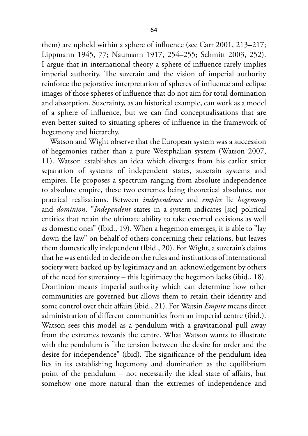them) are upheld within a sphere of influence (see Carr 2001, 213–217; Lippmann 1945, 77; Naumann 1917, 254–255; Schmitt 2003, 252). I argue that in international theory a sphere of influence rarely implies imperial authority. The suzerain and the vision of imperial authority reinforce the pejorative interpretation of spheres of influence and eclipse images of those spheres of influence that do not aim for total domination and absorption. Suzerainty, as an historical example, can work as a model of a sphere of influence, but we can find conceptualisations that are even better-suited to situating spheres of influence in the framework of hegemony and hierarchy.

Watson and Wight observe that the European system was a succession of hegemonies rather than a pure Westphalian system (Watson 2007, 11). Watson establishes an idea which diverges from his earlier strict separation of systems of independent states, suzerain systems and empires. He proposes a spectrum ranging from absolute independence to absolute empire, these two extremes being theoretical absolutes, not practical realisations. Between *independence* and *empire* lie *hegemony* and *dominion*. "*Independent* states in a system indicates [sic] political entities that retain the ultimate ability to take external decisions as well as domestic ones" (Ibid., 19). When a hegemon emerges, it is able to "lay down the law" on behalf of others concerning their relations, but leaves them domestically independent (Ibid., 20). For Wight, a suzerain's claims that he was entitled to decide on the rules and institutions of international society were backed up by legitimacy and an acknowledgement by others of the need for suzerainty – this legitimacy the hegemon lacks (ibid., 18). Dominion means imperial authority which can determine how other communities are governed but allows them to retain their identity and some control over their affairs (ibid., 21). For Watsin *Empire* means direct administration of different communities from an imperial centre (ibid.). Watson sees this model as a pendulum with a gravitational pull away from the extremes towards the centre. What Watson wants to illustrate with the pendulum is "the tension between the desire for order and the desire for independence" (ibid). The significance of the pendulum idea lies in its establishing hegemony and domination as the equilibrium point of the pendulum – not necessarily the ideal state of affairs, but somehow one more natural than the extremes of independence and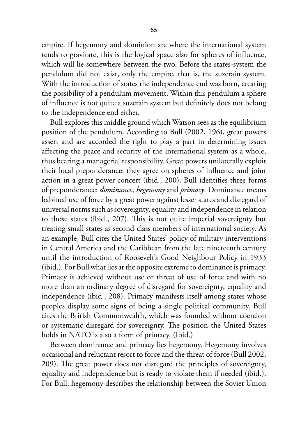empire. If hegemony and dominion are where the international system tends to gravitate, this is the logical space also for spheres of influence, which will lie somewhere between the two. Before the states-system the pendulum did not exist, only the empire, that is, the suzerain system. With the introduction of states the independence end was born, creating the possibility of a pendulum movement. Within this pendulum a sphere of influence is not quite a suzerain system but definitely does not belong to the independence end either.

Bull explores this middle ground which Watson sees as the equilibrium position of the pendulum. According to Bull (2002, 196), great powers assert and are accorded the right to play a part in determining issues affecting the peace and security of the international system as a whole, thus bearing a managerial responsibility. Great powers unilaterally exploit their local preponderance: they agree on spheres of influence and joint action in a great power concert (ibid., 200). Bull identifies three forms of preponderance: *dominance*, *hegemony* and *primacy*. Dominance means habitual use of force by a great power against lesser states and disregard of universal norms such as sovereignty, equality and independence in relation to those states (ibid., 207). This is not quite imperial sovereignty but treating small states as second-class members of international society. As an example, Bull cites the United States' policy of military interventions in Central America and the Caribbean from the late nineteenth century until the introduction of Roosevelt's Good Neighbour Policy in 1933 (ibid.). For Bull what lies at the opposite extreme to dominance is primacy. Primacy is achieved without use or threat of use of force and with no more than an ordinary degree of disregard for sovereignty, equality and independence (ibid., 208). Primacy manifests itself among states whose peoples display some signs of being a single political community. Bull cites the British Commonwealth, which was founded without coercion or systematic disregard for sovereignty. The position the United States holds in NATO is also a form of primacy. (Ibid.)

Between dominance and primacy lies hegemony. Hegemony involves occasional and reluctant resort to force and the threat of force (Bull 2002, 209). The great power does not disregard the principles of sovereignty, equality and independence but is ready to violate them if needed (ibid.). For Bull, hegemony describes the relationship between the Soviet Union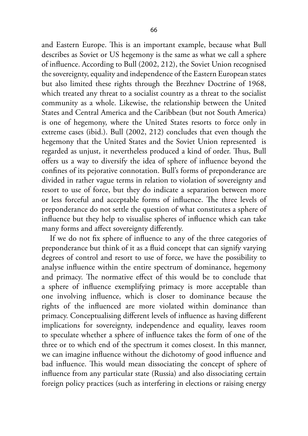and Eastern Europe. This is an important example, because what Bull describes as Soviet or US hegemony is the same as what we call a sphere of influence. According to Bull (2002, 212), the Soviet Union recognised the sovereignty, equality and independence of the Eastern European states but also limited these rights through the Brezhnev Doctrine of 1968, which treated any threat to a socialist country as a threat to the socialist community as a whole. Likewise, the relationship between the United States and Central America and the Caribbean (but not South America) is one of hegemony, where the United States resorts to force only in extreme cases (ibid.). Bull (2002, 212) concludes that even though the hegemony that the United States and the Soviet Union represented is regarded as unjust, it nevertheless produced a kind of order. Thus, Bull offers us a way to diversify the idea of sphere of influence beyond the confines of its pejorative connotation. Bull's forms of preponderance are divided in rather vague terms in relation to violation of sovereignty and resort to use of force, but they do indicate a separation between more or less forceful and acceptable forms of influence. The three levels of preponderance do not settle the question of what constitutes a sphere of influence but they help to visualise spheres of influence which can take many forms and affect sovereignty differently.

If we do not fix sphere of influence to any of the three categories of preponderance but think of it as a fluid concept that can signify varying degrees of control and resort to use of force, we have the possibility to analyse influence within the entire spectrum of dominance, hegemony and primacy. The normative effect of this would be to conclude that a sphere of influence exemplifying primacy is more acceptable than one involving influence, which is closer to dominance because the rights of the influenced are more violated within dominance than primacy. Conceptualising different levels of influence as having different implications for sovereignty, independence and equality, leaves room to speculate whether a sphere of influence takes the form of one of the three or to which end of the spectrum it comes closest. In this manner, we can imagine influence without the dichotomy of good influence and bad influence. This would mean dissociating the concept of sphere of influence from any particular state (Russia) and also dissociating certain foreign policy practices (such as interfering in elections or raising energy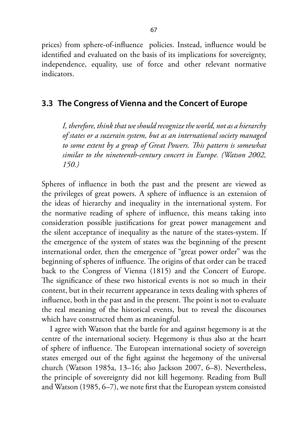prices) from sphere-of-influence policies. Instead, influence would be identified and evaluated on the basis of its implications for sovereignty, independence, equality, use of force and other relevant normative indicators.

#### **3.3 The Congress of Vienna and the Concert of Europe**

*I, therefore, think that we should recognize the world, not as a hierarchy of states or a suzerain system, but as an international society managed*  to some extent by a group of Great Powers. This pattern is somewhat *similar to the nineteenth-century concert in Europe. (Watson 2002, 150.)*

Spheres of influence in both the past and the present are viewed as the privileges of great powers. A sphere of influence is an extension of the ideas of hierarchy and inequality in the international system. For the normative reading of sphere of influence, this means taking into consideration possible justifications for great power management and the silent acceptance of inequality as the nature of the states-system. If the emergence of the system of states was the beginning of the present international order, then the emergence of "great power order" was the beginning of spheres of influence. The origins of that order can be traced back to the Congress of Vienna (1815) and the Concert of Europe. The significance of these two historical events is not so much in their content, but in their recurrent appearance in texts dealing with spheres of influence, both in the past and in the present. The point is not to evaluate the real meaning of the historical events, but to reveal the discourses which have constructed them as meaningful.

I agree with Watson that the battle for and against hegemony is at the centre of the international society. Hegemony is thus also at the heart of sphere of influence. The European international society of sovereign states emerged out of the fight against the hegemony of the universal church (Watson 1985a, 13–16; also Jackson 2007, 6–8). Nevertheless, the principle of sovereignty did not kill hegemony. Reading from Bull and Watson (1985, 6-7), we note first that the European system consisted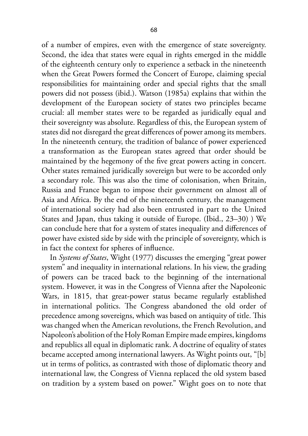of a number of empires, even with the emergence of state sovereignty. Second, the idea that states were equal in rights emerged in the middle of the eighteenth century only to experience a setback in the nineteenth when the Great Powers formed the Concert of Europe, claiming special responsibilities for maintaining order and special rights that the small powers did not possess (ibid.). Watson (1985a) explains that within the development of the European society of states two principles became crucial: all member states were to be regarded as juridically equal and their sovereignty was absolute. Regardless of this, the European system of states did not disregard the great differences of power among its members. In the nineteenth century, the tradition of balance of power experienced a transformation as the European states agreed that order should be maintained by the hegemony of the five great powers acting in concert. Other states remained juridically sovereign but were to be accorded only a secondary role. This was also the time of colonisation, when Britain, Russia and France began to impose their government on almost all of Asia and Africa. By the end of the nineteenth century, the management of international society had also been entrusted in part to the United States and Japan, thus taking it outside of Europe. (Ibid., 23–30) ) We can conclude here that for a system of states inequality and differences of power have existed side by side with the principle of sovereignty, which is in fact the context for spheres of influence.

In *Systems of States*, Wight (1977) discusses the emerging "great power system" and inequality in international relations. In his view, the grading of powers can be traced back to the beginning of the international system. However, it was in the Congress of Vienna after the Napoleonic Wars, in 1815, that great-power status became regularly established in international politics. The Congress abandoned the old order of precedence among sovereigns, which was based on antiquity of title. This was changed when the American revolutions, the French Revolution, and Napoleon's abolition of the Holy Roman Empire made empires, kingdoms and republics all equal in diplomatic rank. A doctrine of equality of states became accepted among international lawyers. As Wight points out, "[b] ut in terms of politics, as contrasted with those of diplomatic theory and international law, the Congress of Vienna replaced the old system based on tradition by a system based on power." Wight goes on to note that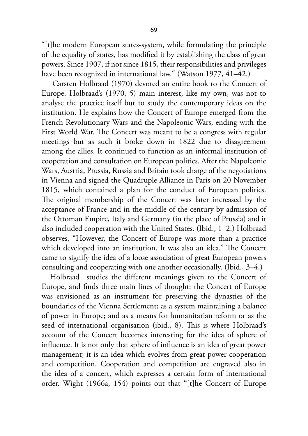"[t]he modern European states-system, while formulating the principle of the equality of states, has modified it by establishing the class of great powers. Since 1907, if not since 1815, their responsibilities and privileges have been recognized in international law." (Watson 1977, 41–42.)

 Carsten Holbraad (1970) devoted an entire book to the Concert of Europe. Holbraad's (1970, 5) main interest, like my own, was not to analyse the practice itself but to study the contemporary ideas on the institution. He explains how the Concert of Europe emerged from the French Revolutionary Wars and the Napoleonic Wars, ending with the First World War. The Concert was meant to be a congress with regular meetings but as such it broke down in 1822 due to disagreement among the allies. It continued to function as an informal institution of cooperation and consultation on European politics. After the Napoleonic Wars, Austria, Prussia, Russia and Britain took charge of the negotiations in Vienna and signed the Quadruple Alliance in Paris on 20 November 1815, which contained a plan for the conduct of European politics. The original membership of the Concert was later increased by the acceptance of France and in the middle of the century by admission of the Ottoman Empire, Italy and Germany (in the place of Prussia) and it also included cooperation with the United States. (Ibid., 1–2.) Holbraad observes, "However, the Concert of Europe was more than a practice which developed into an institution. It was also an idea." The Concert came to signify the idea of a loose association of great European powers consulting and cooperating with one another occasionally. (Ibid., 3–4.)

Holbraad studies the different meanings given to the Concert of Europe, and finds three main lines of thought: the Concert of Europe was envisioned as an instrument for preserving the dynasties of the boundaries of the Vienna Settlement; as a system maintaining a balance of power in Europe; and as a means for humanitarian reform or as the seed of international organisation (ibid., 8). This is where Holbraad's account of the Concert becomes interesting for the idea of sphere of influence. It is not only that sphere of influence is an idea of great power management; it is an idea which evolves from great power cooperation and competition. Cooperation and competition are engraved also in the idea of a concert, which expresses a certain form of international order. Wight (1966a, 154) points out that "[t]he Concert of Europe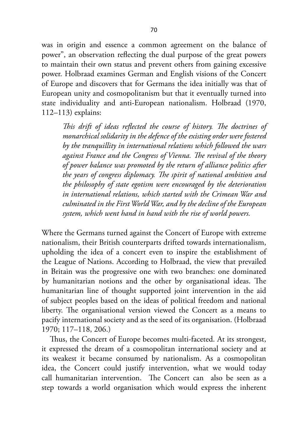was in origin and essence a common agreement on the balance of power", an observation reflecting the dual purpose of the great powers to maintain their own status and prevent others from gaining excessive power. Holbraad examines German and English visions of the Concert of Europe and discovers that for Germans the idea initially was that of European unity and cosmopolitanism but that it eventually turned into state individuality and anti-European nationalism. Holbraad (1970, 112–113) explains:

*This drift of ideas reflected the course of history. The doctrines of monarchical solidarity in the defence of the existing order were fostered by the tranquillity in international relations which followed the wars against France and the Congress of Vienna. The revival of the theory of power balance was promoted by the return of alliance politics after*  the years of congress diplomacy. The spirit of national ambition and *the philosophy of state egotism were encouraged by the deterioration in international relations, which started with the Crimean War and culminated in the First World War, and by the decline of the European system, which went hand in hand with the rise of world powers.*

Where the Germans turned against the Concert of Europe with extreme nationalism, their British counterparts drifted towards internationalism, upholding the idea of a concert even to inspire the establishment of the League of Nations. According to Holbraad, the view that prevailed in Britain was the progressive one with two branches: one dominated by humanitarian notions and the other by organisational ideas. The humanitarian line of thought supported joint intervention in the aid of subject peoples based on the ideas of political freedom and national liberty. The organisational version viewed the Concert as a means to pacify international society and as the seed of its organisation. (Holbraad 1970; 117–118, 206.)

Thus, the Concert of Europe becomes multi-faceted. At its strongest, it expressed the dream of a cosmopolitan international society and at its weakest it became consumed by nationalism. As a cosmopolitan idea, the Concert could justify intervention, what we would today call humanitarian intervention. The Concert can also be seen as a step towards a world organisation which would express the inherent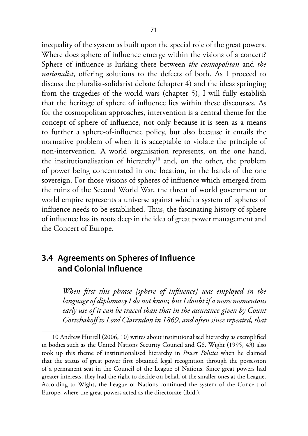inequality of the system as built upon the special role of the great powers. Where does sphere of influence emerge within the visions of a concert? Sphere of influence is lurking there between *the cosmopolitan* and *the nationalist*, offering solutions to the defects of both. As I proceed to discuss the pluralist-solidarist debate (chapter 4) and the ideas springing from the tragedies of the world wars (chapter 5), I will fully establish that the heritage of sphere of influence lies within these discourses. As for the cosmopolitan approaches, intervention is a central theme for the concept of sphere of influence, not only because it is seen as a means to further a sphere-of-influence policy, but also because it entails the normative problem of when it is acceptable to violate the principle of non-intervention. A world organisation represents, on the one hand, the institutionalisation of hierarchy<sup>10</sup> and, on the other, the problem of power being concentrated in one location, in the hands of the one sovereign. For those visions of spheres of influence which emerged from the ruins of the Second World War, the threat of world government or world empire represents a universe against which a system of spheres of influence needs to be established. Thus, the fascinating history of sphere of influence has its roots deep in the idea of great power management and the Concert of Europe.

# **3.4 Agreements on Spheres of Infl uence and Colonial Infl uence**

*When first this phrase [sphere of influence] was employed in the language of diplomacy I do not know, but I doubt if a more momentous early use of it can be traced than that in the assurance given by Count Gortchakoff to Lord Clarendon in 1869, and often since repeated, that* 

<sup>10</sup> Andrew Hurrell (2006, 10) writes about institutionalised hierarchy as exemplified in bodies such as the United Nations Security Council and G8. Wight (1995, 43) also took up this theme of institutionalised hierarchy in *Power Politics* when he claimed that the status of great power first obtained legal recognition through the possession of a permanent seat in the Council of the League of Nations. Since great powers had greater interests, they had the right to decide on behalf of the smaller ones at the League. According to Wight, the League of Nations continued the system of the Concert of Europe, where the great powers acted as the directorate (ibid.).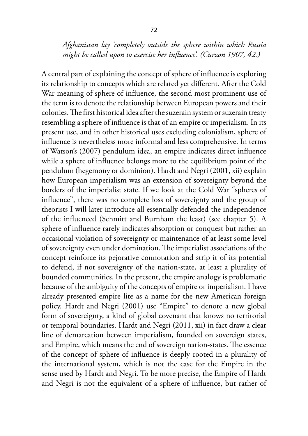*Afghanistan lay 'completely outside the sphere within which Russia*  might be called upon to exercise her influence'. (Curzon 1907, 42.)

A central part of explaining the concept of sphere of influence is exploring its relationship to concepts which are related yet different. After the Cold War meaning of sphere of influence, the second most prominent use of the term is to denote the relationship between European powers and their colonies. The first historical idea after the suzerain system or suzerain treaty resembling a sphere of influence is that of an empire or imperialism. In its present use, and in other historical uses excluding colonialism, sphere of influence is nevertheless more informal and less comprehensive. In terms of Watson's (2007) pendulum idea, an empire indicates direct influence while a sphere of influence belongs more to the equilibrium point of the pendulum (hegemony or dominion). Hardt and Negri (2001, xii) explain how European imperialism was an extension of sovereignty beyond the borders of the imperialist state. If we look at the Cold War "spheres of influence", there was no complete loss of sovereignty and the group of theorists I will later introduce all essentially defended the independence of the influenced (Schmitt and Burnham the least) (see chapter 5). A sphere of influence rarely indicates absorption or conquest but rather an occasional violation of sovereignty or maintenance of at least some level of sovereignty even under domination. The imperialist associations of the concept reinforce its pejorative connotation and strip it of its potential to defend, if not sovereignty of the nation-state, at least a plurality of bounded communities. In the present, the empire analogy is problematic because of the ambiguity of the concepts of empire or imperialism. I have already presented empire lite as a name for the new American foreign policy. Hardt and Negri (2001) use "Empire" to denote a new global form of sovereignty, a kind of global covenant that knows no territorial or temporal boundaries. Hardt and Negri (2011, xii) in fact draw a clear line of demarcation between imperialism, founded on sovereign states, and Empire, which means the end of sovereign nation-states. The essence of the concept of sphere of influence is deeply rooted in a plurality of the international system, which is not the case for the Empire in the sense used by Hardt and Negri. To be more precise, the Empire of Hardt and Negri is not the equivalent of a sphere of influence, but rather of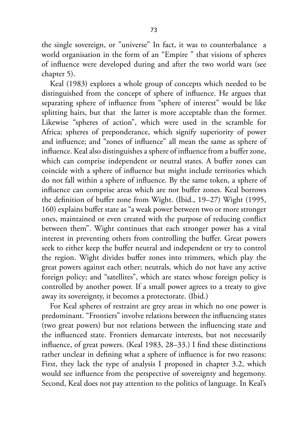the single sovereign, or "universe" In fact, it was to counterbalance a world organisation in the form of an "Empire " that visions of spheres of influence were developed during and after the two world wars (see chapter 5).

Keal (1983) explores a whole group of concepts which needed to be distinguished from the concept of sphere of influence. He argues that separating sphere of influence from "sphere of interest" would be like splitting hairs, but that the latter is more acceptable than the former. Likewise "spheres of action", which were used in the scramble for Africa; spheres of preponderance, which signify superiority of power and influence; and "zones of influence" all mean the same as sphere of influence. Keal also distinguishes a sphere of influence from a buffer zone, which can comprise independent or neutral states. A buffer zones can coincide with a sphere of influence but might include territories which do not fall within a sphere of influence. By the same token, a sphere of influence can comprise areas which are not buffer zones. Keal borrows the definition of buffer zone from Wight. (Ibid., 19–27) Wight (1995, 160) explains buffer state as "a weak power between two or more stronger ones, maintained or even created with the purpose of reducing conflict between them". Wight continues that each stronger power has a vital interest in preventing others from controlling the buffer. Great powers seek to either keep the buffer neutral and independent or try to control the region. Wight divides buffer zones into trimmers, which play the great powers against each other; neutrals, which do not have any active foreign policy; and "satellites", which are states whose foreign policy is controlled by another power. If a small power agrees to a treaty to give away its sovereignty, it becomes a protectorate. (Ibid.)

For Keal spheres of restraint are grey areas in which no one power is predominant. "Frontiers" involve relations between the influencing states (two great powers) but not relations between the influencing state and the influenced state. Frontiers demarcate interests, but not necessarily influence, of great powers. (Keal 1983, 28–33.) I find these distinctions rather unclear in defining what a sphere of influence is for two reasons: First, they lack the type of analysis I proposed in chapter 3.2, which would see influence from the perspective of sovereignty and hegemony. Second, Keal does not pay attention to the politics of language. In Keal's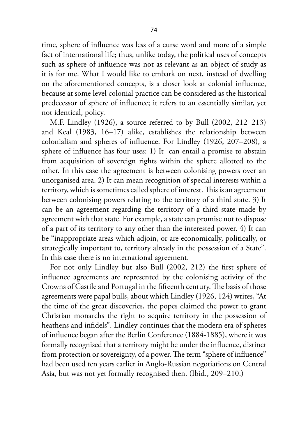time, sphere of influence was less of a curse word and more of a simple fact of international life; thus, unlike today, the political uses of concepts such as sphere of influence was not as relevant as an object of study as it is for me. What I would like to embark on next, instead of dwelling on the aforementioned concepts, is a closer look at colonial influence, because at some level colonial practice can be considered as the historical predecessor of sphere of influence; it refers to an essentially similar, yet not identical, policy.

M.F. Lindley (1926), a source referred to by Bull (2002, 212–213) and Keal (1983, 16–17) alike, establishes the relationship between colonialism and spheres of influence. For Lindley (1926, 207-208), a sphere of influence has four uses: 1) It can entail a promise to abstain from acquisition of sovereign rights within the sphere allotted to the other. In this case the agreement is between colonising powers over an unorganised area. 2) It can mean recognition of special interests within a territory, which is sometimes called sphere of interest. This is an agreement between colonising powers relating to the territory of a third state. 3) It can be an agreement regarding the territory of a third state made by agreement with that state. For example, a state can promise not to dispose of a part of its territory to any other than the interested power. 4) It can be "inappropriate areas which adjoin, or are economically, politically, or strategically important to, territory already in the possession of a State". In this case there is no international agreement.

For not only Lindley but also Bull (2002, 212) the first sphere of influence agreements are represented by the colonising activity of the Crowns of Castile and Portugal in the fifteenth century. The basis of those agreements were papal bulls, about which Lindley (1926, 124) writes, "At the time of the great discoveries, the popes claimed the power to grant Christian monarchs the right to acquire territory in the possession of heathens and infidels". Lindley continues that the modern era of spheres of influence began after the Berlin Conference (1884-1885), where it was formally recognised that a territory might be under the influence, distinct from protection or sovereignty, of a power. The term "sphere of influence" had been used ten years earlier in Anglo-Russian negotiations on Central Asia, but was not yet formally recognised then. (Ibid., 209–210.)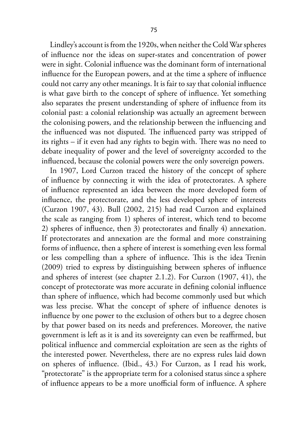Lindley's account is from the 1920s, when neither the Cold War spheres of influence nor the ideas on super-states and concentration of power were in sight. Colonial influence was the dominant form of international influence for the European powers, and at the time a sphere of influence could not carry any other meanings. It is fair to say that colonial influence is what gave birth to the concept of sphere of influence. Yet something also separates the present understanding of sphere of influence from its colonial past: a colonial relationship was actually an agreement between the colonising powers, and the relationship between the influencing and the influenced was not disputed. The influenced party was stripped of its rights – if it even had any rights to begin with. There was no need to debate inequality of power and the level of sovereignty accorded to the influenced, because the colonial powers were the only sovereign powers.

In 1907, Lord Curzon traced the history of the concept of sphere of influence by connecting it with the idea of protectorates. A sphere of influence represented an idea between the more developed form of influence, the protectorate, and the less developed sphere of interests (Curzon 1907, 43). Bull (2002, 215) had read Curzon and explained the scale as ranging from 1) spheres of interest, which tend to become 2) spheres of influence, then 3) protectorates and finally  $4$ ) annexation. If protectorates and annexation are the formal and more constraining forms of influence, then a sphere of interest is something even less formal or less compelling than a sphere of influence. This is the idea Trenin  $(2009)$  tried to express by distinguishing between spheres of influence and spheres of interest (see chapter 2.1.2). For Curzon (1907, 41), the concept of protectorate was more accurate in defining colonial influence than sphere of influence, which had become commonly used but which was less precise. What the concept of sphere of influence denotes is influence by one power to the exclusion of others but to a degree chosen by that power based on its needs and preferences. Moreover, the native government is left as it is and its sovereignty can even be reaffirmed, but political influence and commercial exploitation are seen as the rights of the interested power. Nevertheless, there are no express rules laid down on spheres of influence. (Ibid., 43.) For Curzon, as I read his work, "protectorate" is the appropriate term for a colonised status since a sphere of influence appears to be a more unofficial form of influence. A sphere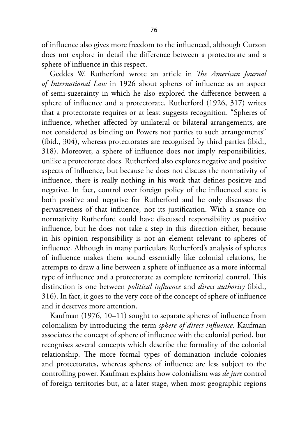of influence also gives more freedom to the influenced, although Curzon does not explore in detail the difference between a protectorate and a sphere of influence in this respect.

Geddes W. Rutherford wrote an article in *The American Journal* of International Law in 1926 about spheres of influence as an aspect of semi-suzerainty in which he also explored the difference between a sphere of influence and a protectorate. Rutherford (1926, 317) writes that a protectorate requires or at least suggests recognition. "Spheres of influence, whether affected by unilateral or bilateral arrangements, are not considered as binding on Powers not parties to such arrangements" (ibid., 304), whereas protectorates are recognised by third parties (ibid., 318). Moreover, a sphere of influence does not imply responsibilities, unlike a protectorate does. Rutherford also explores negative and positive aspects of influence, but because he does not discuss the normativity of influence, there is really nothing in his work that defines positive and negative. In fact, control over foreign policy of the influenced state is both positive and negative for Rutherford and he only discusses the pervasiveness of that influence, not its justification. With a stance on normativity Rutherford could have discussed responsibility as positive influence, but he does not take a step in this direction either, because in his opinion responsibility is not an element relevant to spheres of influence. Although in many particulars Rutherford's analysis of spheres of infl uence makes them sound essentially like colonial relations, he attempts to draw a line between a sphere of influence as a more informal type of influence and a protectorate as complete territorial control. This distinction is one between *political influence* and *direct authority* (ibid., 316). In fact, it goes to the very core of the concept of sphere of influence and it deserves more attention.

Kaufman (1976, 10–11) sought to separate spheres of influence from colonialism by introducing the term *sphere of direct influence*. Kaufman associates the concept of sphere of influence with the colonial period, but recognises several concepts which describe the formality of the colonial relationship. The more formal types of domination include colonies and protectorates, whereas spheres of influence are less subject to the controlling power. Kaufman explains how colonialism was *de jure* control of foreign territories but, at a later stage, when most geographic regions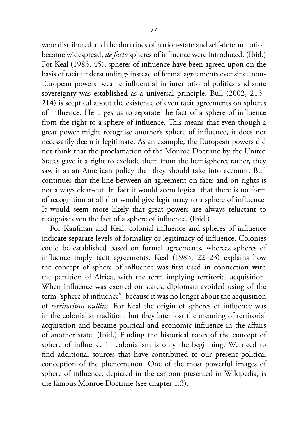were distributed and the doctrines of nation-state and self-determination became widespread, *de facto* spheres of influence were introduced. (Ibid.) For Keal (1983, 45), spheres of influence have been agreed upon on the basis of tacit understandings instead of formal agreements ever since non-European powers became influential in international politics and state sovereignty was established as a universal principle. Bull (2002, 213– 214) is sceptical about the existence of even tacit agreements on spheres of influence. He urges us to separate the fact of a sphere of influence from the right to a sphere of influence. This means that even though a great power might recognise another's sphere of influence, it does not necessarily deem it legitimate. As an example, the European powers did not think that the proclamation of the Monroe Doctrine by the United States gave it a right to exclude them from the hemisphere; rather, they saw it as an American policy that they should take into account. Bull continues that the line between an agreement on facts and on rights is not always clear-cut. In fact it would seem logical that there is no form of recognition at all that would give legitimacy to a sphere of influence. It would seem more likely that great powers are always reluctant to recognise even the fact of a sphere of influence. (Ibid.)

For Kaufman and Keal, colonial influence and spheres of influence indicate separate levels of formality or legitimacy of influence. Colonies could be established based on formal agreements, whereas spheres of influence imply tacit agreements. Keal (1983, 22-23) explains how the concept of sphere of influence was first used in connection with the partition of Africa, with the term implying territorial acquisition. When influence was exerted on states, diplomats avoided using of the term "sphere of influence", because it was no longer about the acquisition of *territorium nullius*. For Keal the origin of spheres of influence was in the colonialist tradition, but they later lost the meaning of territorial acquisition and became political and economic influence in the affairs of another state. (Ibid.) Finding the historical roots of the concept of sphere of influence in colonialism is only the beginning. We need to find additional sources that have contributed to our present political conception of the phenomenon. One of the most powerful images of sphere of influence, depicted in the cartoon presented in Wikipedia, is the famous Monroe Doctrine (see chapter 1.3).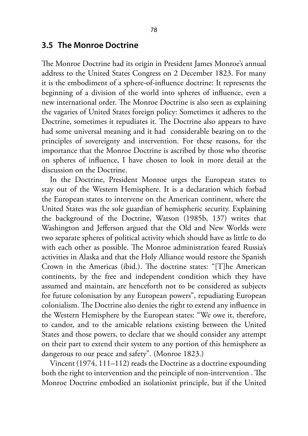#### **3.5 The Monroe Doctrine**

The Monroe Doctrine had its origin in President James Monroe's annual address to the United States Congress on 2 December 1823. For many it is the embodiment of a sphere-of-influence doctrine: It represents the beginning of a division of the world into spheres of influence, even a new international order. The Monroe Doctrine is also seen as explaining the vagaries of United States foreign policy: Sometimes it adheres to the Doctrine, sometimes it repudiates it. The Doctrine also appears to have had some universal meaning and it had considerable bearing on to the principles of sovereignty and intervention. For these reasons, for the importance that the Monroe Doctrine is ascribed by those who theorise on spheres of influence, I have chosen to look in more detail at the discussion on the Doctrine.

In the Doctrine, President Monroe urges the European states to stay out of the Western Hemisphere. It is a declaration which forbad the European states to intervene on the American continent, where the United States was the sole guardian of hemispheric security. Explaining the background of the Doctrine, Watson (1985b, 137) writes that Washington and Jefferson argued that the Old and New Worlds were two separate spheres of political activity which should have as little to do with each other as possible. The Monroe administration feared Russia's activities in Alaska and that the Holy Alliance would restore the Spanish Crown in the Americas (ibid.). The doctrine states: "[T]he American continents, by the free and independent condition which they have assumed and maintain, are henceforth not to be considered as subjects for future colonisation by any European powers", repudiating European colonialism. The Doctrine also denies the right to extend any influence in the Western Hemisphere by the European states: "We owe it, therefore, to candor, and to the amicable relations existing between the United States and those powers, to declare that we should consider any attempt on their part to extend their system to any portion of this hemisphere as dangerous to our peace and safety". (Monroe 1823.)

Vincent (1974, 111–112) reads the Doctrine as a doctrine expounding both the right to intervention and the principle of non-intervention. The Monroe Doctrine embodied an isolationist principle, but if the United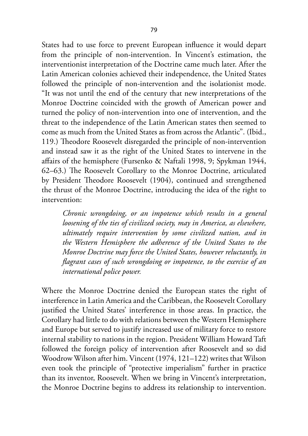States had to use force to prevent European influence it would depart from the principle of non-intervention. In Vincent's estimation, the interventionist interpretation of the Doctrine came much later. After the Latin American colonies achieved their independence, the United States followed the principle of non-intervention and the isolationist mode. "It was not until the end of the century that new interpretations of the Monroe Doctrine coincided with the growth of American power and turned the policy of non-intervention into one of intervention, and the threat to the independence of the Latin American states then seemed to come as much from the United States as from across the Atlantic". (Ibid., 119.) Theodore Roosevelt disregarded the principle of non-intervention and instead saw it as the right of the United States to intervene in the affairs of the hemisphere (Fursenko & Naftali 1998, 9; Spykman 1944, 62–63.) The Roosevelt Corollary to the Monroe Doctrine, articulated by President Theodore Roosevelt (1904), continued and strengthened the thrust of the Monroe Doctrine, introducing the idea of the right to intervention:

*Chronic wrongdoing, or an impotence which results in a general loosening of the ties of civilized society, may in America, as elsewhere, ultimately require intervention by some civilized nation, and in the Western Hemisphere the adherence of the United States to the Monroe Doctrine may force the United States, however reluctantly, in*  flagrant cases of such wrongdoing or impotence, to the exercise of an *international police power.*

Where the Monroe Doctrine denied the European states the right of interference in Latin America and the Caribbean, the Roosevelt Corollary justified the United States' interference in those areas. In practice, the Corollary had little to do with relations between the Western Hemisphere and Europe but served to justify increased use of military force to restore internal stability to nations in the region. President William Howard Taft followed the foreign policy of intervention after Roosevelt and so did Woodrow Wilson after him. Vincent (1974, 121–122) writes that Wilson even took the principle of "protective imperialism" further in practice than its inventor, Roosevelt. When we bring in Vincent's interpretation, the Monroe Doctrine begins to address its relationship to intervention.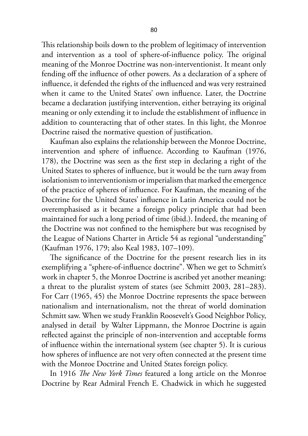This relationship boils down to the problem of legitimacy of intervention and intervention as a tool of sphere-of-influence policy. The original meaning of the Monroe Doctrine was non-interventionist. It meant only fending off the influence of other powers. As a declaration of a sphere of influence, it defended the rights of the influenced and was very restrained when it came to the United States' own influence. Later, the Doctrine became a declaration justifying intervention, either betraying its original meaning or only extending it to include the establishment of influence in addition to counteracting that of other states. In this light, the Monroe Doctrine raised the normative question of justification.

Kaufman also explains the relationship between the Monroe Doctrine, intervention and sphere of influence. According to Kaufman (1976, 178), the Doctrine was seen as the first step in declaring a right of the United States to spheres of influence, but it would be the turn away from isolationism to interventionism or imperialism that marked the emergence of the practice of spheres of influence. For Kaufman, the meaning of the Doctrine for the United States' influence in Latin America could not be overemphasised as it became a foreign policy principle that had been maintained for such a long period of time (ibid.). Indeed, the meaning of the Doctrine was not confined to the hemisphere but was recognised by the League of Nations Charter in Article 54 as regional "understanding" (Kaufman 1976, 179; also Keal 1983, 107–109).

The significance of the Doctrine for the present research lies in its exemplifying a "sphere-of-influence doctrine". When we get to Schmitt's work in chapter 5, the Monroe Doctrine is ascribed yet another meaning: a threat to the pluralist system of states (see Schmitt 2003, 281–283). For Carr (1965, 45) the Monroe Doctrine represents the space between nationalism and internationalism, not the threat of world domination Schmitt saw. When we study Franklin Roosevelt's Good Neighbor Policy, analysed in detail by Walter Lippmann, the Monroe Doctrine is again reflected against the principle of non-intervention and acceptable forms of influence within the international system (see chapter 5). It is curious how spheres of influence are not very often connected at the present time with the Monroe Doctrine and United States foreign policy.

In 1916 *The New York Times* featured a long article on the Monroe Doctrine by Rear Admiral French E. Chadwick in which he suggested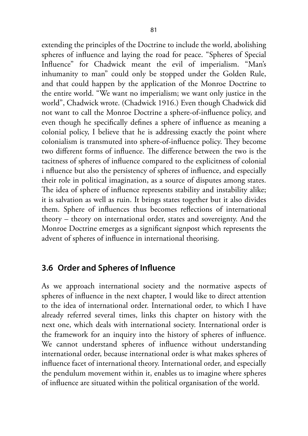extending the principles of the Doctrine to include the world, abolishing spheres of influence and laying the road for peace. "Spheres of Special Influence" for Chadwick meant the evil of imperialism. "Man's inhumanity to man" could only be stopped under the Golden Rule, and that could happen by the application of the Monroe Doctrine to the entire world. "We want no imperialism; we want only justice in the world", Chadwick wrote. (Chadwick 1916.) Even though Chadwick did not want to call the Monroe Doctrine a sphere-of-influence policy, and even though he specifically defines a sphere of influence as meaning a colonial policy, I believe that he is addressing exactly the point where colonialism is transmuted into sphere-of-influence policy. They become two different forms of influence. The difference between the two is the tacitness of spheres of influence compared to the explicitness of colonial i nfluence but also the persistency of spheres of influence, and especially their role in political imagination, as a source of disputes among states. The idea of sphere of influence represents stability and instability alike; it is salvation as well as ruin. It brings states together but it also divides them. Sphere of influences thus becomes reflections of international theory – theory on international order, states and sovereignty. And the Monroe Doctrine emerges as a significant signpost which represents the advent of spheres of influence in international theorising.

## **3.6 Order and Spheres of Influence**

As we approach international society and the normative aspects of spheres of influence in the next chapter, I would like to direct attention to the idea of international order. International order, to which I have already referred several times, links this chapter on history with the next one, which deals with international society. International order is the framework for an inquiry into the history of spheres of influence. We cannot understand spheres of influence without understanding international order, because international order is what makes spheres of influence facet of international theory. International order, and especially the pendulum movement within it, enables us to imagine where spheres of influence are situated within the political organisation of the world.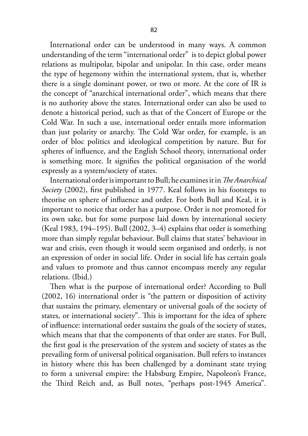International order can be understood in many ways. A common understanding of the term "international order" is to depict global power relations as multipolar, bipolar and unipolar. In this case, order means the type of hegemony within the international system, that is, whether there is a single dominant power, or two or more. At the core of IR is the concept of "anarchical international order", which means that there is no authority above the states. International order can also be used to denote a historical period, such as that of the Concert of Europe or the Cold War. In such a use, international order entails more information than just polarity or anarchy. The Cold War order, for example, is an order of bloc politics and ideological competition by nature. But for spheres of influence, and the English School theory, international order is something more. It signifies the political organisation of the world expressly as a system/society of states.

International order is important to Bull; he examines it in *The Anarchical Society* (2002), first published in 1977. Keal follows in his footsteps to theorise on sphere of influence and order. For both Bull and Keal, it is important to notice that order has a purpose. Order is not promoted for its own sake, but for some purpose laid down by international society (Keal 1983, 194–195). Bull (2002, 3–4) explains that order is something more than simply regular behaviour. Bull claims that states' behaviour in war and crisis, even though it would seem organised and orderly, is not an expression of order in social life. Order in social life has certain goals and values to promote and thus cannot encompass merely any regular relations. (Ibid.)

Then what is the purpose of international order? According to Bull (2002, 16) international order is "the pattern or disposition of activity that sustains the primary, elementary or universal goals of the society of states, or international society". This is important for the idea of sphere of influence: international order sustains the goals of the society of states, which means that that the components of that order are states. For Bull, the first goal is the preservation of the system and society of states as the prevailing form of universal political organisation. Bull refers to instances in history where this has been challenged by a dominant state trying to form a universal empire: the Habsburg Empire, Napoleon's France, the Third Reich and, as Bull notes, "perhaps post-1945 America".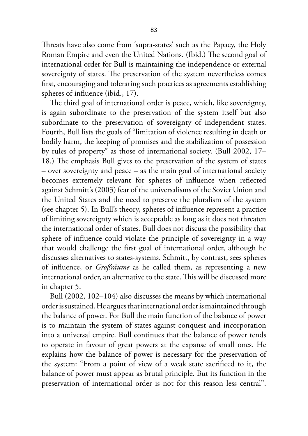Threats have also come from 'supra-states' such as the Papacy, the Holy Roman Empire and even the United Nations. (Ibid.) The second goal of international order for Bull is maintaining the independence or external sovereignty of states. The preservation of the system nevertheless comes first, encouraging and tolerating such practices as agreements establishing spheres of influence (ibid., 17).

The third goal of international order is peace, which, like sovereignty, is again subordinate to the preservation of the system itself but also subordinate to the preservation of sovereignty of independent states. Fourth, Bull lists the goals of "limitation of violence resulting in death or bodily harm, the keeping of promises and the stabilization of possession by rules of property" as those of international society. (Bull 2002, 17– 18.) The emphasis Bull gives to the preservation of the system of states – over sovereignty and peace – as the main goal of international society becomes extremely relevant for spheres of influence when reflected against Schmitt's (2003) fear of the universalisms of the Soviet Union and the United States and the need to preserve the pluralism of the system (see chapter 5). In Bull's theory, spheres of influence represent a practice of limiting sovereignty which is acceptable as long as it does not threaten the international order of states. Bull does not discuss the possibility that sphere of influence could violate the principle of sovereignty in a way that would challenge the first goal of international order, although he discusses alternatives to states-systems. Schmitt, by contrast, sees spheres of influence, or *Großräume* as he called them, as representing a new international order, an alternative to the state. This will be discussed more in chapter 5.

Bull (2002, 102–104) also discusses the means by which international order is sustained. He argues that international order is maintained through the balance of power. For Bull the main function of the balance of power is to maintain the system of states against conquest and incorporation into a universal empire. Bull continues that the balance of power tends to operate in favour of great powers at the expanse of small ones. He explains how the balance of power is necessary for the preservation of the system: "From a point of view of a weak state sacrificed to it, the balance of power must appear as brutal principle. But its function in the preservation of international order is not for this reason less central".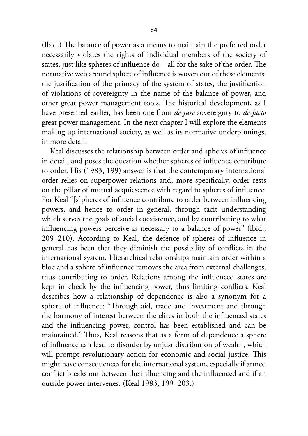(Ibid.) The balance of power as a means to maintain the preferred order necessarily violates the rights of individual members of the society of states, just like spheres of influence  $do - all$  for the sake of the order. The normative web around sphere of influence is woven out of these elements: the justification of the primacy of the system of states, the justification of violations of sovereignty in the name of the balance of power, and other great power management tools. The historical development, as I have presented earlier, has been one from *de jure* sovereignty to *de facto*  great power management. In the next chapter I will explore the elements making up international society, as well as its normative underpinnings, in more detail.

Keal discusses the relationship between order and spheres of influence in detail, and poses the question whether spheres of influence contribute to order. His (1983, 199) answer is that the contemporary international order relies on superpower relations and, more specifically, order rests on the pillar of mutual acquiescence with regard to spheres of influence. For Keal "[s]pheres of influence contribute to order between influencing powers, and hence to order in general, through tacit understanding which serves the goals of social coexistence, and by contributing to what influencing powers perceive as necessary to a balance of power" (ibid., 209–210). According to Keal, the defence of spheres of influence in general has been that they diminish the possibility of conflicts in the international system. Hierarchical relationships maintain order within a bloc and a sphere of influence removes the area from external challenges, thus contributing to order. Relations among the influenced states are kept in check by the influencing power, thus limiting conflicts. Keal describes how a relationship of dependence is also a synonym for a sphere of influence: "Through aid, trade and investment and through the harmony of interest between the elites in both the influenced states and the influencing power, control has been established and can be maintained." Thus, Keal reasons that as a form of dependence a sphere of influence can lead to disorder by unjust distribution of wealth, which will prompt revolutionary action for economic and social justice. This might have consequences for the international system, especially if armed conflict breaks out between the influencing and the influenced and if an outside power intervenes. (Keal 1983, 199–203.)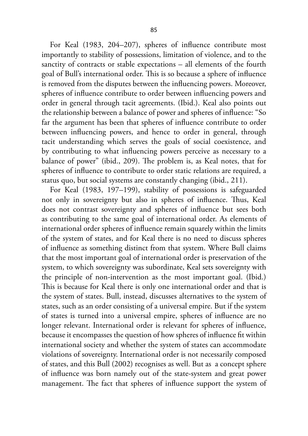For Keal (1983, 204–207), spheres of influence contribute most importantly to stability of possessions, limitation of violence, and to the sanctity of contracts or stable expectations – all elements of the fourth goal of Bull's international order. This is so because a sphere of influence is removed from the disputes between the influencing powers. Moreover, spheres of influence contribute to order between influencing powers and order in general through tacit agreements. (Ibid.). Keal also points out the relationship between a balance of power and spheres of influence: "So far the argument has been that spheres of influence contribute to order between influencing powers, and hence to order in general, through tacit understanding which serves the goals of social coexistence, and by contributing to what influencing powers perceive as necessary to a balance of power" (ibid., 209). The problem is, as Keal notes, that for spheres of influence to contribute to order static relations are required, a status quo, but social systems are constantly changing (ibid., 211).

For Keal (1983, 197–199), stability of possessions is safeguarded not only in sovereignty but also in spheres of influence. Thus, Keal does not contrast sovereignty and spheres of influence but sees both as contributing to the same goal of international order. As elements of international order spheres of influence remain squarely within the limits of the system of states, and for Keal there is no need to discuss spheres of influence as something distinct from that system. Where Bull claims that the most important goal of international order is preservation of the system, to which sovereignty was subordinate, Keal sets sovereignty with the principle of non-intervention as the most important goal. (Ibid.) This is because for Keal there is only one international order and that is the system of states. Bull, instead, discusses alternatives to the system of states, such as an order consisting of a universal empire. But if the system of states is turned into a universal empire, spheres of influence are no longer relevant. International order is relevant for spheres of influence, because it encompasses the question of how spheres of influence fit within international society and whether the system of states can accommodate violations of sovereignty. International order is not necessarily composed of states, and this Bull (2002) recognises as well. But as a concept sphere of influence was born namely out of the state-system and great power management. The fact that spheres of influence support the system of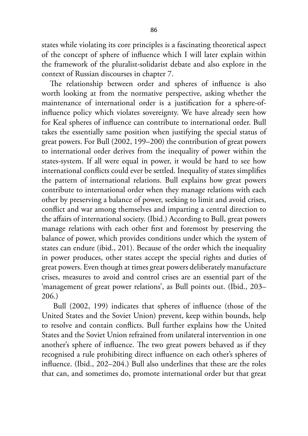states while violating its core principles is a fascinating theoretical aspect of the concept of sphere of influence which I will later explain within the framework of the pluralist-solidarist debate and also explore in the context of Russian discourses in chapter 7.

The relationship between order and spheres of influence is also worth looking at from the normative perspective, asking whether the maintenance of international order is a justification for a sphere-ofinfluence policy which violates sovereignty. We have already seen how for Keal spheres of influence can contribute to international order. Bull takes the essentially same position when justifying the special status of great powers. For Bull (2002, 199–200) the contribution of great powers to international order derives from the inequality of power within the states-system. If all were equal in power, it would be hard to see how international conflicts could ever be settled. Inequality of states simplifies the pattern of international relations. Bull explains how great powers contribute to international order when they manage relations with each other by preserving a balance of power, seeking to limit and avoid crises, conflict and war among themselves and imparting a central direction to the affairs of international society. (Ibid.) According to Bull, great powers manage relations with each other first and foremost by preserving the balance of power, which provides conditions under which the system of states can endure (ibid., 201). Because of the order which the inequality in power produces, other states accept the special rights and duties of great powers. Even though at times great powers deliberately manufacture crises, measures to avoid and control crises are an essential part of the 'management of great power relations', as Bull points out. (Ibid., 203– 206.)

Bull (2002, 199) indicates that spheres of influence (those of the United States and the Soviet Union) prevent, keep within bounds, help to resolve and contain conflicts. Bull further explains how the United States and the Soviet Union refrained from unilateral intervention in one another's sphere of influence. The two great powers behaved as if they recognised a rule prohibiting direct influence on each other's spheres of influence. (Ibid., 202–204.) Bull also underlines that these are the roles that can, and sometimes do, promote international order but that great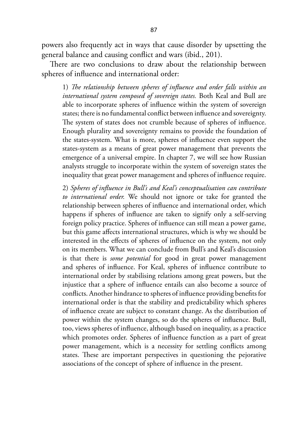powers also frequently act in ways that cause disorder by upsetting the general balance and causing conflict and wars (ibid., 201).

There are two conclusions to draw about the relationship between spheres of influence and international order:

1) The relationship between spheres of influence and order falls within an *international system composed of sovereign states.* Both Keal and Bull are able to incorporate spheres of influence within the system of sovereign states; there is no fundamental conflict between influence and sovereignty. The system of states does not crumble because of spheres of influence. Enough plurality and sovereignty remains to provide the foundation of the states-system. What is more, spheres of influence even support the states-system as a means of great power management that prevents the emergence of a universal empire. In chapter 7, we will see how Russian analysts struggle to incorporate within the system of sovereign states the inequality that great power management and spheres of influence require.

2) Spheres of influence in Bull's and Keal's conceptualisation can contribute *to international order.* We should not ignore or take for granted the relationship between spheres of influence and international order, which happens if spheres of influence are taken to signify only a self-serving foreign policy practice. Spheres of influence can still mean a power game, but this game affects international structures, which is why we should be interested in the effects of spheres of influence on the system, not only on its members. What we can conclude from Bull's and Keal's discussion is that there is *some potential* for good in great power management and spheres of influence. For Keal, spheres of influence contribute to international order by stabilising relations among great powers, but the injustice that a sphere of influence entails can also become a source of conflicts. Another hindrance to spheres of influence providing benefits for international order is that the stability and predictability which spheres of influence create are subject to constant change. As the distribution of power within the system changes, so do the spheres of influence. Bull, too, views spheres of influence, although based on inequality, as a practice which promotes order. Spheres of influence function as a part of great power management, which is a necessity for settling conflicts among states. These are important perspectives in questioning the pejorative associations of the concept of sphere of influence in the present.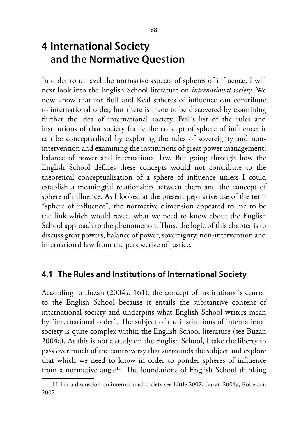# **4 International Society and the Normative Question**

In order to unravel the normative aspects of spheres of influence, I will next look into the English School literature on *international society*. We now know that for Bull and Keal spheres of influence can contribute to international order, but there is more to be discovered by examining further the idea of international society. Bull's list of the rules and institutions of that society frame the concept of sphere of influence: it can be conceptualised by exploring the rules of sovereignty and nonintervention and examining the institutions of great power management, balance of power and international law. But going through how the English School defines these concepts would not contribute to the theoretical conceptualisation of a sphere of influence unless I could establish a meaningful relationship between them and the concept of sphere of influence. As I looked at the present pejorative use of the term "sphere of influence", the normative dimension appeared to me to be the link which would reveal what we need to know about the English School approach to the phenomenon. Thus, the logic of this chapter is to discuss great powers, balance of power, sovereignty, non-intervention and international law from the perspective of justice.

## **4.1 The Rules and Institutions of International Society**

According to Buzan (2004a, 161), the concept of institutions is central to the English School because it entails the substantive content of international society and underpins what English School writers mean by "international order". The subject of the institutions of international society is quite complex within the English School literature (see Buzan 2004a). As this is not a study on the English School, I take the liberty to pass over much of the controversy that surrounds the subject and explore that which we need to know in order to ponder spheres of influence from a normative angle<sup>11</sup>. The foundations of English School thinking

<sup>11</sup> For a discussion on international society see Little 2002, Buzan 2004a, Roberson 2002.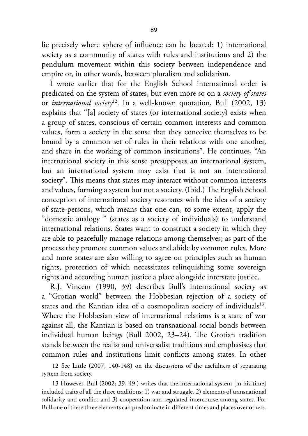lie precisely where sphere of influence can be located: 1) international society as a community of states with rules and institutions and 2) the pendulum movement within this society between independence and empire or, in other words, between pluralism and solidarism.

I wrote earlier that for the English School international order is predicated on the system of states, but even more so on a *society of states* or *international society*12. In a well-known quotation, Bull (2002, 13) explains that "[a] society of states (or international society) exists when a group of states, conscious of certain common interests and common values, form a society in the sense that they conceive themselves to be bound by a common set of rules in their relations with one another, and share in the working of common institutions". He continues, "An international society in this sense presupposes an international system, but an international system may exist that is not an international society". This means that states may interact without common interests and values, forming a system but not a society. (Ibid.) The English School conception of international society resonates with the idea of a society of state-persons, which means that one can, to some extent, apply the "domestic analogy " (states as a society of individuals) to understand international relations. States want to construct a society in which they are able to peacefully manage relations among themselves; as part of the process they promote common values and abide by common rules. More and more states are also willing to agree on principles such as human rights, protection of which necessitates relinquishing some sovereign rights and according human justice a place alongside interstate justice.

R.J. Vincent (1990, 39) describes Bull's international society as a "Grotian world" between the Hobbesian rejection of a society of states and the Kantian idea of a cosmopolitan society of individuals<sup>13</sup>. Where the Hobbesian view of international relations is a state of war against all, the Kantian is based on transnational social bonds between individual human beings (Bull 2002, 23-24). The Grotian tradition stands between the realist and universalist traditions and emphasises that common rules and institutions limit conflicts among states. In other

13 However, Bull (2002; 39, 49.) writes that the international system [in his time] included traits of all the three traditions: 1) war and struggle, 2) elements of transnational solidarity and conflict and 3) cooperation and regulated intercourse among states. For Bull one of these three elements can predominate in different times and places over others.

<sup>12</sup> See Little (2007, 140-148) on the discussions of the usefulness of separating system from society.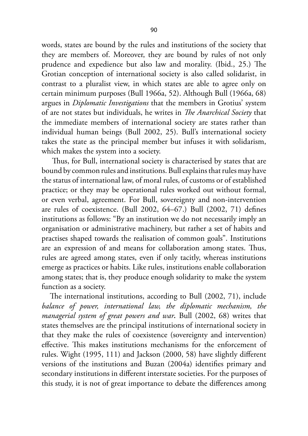words, states are bound by the rules and institutions of the society that they are members of. Moreover, they are bound by rules of not only prudence and expedience but also law and morality. (Ibid., 25.) The Grotian conception of international society is also called solidarist, in contrast to a pluralist view, in which states are able to agree only on certain minimum purposes (Bull 1966a, 52). Although Bull (1966a, 68) argues in *Diplomatic Investigations* that the members in Grotius' system of are not states but individuals, he writes in *The Anarchical Society* that the immediate members of international society are states rather than individual human beings (Bull 2002, 25). Bull's international society takes the state as the principal member but infuses it with solidarism, which makes the system into a society.

Thus, for Bull, international society is characterised by states that are bound by common rules and institutions. Bull explains that rules may have the status of international law, of moral rules, of customs or of established practice; or they may be operational rules worked out without formal, or even verbal, agreement. For Bull, sovereignty and non-intervention are rules of coexistence. (Bull 2002,  $64-67$ .) Bull  $(2002, 71)$  defines institutions as follows: "By an institution we do not necessarily imply an organisation or administrative machinery, but rather a set of habits and practises shaped towards the realisation of common goals". Institutions are an expression of and means for collaboration among states. Thus, rules are agreed among states, even if only tacitly, whereas institutions emerge as practices or habits. Like rules, institutions enable collaboration among states; that is, they produce enough solidarity to make the system function as a society.

The international institutions, according to Bull (2002, 71), include *balance of power, international law, the diplomatic mechanism, the managerial system of great powers and war.* Bull (2002, 68) writes that states themselves are the principal institutions of international society in that they make the rules of coexistence (sovereignty and intervention) effective. This makes institutions mechanisms for the enforcement of rules. Wight  $(1995, 111)$  and Jackson  $(2000, 58)$  have slightly different versions of the institutions and Buzan (2004a) identifies primary and secondary institutions in different interstate societies. For the purposes of this study, it is not of great importance to debate the differences among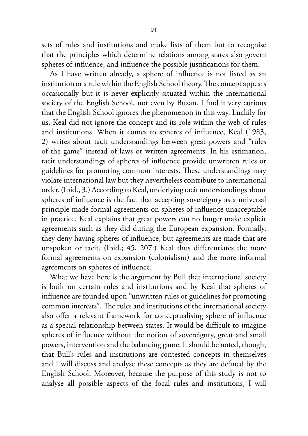sets of rules and institutions and make lists of them but to recognise that the principles which determine relations among states also govern spheres of influence, and influence the possible justifications for them.

As I have written already, a sphere of influence is not listed as an institution or a rule within the English School theory. The concept appears occasionally but it is never explicitly situated within the international society of the English School, not even by Buzan. I find it very curious that the English School ignores the phenomenon in this way. Luckily for us, Keal did not ignore the concept and its role within the web of rules and institutions. When it comes to spheres of influence, Keal (1983, 2) writes about tacit understandings between great powers and "rules of the game" instead of laws or written agreements. In his estimation, tacit understandings of spheres of influence provide unwritten rules or guidelines for promoting common interests. These understandings may violate international law but they nevertheless contribute to international order. (Ibid., 3.) According to Keal, underlying tacit understandings about spheres of influence is the fact that accepting sovereignty as a universal principle made formal agreements on spheres of influence unacceptable in practice. Keal explains that great powers can no longer make explicit agreements such as they did during the European expansion. Formally, they deny having spheres of influence, but agreements are made that are unspoken or tacit. (Ibid.; 45, 207.) Keal thus differentiates the more formal agreements on expansion (colonialism) and the more informal agreements on spheres of influence.

What we have here is the argument by Bull that international society is built on certain rules and institutions and by Keal that spheres of influence are founded upon "unwritten rules or guidelines for promoting common interests". The rules and institutions of the international society also offer a relevant framework for conceptualising sphere of influence as a special relationship between states. It would be difficult to imagine spheres of influence without the notion of sovereignty, great and small powers, intervention and the balancing game. It should be noted, though, that Bull's rules and institutions are contested concepts in themselves and I will discuss and analyse these concepts as they are defined by the English School. Moreover, because the purpose of this study is not to analyse all possible aspects of the focal rules and institutions, I will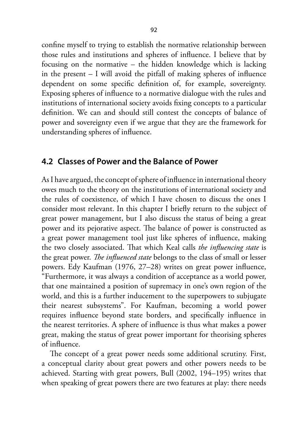confine myself to trying to establish the normative relationship between those rules and institutions and spheres of influence. I believe that by focusing on the normative – the hidden knowledge which is lacking in the present  $- I$  will avoid the pitfall of making spheres of influence dependent on some specific definition of, for example, sovereignty. Exposing spheres of influence to a normative dialogue with the rules and institutions of international society avoids fixing concepts to a particular definition. We can and should still contest the concepts of balance of power and sovereignty even if we argue that they are the framework for understanding spheres of influence.

## **4.2 Classes of Power and the Balance of Power**

As I have argued, the concept of sphere of influence in international theory owes much to the theory on the institutions of international society and the rules of coexistence, of which I have chosen to discuss the ones I consider most relevant. In this chapter I briefly return to the subject of great power management, but I also discuss the status of being a great power and its pejorative aspect. The balance of power is constructed as a great power management tool just like spheres of influence, making the two closely associated. That which Keal calls the influencing state is the great power. *The influenced state* belongs to the class of small or lesser powers. Edy Kaufman (1976, 27–28) writes on great power influence, "Furthermore, it was always a condition of acceptance as a world power, that one maintained a position of supremacy in one's own region of the world, and this is a further inducement to the superpowers to subjugate their nearest subsystems". For Kaufman, becoming a world power requires influence beyond state borders, and specifically influence in the nearest territories. A sphere of influence is thus what makes a power great, making the status of great power important for theorising spheres of infl uence.

The concept of a great power needs some additional scrutiny. First, a conceptual clarity about great powers and other powers needs to be achieved. Starting with great powers, Bull (2002, 194–195) writes that when speaking of great powers there are two features at play: there needs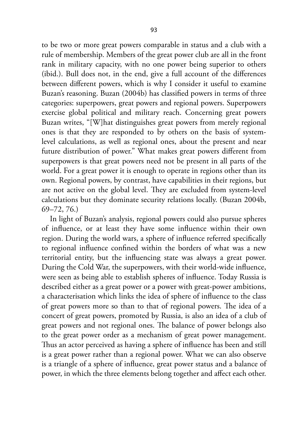to be two or more great powers comparable in status and a club with a rule of membership. Members of the great power club are all in the front rank in military capacity, with no one power being superior to others (ibid.). Bull does not, in the end, give a full account of the differences between different powers, which is why I consider it useful to examine Buzan's reasoning. Buzan (2004b) has classified powers in terms of three categories: superpowers, great powers and regional powers. Superpowers exercise global political and military reach. Concerning great powers Buzan writes, "[W]hat distinguishes great powers from merely regional ones is that they are responded to by others on the basis of systemlevel calculations, as well as regional ones, about the present and near future distribution of power." What makes great powers different from superpowers is that great powers need not be present in all parts of the world. For a great power it is enough to operate in regions other than its own. Regional powers, by contrast, have capabilities in their regions, but are not active on the global level. They are excluded from system-level calculations but they dominate security relations locally. (Buzan 2004b, 69–72, 76.)

In light of Buzan's analysis, regional powers could also pursue spheres of influence, or at least they have some influence within their own region. During the world wars, a sphere of influence referred specifically to regional influence confined within the borders of what was a new territorial entity, but the influencing state was always a great power. During the Cold War, the superpowers, with their world-wide influence, were seen as being able to establish spheres of influence. Today Russia is described either as a great power or a power with great-power ambitions, a characterisation which links the idea of sphere of influence to the class of great powers more so than to that of regional powers. The idea of a concert of great powers, promoted by Russia, is also an idea of a club of great powers and not regional ones. The balance of power belongs also to the great power order as a mechanism of great power management. Thus an actor perceived as having a sphere of influence has been and still is a great power rather than a regional power. What we can also observe is a triangle of a sphere of influence, great power status and a balance of power, in which the three elements belong together and affect each other.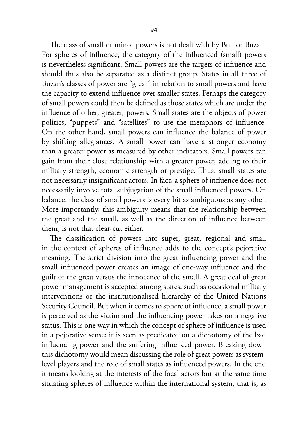The class of small or minor powers is not dealt with by Bull or Buzan. For spheres of influence, the category of the influenced (small) powers is nevertheless significant. Small powers are the targets of influence and should thus also be separated as a distinct group. States in all three of Buzan's classes of power are "great" in relation to small powers and have the capacity to extend influence over smaller states. Perhaps the category of small powers could then be defined as those states which are under the influence of other, greater, powers. Small states are the objects of power politics, "puppets" and "satellites" to use the metaphors of influence. On the other hand, small powers can influence the balance of power by shifting allegiances. A small power can have a stronger economy than a greater power as measured by other indicators. Small powers can gain from their close relationship with a greater power, adding to their military strength, economic strength or prestige. Thus, small states are not necessarily insignificant actors. In fact, a sphere of influence does not necessarily involve total subjugation of the small influenced powers. On balance, the class of small powers is every bit as ambiguous as any other. More importantly, this ambiguity means that the relationship between the great and the small, as well as the direction of influence between them, is not that clear-cut either.

The classification of powers into super, great, regional and small in the context of spheres of influence adds to the concept's pejorative meaning. The strict division into the great influencing power and the small influenced power creates an image of one-way influence and the guilt of the great versus the innocence of the small. A great deal of great power management is accepted among states, such as occasional military interventions or the institutionalised hierarchy of the United Nations Security Council. But when it comes to sphere of influence, a small power is perceived as the victim and the influencing power takes on a negative status. This is one way in which the concept of sphere of influence is used in a pejorative sense: it is seen as predicated on a dichotomy of the bad influencing power and the suffering influenced power. Breaking down this dichotomy would mean discussing the role of great powers as systemlevel players and the role of small states as influenced powers. In the end it means looking at the interests of the focal actors but at the same time situating spheres of influence within the international system, that is, as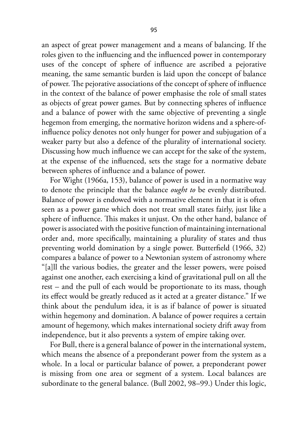an aspect of great power management and a means of balancing. If the roles given to the influencing and the influenced power in contemporary uses of the concept of sphere of influence are ascribed a pejorative meaning, the same semantic burden is laid upon the concept of balance of power. The pejorative associations of the concept of sphere of influence in the context of the balance of power emphasise the role of small states as objects of great power games. But by connecting spheres of influence and a balance of power with the same objective of preventing a single hegemon from emerging, the normative horizon widens and a sphere-ofinfluence policy denotes not only hunger for power and subjugation of a weaker party but also a defence of the plurality of international society. Discussing how much influence we can accept for the sake of the system, at the expense of the influenced, sets the stage for a normative debate between spheres of influence and a balance of power.

For Wight (1966a, 153), balance of power is used in a normative way to denote the principle that the balance *ought to* be evenly distributed. Balance of power is endowed with a normative element in that it is often seen as a power game which does not treat small states fairly, just like a sphere of influence. This makes it unjust. On the other hand, balance of power is associated with the positive function of maintaining international order and, more specifically, maintaining a plurality of states and thus preventing world domination by a single power. Butterfield (1966, 32) compares a balance of power to a Newtonian system of astronomy where "[a]ll the various bodies, the greater and the lesser powers, were poised against one another, each exercising a kind of gravitational pull on all the rest – and the pull of each would be proportionate to its mass, though its effect would be greatly reduced as it acted at a greater distance." If we think about the pendulum idea, it is as if balance of power is situated within hegemony and domination. A balance of power requires a certain amount of hegemony, which makes international society drift away from independence, but it also prevents a system of empire taking over.

For Bull, there is a general balance of power in the international system, which means the absence of a preponderant power from the system as a whole. In a local or particular balance of power, a preponderant power is missing from one area or segment of a system. Local balances are subordinate to the general balance. (Bull 2002, 98–99.) Under this logic,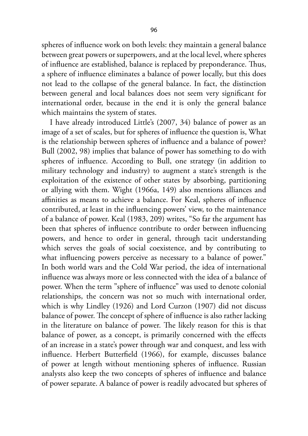spheres of influence work on both levels: they maintain a general balance between great powers or superpowers, and at the local level, where spheres of influence are established, balance is replaced by preponderance. Thus, a sphere of influence eliminates a balance of power locally, but this does not lead to the collapse of the general balance. In fact, the distinction between general and local balances does not seem very significant for international order, because in the end it is only the general balance which maintains the system of states.

I have already introduced Little's (2007, 34) balance of power as an image of a set of scales, but for spheres of influence the question is, What is the relationship between spheres of influence and a balance of power? Bull (2002, 98) implies that balance of power has something to do with spheres of influence. According to Bull, one strategy (in addition to military technology and industry) to augment a state's strength is the exploitation of the existence of other states by absorbing, partitioning or allying with them. Wight (1966a, 149) also mentions alliances and affinities as means to achieve a balance. For Keal, spheres of influence contributed, at least in the influencing powers' view, to the maintenance of a balance of power. Keal (1983, 209) writes, "So far the argument has been that spheres of influence contribute to order between influencing powers, and hence to order in general, through tacit understanding which serves the goals of social coexistence, and by contributing to what influencing powers perceive as necessary to a balance of power." In both world wars and the Cold War period, the idea of international influence was always more or less connected with the idea of a balance of power. When the term "sphere of influence" was used to denote colonial relationships, the concern was not so much with international order, which is why Lindley (1926) and Lord Curzon (1907) did not discuss balance of power. The concept of sphere of influence is also rather lacking in the literature on balance of power. The likely reason for this is that balance of power, as a concept, is primarily concerned with the effects of an increase in a state's power through war and conquest, and less with influence. Herbert Butterfield (1966), for example, discusses balance of power at length without mentioning spheres of influence. Russian analysts also keep the two concepts of spheres of influence and balance of power separate. A balance of power is readily advocated but spheres of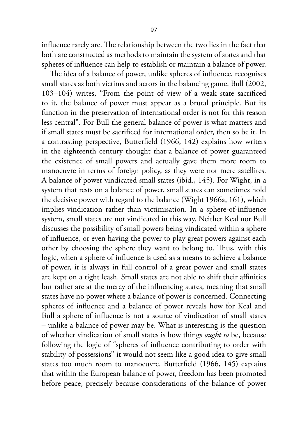influence rarely are. The relationship between the two lies in the fact that both are constructed as methods to maintain the system of states and that spheres of influence can help to establish or maintain a balance of power.

The idea of a balance of power, unlike spheres of influence, recognises small states as both victims and actors in the balancing game. Bull (2002,  $103-104$ ) writes, "From the point of view of a weak state sacrificed to it, the balance of power must appear as a brutal principle. But its function in the preservation of international order is not for this reason less central". For Bull the general balance of power is what matters and if small states must be sacrificed for international order, then so be it. In a contrasting perspective, Butterfield  $(1966, 142)$  explains how writers in the eighteenth century thought that a balance of power guaranteed the existence of small powers and actually gave them more room to manoeuvre in terms of foreign policy, as they were not mere satellites. A balance of power vindicated small states (ibid., 145). For Wight, in a system that rests on a balance of power, small states can sometimes hold the decisive power with regard to the balance (Wight 1966a, 161), which implies vindication rather than victimisation. In a sphere-of-influence system, small states are not vindicated in this way. Neither Keal nor Bull discusses the possibility of small powers being vindicated within a sphere of influence, or even having the power to play great powers against each other by choosing the sphere they want to belong to. Thus, with this logic, when a sphere of influence is used as a means to achieve a balance of power, it is always in full control of a great power and small states are kept on a tight leash. Small states are not able to shift their affinities but rather are at the mercy of the influencing states, meaning that small states have no power where a balance of power is concerned. Connecting spheres of influence and a balance of power reveals how for Keal and Bull a sphere of influence is not a source of vindication of small states – unlike a balance of power may be. What is interesting is the question of whether vindication of small states is how things *ought to* be, because following the logic of "spheres of influence contributing to order with stability of possessions" it would not seem like a good idea to give small states too much room to manoeuvre. Butterfield (1966, 145) explains that within the European balance of power, freedom has been promoted before peace, precisely because considerations of the balance of power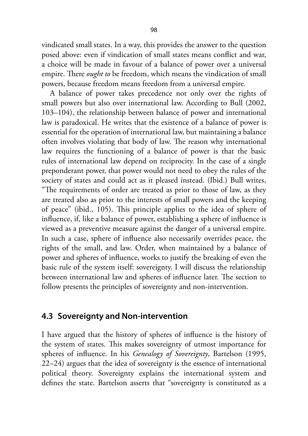vindicated small states. In a way, this provides the answer to the question posed above: even if vindication of small states means conflict and war, a choice will be made in favour of a balance of power over a universal empire. There *ought to* be freedom, which means the vindication of small powers, because freedom means freedom from a universal empire.

A balance of power takes precedence not only over the rights of small powers but also over international law. According to Bull (2002, 103–104), the relationship between balance of power and international law is paradoxical. He writes that the existence of a balance of power is essential for the operation of international law, but maintaining a balance often involves violating that body of law. The reason why international law requires the functioning of a balance of power is that the basic rules of international law depend on reciprocity. In the case of a single preponderant power, that power would not need to obey the rules of the society of states and could act as it pleased instead. (Ibid.) Bull writes, "The requirements of order are treated as prior to those of law, as they are treated also as prior to the interests of small powers and the keeping of peace" (ibid., 105). This principle applies to the idea of sphere of influence, if, like a balance of power, establishing a sphere of influence is viewed as a preventive measure against the danger of a universal empire. In such a case, sphere of influence also necessarily overrides peace, the rights of the small, and law. Order, when maintained by a balance of power and spheres of influence, works to justify the breaking of even the basic rule of the system itself: sovereignty. I will discuss the relationship between international law and spheres of influence later. The section to follow presents the principles of sovereignty and non-intervention.

## **4.3 Sovereignty and Non-intervention**

I have argued that the history of spheres of influence is the history of the system of states. This makes sovereignty of utmost importance for spheres of influence. In his *Genealogy of Sovereignty*, Bartelson (1995, 22–24) argues that the idea of sovereignty is the essence of international political theory. Sovereignty explains the international system and defines the state. Bartelson asserts that "sovereignty is constituted as a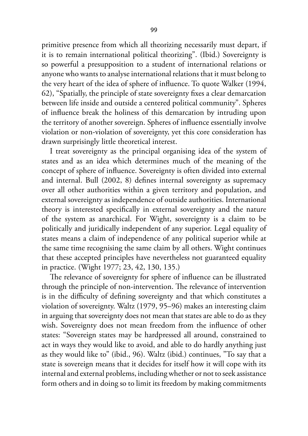primitive presence from which all theorizing necessarily must depart, if it is to remain international political theorizing". (Ibid.) Sovereignty is so powerful a presupposition to a student of international relations or anyone who wants to analyse international relations that it must belong to the very heart of the idea of sphere of influence. To quote Walker (1994, 62), "Spatially, the principle of state sovereignty fixes a clear demarcation between life inside and outside a centered political community". Spheres of influence break the holiness of this demarcation by intruding upon the territory of another sovereign. Spheres of influence essentially involve violation or non-violation of sovereignty, yet this core consideration has drawn surprisingly little theoretical interest.

I treat sovereignty as the principal organising idea of the system of states and as an idea which determines much of the meaning of the concept of sphere of influence. Sovereignty is often divided into external and internal. Bull (2002, 8) defines internal sovereignty as supremacy over all other authorities within a given territory and population, and external sovereignty as independence of outside authorities. International theory is interested specifically in external sovereignty and the nature of the system as anarchical. For Wight, sovereignty is a claim to be politically and juridically independent of any superior. Legal equality of states means a claim of independence of any political superior while at the same time recognising the same claim by all others. Wight continues that these accepted principles have nevertheless not guaranteed equality in practice. (Wight 1977; 23, 42, 130, 135.)

The relevance of sovereignty for sphere of influence can be illustrated through the principle of non-intervention. The relevance of intervention is in the difficulty of defining sovereignty and that which constitutes a violation of sovereignty. Waltz (1979, 95–96) makes an interesting claim in arguing that sovereignty does not mean that states are able to do as they wish. Sovereignty does not mean freedom from the influence of other states: "Sovereign states may be hardpressed all around, constrained to act in ways they would like to avoid, and able to do hardly anything just as they would like to" (ibid., 96). Waltz (ibid.) continues, "To say that a state is sovereign means that it decides for itself how it will cope with its internal and external problems, including whether or not to seek assistance form others and in doing so to limit its freedom by making commitments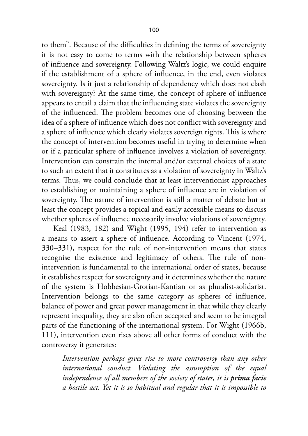to them". Because of the difficulties in defining the terms of sovereignty it is not easy to come to terms with the relationship between spheres of influence and sovereignty. Following Waltz's logic, we could enquire if the establishment of a sphere of influence, in the end, even violates sovereignty. Is it just a relationship of dependency which does not clash with sovereignty? At the same time, the concept of sphere of influence appears to entail a claim that the influencing state violates the sovereignty of the influenced. The problem becomes one of choosing between the idea of a sphere of influence which does not conflict with sovereignty and a sphere of influence which clearly violates sovereign rights. This is where the concept of intervention becomes useful in trying to determine when or if a particular sphere of influence involves a violation of sovereignty. Intervention can constrain the internal and/or external choices of a state to such an extent that it constitutes as a violation of sovereignty in Waltz's terms. Thus, we could conclude that at least interventionist approaches to establishing or maintaining a sphere of influence are in violation of sovereignty. The nature of intervention is still a matter of debate but at least the concept provides a topical and easily accessible means to discuss whether spheres of influence necessarily involve violations of sovereignty.

 Keal (1983, 182) and Wight (1995, 194) refer to intervention as a means to assert a sphere of influence. According to Vincent (1974, 330–331), respect for the rule of non-intervention means that states recognise the existence and legitimacy of others. The rule of nonintervention is fundamental to the international order of states, because it establishes respect for sovereignty and it determines whether the nature of the system is Hobbesian-Grotian-Kantian or as pluralist-solidarist. Intervention belongs to the same category as spheres of influence, balance of power and great power management in that while they clearly represent inequality, they are also often accepted and seem to be integral parts of the functioning of the international system. For Wight (1966b, 111), intervention even rises above all other forms of conduct with the controversy it generates:

*Intervention perhaps gives rise to more controversy than any other international conduct. Violating the assumption of the equal independence of all members of the society of states, it is prima facie a hostile act. Yet it is so habitual and regular that it is impossible to*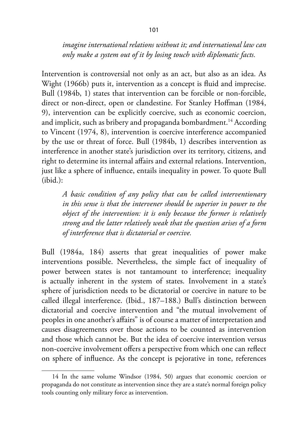*imagine international relations without it; and international law can only make a system out of it by losing touch with diplomatic facts.*

Intervention is controversial not only as an act, but also as an idea. As Wight (1966b) puts it, intervention as a concept is fluid and imprecise. Bull (1984b, 1) states that intervention can be forcible or non-forcible, direct or non-direct, open or clandestine. For Stanley Hoffman (1984, 9), intervention can be explicitly coercive, such as economic coercion, and implicit, such as bribery and propaganda bombardment.<sup>14</sup> According to Vincent (1974, 8), intervention is coercive interference accompanied by the use or threat of force. Bull (1984b, 1) describes intervention as interference in another state's jurisdiction over its territory, citizens, and right to determine its internal affairs and external relations. Intervention, just like a sphere of influence, entails inequality in power. To quote Bull (ibid.):

*A basic condition of any policy that can be called interventionary in this sense is that the intervener should be superior in power to the object of the intervention: it is only because the former is relatively strong and the latter relatively weak that the question arises of a form of interference that is dictatorial or coercive.*

Bull (1984a, 184) asserts that great inequalities of power make interventions possible. Nevertheless, the simple fact of inequality of power between states is not tantamount to interference; inequality is actually inherent in the system of states. Involvement in a state's sphere of jurisdiction needs to be dictatorial or coercive in nature to be called illegal interference. (Ibid., 187–188.) Bull's distinction between dictatorial and coercive intervention and "the mutual involvement of peoples in one another's affairs" is of course a matter of interpretation and causes disagreements over those actions to be counted as intervention and those which cannot be. But the idea of coercive intervention versus non-coercive involvement offers a perspective from which one can reflect on sphere of influence. As the concept is pejorative in tone, references

<sup>14</sup> In the same volume Windsor (1984, 50) argues that economic coercion or propaganda do not constitute as intervention since they are a state's normal foreign policy tools counting only military force as intervention.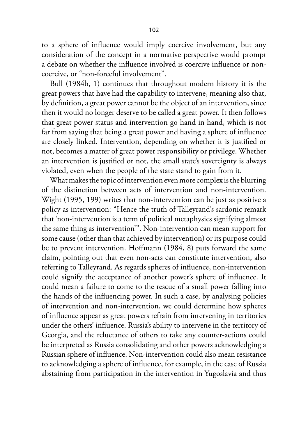to a sphere of influence would imply coercive involvement, but any consideration of the concept in a normative perspective would prompt a debate on whether the influence involved is coercive influence or noncoercive, or "non-forceful involvement".

Bull (1984b, 1) continues that throughout modern history it is the great powers that have had the capability to intervene, meaning also that, by definition, a great power cannot be the object of an intervention, since then it would no longer deserve to be called a great power. It then follows that great power status and intervention go hand in hand, which is not far from saying that being a great power and having a sphere of influence are closely linked. Intervention, depending on whether it is justified or not, becomes a matter of great power responsibility or privilege. Whether an intervention is justified or not, the small state's sovereignty is always violated, even when the people of the state stand to gain from it.

What makes the topic of intervention even more complex is the blurring of the distinction between acts of intervention and non-intervention. Wight (1995, 199) writes that non-intervention can be just as positive a policy as intervention: "Hence the truth of Talleyrand's sardonic remark that 'non-intervention is a term of political metaphysics signifying almost the same thing as intervention'". Non-intervention can mean support for some cause (other than that achieved by intervention) or its purpose could be to prevent intervention. Hoffmann (1984, 8) puts forward the same claim, pointing out that even non-acts can constitute intervention, also referring to Talleyrand. As regards spheres of influence, non-intervention could signify the acceptance of another power's sphere of influence. It could mean a failure to come to the rescue of a small power falling into the hands of the influencing power. In such a case, by analysing policies of intervention and non-intervention, we could determine how spheres of influence appear as great powers refrain from intervening in territories under the others' influence. Russia's ability to intervene in the territory of Georgia, and the reluctance of others to take any counter-actions could be interpreted as Russia consolidating and other powers acknowledging a Russian sphere of influence. Non-intervention could also mean resistance to acknowledging a sphere of influence, for example, in the case of Russia abstaining from participation in the intervention in Yugoslavia and thus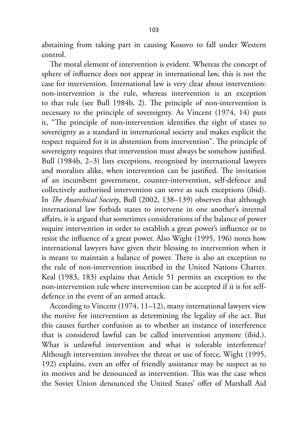abstaining from taking part in causing Kosovo to fall under Western control.

The moral element of intervention is evident. Whereas the concept of sphere of influence does not appear in international law, this is not the case for intervention. International law is very clear about intervention: non-intervention is the rule, whereas intervention is an exception to that rule (see Bull 1984b, 2). The principle of non-intervention is necessary to the principle of sovereignty. As Vincent (1974, 14) puts it, "The principle of non-intervention identifies the right of states to sovereignty as a standard in international society and makes explicit the respect required for it in abstention from intervention". The principle of sovereignty requires that intervention must always be somehow justified. Bull (1984b, 2–3) lists exceptions, recognised by international lawyers and moralists alike, when intervention can be justified. The invitation of an incumbent government, counter-intervention, self-defence and collectively authorised intervention can serve as such exceptions (ibid). In *The Anarchical Society*, Bull (2002, 138-139) observes that although international law forbids states to intervene in one another's internal affairs, it is argued that sometimes considerations of the balance of power require intervention in order to establish a great power's influence or to resist the influence of a great power. Also Wight (1995, 196) notes how international lawyers have given their blessing to intervention when it is meant to maintain a balance of power. There is also an exception to the rule of non-intervention inscribed in the United Nations Charter. Keal (1983, 183) explains that Article 51 permits an exception to the non-intervention rule where intervention can be accepted if it is for selfdefence in the event of an armed attack.

According to Vincent (1974, 11–12), many international lawyers view the motive for intervention as determining the legality of the act. But this causes further confusion as to whether an instance of interference that is considered lawful can be called intervention anymore (ibid.). What is unlawful intervention and what is tolerable interference? Although intervention involves the threat or use of force, Wight (1995, 192) explains, even an offer of friendly assistance may be suspect as to its motives and be denounced as intervention. This was the case when the Soviet Union denounced the United States' offer of Marshall Aid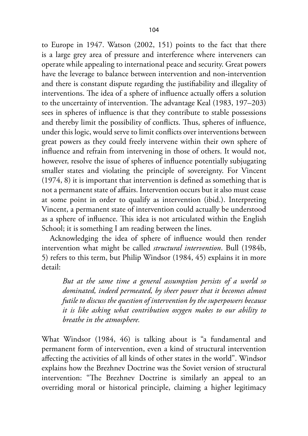to Europe in 1947. Watson (2002, 151) points to the fact that there is a large grey area of pressure and interference where interveners can operate while appealing to international peace and security. Great powers have the leverage to balance between intervention and non-intervention and there is constant dispute regarding the justifiability and illegality of interventions. The idea of a sphere of influence actually offers a solution to the uncertainty of intervention. The advantage Keal (1983, 197–203) sees in spheres of influence is that they contribute to stable possessions and thereby limit the possibility of conflicts. Thus, spheres of influence, under this logic, would serve to limit conflicts over interventions between great powers as they could freely intervene within their own sphere of influence and refrain from intervening in those of others. It would not, however, resolve the issue of spheres of influence potentially subjugating smaller states and violating the principle of sovereignty. For Vincent  $(1974, 8)$  it is important that intervention is defined as something that is not a permanent state of affairs. Intervention occurs but it also must cease at some point in order to qualify as intervention (ibid.). Interpreting Vincent, a permanent state of intervention could actually be understood as a sphere of influence. This idea is not articulated within the English School; it is something I am reading between the lines.

Acknowledging the idea of sphere of influence would then render intervention what might be called *structural intervention*. Bull (1984b, 5) refers to this term, but Philip Windsor (1984, 45) explains it in more detail:

*But at the same time a general assumption persists of a world so dominated, indeed permeated, by sheer power that it becomes almost futile to discuss the question of intervention by the superpowers because it is like asking what contribution oxygen makes to our ability to breathe in the atmosphere.*

What Windsor (1984, 46) is talking about is "a fundamental and permanent form of intervention, even a kind of structural intervention affecting the activities of all kinds of other states in the world". Windsor explains how the Brezhnev Doctrine was the Soviet version of structural intervention: "The Brezhnev Doctrine is similarly an appeal to an overriding moral or historical principle, claiming a higher legitimacy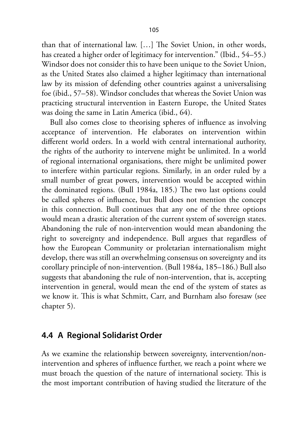than that of international law. [...] The Soviet Union, in other words, has created a higher order of legitimacy for intervention." (Ibid., 54–55.) Windsor does not consider this to have been unique to the Soviet Union, as the United States also claimed a higher legitimacy than international law by its mission of defending other countries against a universalising foe (ibid., 57–58). Windsor concludes that whereas the Soviet Union was practicing structural intervention in Eastern Europe, the United States was doing the same in Latin America (ibid., 64).

Bull also comes close to theorising spheres of influence as involving acceptance of intervention. He elaborates on intervention within different world orders. In a world with central international authority, the rights of the authority to intervene might be unlimited. In a world of regional international organisations, there might be unlimited power to interfere within particular regions. Similarly, in an order ruled by a small number of great powers, intervention would be accepted within the dominated regions. (Bull 1984a, 185.) The two last options could be called spheres of influence, but Bull does not mention the concept in this connection. Bull continues that any one of the three options would mean a drastic alteration of the current system of sovereign states. Abandoning the rule of non-intervention would mean abandoning the right to sovereignty and independence. Bull argues that regardless of how the European Community or proletarian internationalism might develop, there was still an overwhelming consensus on sovereignty and its corollary principle of non-intervention. (Bull 1984a, 185–186.) Bull also suggests that abandoning the rule of non-intervention, that is, accepting intervention in general, would mean the end of the system of states as we know it. This is what Schmitt, Carr, and Burnham also foresaw (see chapter 5).

## **4.4 A Regional Solidarist Order**

As we examine the relationship between sovereignty, intervention/nonintervention and spheres of influence further, we reach a point where we must broach the question of the nature of international society. This is the most important contribution of having studied the literature of the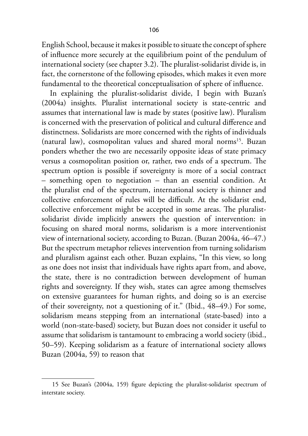English School, because it makes it possible to situate the concept of sphere of infl uence more securely at the equilibrium point of the pendulum of international society (see chapter 3.2). The pluralist-solidarist divide is, in fact, the cornerstone of the following episodes, which makes it even more fundamental to the theoretical conceptualisation of sphere of influence.

In explaining the pluralist-solidarist divide, I begin with Buzan's (2004a) insights. Pluralist international society is state-centric and assumes that international law is made by states (positive law). Pluralism is concerned with the preservation of political and cultural difference and distinctness. Solidarists are more concerned with the rights of individuals (natural law), cosmopolitan values and shared moral norms<sup>15</sup>. Buzan ponders whether the two are necessarily opposite ideas of state primacy versus a cosmopolitan position or, rather, two ends of a spectrum. The spectrum option is possible if sovereignty is more of a social contract – something open to negotiation – than an essential condition. At the pluralist end of the spectrum, international society is thinner and collective enforcement of rules will be difficult. At the solidarist end, collective enforcement might be accepted in some areas. The pluralistsolidarist divide implicitly answers the question of intervention: in focusing on shared moral norms, solidarism is a more interventionist view of international society, according to Buzan. (Buzan 2004a, 46–47.) But the spectrum metaphor relieves intervention from turning solidarism and pluralism against each other. Buzan explains, "In this view, so long as one does not insist that individuals have rights apart from, and above, the state, there is no contradiction between development of human rights and sovereignty. If they wish, states can agree among themselves on extensive guarantees for human rights, and doing so is an exercise of their sovereignty, not a questioning of it." (Ibid., 48–49.) For some, solidarism means stepping from an international (state-based) into a world (non-state-based) society, but Buzan does not consider it useful to assume that solidarism is tantamount to embracing a world society (ibid., 50–59). Keeping solidarism as a feature of international society allows Buzan (2004a, 59) to reason that

<sup>15</sup> See Buzan's (2004a, 159) figure depicting the pluralist-solidarist spectrum of interstate society.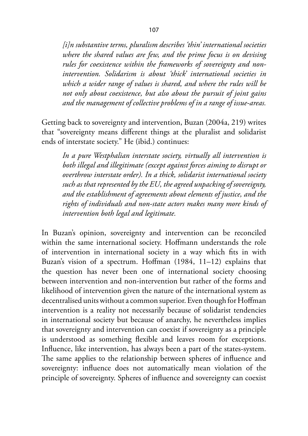*[i]n substantive terms, pluralism describes 'thin' international societies where the shared values are few, and the prime focus is on devising rules for coexistence within the frameworks of sovereignty and nonintervention. Solidarism is about 'thick' international societies in which a wider range of values is shared, and where the rules will be not only about coexistence, but also about the pursuit of joint gains and the management of collective problems of in a range of issue-areas.*

Getting back to sovereignty and intervention, Buzan (2004a, 219) writes that "sovereignty means different things at the pluralist and solidarist ends of interstate society." He (ibid.) continues:

*In a pure Westphalian interstate society, virtually all intervention is both illegal and illegitimate (except against forces aiming to disrupt or overthrow interstate order). In a thick, solidarist international society such as that represented by the EU, the agreed unpacking of sovereignty, and the establishment of agreements about elements of justice, and the rights of individuals and non-state actors makes many more kinds of intervention both legal and legitimate.*

In Buzan's opinion, sovereignty and intervention can be reconciled within the same international society. Hoffmann understands the role of intervention in international society in a way which fits in with Buzan's vision of a spectrum. Hoffman  $(1984, 11-12)$  explains that the question has never been one of international society choosing between intervention and non-intervention but rather of the forms and likelihood of intervention given the nature of the international system as decentralised units without a common superior. Even though for Hoffman intervention is a reality not necessarily because of solidarist tendencies in international society but because of anarchy, he nevertheless implies that sovereignty and intervention can coexist if sovereignty as a principle is understood as something flexible and leaves room for exceptions. Influence, like intervention, has always been a part of the states-system. The same applies to the relationship between spheres of influence and sovereignty: influence does not automatically mean violation of the principle of sovereignty. Spheres of influence and sovereignty can coexist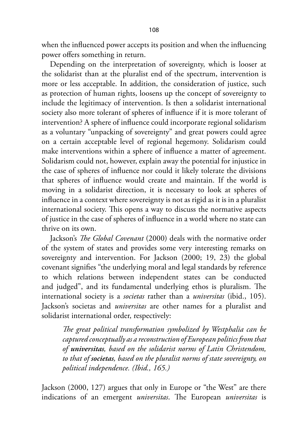when the influenced power accepts its position and when the influencing power offers something in return.

Depending on the interpretation of sovereignty, which is looser at the solidarist than at the pluralist end of the spectrum, intervention is more or less acceptable. In addition, the consideration of justice, such as protection of human rights, loosens up the concept of sovereignty to include the legitimacy of intervention. Is then a solidarist international society also more tolerant of spheres of influence if it is more tolerant of intervention? A sphere of influence could incorporate regional solidarism as a voluntary "unpacking of sovereignty" and great powers could agree on a certain acceptable level of regional hegemony. Solidarism could make interventions within a sphere of influence a matter of agreement. Solidarism could not, however, explain away the potential for injustice in the case of spheres of influence nor could it likely tolerate the divisions that spheres of influence would create and maintain. If the world is moving in a solidarist direction, it is necessary to look at spheres of influence in a context where sovereignty is not as rigid as it is in a pluralist international society. This opens a way to discuss the normative aspects of justice in the case of spheres of influence in a world where no state can thrive on its own.

Jackson's *The Global Covenant* (2000) deals with the normative order of the system of states and provides some very interesting remarks on sovereignty and intervention. For Jackson (2000; 19, 23) the global covenant signifies "the underlying moral and legal standards by reference to which relations between independent states can be conducted and judged", and its fundamental underlying ethos is pluralism. The international society is a *societas* rather than a *universitas* (ibid., 105). Jackson's societas and *universitas* are other names for a pluralist and solidarist international order, respectively:

The great political transformation symbolized by Westphalia can be *captured conceptually as a reconstruction of European politics from that of universitas, based on the solidarist norms of Latin Christendom, to that of societas, based on the pluralist norms of state sovereignty, on political independence. (Ibid., 165.)*

Jackson (2000, 127) argues that only in Europe or "the West" are there indications of an emergent *universitas*. The European *universitas* is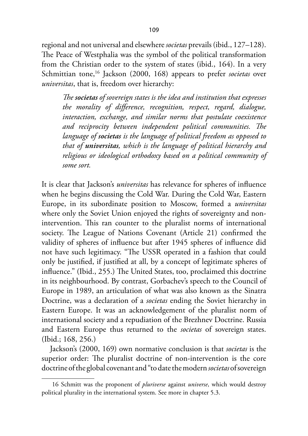regional and not universal and elsewhere *societas* prevails (ibid., 127–128). The Peace of Westphalia was the symbol of the political transformation from the Christian order to the system of states (ibid., 164). In a very Schmittian tone,16 Jackson (2000, 168) appears to prefer *societas* over *universitas*, that is, freedom over hierarchy:

*The societas of sovereign states is the idea and institution that expresses* the morality of difference, recognition, respect, regard, dialogue, *interaction, exchange, and similar norms that postulate coexistence*  and reciprocity between independent political communities. The *language of societas is the language of political freedom as opposed to that of universitas, which is the language of political hierarchy and religious or ideological orthodoxy based on a political community of some sort.*

It is clear that Jackson's *universitas* has relevance for spheres of influence when he begins discussing the Cold War. During the Cold War, Eastern Europe, in its subordinate position to Moscow, formed a *universitas* where only the Soviet Union enjoyed the rights of sovereignty and nonintervention. This ran counter to the pluralist norms of international society. The League of Nations Covenant (Article 21) confirmed the validity of spheres of influence but after 1945 spheres of influence did not have such legitimacy. "The USSR operated in a fashion that could only be justified, if justified at all, by a concept of legitimate spheres of influence." (Ibid., 255.) The United States, too, proclaimed this doctrine in its neighbourhood. By contrast, Gorbachev's speech to the Council of Europe in 1989, an articulation of what was also known as the Sinatra Doctrine, was a declaration of a *societas* ending the Soviet hierarchy in Eastern Europe. It was an acknowledgement of the pluralist norm of international society and a repudiation of the Brezhnev Doctrine. Russia and Eastern Europe thus returned to the *societas* of sovereign states. (Ibid.; 168, 256.)

Jackson's (2000, 169) own normative conclusion is that *societas* is the superior order: The pluralist doctrine of non-intervention is the core doctrine of the global covenant and "to date the modern *societas* of sovereign

<sup>16</sup> Schmitt was the proponent of *pluriverse* against *universe*, which would destroy political plurality in the international system. See more in chapter 5.3.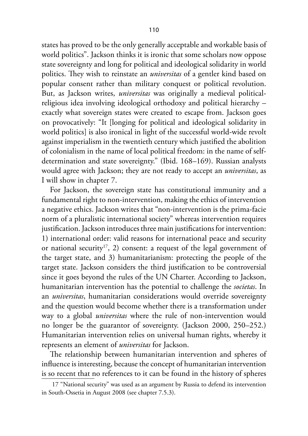states has proved to be the only generally acceptable and workable basis of world politics". Jackson thinks it is ironic that some scholars now oppose state sovereignty and long for political and ideological solidarity in world politics. They wish to reinstate an *universitas* of a gentler kind based on popular consent rather than military conquest or political revolution. But, as Jackson writes, *universitas* was originally a medieval politicalreligious idea involving ideological orthodoxy and political hierarchy – exactly what sovereign states were created to escape from. Jackson goes on provocatively: "It [longing for political and ideological solidarity in world politics] is also ironical in light of the successful world-wide revolt against imperialism in the twentieth century which justified the abolition of colonialism in the name of local political freedom: in the name of selfdetermination and state sovereignty." (Ibid. 168–169). Russian analysts would agree with Jackson; they are not ready to accept an *universitas*, as I will show in chapter 7.

For Jackson, the sovereign state has constitutional immunity and a fundamental right to non-intervention, making the ethics of intervention a negative ethics. Jackson writes that "non-intervention is the prima-facie norm of a pluralistic international society" whereas intervention requires justification. Jackson introduces three main justifications for intervention: 1) international order: valid reasons for international peace and security or national security<sup>17</sup>, 2) consent: a request of the legal government of the target state, and 3) humanitarianism: protecting the people of the target state. Jackson considers the third justification to be controversial since it goes beyond the rules of the UN Charter. According to Jackson, humanitarian intervention has the potential to challenge the *societas*. In an *universitas*, humanitarian considerations would override sovereignty and the question would become whether there is a transformation under way to a global *universitas* where the rule of non-intervention would no longer be the guarantor of sovereignty. (Jackson 2000, 250–252.) Humanitarian intervention relies on universal human rights, whereby it represents an element of *universitas* for Jackson.

The relationship between humanitarian intervention and spheres of influence is interesting, because the concept of humanitarian intervention is so recent that no references to it can be found in the history of spheres

<sup>17 &</sup>quot;National security" was used as an argument by Russia to defend its intervention in South-Ossetia in August 2008 (see chapter 7.5.3).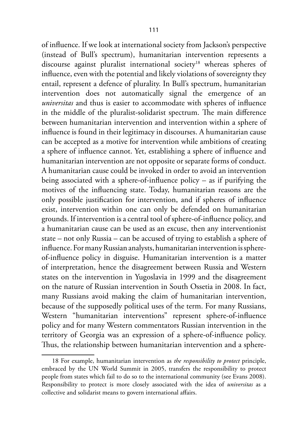of influence. If we look at international society from Jackson's perspective (instead of Bull's spectrum), humanitarian intervention represents a discourse against pluralist international society<sup>18</sup> whereas spheres of influence, even with the potential and likely violations of sovereignty they entail, represent a defence of plurality. In Bull's spectrum, humanitarian intervention does not automatically signal the emergence of an *universitas* and thus is easier to accommodate with spheres of influence in the middle of the pluralist-solidarist spectrum. The main difference between humanitarian intervention and intervention within a sphere of influence is found in their legitimacy in discourses. A humanitarian cause can be accepted as a motive for intervention while ambitions of creating a sphere of influence cannot. Yet, establishing a sphere of influence and humanitarian intervention are not opposite or separate forms of conduct. A humanitarian cause could be invoked in order to avoid an intervention being associated with a sphere-of-influence policy  $-$  as if purifying the motives of the influencing state. Today, humanitarian reasons are the only possible justification for intervention, and if spheres of influence exist, intervention within one can only be defended on humanitarian grounds. If intervention is a central tool of sphere-of-influence policy, and a humanitarian cause can be used as an excuse, then any interventionist state – not only Russia – can be accused of trying to establish a sphere of influence. For many Russian analysts, humanitarian intervention is sphereof-infl uence policy in disguise. Humanitarian intervention is a matter of interpretation, hence the disagreement between Russia and Western states on the intervention in Yugoslavia in 1999 and the disagreement on the nature of Russian intervention in South Ossetia in 2008. In fact, many Russians avoid making the claim of humanitarian intervention, because of the supposedly political uses of the term. For many Russians, Western "humanitarian interventions" represent sphere-of-influence policy and for many Western commentators Russian intervention in the territory of Georgia was an expression of a sphere-of-influence policy. Thus, the relationship between humanitarian intervention and a sphere-

<sup>18</sup> For example, humanitarian intervention as *the responsibility to protect* principle, embraced by the UN World Summit in 2005, transfers the responsibility to protect people from states which fail to do so to the international community (see Evans 2008). Responsibility to protect is more closely associated with the idea of *universitas* as a collective and solidarist means to govern international affairs.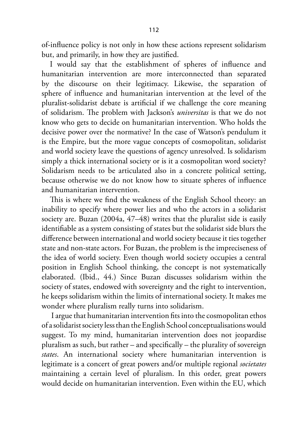of-influence policy is not only in how these actions represent solidarism but, and primarily, in how they are justified.

I would say that the establishment of spheres of influence and humanitarian intervention are more interconnected than separated by the discourse on their legitimacy. Likewise, the separation of sphere of influence and humanitarian intervention at the level of the pluralist-solidarist debate is artificial if we challenge the core meaning of solidarism. The problem with Jackson's *universitas* is that we do not know who gets to decide on humanitarian intervention. Who holds the decisive power over the normative? In the case of Watson's pendulum it is the Empire, but the more vague concepts of cosmopolitan, solidarist and world society leave the questions of agency unresolved. Is solidarism simply a thick international society or is it a cosmopolitan word society? Solidarism needs to be articulated also in a concrete political setting, because otherwise we do not know how to situate spheres of influence and humanitarian intervention.

This is where we find the weakness of the English School theory: an inability to specify where power lies and who the actors in a solidarist society are. Buzan (2004a, 47–48) writes that the pluralist side is easily identifiable as a system consisting of states but the solidarist side blurs the difference between international and world society because it ties together state and non-state actors. For Buzan, the problem is the impreciseness of the idea of world society. Even though world society occupies a central position in English School thinking, the concept is not systematically elaborated. (Ibid., 44.) Since Buzan discusses solidarism within the society of states, endowed with sovereignty and the right to intervention, he keeps solidarism within the limits of international society. It makes me wonder where pluralism really turns into solidarism.

I argue that humanitarian intervention fits into the cosmopolitan ethos of a solidarist society less than the English School conceptualisations would suggest. To my mind, humanitarian intervention does not jeopardise pluralism as such, but rather – and specifically – the plurality of sovereign *states*. An international society where humanitarian intervention is legitimate is a concert of great powers and/or multiple regional *societates* maintaining a certain level of pluralism. In this order, great powers would decide on humanitarian intervention. Even within the EU, which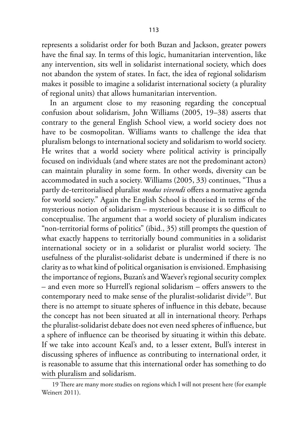represents a solidarist order for both Buzan and Jackson, greater powers have the final say. In terms of this logic, humanitarian intervention, like any intervention, sits well in solidarist international society, which does not abandon the system of states. In fact, the idea of regional solidarism makes it possible to imagine a solidarist international society (a plurality of regional units) that allows humanitarian intervention.

In an argument close to my reasoning regarding the conceptual confusion about solidarism, John Williams (2005, 19–38) asserts that contrary to the general English School view, a world society does not have to be cosmopolitan. Williams wants to challenge the idea that pluralism belongs to international society and solidarism to world society. He writes that a world society where political activity is principally focused on individuals (and where states are not the predominant actors) can maintain plurality in some form. In other words, diversity can be accommodated in such a society. Williams (2005, 33) continues, "Thus a partly de-territorialised pluralist *modus vivendi* offers a normative agenda for world society." Again the English School is theorised in terms of the mysterious notion of solidarism – mysterious because it is so difficult to conceptualise. The argument that a world society of pluralism indicates "non-territorial forms of politics" (ibid., 35) still prompts the question of what exactly happens to territorially bound communities in a solidarist international society or in a solidarist or pluralist world society. The usefulness of the pluralist-solidarist debate is undermined if there is no clarity as to what kind of political organisation is envisioned. Emphasising the importance of regions, Buzan's and Waever's regional security complex  $-$  and even more so Hurrell's regional solidarism  $-$  offers answers to the contemporary need to make sense of the pluralist-solidarist divide<sup>19</sup>. But there is no attempt to situate spheres of influence in this debate, because the concept has not been situated at all in international theory. Perhaps the pluralist-solidarist debate does not even need spheres of influence, but a sphere of influence can be theorised by situating it within this debate. If we take into account Keal's and, to a lesser extent, Bull's interest in discussing spheres of influence as contributing to international order, it is reasonable to assume that this international order has something to do with pluralism and solidarism.

<sup>19</sup> There are many more studies on regions which I will not present here (for example Weinert 2011).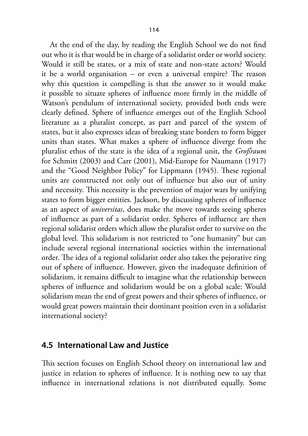At the end of the day, by reading the English School we do not find out who it is that would be in charge of a solidarist order or world society. Would it still be states, or a mix of state and non-state actors? Would it be a world organisation  $-$  or even a universal empire? The reason why this question is compelling is that the answer to it would make it possible to situate spheres of influence more firmly in the middle of Watson's pendulum of international society, provided both ends were clearly defined. Sphere of influence emerges out of the English School literature as a pluralist concept, as part and parcel of the system of states, but it also expresses ideas of breaking state borders to form bigger units than states. What makes a sphere of influence diverge from the pluralist ethos of the state is the idea of a regional unit, the *Großraum* for Schmitt (2003) and Carr (2001), Mid-Europe for Naumann (1917) and the "Good Neighbor Policy" for Lippmann (1945). These regional units are constructed not only out of influence but also out of unity and necessity. This necessity is the prevention of major wars by unifying states to form bigger entities. Jackson, by discussing spheres of influence as an aspect of *universitas*, does make the move towards seeing spheres of influence as part of a solidarist order. Spheres of influence are then regional solidarist orders which allow the pluralist order to survive on the global level. This solidarism is not restricted to "one humanity" but can include several regional international societies within the international order. The idea of a regional solidarist order also takes the pejorative ring out of sphere of influence. However, given the inadequate definition of solidarism, it remains difficult to imagine what the relationship between spheres of influence and solidarism would be on a global scale: Would solidarism mean the end of great powers and their spheres of influence, or would great powers maintain their dominant position even in a solidarist international society?

#### **4.5 International Law and Justice**

This section focuses on English School theory on international law and justice in relation to spheres of influence. It is nothing new to say that influence in international relations is not distributed equally. Some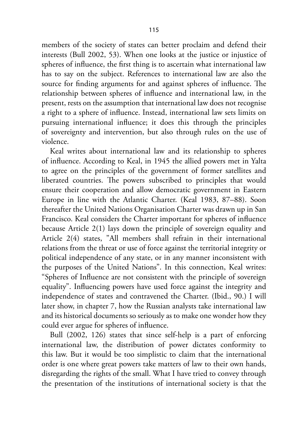members of the society of states can better proclaim and defend their interests (Bull 2002, 53). When one looks at the justice or injustice of spheres of influence, the first thing is to ascertain what international law has to say on the subject. References to international law are also the source for finding arguments for and against spheres of influence. The relationship between spheres of influence and international law, in the present, rests on the assumption that international law does not recognise a right to a sphere of influence. Instead, international law sets limits on pursuing international influence; it does this through the principles of sovereignty and intervention, but also through rules on the use of violence.

Keal writes about international law and its relationship to spheres of influence. According to Keal, in 1945 the allied powers met in Yalta to agree on the principles of the government of former satellites and liberated countries. The powers subscribed to principles that would ensure their cooperation and allow democratic government in Eastern Europe in line with the Atlantic Charter. (Keal 1983, 87–88). Soon thereafter the United Nations Organisation Charter was drawn up in San Francisco. Keal considers the Charter important for spheres of influence because Article 2(1) lays down the principle of sovereign equality and Article 2(4) states, "All members shall refrain in their international relations from the threat or use of force against the territorial integrity or political independence of any state, or in any manner inconsistent with the purposes of the United Nations". In this connection, Keal writes: "Spheres of Influence are not consistent with the principle of sovereign equality". Influencing powers have used force against the integrity and independence of states and contravened the Charter. (Ibid., 90.) I will later show, in chapter 7, how the Russian analysts take international law and its historical documents so seriously as to make one wonder how they could ever argue for spheres of influence.

Bull (2002, 126) states that since self-help is a part of enforcing international law, the distribution of power dictates conformity to this law. But it would be too simplistic to claim that the international order is one where great powers take matters of law to their own hands, disregarding the rights of the small. What I have tried to convey through the presentation of the institutions of international society is that the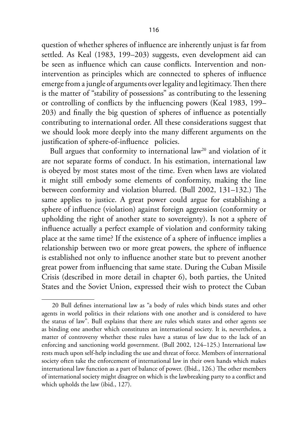question of whether spheres of influence are inherently unjust is far from settled. As Keal (1983, 199–203) suggests, even development aid can be seen as influence which can cause conflicts. Intervention and nonintervention as principles which are connected to spheres of influence emerge from a jungle of arguments over legality and legitimacy. Then there is the matter of "stability of possessions" as contributing to the lessening or controlling of conflicts by the influencing powers (Keal 1983, 199– 203) and finally the big question of spheres of influence as potentially contributing to international order. All these considerations suggest that we should look more deeply into the many different arguments on the justification of sphere-of-influence policies.

Bull argues that conformity to international law<sup>20</sup> and violation of it are not separate forms of conduct. In his estimation, international law is obeyed by most states most of the time. Even when laws are violated it might still embody some elements of conformity, making the line between conformity and violation blurred. (Bull 2002, 131-132.) The same applies to justice. A great power could argue for establishing a sphere of influence (violation) against foreign aggression (conformity or upholding the right of another state to sovereignty). Is not a sphere of influence actually a perfect example of violation and conformity taking place at the same time? If the existence of a sphere of influence implies a relationship between two or more great powers, the sphere of influence is established not only to influence another state but to prevent another great power from influencing that same state. During the Cuban Missile Crisis (described in more detail in chapter 6), both parties, the United States and the Soviet Union, expressed their wish to protect the Cuban

<sup>20</sup> Bull defines international law as "a body of rules which binds states and other agents in world politics in their relations with one another and is considered to have the status of law". Bull explains that there are rules which states and other agents see as binding one another which constitutes an international society. It is, nevertheless, a matter of controversy whether these rules have a status of law due to the lack of an enforcing and sanctioning world government. (Bull 2002, 124–125.) International law rests much upon self-help including the use and threat of force. Members of international society often take the enforcement of international law in their own hands which makes international law function as a part of balance of power. (Ibid., 126.) The other members of international society might disagree on which is the lawbreaking party to a conflict and which upholds the law (ibid., 127).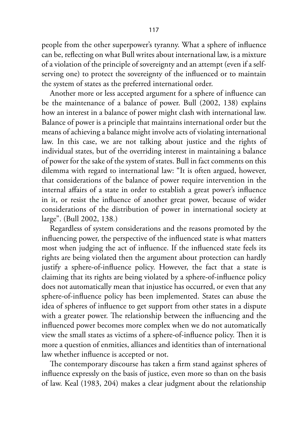people from the other superpower's tyranny. What a sphere of influence can be, reflecting on what Bull writes about international law, is a mixture of a violation of the principle of sovereignty and an attempt (even if a selfserving one) to protect the sovereignty of the influenced or to maintain the system of states as the preferred international order.

Another more or less accepted argument for a sphere of influence can be the maintenance of a balance of power. Bull (2002, 138) explains how an interest in a balance of power might clash with international law. Balance of power is a principle that maintains international order but the means of achieving a balance might involve acts of violating international law. In this case, we are not talking about justice and the rights of individual states, but of the overriding interest in maintaining a balance of power for the sake of the system of states. Bull in fact comments on this dilemma with regard to international law: "It is often argued, however, that considerations of the balance of power require intervention in the internal affairs of a state in order to establish a great power's influence in it, or resist the influence of another great power, because of wider considerations of the distribution of power in international society at large". (Bull 2002, 138.)

Regardless of system considerations and the reasons promoted by the influencing power, the perspective of the influenced state is what matters most when judging the act of influence. If the influenced state feels its rights are being violated then the argument about protection can hardly justify a sphere-of-influence policy. However, the fact that a state is claiming that its rights are being violated by a sphere-of-influence policy does not automatically mean that injustice has occurred, or even that any sphere-of-influence policy has been implemented. States can abuse the idea of spheres of influence to get support from other states in a dispute with a greater power. The relationship between the influencing and the influenced power becomes more complex when we do not automatically view the small states as victims of a sphere-of-influence policy. Then it is more a question of enmities, alliances and identities than of international law whether influence is accepted or not.

The contemporary discourse has taken a firm stand against spheres of influence expressly on the basis of justice, even more so than on the basis of law. Keal (1983, 204) makes a clear judgment about the relationship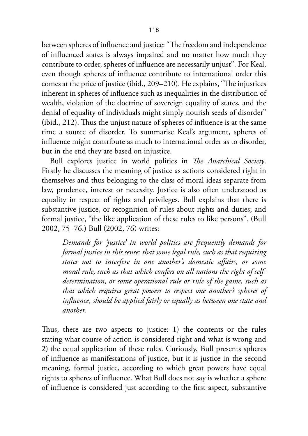between spheres of influence and justice: "The freedom and independence of influenced states is always impaired and no matter how much they contribute to order, spheres of influence are necessarily unjust". For Keal, even though spheres of influence contribute to international order this comes at the price of justice (ibid., 209–210). He explains, "The injustices inherent in spheres of influence such as inequalities in the distribution of wealth, violation of the doctrine of sovereign equality of states, and the denial of equality of individuals might simply nourish seeds of disorder" (ibid., 212). Thus the unjust nature of spheres of influence is at the same time a source of disorder. To summarise Keal's argument, spheres of influence might contribute as much to international order as to disorder, but in the end they are based on injustice.

Bull explores justice in world politics in *The Anarchical Society*. Firstly he discusses the meaning of justice as actions considered right in themselves and thus belonging to the class of moral ideas separate from law, prudence, interest or necessity. Justice is also often understood as equality in respect of rights and privileges. Bull explains that there is substantive justice, or recognition of rules about rights and duties; and formal justice, "the like application of these rules to like persons". (Bull 2002, 75–76.) Bull (2002, 76) writes:

*Demands for 'justice' in world politics are frequently demands for formal justice in this sense: that some legal rule, such as that requiring*  states not to interfere in one another's domestic affairs, or some *moral rule, such as that which confers on all nations the right of selfdetermination, or some operational rule or rule of the game, such as that which requires great powers to respect one another's spheres of infl uence, should be applied fairly or equally as between one state and another.*

Thus, there are two aspects to justice: 1) the contents or the rules stating what course of action is considered right and what is wrong and 2) the equal application of these rules. Curiously, Bull presents spheres of influence as manifestations of justice, but it is justice in the second meaning, formal justice, according to which great powers have equal rights to spheres of influence. What Bull does not say is whether a sphere of influence is considered just according to the first aspect, substantive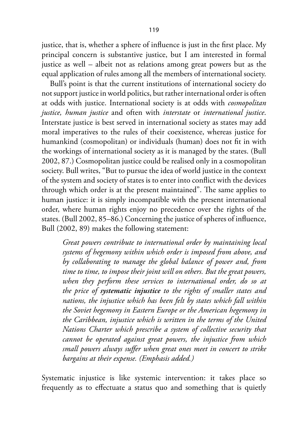justice, that is, whether a sphere of influence is just in the first place. My principal concern is substantive justice, but I am interested in formal justice as well – albeit not as relations among great powers but as the equal application of rules among all the members of international society.

Bull's point is that the current institutions of international society do not support justice in world politics, but rather international order is often at odds with justice. International society is at odds with *cosmopolitan justice, human justice* and often with *interstate* or *international justice*. Interstate justice is best served in international society as states may add moral imperatives to the rules of their coexistence, whereas justice for humankind (cosmopolitan) or individuals (human) does not fit in with the workings of international society as it is managed by the states. (Bull 2002, 87.) Cosmopolitan justice could be realised only in a cosmopolitan society. Bull writes, "But to pursue the idea of world justice in the context of the system and society of states is to enter into conflict with the devices through which order is at the present maintained". The same applies to human justice: it is simply incompatible with the present international order, where human rights enjoy no precedence over the rights of the states. (Bull 2002, 85–86.) Concerning the justice of spheres of influence, Bull (2002, 89) makes the following statement:

*Great powers contribute to international order by maintaining local systems of hegemony within which order is imposed from above, and by collaborating to manage the global balance of power and, from time to time, to impose their joint will on others. But the great powers, when they perform these services to international order, do so at the price of systematic injustice to the rights of smaller states and nations, the injustice which has been felt by states which fall within the Soviet hegemony in Eastern Europe or the American hegemony in the Caribbean, injustice which is written in the terms of the United Nations Charter which prescribe a system of collective security that cannot be operated against great powers, the injustice from which*  small powers always suffer when great ones meet in concert to strike *bargains at their expense. (Emphasis added.)*

Systematic injustice is like systemic intervention: it takes place so frequently as to effectuate a status quo and something that is quietly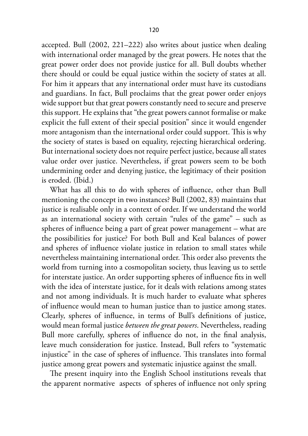accepted. Bull (2002, 221–222) also writes about justice when dealing with international order managed by the great powers. He notes that the great power order does not provide justice for all. Bull doubts whether there should or could be equal justice within the society of states at all. For him it appears that any international order must have its custodians and guardians. In fact, Bull proclaims that the great power order enjoys wide support but that great powers constantly need to secure and preserve this support. He explains that "the great powers cannot formalise or make explicit the full extent of their special position" since it would engender more antagonism than the international order could support. This is why the society of states is based on equality, rejecting hierarchical ordering. But international society does not require perfect justice, because all states value order over justice. Nevertheless, if great powers seem to be both undermining order and denying justice, the legitimacy of their position is eroded. (Ibid.)

What has all this to do with spheres of influence, other than Bull mentioning the concept in two instances? Bull (2002, 83) maintains that justice is realisable only in a context of order. If we understand the world as an international society with certain "rules of the game" – such as spheres of influence being a part of great power management  $-$  what are the possibilities for justice? For both Bull and Keal balances of power and spheres of influence violate justice in relation to small states while nevertheless maintaining international order. This order also prevents the world from turning into a cosmopolitan society, thus leaving us to settle for interstate justice. An order supporting spheres of influence fits in well with the idea of interstate justice, for it deals with relations among states and not among individuals. It is much harder to evaluate what spheres of influence would mean to human justice than to justice among states. Clearly, spheres of influence, in terms of Bull's definitions of justice, would mean formal justice *between the great powers*. Nevertheless, reading Bull more carefully, spheres of influence do not, in the final analysis, leave much consideration for justice. Instead, Bull refers to "systematic injustice" in the case of spheres of influence. This translates into formal justice among great powers and systematic injustice against the small.

The present inquiry into the English School institutions reveals that the apparent normative aspects of spheres of influence not only spring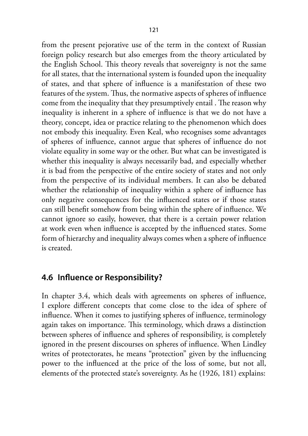from the present pejorative use of the term in the context of Russian foreign policy research but also emerges from the theory articulated by the English School. This theory reveals that sovereignty is not the same for all states, that the international system is founded upon the inequality of states, and that sphere of influence is a manifestation of these two features of the system. Thus, the normative aspects of spheres of influence come from the inequality that they presumptively entail. The reason why inequality is inherent in a sphere of influence is that we do not have a theory, concept, idea or practice relating to the phenomenon which does not embody this inequality. Even Keal, who recognises some advantages of spheres of influence, cannot argue that spheres of influence do not violate equality in some way or the other. But what can be investigated is whether this inequality is always necessarily bad, and especially whether it is bad from the perspective of the entire society of states and not only from the perspective of its individual members. It can also be debated whether the relationship of inequality within a sphere of influence has only negative consequences for the influenced states or if those states can still benefit somehow from being within the sphere of influence. We cannot ignore so easily, however, that there is a certain power relation at work even when influence is accepted by the influenced states. Some form of hierarchy and inequality always comes when a sphere of influence is created.

### **4.6 Influence or Responsibility?**

In chapter 3.4, which deals with agreements on spheres of influence, I explore different concepts that come close to the idea of sphere of influence. When it comes to justifying spheres of influence, terminology again takes on importance. This terminology, which draws a distinction between spheres of influence and spheres of responsibility, is completely ignored in the present discourses on spheres of influence. When Lindley writes of protectorates, he means "protection" given by the influencing power to the influenced at the price of the loss of some, but not all, elements of the protected state's sovereignty. As he (1926, 181) explains: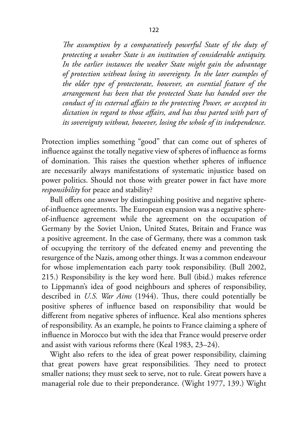The assumption by a comparatively powerful State of the duty of *protecting a weaker State is an institution of considerable antiquity. In the earlier instances the weaker State might gain the advantage of protection without losing its sovereignty. In the later examples of the older type of protectorate, however, an essential feature of the arrangement has been that the protected State has handed over the conduct of its external affairs to the protecting Power, or accepted its* dictation in regard to those affairs, and has thus parted with part of *its sovereignty without, however, losing the whole of its independence.*

Protection implies something "good" that can come out of spheres of influence against the totally negative view of spheres of influence as forms of domination. This raises the question whether spheres of influence are necessarily always manifestations of systematic injustice based on power politics. Should not those with greater power in fact have more *responsibility* for peace and stability?

Bull offers one answer by distinguishing positive and negative sphereof-influence agreements. The European expansion was a negative sphereof-influence agreement while the agreement on the occupation of Germany by the Soviet Union, United States, Britain and France was a positive agreement. In the case of Germany, there was a common task of occupying the territory of the defeated enemy and preventing the resurgence of the Nazis, among other things. It was a common endeavour for whose implementation each party took responsibility. (Bull 2002, 215.) Responsibility is the key word here. Bull (ibid.) makes reference to Lippmann's idea of good neighbours and spheres of responsibility, described in *U.S. War Aims* (1944). Thus, there could potentially be positive spheres of influence based on responsibility that would be different from negative spheres of influence. Keal also mentions spheres of responsibility. As an example, he points to France claiming a sphere of influence in Morocco but with the idea that France would preserve order and assist with various reforms there (Keal 1983, 23–24).

Wight also refers to the idea of great power responsibility, claiming that great powers have great responsibilities. They need to protect smaller nations; they must seek to serve, not to rule. Great powers have a managerial role due to their preponderance. (Wight 1977, 139.) Wight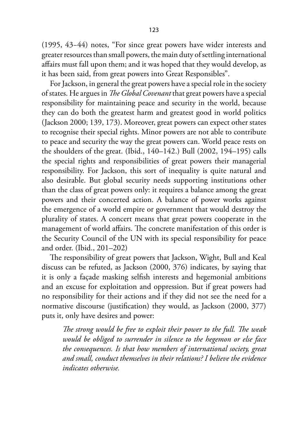(1995, 43−44) notes, "For since great powers have wider interests and greater resources than small powers, the main duty of settling international affairs must fall upon them; and it was hoped that they would develop, as it has been said, from great powers into Great Responsibles".

For Jackson, in general the great powers have a special role in the society of states. He argues in *The Global Covenant* that great powers have a special responsibility for maintaining peace and security in the world, because they can do both the greatest harm and greatest good in world politics (Jackson 2000; 139, 173). Moreover, great powers can expect other states to recognise their special rights. Minor powers are not able to contribute to peace and security the way the great powers can. World peace rests on the shoulders of the great. (Ibid., 140–142.) Bull (2002, 194–195) calls the special rights and responsibilities of great powers their managerial responsibility. For Jackson, this sort of inequality is quite natural and also desirable. But global security needs supporting institutions other than the class of great powers only: it requires a balance among the great powers and their concerted action. A balance of power works against the emergence of a world empire or government that would destroy the plurality of states. A concert means that great powers cooperate in the management of world affairs. The concrete manifestation of this order is the Security Council of the UN with its special responsibility for peace and order. (Ibid., 201–202)

The responsibility of great powers that Jackson, Wight, Bull and Keal discuss can be refuted, as Jackson (2000, 376) indicates, by saying that it is only a façade masking selfish interests and hegemonial ambitions and an excuse for exploitation and oppression. But if great powers had no responsibility for their actions and if they did not see the need for a normative discourse (justification) they would, as Jackson (2000, 377) puts it, only have desires and power:

The strong would be free to exploit their power to the full. The weak *would be obliged to surrender in silence to the hegemon or else face the consequences. Is that how members of international society, great and small, conduct themselves in their relations? I believe the evidence indicates otherwise.*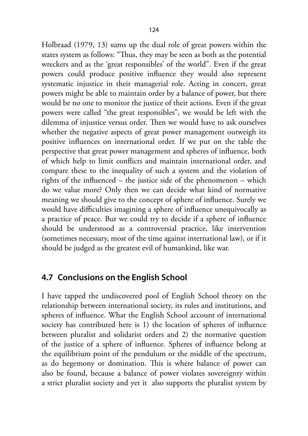Holbraad (1979, 13) sums up the dual role of great powers within the states system as follows: "Thus, they may be seen as both as the potential wreckers and as the 'great responsibles' of the world". Even if the great powers could produce positive influence they would also represent systematic injustice in their managerial role. Acting in concert, great powers might be able to maintain order by a balance of power, but there would be no one to monitor the justice of their actions. Even if the great powers were called "the great responsibles", we would be left with the dilemma of injustice versus order. Then we would have to ask ourselves whether the negative aspects of great power management outweigh its positive influences on international order. If we put on the table the perspective that great power management and spheres of influence, both of which help to limit conflicts and maintain international order, and compare these to the inequality of such a system and the violation of rights of the influenced – the justice side of the phenomenon – which do we value more? Only then we can decide what kind of normative meaning we should give to the concept of sphere of influence. Surely we would have difficulties imagining a sphere of influence unequivocally as a practice of peace. But we could try to decide if a sphere of influence should be understood as a controversial practice, like intervention (sometimes necessary, most of the time against international law), or if it should be judged as the greatest evil of humankind, like war.

### **4.7 Conclusions on the English School**

I have tapped the undiscovered pool of English School theory on the relationship between international society, its rules and institutions, and spheres of influence. What the English School account of international society has contributed here is 1) the location of spheres of influence between pluralist and solidarist orders and 2) the normative question of the justice of a sphere of influence. Spheres of influence belong at the equilibrium point of the pendulum or the middle of the spectrum, as do hegemony or domination. This is where balance of power can also be found, because a balance of power violates sovereignty within a strict pluralist society and yet it also supports the pluralist system by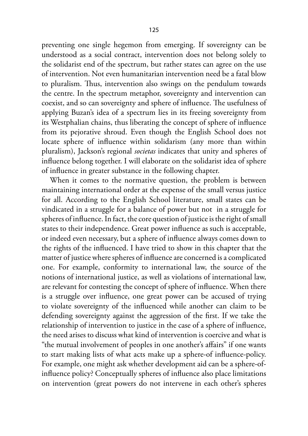preventing one single hegemon from emerging. If sovereignty can be understood as a social contract, intervention does not belong solely to the solidarist end of the spectrum, but rather states can agree on the use of intervention. Not even humanitarian intervention need be a fatal blow to pluralism. Thus, intervention also swings on the pendulum towards the centre. In the spectrum metaphor, sovereignty and intervention can coexist, and so can sovereignty and sphere of influence. The usefulness of applying Buzan's idea of a spectrum lies in its freeing sovereignty from its Westphalian chains, thus liberating the concept of sphere of influence from its pejorative shroud. Even though the English School does not locate sphere of influence within solidarism (any more than within pluralism), Jackson's regional *societas* indicates that unity and spheres of influence belong together. I will elaborate on the solidarist idea of sphere of influence in greater substance in the following chapter.

When it comes to the normative question, the problem is between maintaining international order at the expense of the small versus justice for all. According to the English School literature, small states can be vindicated in a struggle for a balance of power but not in a struggle for spheres of influence. In fact, the core question of justice is the right of small states to their independence. Great power influence as such is acceptable, or indeed even necessary, but a sphere of influence always comes down to the rights of the influenced. I have tried to show in this chapter that the matter of justice where spheres of influence are concerned is a complicated one. For example, conformity to international law, the source of the notions of international justice, as well as violations of international law, are relevant for contesting the concept of sphere of influence. When there is a struggle over influence, one great power can be accused of trying to violate sovereignty of the influenced while another can claim to be defending sovereignty against the aggression of the first. If we take the relationship of intervention to justice in the case of a sphere of influence, the need arises to discuss what kind of intervention is coercive and what is "the mutual involvement of peoples in one another's affairs" if one wants to start making lists of what acts make up a sphere-of influence-policy. For example, one might ask whether development aid can be a sphere-ofinfluence policy? Conceptually spheres of influence also place limitations on intervention (great powers do not intervene in each other's spheres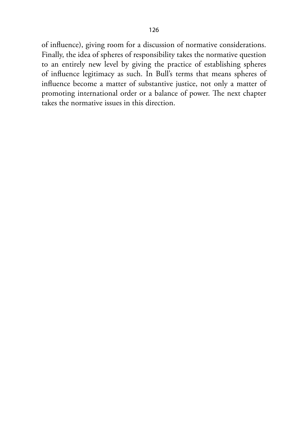of infl uence), giving room for a discussion of normative considerations. Finally, the idea of spheres of responsibility takes the normative question to an entirely new level by giving the practice of establishing spheres of influence legitimacy as such. In Bull's terms that means spheres of influence become a matter of substantive justice, not only a matter of promoting international order or a balance of power. The next chapter takes the normative issues in this direction.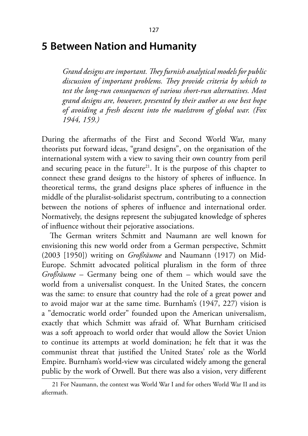# **5 Between Nation and Humanity**

Grand designs are important. They furnish analytical models for public discussion of important problems. They provide criteria by which to *test the long-run consequences of various short-run alternatives. Most grand designs are, however, presented by their author as one best hope of avoiding a fresh descent into the maelstrom of global war. (Fox 1944, 159.)*

During the aftermaths of the First and Second World War, many theorists put forward ideas, "grand designs", on the organisation of the international system with a view to saving their own country from peril and securing peace in the future<sup>21</sup>. It is the purpose of this chapter to connect these grand designs to the history of spheres of influence. In theoretical terms, the grand designs place spheres of influence in the middle of the pluralist-solidarist spectrum, contributing to a connection between the notions of spheres of influence and international order. Normatively, the designs represent the subjugated knowledge of spheres of influence without their pejorative associations.

The German writers Schmitt and Naumann are well known for envisioning this new world order from a German perspective, Schmitt (2003 [1950]) writing on *Großräume* and Naumann (1917) on Mid-Europe. Schmitt advocated political pluralism in the form of three *Großräume* – Germany being one of them – which would save the world from a universalist conquest. In the United States, the concern was the same: to ensure that country had the role of a great power and to avoid major war at the same time. Burnham's (1947, 227) vision is a "democratic world order" founded upon the American universalism, exactly that which Schmitt was afraid of. What Burnham criticised was a soft approach to world order that would allow the Soviet Union to continue its attempts at world domination; he felt that it was the communist threat that justified the United States' role as the World Empire. Burnham's world-view was circulated widely among the general public by the work of Orwell. But there was also a vision, very different

<sup>21</sup> For Naumann, the context was World War I and for others World War II and its aftermath.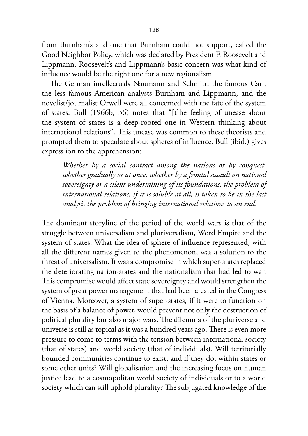from Burnham's and one that Burnham could not support, called the Good Neighbor Policy, which was declared by President F. Roosevelt and Lippmann. Roosevelt's and Lippmann's basic concern was what kind of influence would be the right one for a new regionalism.

The German intellectuals Naumann and Schmitt, the famous Carr, the less famous American analysts Burnham and Lippmann, and the novelist/journalist Orwell were all concerned with the fate of the system of states. Bull (1966b, 36) notes that "[t]he feeling of unease about the system of states is a deep-rooted one in Western thinking about international relations". This unease was common to these theorists and prompted them to speculate about spheres of influence. Bull (ibid.) gives express ion to the apprehension:

*Whether by a social contract among the nations or by conquest, whether gradually or at once, whether by a frontal assault on national sovereignty or a silent undermining of its foundations, the problem of international relations, if it is soluble at all, is taken to be in the last analysis the problem of bringing international relations to an end.*

The dominant storyline of the period of the world wars is that of the struggle between universalism and pluriversalism, Word Empire and the system of states. What the idea of sphere of influence represented, with all the different names given to the phenomenon, was a solution to the threat of universalism. It was a compromise in which super-states replaced the deteriorating nation-states and the nationalism that had led to war. This compromise would affect state sovereignty and would strengthen the system of great power management that had been created in the Congress of Vienna. Moreover, a system of super-states, if it were to function on the basis of a balance of power, would prevent not only the destruction of political plurality but also major wars. The dilemma of the pluriverse and universe is still as topical as it was a hundred years ago. There is even more pressure to come to terms with the tension between international society (that of states) and world society (that of individuals). Will territorially bounded communities continue to exist, and if they do, within states or some other units? Will globalisation and the increasing focus on human justice lead to a cosmopolitan world society of individuals or to a world society which can still uphold plurality? The subjugated knowledge of the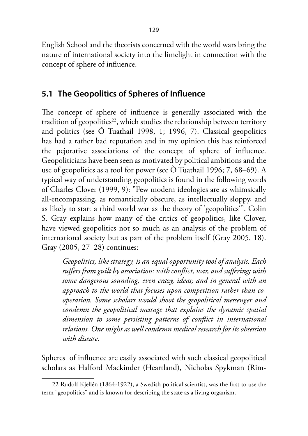English School and the theorists concerned with the world wars bring the nature of international society into the limelight in connection with the concept of sphere of influence.

# **5.1 The Geopolitics of Spheres of Influence**

The concept of sphere of influence is generally associated with the tradition of geopolitics<sup>22</sup>, which studies the relationship between territory and politics (see Ó Tuathail 1998, 1; 1996, 7). Classical geopolitics has had a rather bad reputation and in my opinion this has reinforced the pejorative associations of the concept of sphere of influence. Geopoliticians have been seen as motivated by political ambitions and the use of geopolitics as a tool for power (see Ò Tuathail 1996; 7, 68–69). A typical way of understanding geopolitics is found in the following words of Charles Clover (1999, 9): "Few modern ideologies are as whimsically all-encompassing, as romantically obscure, as intellectually sloppy, and as likely to start a third world war as the theory of 'geopolitics'". Colin S. Gray explains how many of the critics of geopolitics, like Clover, have viewed geopolitics not so much as an analysis of the problem of international society but as part of the problem itself (Gray 2005, 18). Gray (2005, 27–28) continues:

*Geopolitics, like strategy, is an equal opportunity tool of analysis. Each*  suffers from guilt by association: with conflict, war, and suffering; with *some dangerous sounding, even crazy, ideas; and in general with an approach to the world that focuses upon competition rather than cooperation. Some scholars would shoot the geopolitical messenger and condemn the geopolitical message that explains the dynamic spatial*  dimension to some persisting patterns of conflict in international *relations. One might as well condemn medical research for its obsession with disease.*

Spheres of influence are easily associated with such classical geopolitical scholars as Halford Mackinder (Heartland), Nicholas Spykman (Rim-

<sup>22</sup> Rudolf Kjellén (1864-1922), a Swedish political scientist, was the first to use the term "geopolitics" and is known for describing the state as a living organism.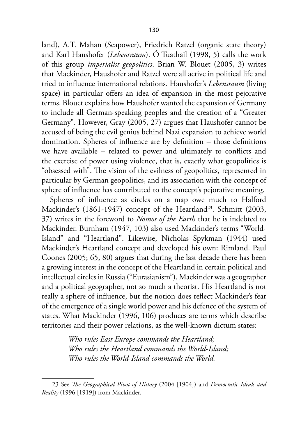land), A.T. Mahan (Seapower), Friedrich Ratzel (organic state theory) and Karl Haushofer (*Lebensraum*). Ó Tuathail (1998, 5) calls the work of this group *imperialist geopolitics*. Brian W. Blouet (2005, 3) writes that Mackinder, Haushofer and Ratzel were all active in political life and tried to influence international relations. Haushofer's *Lebensraum* (living space) in particular offers an idea of expansion in the most pejorative terms. Blouet explains how Haushofer wanted the expansion of Germany to include all German-speaking peoples and the creation of a "Greater Germany". However, Gray (2005, 27) argues that Haushofer cannot be accused of being the evil genius behind Nazi expansion to achieve world domination. Spheres of influence are by definition – those definitions we have available – related to power and ultimately to conflicts and the exercise of power using violence, that is, exactly what geopolitics is "obsessed with". The vision of the evilness of geopolitics, represented in particular by German geopolitics, and its association with the concept of sphere of influence has contributed to the concept's pejorative meaning.

Spheres of influence as circles on a map owe much to Halford Mackinder's (1861-1947) concept of the Heartland<sup>23</sup>. Schmitt (2003, 37) writes in the foreword to *Nomos of the Earth* that he is indebted to Mackinder. Burnham (1947, 103) also used Mackinder's terms "World-Island" and "Heartland". Likewise, Nicholas Spykman (1944) used Mackinder's Heartland concept and developed his own: Rimland. Paul Coones (2005; 65, 80) argues that during the last decade there has been a growing interest in the concept of the Heartland in certain political and intellectual circles in Russia ("Eurasianism"). Mackinder was a geographer and a political geographer, not so much a theorist. His Heartland is not really a sphere of influence, but the notion does reflect Mackinder's fear of the emergence of a single world power and his defence of the system of states. What Mackinder (1996, 106) produces are terms which describe territories and their power relations, as the well-known dictum states:

> *Who rules East Europe commands the Heartland; Who rules the Heartland commands the World-Island; Who rules the World-Island commands the World.*

<sup>23</sup> See *The Geographical Pivot of History* (2004 [1904]) and *Democratic Ideals and Reality* (1996 [1919]) from Mackinder.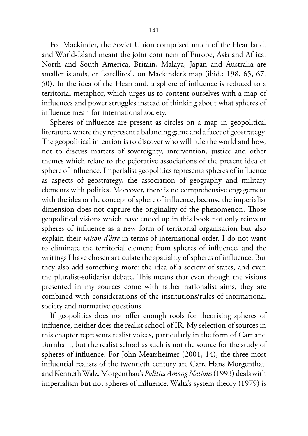For Mackinder, the Soviet Union comprised much of the Heartland, and World-Island meant the joint continent of Europe, Asia and Africa. North and South America, Britain, Malaya, Japan and Australia are smaller islands, or "satellites", on Mackinder's map (ibid.; 198, 65, 67, 50). In the idea of the Heartland, a sphere of influence is reduced to a territorial metaphor, which urges us to content ourselves with a map of influences and power struggles instead of thinking about what spheres of influence mean for international society.

Spheres of influence are present as circles on a map in geopolitical literature, where they represent a balancing game and a facet of geostrategy. The geopolitical intention is to discover who will rule the world and how, not to discuss matters of sovereignty, intervention, justice and other themes which relate to the pejorative associations of the present idea of sphere of influence. Imperialist geopolitics represents spheres of influence as aspects of geostrategy, the association of geography and military elements with politics. Moreover, there is no comprehensive engagement with the idea or the concept of sphere of influence, because the imperialist dimension does not capture the originality of the phenomenon. Those geopolitical visions which have ended up in this book not only reinvent spheres of influence as a new form of territorial organisation but also explain their *raison d'être* in terms of international order. I do not want to eliminate the territorial element from spheres of influence, and the writings I have chosen articulate the spatiality of spheres of influence. But they also add something more: the idea of a society of states, and even the pluralist-solidarist debate. This means that even though the visions presented in my sources come with rather nationalist aims, they are combined with considerations of the institutions/rules of international society and normative questions.

If geopolitics does not offer enough tools for theorising spheres of influence, neither does the realist school of IR. My selection of sources in this chapter represents realist voices, particularly in the form of Carr and Burnham, but the realist school as such is not the source for the study of spheres of influence. For John Mearsheimer (2001, 14), the three most influential realists of the twentieth century are Carr, Hans Morgenthau and Kenneth Walz. Morgenthau's *Politics Among Nations* (1993) deals with imperialism but not spheres of influence. Waltz's system theory (1979) is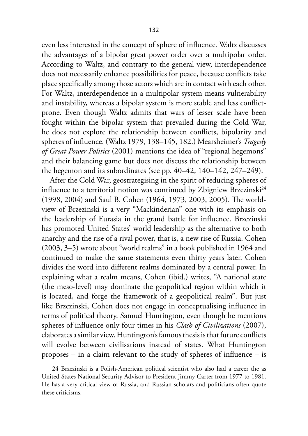even less interested in the concept of sphere of influence. Waltz discusses the advantages of a bipolar great power order over a multipolar order. According to Waltz, and contrary to the general view, interdependence does not necessarily enhance possibilities for peace, because conflicts take place specifically among those actors which are in contact with each other. For Waltz, interdependence in a multipolar system means vulnerability and instability, whereas a bipolar system is more stable and less conflictprone. Even though Waltz admits that wars of lesser scale have been fought within the bipolar system that prevailed during the Cold War, he does not explore the relationship between conflicts, bipolarity and spheres of influence. (Waltz 1979, 138-145, 182.) Mearsheimer's *Tragedy of Great Power Politics* (2001) mentions the idea of "regional hegemons" and their balancing game but does not discuss the relationship between the hegemon and its subordinates (see pp. 40–42, 140–142, 247–249).

After the Cold War, geostrategising in the spirit of reducing spheres of influence to a territorial notion was continued by Zbigniew Brzezinski<sup>24</sup> (1998, 2004) and Saul B. Cohen (1964, 1973, 2003, 2005). The worldview of Brzezinski is a very "Mackinderian" one with its emphasis on the leadership of Eurasia in the grand battle for influence. Brzezinski has promoted United States' world leadership as the alternative to both anarchy and the rise of a rival power, that is, a new rise of Russia. Cohen (2003, 3–5) wrote about "world realms" in a book published in 1964 and continued to make the same statements even thirty years later. Cohen divides the word into different realms dominated by a central power. In explaining what a realm means, Cohen (ibid.) writes, "A national state (the meso-level) may dominate the geopolitical region within which it is located, and forge the framework of a geopolitical realm". But just like Brzezinski, Cohen does not engage in conceptualising influence in terms of political theory. Samuel Huntington, even though he mentions spheres of influence only four times in his *Clash of Civilizations* (2007), elaborates a similar view. Huntington's famous thesis is that future conflicts will evolve between civilisations instead of states. What Huntington proposes – in a claim relevant to the study of spheres of influence – is

<sup>24</sup> Brzezinski is a Polish-American political scientist who also had a career the as United States National Security Advisor to President Jimmy Carter from 1977 to 1981. He has a very critical view of Russia, and Russian scholars and politicians often quote these criticisms.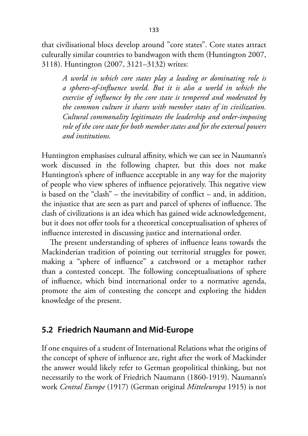that civilisational blocs develop around "core states". Core states attract culturally similar countries to bandwagon with them (Huntington 2007, 3118). Huntington (2007, 3121–3132) writes:

*A world in which core states play a leading or dominating role is a spheres-of-infl uence world. But it is also a world in which the exercise of influence by the core state is tempered and moderated by the common culture it shares with member states of its civilization. Cultural commonality legitimates the leadership and order-imposing role of the core state for both member states and for the external powers and institutions.*

Huntington emphasises cultural affinity, which we can see in Naumann's work discussed in the following chapter, but this does not make Huntington's sphere of influence acceptable in any way for the majority of people who view spheres of influence pejoratively. This negative view is based on the "clash" – the inevitability of conflict – and, in addition, the injustice that are seen as part and parcel of spheres of influence. The clash of civilizations is an idea which has gained wide acknowledgement, but it does not offer tools for a theoretical conceptualisation of spheres of influence interested in discussing justice and international order.

The present understanding of spheres of influence leans towards the Mackinderian tradition of pointing out territorial struggles for power, making a "sphere of influence" a catchword or a metaphor rather than a contested concept. The following conceptualisations of sphere of influence, which bind international order to a normative agenda, promote the aim of contesting the concept and exploring the hidden knowledge of the present.

#### **5.2 Friedrich Naumann and Mid-Europe**

If one enquires of a student of International Relations what the origins of the concept of sphere of influence are, right after the work of Mackinder the answer would likely refer to German geopolitical thinking, but not necessarily to the work of Friedrich Naumann (1860-1919). Naumann's work *Central Europe* (1917) (German original *Mitteleuropa* 1915) is not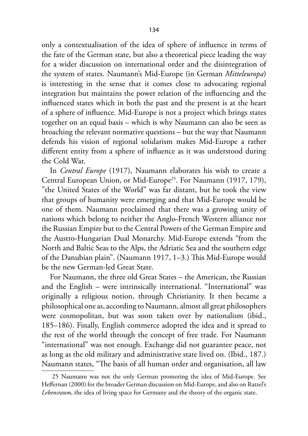only a contextualisation of the idea of sphere of influence in terms of the fate of the German state, but also a theoretical piece leading the way for a wider discussion on international order and the disintegration of the system of states. Naumann's Mid-Europe (in German *Mitteleuropa*) is interesting in the sense that it comes close to advocating regional integration but maintains the power relation of the influencing and the influenced states which in both the past and the present is at the heart of a sphere of influence. Mid-Europe is not a project which brings states together on an equal basis – which is why Naumann can also be seen as broaching the relevant normative questions – but the way that Naumann defends his vision of regional solidarism makes Mid-Europe a rather different entity from a sphere of influence as it was understood during the Cold War.

In *Central Europe* (1917), Naumann elaborates his wish to create a Central European Union, or Mid-Europe<sup>25</sup>. For Naumann (1917, 179), "the United States of the World" was far distant, but he took the view that groups of humanity were emerging and that Mid-Europe would be one of them. Naumann proclaimed that there was a growing unity of nations which belong to neither the Anglo-French Western alliance nor the Russian Empire but to the Central Powers of the German Empire and the Austro-Hungarian Dual Monarchy. Mid-Europe extends "from the North and Baltic Seas to the Alps, the Adriatic Sea and the southern edge of the Danubian plain". (Naumann 1917, 1-3.) This Mid-Europe would be the new German-led Great State.

For Naumann, the three old Great States – the American, the Russian and the English – were intrinsically international. "International" was originally a religious notion, through Christianity. It then became a philosophical one as, according to Naumann, almost all great philosophers were cosmopolitan, but was soon taken over by nationalism (ibid., 185–186). Finally, English commerce adopted the idea and it spread to the rest of the world through the concept of free trade. For Naumann "international" was not enough. Exchange did not guarantee peace, not as long as the old military and administrative state lived on. (Ibid., 187.) Naumann states, "The basis of all human order and organisation, all law

<sup>25</sup> Naumann was not the only German promoting the idea of Mid-Europe. See Heffernan (2000) for the broader German discussion on Mid-Europe, and also on Ratzel's *Lebensraum*, the idea of living space for Germany and the theory of the organic state.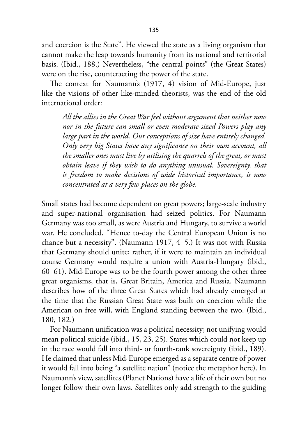and coercion is the State". He viewed the state as a living organism that cannot make the leap towards humanity from its national and territorial basis. (Ibid., 188.) Nevertheless, "the central points" (the Great States) were on the rise, counteracting the power of the state.

The context for Naumann's (1917, 4) vision of Mid-Europe, just like the visions of other like-minded theorists, was the end of the old international order:

*All the allies in the Great War feel without argument that neither now nor in the future can small or even moderate-sized Powers play any large part in the world. Our conceptions of size have entirely changed. Only very big States have any signifi cance on their own account, all the smaller ones must live by utilising the quarrels of the great, or must obtain leave if they wish to do anything unusual. Sovereignty, that is freedom to make decisions of wide historical importance, is now concentrated at a very few places on the globe.*

Small states had become dependent on great powers; large-scale industry and super-national organisation had seized politics. For Naumann Germany was too small, as were Austria and Hungary, to survive a world war. He concluded, "Hence to-day the Central European Union is no chance but a necessity". (Naumann 1917, 4–5.) It was not with Russia that Germany should unite; rather, if it were to maintain an individual course Germany would require a union with Austria-Hungary (ibid., 60–61). Mid-Europe was to be the fourth power among the other three great organisms, that is, Great Britain, America and Russia. Naumann describes how of the three Great States which had already emerged at the time that the Russian Great State was built on coercion while the American on free will, with England standing between the two. (Ibid., 180, 182.)

For Naumann unification was a political necessity; not unifying would mean political suicide (ibid., 15, 23, 25). States which could not keep up in the race would fall into third- or fourth-rank sovereignty (ibid., 189). He claimed that unless Mid-Europe emerged as a separate centre of power it would fall into being "a satellite nation" (notice the metaphor here). In Naumann's view, satellites (Planet Nations) have a life of their own but no longer follow their own laws. Satellites only add strength to the guiding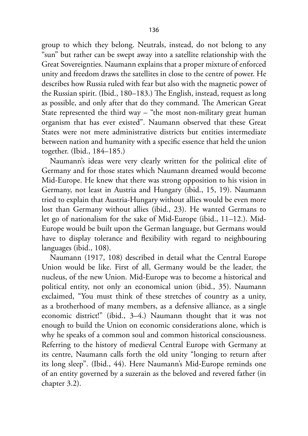group to which they belong. Neutrals, instead, do not belong to any "sun" but rather can be swept away into a satellite relationship with the Great Sovereignties. Naumann explains that a proper mixture of enforced unity and freedom draws the satellites in close to the centre of power. He describes how Russia ruled with fear but also with the magnetic power of the Russian spirit. (Ibid., 180–183.) The English, instead, request as long as possible, and only after that do they command. The American Great State represented the third way – "the most non-military great human organism that has ever existed". Naumann observed that these Great States were not mere administrative districts but entities intermediate between nation and humanity with a specific essence that held the union together. (Ibid., 184–185.)

Naumann's ideas were very clearly written for the political elite of Germany and for those states which Naumann dreamed would become Mid-Europe. He knew that there was strong opposition to his vision in Germany, not least in Austria and Hungary (ibid., 15, 19). Naumann tried to explain that Austria-Hungary without allies would be even more lost than Germany without allies (ibid., 23). He wanted Germans to let go of nationalism for the sake of Mid-Europe (ibid., 11–12.). Mid-Europe would be built upon the German language, but Germans would have to display tolerance and flexibility with regard to neighbouring languages (ibid., 108).

Naumann (1917, 108) described in detail what the Central Europe Union would be like. First of all, Germany would be the leader, the nucleus, of the new Union. Mid-Europe was to become a historical and political entity, not only an economical union (ibid., 35). Naumann exclaimed, "You must think of these stretches of country as a unity, as a brotherhood of many members, as a defensive alliance, as a single economic district!" (ibid., 3–4.) Naumann thought that it was not enough to build the Union on economic considerations alone, which is why he speaks of a common soul and common historical consciousness. Referring to the history of medieval Central Europe with Germany at its centre, Naumann calls forth the old unity "longing to return after its long sleep". (Ibid., 44). Here Naumann's Mid-Europe reminds one of an entity governed by a suzerain as the beloved and revered father (in chapter 3.2).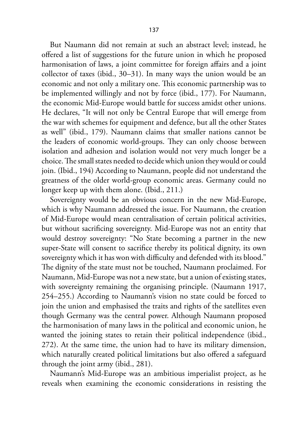But Naumann did not remain at such an abstract level; instead, he offered a list of suggestions for the future union in which he proposed harmonisation of laws, a joint committee for foreign affairs and a joint collector of taxes (ibid., 30–31). In many ways the union would be an economic and not only a military one. This economic partnership was to be implemented willingly and not by force (ibid., 177). For Naumann, the economic Mid-Europe would battle for success amidst other unions. He declares, "It will not only be Central Europe that will emerge from the war with schemes for equipment and defence, but all the other States as well" (ibid., 179). Naumann claims that smaller nations cannot be the leaders of economic world-groups. They can only choose between isolation and adhesion and isolation would not very much longer be a choice. The small states needed to decide which union they would or could join. (Ibid., 194) According to Naumann, people did not understand the greatness of the older world-group economic areas. Germany could no longer keep up with them alone. (Ibid., 211.)

Sovereignty would be an obvious concern in the new Mid-Europe, which is why Naumann addressed the issue. For Naumann, the creation of Mid-Europe would mean centralisation of certain political activities, but without sacrificing sovereignty. Mid-Europe was not an entity that would destroy sovereignty: "No State becoming a partner in the new super-State will consent to sacrifice thereby its political dignity, its own sovereignty which it has won with difficulty and defended with its blood." The dignity of the state must not be touched, Naumann proclaimed. For Naumann, Mid-Europe was not a new state, but a union of existing states, with sovereignty remaining the organising principle. (Naumann 1917, 254–255.) According to Naumann's vision no state could be forced to join the union and emphasised the traits and rights of the satellites even though Germany was the central power. Although Naumann proposed the harmonisation of many laws in the political and economic union, he wanted the joining states to retain their political independence (ibid., 272). At the same time, the union had to have its military dimension, which naturally created political limitations but also offered a safeguard through the joint army (ibid., 281).

Naumann's Mid-Europe was an ambitious imperialist project, as he reveals when examining the economic considerations in resisting the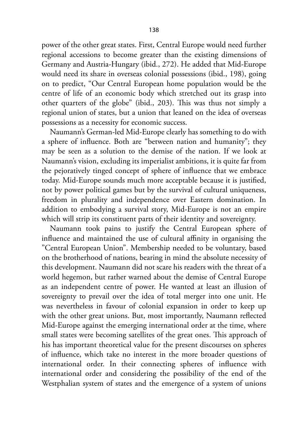power of the other great states. First, Central Europe would need further regional accessions to become greater than the existing dimensions of Germany and Austria-Hungary (ibid., 272). He added that Mid-Europe would need its share in overseas colonial possessions (ibid., 198), going on to predict, "Our Central European home population would be the centre of life of an economic body which stretched out its grasp into other quarters of the globe" (ibid., 203). This was thus not simply a regional union of states, but a union that leaned on the idea of overseas possessions as a necessity for economic success.

Naumann's German-led Mid-Europe clearly has something to do with a sphere of influence. Both are "between nation and humanity"; they may be seen as a solution to the demise of the nation. If we look at Naumann's vision, excluding its imperialist ambitions, it is quite far from the pejoratively tinged concept of sphere of influence that we embrace today. Mid-Europe sounds much more acceptable because it is justified, not by power political games but by the survival of cultural uniqueness, freedom in plurality and independence over Eastern domination. In addition to embodying a survival story, Mid-Europe is not an empire which will strip its constituent parts of their identity and sovereignty.

Naumann took pains to justify the Central European sphere of influence and maintained the use of cultural affinity in organising the "Central European Union". Membership needed to be voluntary, based on the brotherhood of nations, bearing in mind the absolute necessity of this development. Naumann did not scare his readers with the threat of a world hegemon, but rather warned about the demise of Central Europe as an independent centre of power. He wanted at least an illusion of sovereignty to prevail over the idea of total merger into one unit. He was nevertheless in favour of colonial expansion in order to keep up with the other great unions. But, most importantly, Naumann reflected Mid-Europe against the emerging international order at the time, where small states were becoming satellites of the great ones. This approach of his has important theoretical value for the present discourses on spheres of influence, which take no interest in the more broader questions of international order. In their connecting spheres of influence with international order and considering the possibility of the end of the Westphalian system of states and the emergence of a system of unions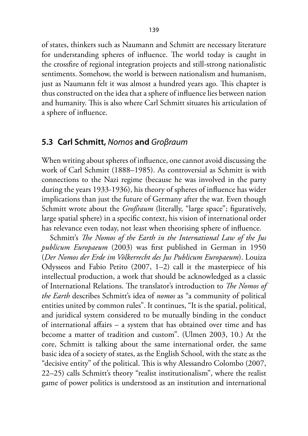of states, thinkers such as Naumann and Schmitt are necessary literature for understanding spheres of influence. The world today is caught in the crossfire of regional integration projects and still-strong nationalistic sentiments. Somehow, the world is between nationalism and humanism, just as Naumann felt it was almost a hundred years ago. This chapter is thus constructed on the idea that a sphere of influence lies between nation and humanity. This is also where Carl Schmitt situates his articulation of a sphere of influence.

### **5.3 Carl Schmitt,** Nomos **and** Groβraum

When writing about spheres of influence, one cannot avoid discussing the work of Carl Schmitt (1888–1985). As controversial as Schmitt is with connections to the Nazi regime (because he was involved in the party during the years 1933-1936), his theory of spheres of influence has wider implications than just the future of Germany after the war. Even though Schmitt wrote about the *Großraum* (literally, "large space"; figuratively, large spatial sphere) in a specific context, his vision of international order has relevance even today, not least when theorising sphere of influence.

Schmitt's *The Nomos of the Earth in the International Law of the Jus publicum Europaeum* (2003) was first published in German in 1950 (*Der Nomos der Erde im Völkerrecht des Jus Publicum Europaeum*). Louiza Odysseos and Fabio Petito (2007, 1–2) call it the masterpiece of his intellectual production, a work that should be acknowledged as a classic of International Relations. The translator's introduction to *The Nomos of the Earth* describes Schmitt's idea of *nomos* as "a community of political entities united by common rules". It continues, "It is the spatial, political, and juridical system considered to be mutually binding in the conduct of international affairs  $-$  a system that has obtained over time and has become a matter of tradition and custom". (Ulmen 2003, 10.) At the core, Schmitt is talking about the same international order, the same basic idea of a society of states, as the English School, with the state as the "decisive entity" of the political. This is why Alessandro Colombo (2007, 22–25) calls Schmitt's theory "realist institutionalism", where the realist game of power politics is understood as an institution and international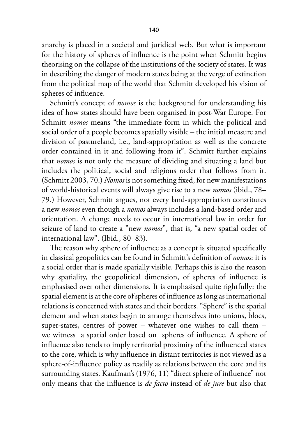anarchy is placed in a societal and juridical web. But what is important for the history of spheres of influence is the point when Schmitt begins theorising on the collapse of the institutions of the society of states. It was in describing the danger of modern states being at the verge of extinction from the political map of the world that Schmitt developed his vision of spheres of influence.

Schmitt's concept of *nomos* is the background for understanding his idea of how states should have been organised in post-War Europe. For Schmitt *nomos* means "the immediate form in which the political and social order of a people becomes spatially visible – the initial measure and division of pastureland, i.e., land-appropriation as well as the concrete order contained in it and following from it". Schmitt further explains that *nomos* is not only the measure of dividing and situating a land but includes the political, social and religious order that follows from it. (Schmitt 2003, 70.) *Nomos* is not something fixed, for new manifestations of world-historical events will always give rise to a new *nomos* (ibid., 78– 79.) However, Schmitt argues, not every land-appropriation constitutes a new *nomos* even though a *nomos* always includes a land-based order and orientation. A change needs to occur in international law in order for seizure of land to create a "new *nomos*", that is, "a new spatial order of international law". (Ibid., 80–83).

The reason why sphere of influence as a concept is situated specifically in classical geopolitics can be found in Schmitt's definition of *nomos*: it is a social order that is made spatially visible. Perhaps this is also the reason why spatiality, the geopolitical dimension, of spheres of influence is emphasised over other dimensions. It is emphasised quite rightfully: the spatial element is at the core of spheres of influence as long as international relations is concerned with states and their borders. "Sphere" is the spatial element and when states begin to arrange themselves into unions, blocs, super-states, centres of power – whatever one wishes to call them – we witness a spatial order based on spheres of influence. A sphere of influence also tends to imply territorial proximity of the influenced states to the core, which is why influence in distant territories is not viewed as a sphere-of-influence policy as readily as relations between the core and its surrounding states. Kaufman's (1976, 11) "direct sphere of influence" not only means that the influence is *de facto* instead of *de jure* but also that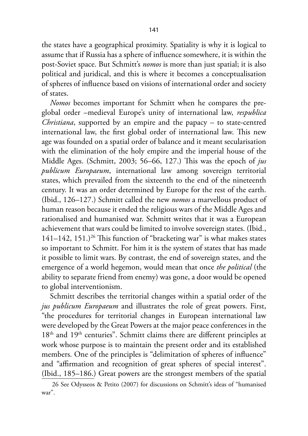the states have a geographical proximity. Spatiality is why it is logical to assume that if Russia has a sphere of influence somewhere, it is within the post-Soviet space. But Schmitt's *nomos* is more than just spatial; it is also political and juridical, and this is where it becomes a conceptualisation of spheres of influence based on visions of international order and society of states.

*Nomos* becomes important for Schmitt when he compares the preglobal order –medieval Europe's unity of international law, *respublica Christiana*, supported by an empire and the papacy – to state-centred international law, the first global order of international law. This new age was founded on a spatial order of balance and it meant secularisation with the elimination of the holy empire and the imperial house of the Middle Ages. (Schmitt, 2003; 56–66, 127.) This was the epoch of *jus publicum Europaeum*, international law among sovereign territorial states, which prevailed from the sixteenth to the end of the nineteenth century. It was an order determined by Europe for the rest of the earth. (Ibid., 126–127.) Schmitt called the new *nomos* a marvellous product of human reason because it ended the religious wars of the Middle Ages and rationalised and humanised war. Schmitt writes that it was a European achievement that wars could be limited to involve sovereign states. (Ibid.,  $141-142$ ,  $151.$ <sup>26</sup> This function of "bracketing war" is what makes states so important to Schmitt. For him it is the system of states that has made it possible to limit wars. By contrast, the end of sovereign states, and the emergence of a world hegemon, would mean that once *the political* (the ability to separate friend from enemy) was gone, a door would be opened to global interventionism.

Schmitt describes the territorial changes within a spatial order of the *jus publicum Europaeum* and illustrates the role of great powers. First, "the procedures for territorial changes in European international law were developed by the Great Powers at the major peace conferences in the  $18<sup>th</sup>$  and  $19<sup>th</sup>$  centuries". Schmitt claims there are different principles at work whose purpose is to maintain the present order and its established members. One of the principles is "delimitation of spheres of influence" and "affirmation and recognition of great spheres of special interest". (Ibid., 185–186.) Great powers are the strongest members of the spatial

<sup>26</sup> See Odysseos & Petito (2007) for discussions on Schmitt's ideas of "humanised war".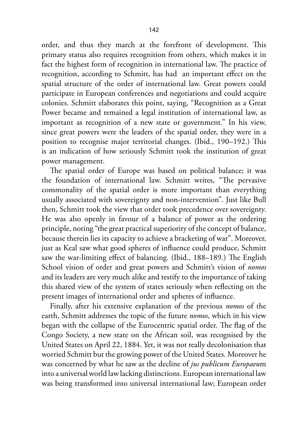order, and thus they march at the forefront of development. This primary status also requires recognition from others, which makes it in fact the highest form of recognition in international law. The practice of recognition, according to Schmitt, has had an important effect on the spatial structure of the order of international law. Great powers could participate in European conferences and negotiations and could acquire colonies. Schmitt elaborates this point, saying, "Recognition as a Great Power became and remained a legal institution of international law, as important as recognition of a new state or government." In his view, since great powers were the leaders of the spatial order, they were in a position to recognise major territorial changes. (Ibid., 190–192.) This is an indication of how seriously Schmitt took the institution of great power management.

The spatial order of Europe was based on political balance; it was the foundation of international law. Schmitt writes, "The pervasive commonality of the spatial order is more important than everything usually associated with sovereignty and non-intervention". Just like Bull then, Schmitt took the view that order took precedence over sovereignty. He was also openly in favour of a balance of power as the ordering principle, noting "the great practical superiority of the concept of balance, because therein lies its capacity to achieve a bracketing of war". Moreover, just as Keal saw what good spheres of influence could produce, Schmitt saw the war-limiting effect of balancing. (Ibid., 188-189.) The English School vision of order and great powers and Schmitt's vision of *nomos* and its leaders are very much alike and testify to the importance of taking this shared view of the system of states seriously when reflecting on the present images of international order and spheres of influence.

Finally, after his extensive explanation of the previous *nomos* of the earth, Schmitt addresses the topic of the future *nomos*, which in his view began with the collapse of the Eurocentric spatial order. The flag of the Congo Society, a new state on the African soil, was recognised by the United States on April 22, 1884. Yet, it was not really decolonisation that worried Schmitt but the growing power of the United States. Moreover he was concerned by what he saw as the decline of *jus publicum Europaeu*m into a universal world law lacking distinctions. European international law was being transformed into universal international law; European order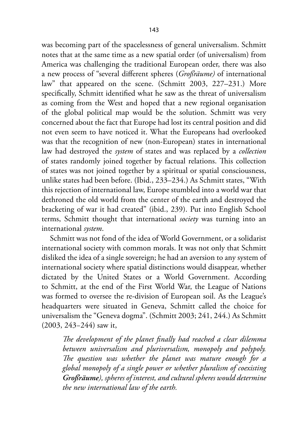was becoming part of the spacelessness of general universalism. Schmitt notes that at the same time as a new spatial order (of universalism) from America was challenging the traditional European order, there was also a new process of "several different spheres (*Großräume*) of international law" that appeared on the scene. (Schmitt 2003, 227–231.) More specifically, Schmitt identified what he saw as the threat of universalism as coming from the West and hoped that a new regional organisation of the global political map would be the solution. Schmitt was very concerned about the fact that Europe had lost its central position and did not even seem to have noticed it. What the Europeans had overlooked was that the recognition of new (non-European) states in international law had destroyed the *system* of states and was replaced by a *collection* of states randomly joined together by factual relations. This collection of states was not joined together by a spiritual or spatial consciousness, unlike states had been before. (Ibid., 233–234.) As Schmitt states, "With this rejection of international law, Europe stumbled into a world war that dethroned the old world from the center of the earth and destroyed the bracketing of war it had created" (ibid., 239). Put into English School terms, Schmitt thought that international *society* was turning into an international *system*.

Schmitt was not fond of the idea of World Government, or a solidarist international society with common morals. It was not only that Schmitt disliked the idea of a single sovereign; he had an aversion to any system of international society where spatial distinctions would disappear, whether dictated by the United States or a World Government. According to Schmitt, at the end of the First World War, the League of Nations was formed to oversee the re-division of European soil. As the League's headquarters were situated in Geneva, Schmitt called the choice for universalism the "Geneva dogma". (Schmitt 2003; 241, 244.) As Schmitt (2003, 243−244) saw it,

The development of the planet finally had reached a clear dilemma *between universalism and pluriversalism, monopoly and polypoly.*  The question was whether the planet was mature enough for a *global monopoly of a single power or whether pluralism of coexisting Großräume), spheres of interest, and cultural spheres would determine the new international law of the earth.*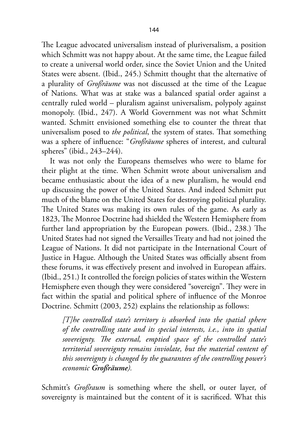The League advocated universalism instead of pluriversalism, a position which Schmitt was not happy about. At the same time, the League failed to create a universal world order, since the Soviet Union and the United States were absent. (Ibid., 245.) Schmitt thought that the alternative of a plurality of *Großräume* was not discussed at the time of the League of Nations. What was at stake was a balanced spatial order against a centrally ruled world – pluralism against universalism, polypoly against monopoly. (Ibid., 247). A World Government was not what Schmitt wanted. Schmitt envisioned something else to counter the threat that universalism posed to *the political*, the system of states. That something was a sphere of influence: "*Großräume* spheres of interest, and cultural spheres" (ibid., 243–244).

It was not only the Europeans themselves who were to blame for their plight at the time. When Schmitt wrote about universalism and became enthusiastic about the idea of a new pluralism, he would end up discussing the power of the United States. And indeed Schmitt put much of the blame on the United States for destroying political plurality. The United States was making its own rules of the game. As early as 1823, The Monroe Doctrine had shielded the Western Hemisphere from further land appropriation by the European powers. (Ibid., 238.) The United States had not signed the Versailles Treaty and had not joined the League of Nations. It did not participate in the International Court of Justice in Hague. Although the United States was officially absent from these forums, it was effectively present and involved in European affairs. (Ibid., 251.) It controlled the foreign policies of states within the Western Hemisphere even though they were considered "sovereign". They were in fact within the spatial and political sphere of influence of the Monroe Doctrine. Schmitt (2003, 252) explains the relationship as follows:

*[T]he controlled state's territory is absorbed into the spatial sphere of the controlling state and its special interests, i.e., into its spatial*  sovereignty. The external, emptied space of the controlled state's *territorial sovereignty remains inviolate, but the material content of this sovereignty is changed by the guarantees of the controlling power's economic Großräume).*

Schmitt's *Großraum* is something where the shell, or outer layer, of sovereignty is maintained but the content of it is sacrificed. What this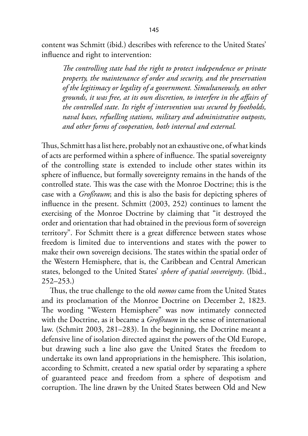content was Schmitt (ibid.) describes with reference to the United States' influence and right to intervention:

The controlling state had the right to protect independence or private *property, the maintenance of order and security, and the preservation of the legitimacy or legality of a government. Simultaneously, on other grounds, it was free, at its own discretion, to interfere in the affairs of the controlled state. Its right of intervention was secured by footholds, naval bases, refuelling stations, military and administrative outposts, and other forms of cooperation, both internal and external.*

Thus, Schmitt has a list here, probably not an exhaustive one, of what kinds of acts are performed within a sphere of influence. The spatial sovereignty of the controlling state is extended to include other states within its sphere of influence, but formally sovereignty remains in the hands of the controlled state. This was the case with the Monroe Doctrine; this is the case with a *Großraum*; and this is also the basis for depicting spheres of influence in the present. Schmitt (2003, 252) continues to lament the exercising of the Monroe Doctrine by claiming that "it destroyed the order and orientation that had obtained in the previous form of sovereign territory". For Schmitt there is a great difference between states whose freedom is limited due to interventions and states with the power to make their own sovereign decisions. The states within the spatial order of the Western Hemisphere, that is, the Caribbean and Central American states, belonged to the United States' *sphere of spatial sovereignty*. (Ibid., 252–253.)

Thus, the true challenge to the old *nomos* came from the United States and its proclamation of the Monroe Doctrine on December 2, 1823. The wording "Western Hemisphere" was now intimately connected with the Doctrine, as it became a *Großraum* in the sense of international law. (Schmitt 2003, 281–283). In the beginning, the Doctrine meant a defensive line of isolation directed against the powers of the Old Europe, but drawing such a line also gave the United States the freedom to undertake its own land appropriations in the hemisphere. This isolation, according to Schmitt, created a new spatial order by separating a sphere of guaranteed peace and freedom from a sphere of despotism and corruption. The line drawn by the United States between Old and New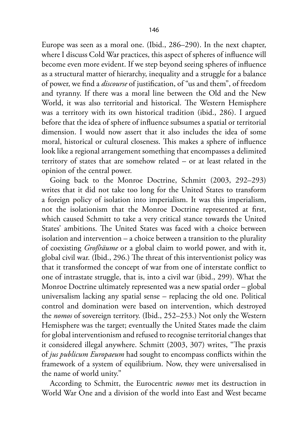Europe was seen as a moral one. (Ibid., 286–290). In the next chapter, where I discuss Cold War practices, this aspect of spheres of influence will become even more evident. If we step beyond seeing spheres of influence as a structural matter of hierarchy, inequality and a struggle for a balance of power, we find a *discourse* of justification, of "us and them", of freedom and tyranny. If there was a moral line between the Old and the New World, it was also territorial and historical. The Western Hemisphere was a territory with its own historical tradition (ibid., 286). I argued before that the idea of sphere of influence subsumes a spatial or territorial dimension. I would now assert that it also includes the idea of some moral, historical or cultural closeness. This makes a sphere of influence look like a regional arrangement something that encompasses a delimited territory of states that are somehow related – or at least related in the opinion of the central power.

Going back to the Monroe Doctrine, Schmitt (2003, 292–293) writes that it did not take too long for the United States to transform a foreign policy of isolation into imperialism. It was this imperialism, not the isolationism that the Monroe Doctrine represented at first, which caused Schmitt to take a very critical stance towards the United States' ambitions. The United States was faced with a choice between isolation and intervention – a choice between a transition to the plurality of coexisting *Großräume* or a global claim to world power, and with it, global civil war. (Ibid., 296.) The threat of this interventionist policy was that it transformed the concept of war from one of interstate conflict to one of intrastate struggle, that is, into a civil war (ibid., 299). What the Monroe Doctrine ultimately represented was a new spatial order – global universalism lacking any spatial sense – replacing the old one. Political control and domination were based on intervention, which destroyed the *nomos* of sovereign territory. (Ibid., 252–253.) Not only the Western Hemisphere was the target; eventually the United States made the claim for global interventionism and refused to recognise territorial changes that it considered illegal anywhere. Schmitt (2003, 307) writes, "The praxis of *jus publicum Europaeum* had sought to encompass conflicts within the framework of a system of equilibrium. Now, they were universalised in the name of world unity."

According to Schmitt, the Eurocentric *nomos* met its destruction in World War One and a division of the world into East and West became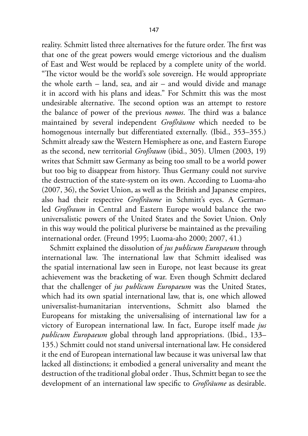reality. Schmitt listed three alternatives for the future order. The first was that one of the great powers would emerge victorious and the dualism of East and West would be replaced by a complete unity of the world.

"The victor would be the world's sole sovereign. He would appropriate the whole earth – land, sea, and air – and would divide and manage it in accord with his plans and ideas." For Schmitt this was the most undesirable alternative. The second option was an attempt to restore the balance of power of the previous *nomos*. The third was a balance maintained by several independent *Großräume* which needed to be homogenous internally but differentiated externally. (Ibid., 353–355.) Schmitt already saw the Western Hemisphere as one, and Eastern Europe as the second, new territorial *Großraum* (ibid., 305). Ulmen (2003, 19) writes that Schmitt saw Germany as being too small to be a world power but too big to disappear from history. Thus Germany could not survive the destruction of the state-system on its own. According to Luoma-aho (2007, 36), the Soviet Union, as well as the British and Japanese empires, also had their respective *Großräume* in Schmitt's eyes. A Germanled *Großraum* in Central and Eastern Europe would balance the two universalistic powers of the United States and the Soviet Union. Only in this way would the political pluriverse be maintained as the prevailing international order. (Freund 1995; Luoma-aho 2000; 2007, 41.)

Schmitt explained the dissolution of *jus publicum Europaeum* through international law. The international law that Schmitt idealised was the spatial international law seen in Europe, not least because its great achievement was the bracketing of war. Even though Schmitt declared that the challenger of *jus publicum Europaeum* was the United States, which had its own spatial international law, that is, one which allowed universalist-humanitarian interventions, Schmitt also blamed the Europeans for mistaking the universalising of international law for a victory of European international law. In fact, Europe itself made *jus publicum Europaeum* global through land appropriations. (Ibid., 133– 135.) Schmitt could not stand universal international law. He considered it the end of European international law because it was universal law that lacked all distinctions; it embodied a general universality and meant the destruction of the traditional global order . Thus, Schmitt began to see the development of an international law specific to *Großräume* as desirable.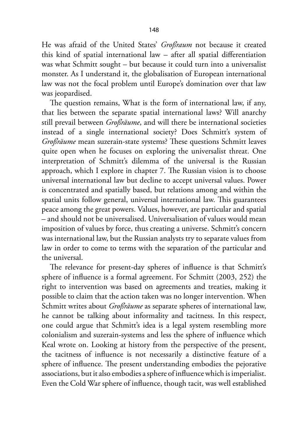He was afraid of the United States' *Großraum* not because it created this kind of spatial international law  $-$  after all spatial differentiation was what Schmitt sought – but because it could turn into a universalist monster. As I understand it, the globalisation of European international law was not the focal problem until Europe's domination over that law was jeopardised.

The question remains, What is the form of international law, if any, that lies between the separate spatial international laws? Will anarchy still prevail between *Großräume*, and will there be international societies instead of a single international society? Does Schmitt's system of *Großräume* mean suzerain-state systems? These questions Schmitt leaves quite open when he focuses on exploring the universalist threat. One interpretation of Schmitt's dilemma of the universal is the Russian approach, which I explore in chapter 7. The Russian vision is to choose universal international law but decline to accept universal values. Power is concentrated and spatially based, but relations among and within the spatial units follow general, universal international law. This guarantees peace among the great powers. Values, however, are particular and spatial – and should not be universalised. Universalisation of values would mean imposition of values by force, thus creating a universe. Schmitt's concern was international law, but the Russian analysts try to separate values from law in order to come to terms with the separation of the particular and the universal.

The relevance for present-day spheres of influence is that Schmitt's sphere of influence is a formal agreement. For Schmitt (2003, 252) the right to intervention was based on agreements and treaties, making it possible to claim that the action taken was no longer intervention. When Schmitt writes about *Großräume* as separate spheres of international law, he cannot be talking about informality and tacitness. In this respect, one could argue that Schmitt's idea is a legal system resembling more colonialism and suzerain-systems and less the sphere of influence which Keal wrote on. Looking at history from the perspective of the present, the tacitness of influence is not necessarily a distinctive feature of a sphere of influence. The present understanding embodies the pejorative associations, but it also embodies a sphere of influence which is imperialist. Even the Cold War sphere of influence, though tacit, was well established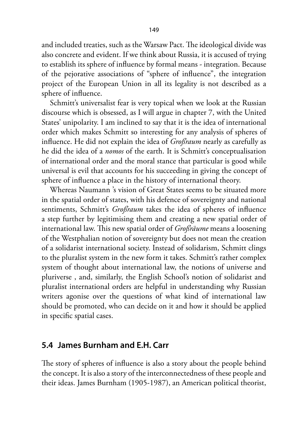and included treaties, such as the Warsaw Pact. The ideological divide was also concrete and evident. If we think about Russia, it is accused of trying to establish its sphere of influence by formal means - integration. Because of the pejorative associations of "sphere of influence", the integration project of the European Union in all its legality is not described as a sphere of influence.

Schmitt's universalist fear is very topical when we look at the Russian discourse which is obsessed, as I will argue in chapter 7, with the United States' unipolarity. I am inclined to say that it is the idea of international order which makes Schmitt so interesting for any analysis of spheres of influence. He did not explain the idea of *Großraum* nearly as carefully as he did the idea of a *nomos* of the earth. It is Schmitt's conceptualisation of international order and the moral stance that particular is good while universal is evil that accounts for his succeeding in giving the concept of sphere of influence a place in the history of international theory.

Whereas Naumann 's vision of Great States seems to be situated more in the spatial order of states, with his defence of sovereignty and national sentiments, Schmitt's *Großraum* takes the idea of spheres of influence a step further by legitimising them and creating a new spatial order of international law. This new spatial order of *Großräume* means a loosening of the Westphalian notion of sovereignty but does not mean the creation of a solidarist international society. Instead of solidarism, Schmitt clings to the pluralist system in the new form it takes. Schmitt's rather complex system of thought about international law, the notions of universe and pluriverse , and, similarly, the English School's notion of solidarist and pluralist international orders are helpful in understanding why Russian writers agonise over the questions of what kind of international law should be promoted, who can decide on it and how it should be applied in specific spatial cases.

### **5.4 James Burnham and E.H. Carr**

The story of spheres of influence is also a story about the people behind the concept. It is also a story of the interconnectedness of these people and their ideas. James Burnham (1905-1987), an American political theorist,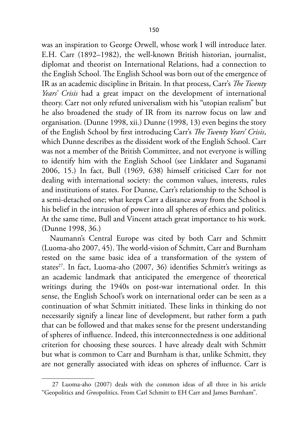was an inspiration to George Orwell, whose work I will introduce later. E.H. Carr (1892–1982), the well-known British historian, journalist, diplomat and theorist on International Relations, had a connection to the English School. The English School was born out of the emergence of IR as an academic discipline in Britain. In that process, Carr's *The Twenty Years' Crisis* had a great impact on the development of international theory. Carr not only refuted universalism with his "utopian realism" but he also broadened the study of IR from its narrow focus on law and organisation. (Dunne 1998, xii.) Dunne (1998, 13) even begins the story of the English School by first introducing Carr's *The Twenty Years' Crisis*, which Dunne describes as the dissident work of the English School. Carr was not a member of the British Committee, and not everyone is willing to identify him with the English School (see Linklater and Suganami 2006, 15.) In fact, Bull (1969, 638) himself criticised Carr for not dealing with international society: the common values, interests, rules and institutions of states. For Dunne, Carr's relationship to the School is a semi-detached one; what keeps Carr a distance away from the School is his belief in the intrusion of power into all spheres of ethics and politics. At the same time, Bull and Vincent attach great importance to his work. (Dunne 1998, 36.)

Naumann's Central Europe was cited by both Carr and Schmitt (Luoma-aho 2007, 45). The world-vision of Schmitt, Carr and Burnham rested on the same basic idea of a transformation of the system of states<sup>27</sup>. In fact, Luoma-aho (2007, 36) identifies Schmitt's writings as an academic landmark that anticipated the emergence of theoretical writings during the 1940s on post-war international order. In this sense, the English School's work on international order can be seen as a continuation of what Schmitt initiated. These links in thinking do not necessarily signify a linear line of development, but rather form a path that can be followed and that makes sense for the present understanding of spheres of influence. Indeed, this interconnectedness is one additional criterion for choosing these sources. I have already dealt with Schmitt but what is common to Carr and Burnham is that, unlike Schmitt, they are not generally associated with ideas on spheres of influence. Carr is

<sup>27</sup> Luoma-aho (2007) deals with the common ideas of all three in his article "Geopolitics and *Gross*politics. From Carl Schmitt to EH Carr and James Burnham".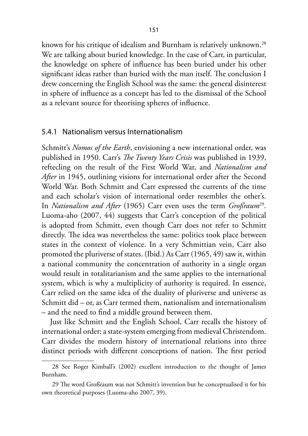known for his critique of idealism and Burnham is relatively unknown.<sup>28</sup> We are talking about buried knowledge. In the case of Carr, in particular, the knowledge on sphere of influence has been buried under his other significant ideas rather than buried with the man itself. The conclusion I drew concerning the English School was the same: the general disinterest in sphere of influence as a concept has led to the dismissal of the School as a relevant source for theorising spheres of influence.

#### 5.4.1 Nationalism versus Internationalism

Schmitt's *Nomos of the Earth*, envisioning a new international order, was published in 1950. Carr's *The Twenty Years Crisis* was published in 1939, reftecling on the result of the First World War, and *Nationalism and After* in 1945, outlining visions for international order after the Second World War. Both Schmitt and Carr expressed the currents of the time and each scholar's vision of international order resembles the other's. In *Nationalism and After* (1965) Carr even uses the term *Großraum*29. Luoma-aho (2007, 44) suggests that Carr's conception of the political is adopted from Schmitt, even though Carr does not refer to Schmitt directly. The idea was nevertheless the same: politics took place between states in the context of violence. In a very Schmittian vein, Carr also promoted the pluriverse of states. (Ibid.) As Carr (1965, 49) saw it, within a national community the concentration of authority in a single organ would result in totalitarianism and the same applies to the international system, which is why a multiplicity of authority is required. In essence, Carr relied on the same idea of the duality of pluriverse and universe as Schmitt did – or, as Carr termed them, nationalism and internationalism – and the need to find a middle ground between them.

Just like Schmitt and the English School, Carr recalls the history of international order: a state-system emerging from medieval Christendom. Carr divides the modern history of international relations into three distinct periods with different conceptions of nation. The first period

<sup>28</sup> See Roger Kimball's (2002) excellent introduction to the thought of James Burnham.

<sup>29</sup> The word Großraum was not Schmitt's invention but he conceptualised it for his own theoretical purposes (Luoma-aho 2007, 39).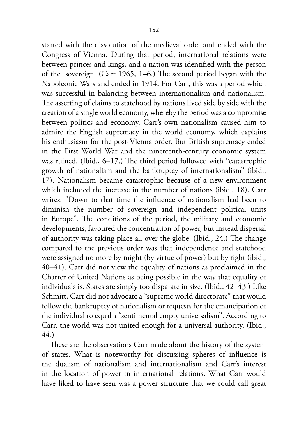started with the dissolution of the medieval order and ended with the Congress of Vienna. During that period, international relations were between princes and kings, and a nation was identified with the person of the sovereign. (Carr 1965, 1–6.) The second period began with the Napoleonic Wars and ended in 1914. For Carr, this was a period which was successful in balancing between internationalism and nationalism. The asserting of claims to statehood by nations lived side by side with the creation of a single world economy, whereby the period was a compromise between politics and economy. Carr's own nationalism caused him to admire the English supremacy in the world economy, which explains his enthusiasm for the post-Vienna order. But British supremacy ended in the First World War and the nineteenth-century economic system was ruined. (Ibid.,  $6-17$ .) The third period followed with "catastrophic growth of nationalism and the bankruptcy of internationalism" (ibid., 17). Nationalism became catastrophic because of a new environment which included the increase in the number of nations (ibid., 18). Carr writes, "Down to that time the influence of nationalism had been to diminish the number of sovereign and independent political units in Europe". The conditions of the period, the military and economic developments, favoured the concentration of power, but instead dispersal of authority was taking place all over the globe. (Ibid.,  $24$ .) The change compared to the previous order was that independence and statehood were assigned no more by might (by virtue of power) but by right (ibid., 40–41). Carr did not view the equality of nations as proclaimed in the Charter of United Nations as being possible in the way that equality of individuals is. States are simply too disparate in size. (Ibid., 42–43.) Like Schmitt, Carr did not advocate a "supreme world directorate" that would follow the bankruptcy of nationalism or requests for the emancipation of the individual to equal a "sentimental empty universalism". According to Carr, the world was not united enough for a universal authority. (Ibid., 44.)

These are the observations Carr made about the history of the system of states. What is noteworthy for discussing spheres of influence is the dualism of nationalism and internationalism and Carr's interest in the location of power in international relations. What Carr would have liked to have seen was a power structure that we could call great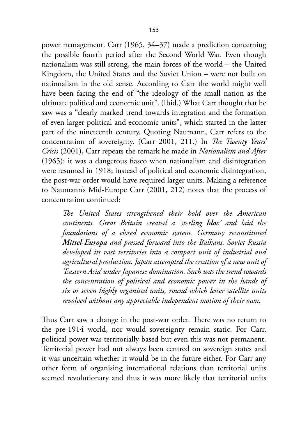power management. Carr (1965, 34–37) made a prediction concerning the possible fourth period after the Second World War. Even though nationalism was still strong, the main forces of the world – the United Kingdom, the United States and the Soviet Union – were not built on nationalism in the old sense. According to Carr the world might well have been facing the end of "the ideology of the small nation as the ultimate political and economic unit". (Ibid.) What Carr thought that he saw was a "clearly marked trend towards integration and the formation of even larger political and economic units", which started in the latter part of the nineteenth century. Quoting Naumann, Carr refers to the concentration of sovereignty. (Carr 2001, 211.) In *The Twenty Years' Crisis* (2001), Carr repeats the remark he made in *Nationalism and After*   $(1965)$ : it was a dangerous fiasco when nationalism and disintegration were resumed in 1918; instead of political and economic disintegration, the post-war order would have required larger units. Making a reference to Naumann's Mid-Europe Carr (2001, 212) notes that the process of concentration continued:

The United States strengthened their hold over the American *continents. Great Britain created a 'sterling bloc' and laid the foundations of a closed economic system. Germany reconstituted Mittel-Europa and pressed forward into the Balkans. Soviet Russia developed its vast territories into a compact unit of industrial and agricultural production. Japan attempted the creation of a new unit of 'Eastern Asia' under Japanese domination. Such was the trend towards the concentration of political and economic power in the hands of six or seven highly organised units, round which lesser satellite units revolved without any appreciable independent motion of their own.*

Thus Carr saw a change in the post-war order. There was no return to the pre-1914 world, nor would sovereignty remain static. For Carr, political power was territorially based but even this was not permanent. Territorial power had not always been centred on sovereign states and it was uncertain whether it would be in the future either. For Carr any other form of organising international relations than territorial units seemed revolutionary and thus it was more likely that territorial units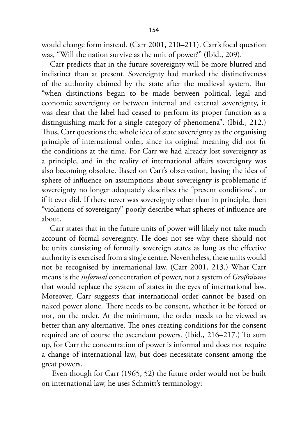would change form instead. (Carr 2001, 210–211). Carr's focal question was, "Will the nation survive as the unit of power?" (Ibid., 209).

Carr predicts that in the future sovereignty will be more blurred and indistinct than at present. Sovereignty had marked the distinctiveness of the authority claimed by the state after the medieval system. But "when distinctions began to be made between political, legal and economic sovereignty or between internal and external sovereignty, it was clear that the label had ceased to perform its proper function as a distinguishing mark for a single category of phenomena". (Ibid., 212.) Thus, Carr questions the whole idea of state sovereignty as the organising principle of international order, since its original meaning did not fit the conditions at the time. For Carr we had already lost sovereignty as a principle, and in the reality of international affairs sovereignty was also becoming obsolete. Based on Carr's observation, basing the idea of sphere of influence on assumptions about sovereignty is problematic if sovereignty no longer adequately describes the "present conditions", or if it ever did. If there never was sovereignty other than in principle, then "violations of sovereignty" poorly describe what spheres of influence are about.

Carr states that in the future units of power will likely not take much account of formal sovereignty. He does not see why there should not be units consisting of formally sovereign states as long as the effective authority is exercised from a single centre. Nevertheless, these units would not be recognised by international law. (Carr 2001, 213.) What Carr means is the *informal* concentration of power, not a system of *Großräume* that would replace the system of states in the eyes of international law. Moreover, Carr suggests that international order cannot be based on naked power alone. There needs to be consent, whether it be forced or not, on the order. At the minimum, the order needs to be viewed as better than any alternative. The ones creating conditions for the consent required are of course the ascendant powers. (Ibid., 216–217.) To sum up, for Carr the concentration of power is informal and does not require a change of international law, but does necessitate consent among the great powers.

 Even though for Carr (1965, 52) the future order would not be built on international law, he uses Schmitt's terminology: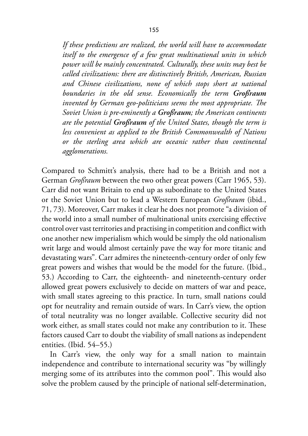*If these predictions are realized, the world will have to accommodate itself to the emergence of a few great multinational units in which power will be mainly concentrated. Culturally, these units may best be called civilizations: there are distinctively British, American, Russian and Chinese civilizations, none of which stops short at national boundaries in the old sense. Economically the term Großraum invented by German geo-politicians seems the most appropriate. The Soviet Union is pre-eminently a Großraum; the American continents are the potential Großraum of the United States, though the term is less convenient as applied to the British Commonwealth of Nations or the sterling area which are oceanic rather than continental agglomerations.*

Compared to Schmitt's analysis, there had to be a British and not a German *Großraum* between the two other great powers (Carr 1965, 53). Carr did not want Britain to end up as subordinate to the United States or the Soviet Union but to lead a Western European *Großraum* (ibid., 71, 73). Moreover, Carr makes it clear he does not promote "a division of the world into a small number of multinational units exercising effective control over vast territories and practising in competition and conflict with one another new imperialism which would be simply the old nationalism writ large and would almost certainly pave the way for more titanic and devastating wars". Carr admires the nineteenth-century order of only few great powers and wishes that would be the model for the future. (Ibid., 53.) According to Carr, the eighteenth- and nineteenth-century order allowed great powers exclusively to decide on matters of war and peace, with small states agreeing to this practice. In turn, small nations could opt for neutrality and remain outside of wars. In Carr's view, the option of total neutrality was no longer available. Collective security did not work either, as small states could not make any contribution to it. These factors caused Carr to doubt the viability of small nations as independent entities. (Ibid. 54–55.)

In Carr's view, the only way for a small nation to maintain independence and contribute to international security was "by willingly merging some of its attributes into the common pool". This would also solve the problem caused by the principle of national self-determination,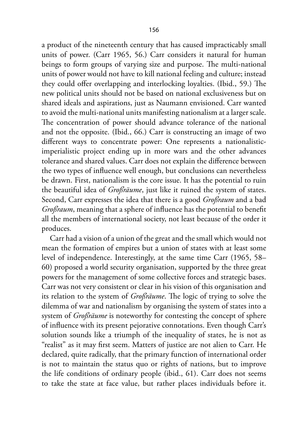a product of the nineteenth century that has caused impracticably small units of power. (Carr 1965, 56.) Carr considers it natural for human beings to form groups of varying size and purpose. The multi-national units of power would not have to kill national feeling and culture; instead they could offer overlapping and interlocking loyalties. (Ibid., 59.) The new political units should not be based on national exclusiveness but on shared ideals and aspirations, just as Naumann envisioned. Carr wanted to avoid the multi-national units manifesting nationalism at a larger scale. The concentration of power should advance tolerance of the national and not the opposite. (Ibid., 66.) Carr is constructing an image of two different ways to concentrate power: One represents a nationalisticimperialistic project ending up in more wars and the other advances tolerance and shared values. Carr does not explain the difference between the two types of influence well enough, but conclusions can nevertheless be drawn. First, nationalism is the core issue. It has the potential to ruin the beautiful idea of *Großräume*, just like it ruined the system of states. Second, Carr expresses the idea that there is a good *Großraum* and a bad *Großraum*, meaning that a sphere of influence has the potential to benefit all the members of international society, not least because of the order it produces.

Carr had a vision of a union of the great and the small which would not mean the formation of empires but a union of states with at least some level of independence. Interestingly, at the same time Carr (1965, 58– 60) proposed a world security organisation, supported by the three great powers for the management of some collective forces and strategic bases. Carr was not very consistent or clear in his vision of this organisation and its relation to the system of *Großräume*. The logic of trying to solve the dilemma of war and nationalism by organising the system of states into a system of *Großräume* is noteworthy for contesting the concept of sphere of influence with its present pejorative connotations. Even though Carr's solution sounds like a triumph of the inequality of states, he is not as "realist" as it may first seem. Matters of justice are not alien to Carr. He declared, quite radically, that the primary function of international order is not to maintain the status quo or rights of nations, but to improve the life conditions of ordinary people (ibid., 61). Carr does not seems to take the state at face value, but rather places individuals before it.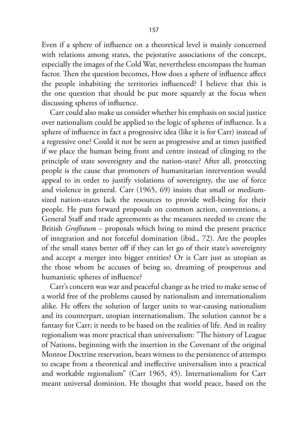Even if a sphere of influence on a theoretical level is mainly concerned with relations among states, the pejorative associations of the concept, especially the images of the Cold War, nevertheless encompass the human factor. Then the question becomes, How does a sphere of influence affect the people inhabiting the territories influenced? I believe that this is the one question that should be put more squarely at the focus when discussing spheres of influence.

Carr could also make us consider whether his emphasis on social justice over nationalism could be applied to the logic of spheres of influence. Is a sphere of influence in fact a progressive idea (like it is for Carr) instead of a regressive one? Could it not be seen as progressive and at times justified if we place the human being front and centre instead of clinging to the principle of state sovereignty and the nation-state? After all, protecting people is the cause that promoters of humanitarian intervention would appeal to in order to justify violations of sovereignty, the use of force and violence in general. Carr (1965, 69) insists that small or mediumsized nation-states lack the resources to provide well-being for their people. He puts forward proposals on common action, conventions, a General Staff and trade agreements as the measures needed to create the British *Großraum* – proposals which bring to mind the present practice of integration and not forceful domination (ibid., 72). Are the peoples of the small states better off if they can let go of their state's sovereignty and accept a merger into bigger entities? Or is Carr just as utopian as the those whom he accuses of being so, dreaming of prosperous and humanistic spheres of influence?

Carr's concern was war and peaceful change as he tried to make sense of a world free of the problems caused by nationalism and internationalism alike. He offers the solution of larger units to war-causing nationalism and its counterpart, utopian internationalism. The solution cannot be a fantasy for Carr; it needs to be based on the realities of life. And in reality regionalism was more practical than universalism: "The history of League of Nations, beginning with the insertion in the Covenant of the original Monroe Doctrine reservation, bears witness to the persistence of attempts to escape from a theoretical and ineffective universalism into a practical and workable regionalism" (Carr 1965, 45). Internationalism for Carr meant universal dominion. He thought that world peace, based on the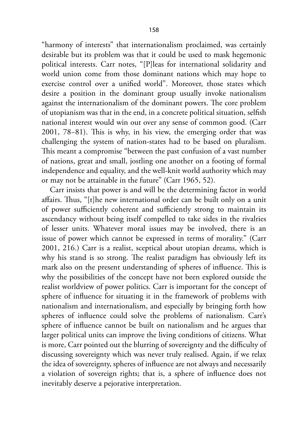"harmony of interests" that internationalism proclaimed, was certainly desirable but its problem was that it could be used to mask hegemonic political interests. Carr notes, "[P]leas for international solidarity and world union come from those dominant nations which may hope to exercise control over a unified world". Moreover, those states which desire a position in the dominant group usually invoke nationalism against the internationalism of the dominant powers. The core problem of utopianism was that in the end, in a concrete political situation, selfish national interest would win out over any sense of common good. (Carr 2001, 78-81). This is why, in his view, the emerging order that was challenging the system of nation-states had to be based on pluralism. This meant a compromise "between the past confusion of a vast number of nations, great and small, jostling one another on a footing of formal independence and equality, and the well-knit world authority which may or may not be attainable in the future" (Carr 1965, 52).

Carr insists that power is and will be the determining factor in world affairs. Thus, "[t]he new international order can be built only on a unit of power sufficiently coherent and sufficiently strong to maintain its ascendancy without being itself compelled to take sides in the rivalries of lesser units. Whatever moral issues may be involved, there is an issue of power which cannot be expressed in terms of morality." (Carr 2001, 216.) Carr is a realist, sceptical about utopian dreams, which is why his stand is so strong. The realist paradigm has obviously left its mark also on the present understanding of spheres of influence. This is why the possibilities of the concept have not been explored outside the realist worldview of power politics. Carr is important for the concept of sphere of influence for situating it in the framework of problems with nationalism and internationalism, and especially by bringing forth how spheres of influence could solve the problems of nationalism. Carr's sphere of influence cannot be built on nationalism and he argues that larger political units can improve the living conditions of citizens. What is more, Carr pointed out the blurring of sovereignty and the difficulty of discussing sovereignty which was never truly realised. Again, if we relax the idea of sovereignty, spheres of influence are not always and necessarily a violation of sovereign rights; that is, a sphere of influence does not inevitably deserve a pejorative interpretation.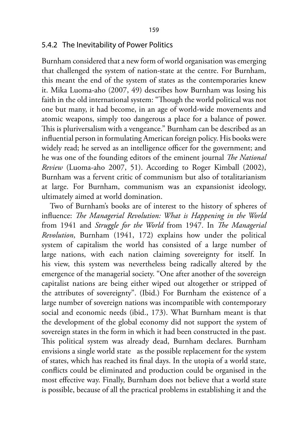#### 5.4.2 The Inevitability of Power Politics

Burnham considered that a new form of world organisation was emerging that challenged the system of nation-state at the centre. For Burnham, this meant the end of the system of states as the contemporaries knew it. Mika Luoma-aho (2007, 49) describes how Burnham was losing his faith in the old international system: "Though the world political was not one but many, it had become, in an age of world-wide movements and atomic weapons, simply too dangerous a place for a balance of power. This is pluriversalism with a vengeance." Burnham can be described as an influential person in formulating American foreign policy. His books were widely read; he served as an intelligence officer for the government; and he was one of the founding editors of the eminent journal *The National Review* (Luoma-aho 2007, 51). According to Roger Kimball (2002), Burnham was a fervent critic of communism but also of totalitarianism at large. For Burnham, communism was an expansionist ideology, ultimately aimed at world domination.

Two of Burnham's books are of interest to the history of spheres of influence: *The Managerial Revolution: What is Happening in the World* from 1941 and *Struggle for the World* from 1947. In *The Managerial Revolution*, Burnham (1941, 172) explains how under the political system of capitalism the world has consisted of a large number of large nations, with each nation claiming sovereignty for itself. In his view, this system was nevertheless being radically altered by the emergence of the managerial society. "One after another of the sovereign capitalist nations are being either wiped out altogether or stripped of the attributes of sovereignty". (Ibid.) For Burnham the existence of a large number of sovereign nations was incompatible with contemporary social and economic needs (ibid., 173). What Burnham meant is that the development of the global economy did not support the system of sovereign states in the form in which it had been constructed in the past. This political system was already dead, Burnham declares. Burnham envisions a single world state as the possible replacement for the system of states, which has reached its final days. In the utopia of a world state, conflicts could be eliminated and production could be organised in the most effective way. Finally, Burnham does not believe that a world state is possible, because of all the practical problems in establishing it and the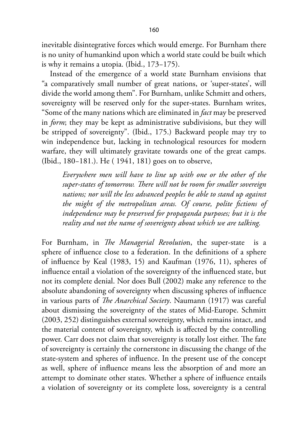inevitable disintegrative forces which would emerge. For Burnham there is no unity of humankind upon which a world state could be built which is why it remains a utopia. (Ibid., 173−175).

Instead of the emergence of a world state Burnham envisions that "a comparatively small number of great nations, or 'super-states', will divide the world among them". For Burnham, unlike Schmitt and others, sovereignty will be reserved only for the super-states. Burnham writes, "Some of the many nations which are eliminated in *fact* may be preserved in *form*; they may be kept as administrative subdivisions, but they will be stripped of sovereignty". (Ibid., 175.) Backward people may try to win independence but, lacking in technological resources for modern warfare, they will ultimately gravitate towards one of the great camps. (Ibid., 180−181.). He ( 1941, 181) goes on to observe,

*Everywhere men will have to line up with one or the other of the super-states of tomorrow. Th ere will not be room for smaller sovereign nations; nor will the less advanced peoples be able to stand up against*  the might of the metropolitan areas. Of course, polite fictions of *independence may be preserved for propaganda purposes; but it is the reality and not the name of sovereignty about which we are talking.*

For Burnham, in *The Managerial Revolution*, the super-state is a sphere of influence close to a federation. In the definitions of a sphere of influence by Keal (1983, 15) and Kaufman (1976, 11), spheres of influence entail a violation of the sovereignty of the influenced state, but not its complete denial. Nor does Bull (2002) make any reference to the absolute abandoning of sovereignty when discussing spheres of influence in various parts of *The Anarchical Society*. Naumann (1917) was careful about dismissing the sovereignty of the states of Mid-Europe. Schmitt (2003, 252) distinguishes external sovereignty, which remains intact, and the material content of sovereignty, which is affected by the controlling power. Carr does not claim that sovereignty is totally lost either. The fate of sovereignty is certainly the cornerstone in discussing the change of the state-system and spheres of influence. In the present use of the concept as well, sphere of influence means less the absorption of and more an attempt to dominate other states. Whether a sphere of influence entails a violation of sovereignty or its complete loss, sovereignty is a central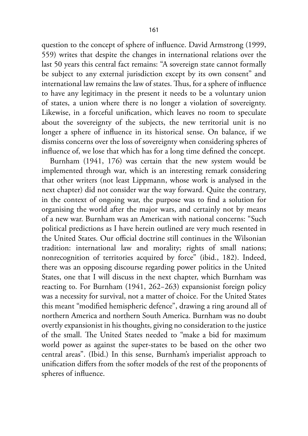question to the concept of sphere of influence. David Armstrong (1999, 559) writes that despite the changes in international relations over the last 50 years this central fact remains: "A sovereign state cannot formally be subject to any external jurisdiction except by its own consent" and international law remains the law of states. Thus, for a sphere of influence to have any legitimacy in the present it needs to be a voluntary union of states, a union where there is no longer a violation of sovereignty. Likewise, in a forceful unification, which leaves no room to speculate about the sovereignty of the subjects, the new territorial unit is no longer a sphere of influence in its historical sense. On balance, if we dismiss concerns over the loss of sovereignty when considering spheres of influence of, we lose that which has for a long time defined the concept.

Burnham (1941, 176) was certain that the new system would be implemented through war, which is an interesting remark considering that other writers (not least Lippmann, whose work is analysed in the next chapter) did not consider war the way forward. Quite the contrary, in the context of ongoing war, the purpose was to find a solution for organising the world after the major wars, and certainly not by means of a new war. Burnham was an American with national concerns: "Such political predictions as I have herein outlined are very much resented in the United States. Our official doctrine still continues in the Wilsonian tradition: international law and morality; rights of small nations; nonrecognition of territories acquired by force" (ibid., 182). Indeed, there was an opposing discourse regarding power politics in the United States, one that I will discuss in the next chapter, which Burnham was reacting to. For Burnham (1941, 262−263) expansionist foreign policy was a necessity for survival, not a matter of choice. For the United States this meant "modified hemispheric defence", drawing a ring around all of northern America and northern South America. Burnham was no doubt overtly expansionist in his thoughts, giving no consideration to the justice of the small. The United States needed to "make a bid for maximum world power as against the super-states to be based on the other two central areas". (Ibid.) In this sense, Burnham's imperialist approach to unification differs from the softer models of the rest of the proponents of spheres of influence.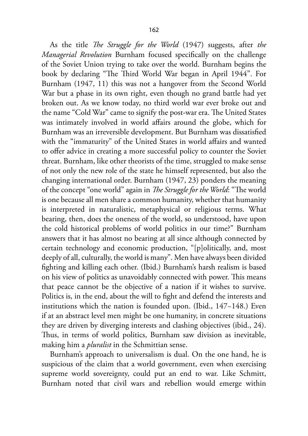As the title *The Struggle for the World* (1947) suggests, after *the Managerial Revolution* Burnham focused specifically on the challenge of the Soviet Union trying to take over the world. Burnham begins the book by declaring "The Third World War began in April 1944". For Burnham (1947, 11) this was not a hangover from the Second World War but a phase in its own right, even though no grand battle had yet broken out. As we know today, no third world war ever broke out and the name "Cold War" came to signify the post-war era. The United States was intimately involved in world affairs around the globe, which for Burnham was an irreversible development. But Burnham was dissatisfied with the "immaturity" of the United States in world affairs and wanted to offer advice in creating a more successful policy to counter the Soviet threat. Burnham, like other theorists of the time, struggled to make sense of not only the new role of the state he himself represented, but also the changing international order. Burnham (1947, 23) ponders the meaning of the concept "one world" again in *The Struggle for the World*: "The world is one because all men share a common humanity, whether that humanity is interpreted in naturalistic, metaphysical or religious terms. What bearing, then, does the oneness of the world, so understood, have upon the cold historical problems of world politics in our time?" Burnham answers that it has almost no bearing at all since although connected by certain technology and economic production, "[p]olitically, and, most deeply of all, culturally, the world is many". Men have always been divided fighting and killing each other. (Ibid.) Burnham's harsh realism is based on his view of politics as unavoidably connected with power. This means that peace cannot be the objective of a nation if it wishes to survive. Politics is, in the end, about the will to fight and defend the interests and institutions which the nation is founded upon. (Ibid., 147−148.) Even if at an abstract level men might be one humanity, in concrete situations they are driven by diverging interests and clashing objectives (ibid., 24). Thus, in terms of world politics, Burnham saw division as inevitable, making him a *pluralist* in the Schmittian sense.

Burnham's approach to universalism is dual. On the one hand, he is suspicious of the claim that a world government, even when exercising supreme world sovereignty, could put an end to war. Like Schmitt, Burnham noted that civil wars and rebellion would emerge within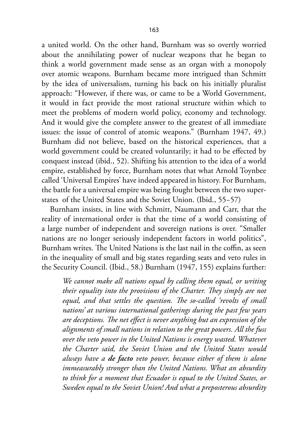a united world. On the other hand, Burnham was so overtly worried about the annihilating power of nuclear weapons that he began to think a world government made sense as an organ with a monopoly over atomic weapons. Burnham became more intrigued than Schmitt by the idea of universalism, turning his back on his initially pluralist approach: "However, if there was, or came to be a World Government, it would in fact provide the most rational structure within which to meet the problems of modern world policy, economy and technology. And it would give the complete answer to the greatest of all immediate issues: the issue of control of atomic weapons." (Burnham 1947, 49.) Burnham did not believe, based on the historical experiences, that a world government could be created voluntarily; it had to be effected by conquest instead (ibid., 52). Shifting his attention to the idea of a world empire, established by force, Burnham notes that what Arnold Toynbee called 'Universal Empires' have indeed appeared in history. For Burnham, the battle for a universal empire was being fought between the two superstates of the United States and the Soviet Union. (Ibid., 55−57)

Burnham insists, in line with Schmitt, Naumann and Carr, that the reality of international order is that the time of a world consisting of a large number of independent and sovereign nations is over. "Smaller nations are no longer seriously independent factors in world politics", Burnham writes. The United Nations is the last nail in the coffin, as seen in the inequality of small and big states regarding seats and veto rules in the Security Council. (Ibid., 58.) Burnham (1947, 155) explains further:

*We cannot make all nations equal by calling them equal, or writing their equality into the provisions of the Charter. They simply are not* equal, and that settles the question. The so-called 'revolts of small *nations' at various international gatherings during the past few years*  are deceptions. The net effect is never anything but an expression of the *alignments of small nations in relation to the great powers. All the fuss over the veto power in the United Nations is energy wasted. Whatever the Charter said, the Soviet Union and the United States would always have a de facto veto power, because either of them is alone immeasurably stronger than the United Nations. What an absurdity to think for a moment that Ecuador is equal to the United States, or Sweden equal to the Soviet Union! And what a preposterous absurdity*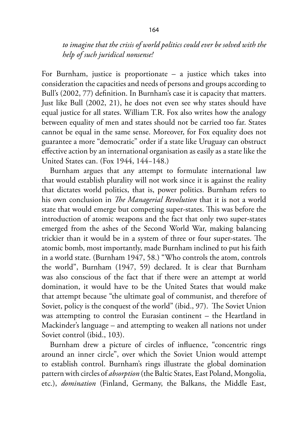*to imagine that the crisis of world politics could ever be solved with the help of such juridical nonsense!*

For Burnham, justice is proportionate – a justice which takes into consideration the capacities and needs of persons and groups according to Bull's (2002, 77) definition. In Burnham's case it is capacity that matters. Just like Bull (2002, 21), he does not even see why states should have equal justice for all states. William T.R. Fox also writes how the analogy between equality of men and states should not be carried too far. States cannot be equal in the same sense. Moreover, for Fox equality does not guarantee a more "democratic" order if a state like Uruguay can obstruct effective action by an international organisation as easily as a state like the United States can. (Fox 1944, 144−148.)

Burnham argues that any attempt to formulate international law that would establish plurality will not work since it is against the reality that dictates world politics, that is, power politics. Burnham refers to his own conclusion in *The Managerial Revolution* that it is not a world state that would emerge but competing super-states. This was before the introduction of atomic weapons and the fact that only two super-states emerged from the ashes of the Second World War, making balancing trickier than it would be in a system of three or four super-states. The atomic bomb, most importantly, made Burnham inclined to put his faith in a world state. (Burnham 1947, 58.) "Who controls the atom, controls the world", Burnham (1947, 59) declared. It is clear that Burnham was also conscious of the fact that if there were an attempt at world domination, it would have to be the United States that would make that attempt because "the ultimate goal of communist, and therefore of Soviet, policy is the conquest of the world" (ibid., 97). The Soviet Union was attempting to control the Eurasian continent – the Heartland in Mackinder's language – and attempting to weaken all nations not under Soviet control (ibid., 103).

Burnham drew a picture of circles of influence, "concentric rings around an inner circle", over which the Soviet Union would attempt to establish control. Burnham's rings illustrate the global domination pattern with circles of *absorption* (the Baltic States, East Poland, Mongolia, etc.), *domination* (Finland, Germany, the Balkans, the Middle East,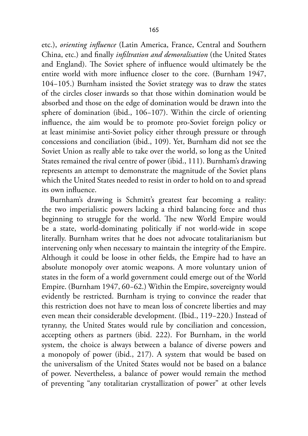etc.), *orienting influence* (Latin America, France, Central and Southern China, etc.) and finally *infiltration and demoralisation* (the United States and England). The Soviet sphere of influence would ultimately be the entire world with more influence closer to the core. (Burnham 1947, 104−105.) Burnham insisted the Soviet strategy was to draw the states of the circles closer inwards so that those within domination would be absorbed and those on the edge of domination would be drawn into the sphere of domination (ibid., 106−107). Within the circle of orienting influence, the aim would be to promote pro-Soviet foreign policy or at least minimise anti-Soviet policy either through pressure or through concessions and conciliation (ibid., 109). Yet, Burnham did not see the Soviet Union as really able to take over the world, so long as the United States remained the rival centre of power (ibid., 111). Burnham's drawing represents an attempt to demonstrate the magnitude of the Soviet plans which the United States needed to resist in order to hold on to and spread its own influence.

Burnham's drawing is Schmitt's greatest fear becoming a reality: the two imperialistic powers lacking a third balancing force and thus beginning to struggle for the world. The new World Empire would be a state, world-dominating politically if not world-wide in scope literally. Burnham writes that he does not advocate totalitarianism but intervening only when necessary to maintain the integrity of the Empire. Although it could be loose in other fields, the Empire had to have an absolute monopoly over atomic weapons. A more voluntary union of states in the form of a world government could emerge out of the World Empire. (Burnham 1947, 60−62.) Within the Empire, sovereignty would evidently be restricted. Burnham is trying to convince the reader that this restriction does not have to mean loss of concrete liberties and may even mean their considerable development. (Ibid., 119−220.) Instead of tyranny, the United States would rule by conciliation and concession, accepting others as partners (ibid. 222). For Burnham, in the world system, the choice is always between a balance of diverse powers and a monopoly of power (ibid., 217). A system that would be based on the universalism of the United States would not be based on a balance of power. Nevertheless, a balance of power would remain the method of preventing "any totalitarian crystallization of power" at other levels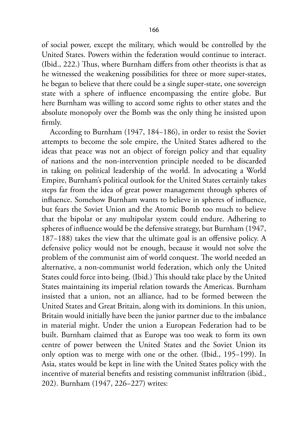of social power, except the military, which would be controlled by the United States. Powers within the federation would continue to interact. (Ibid., 222.) Thus, where Burnham differs from other theorists is that as he witnessed the weakening possibilities for three or more super-states, he began to believe that there could be a single super-state, one sovereign state with a sphere of influence encompassing the entire globe. But here Burnham was willing to accord some rights to other states and the absolute monopoly over the Bomb was the only thing he insisted upon firmly.

According to Burnham (1947, 184−186), in order to resist the Soviet attempts to become the sole empire, the United States adhered to the ideas that peace was not an object of foreign policy and that equality of nations and the non-intervention principle needed to be discarded in taking on political leadership of the world. In advocating a World Empire, Burnham's political outlook for the United States certainly takes steps far from the idea of great power management through spheres of influence. Somehow Burnham wants to believe in spheres of influence, but fears the Soviet Union and the Atomic Bomb too much to believe that the bipolar or any multipolar system could endure. Adhering to spheres of influence would be the defensive strategy, but Burnham (1947, 187–188) takes the view that the ultimate goal is an offensive policy. A defensive policy would not be enough, because it would not solve the problem of the communist aim of world conquest. The world needed an alternative, a non-communist world federation, which only the United States could force into being. (Ibid.) This should take place by the United States maintaining its imperial relation towards the Americas. Burnham insisted that a union, not an alliance, had to be formed between the United States and Great Britain, along with its dominions. In this union, Britain would initially have been the junior partner due to the imbalance in material might. Under the union a European Federation had to be built. Burnham claimed that as Europe was too weak to form its own centre of power between the United States and the Soviet Union its only option was to merge with one or the other. (Ibid., 195−199). In Asia, states would be kept in line with the United States policy with the incentive of material benefits and resisting communist infiltration (ibid., 202). Burnham (1947, 226−227) writes: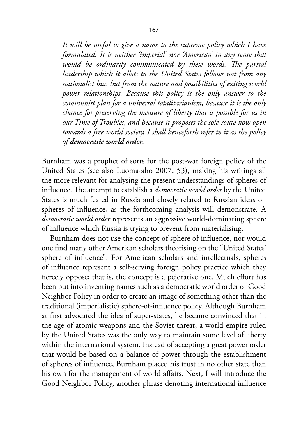*It will be useful to give a name to the supreme policy which I have formulated. It is neither 'imperial' nor 'American' in any sense that would be ordinarily communicated by these words. The partial leadership which it allots to the United States follows not from any nationalist bias but from the nature and possibilities of exiting world power relationships. Because this policy is the only answer to the communist plan for a universal totalitarianism, because it is the only chance for preserving the measure of liberty that is possible for us in our Time of Troubles, and because it proposes the sole route now open towards a free world society, I shall henceforth refer to it as the policy of democratic world order.*

Burnham was a prophet of sorts for the post-war foreign policy of the United States (see also Luoma-aho 2007, 53), making his writings all the more relevant for analysing the present understandings of spheres of influence. The attempt to establish a *democratic world order* by the United States is much feared in Russia and closely related to Russian ideas on spheres of influence, as the forthcoming analysis will demonstrate. A *democratic world order* represents an aggressive world-dominating sphere of influence which Russia is trying to prevent from materialising.

Burnham does not use the concept of sphere of influence, nor would one find many other American scholars theorising on the "United States' sphere of influence". For American scholars and intellectuals, spheres of influence represent a self-serving foreign policy practice which they fiercely oppose; that is, the concept is a pejorative one. Much effort has been put into inventing names such as a democratic world order or Good Neighbor Policy in order to create an image of something other than the traditional (imperialistic) sphere-of-influence policy. Although Burnham at first advocated the idea of super-states, he became convinced that in the age of atomic weapons and the Soviet threat, a world empire ruled by the United States was the only way to maintain some level of liberty within the international system. Instead of accepting a great power order that would be based on a balance of power through the establishment of spheres of influence, Burnham placed his trust in no other state than his own for the management of world affairs. Next, I will introduce the Good Neighbor Policy, another phrase denoting international influence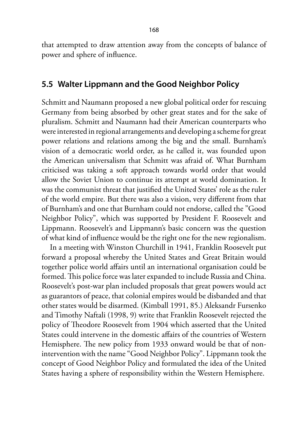that attempted to draw attention away from the concepts of balance of power and sphere of influence.

# **5.5 Walter Lippmann and the Good Neighbor Policy**

Schmitt and Naumann proposed a new global political order for rescuing Germany from being absorbed by other great states and for the sake of pluralism. Schmitt and Naumann had their American counterparts who were interested in regional arrangements and developing a scheme for great power relations and relations among the big and the small. Burnham's vision of a democratic world order, as he called it, was founded upon the American universalism that Schmitt was afraid of. What Burnham criticised was taking a soft approach towards world order that would allow the Soviet Union to continue its attempt at world domination. It was the communist threat that justified the United States' role as the ruler of the world empire. But there was also a vision, very different from that of Burnham's and one that Burnham could not endorse, called the "Good Neighbor Policy", which was supported by President F. Roosevelt and Lippmann. Roosevelt's and Lippmann's basic concern was the question of what kind of influence would be the right one for the new regionalism.

In a meeting with Winston Churchill in 1941, Franklin Roosevelt put forward a proposal whereby the United States and Great Britain would together police world affairs until an international organisation could be formed. This police force was later expanded to include Russia and China. Roosevelt's post-war plan included proposals that great powers would act as guarantors of peace, that colonial empires would be disbanded and that other states would be disarmed. (Kimball 1991, 85.) Aleksandr Fursenko and Timothy Naftali (1998, 9) write that Franklin Roosevelt rejected the policy of Theodore Roosevelt from 1904 which asserted that the United States could intervene in the domestic affairs of the countries of Western Hemisphere. The new policy from 1933 onward would be that of nonintervention with the name "Good Neighbor Policy". Lippmann took the concept of Good Neighbor Policy and formulated the idea of the United States having a sphere of responsibility within the Western Hemisphere.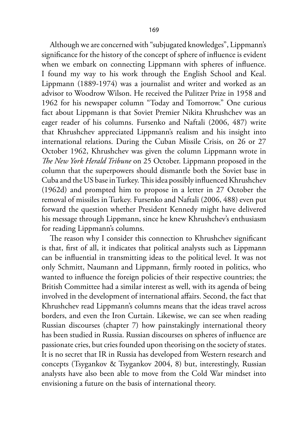Although we are concerned with "subjugated knowledges", Lippmann's significance for the history of the concept of sphere of influence is evident when we embark on connecting Lippmann with spheres of influence. I found my way to his work through the English School and Keal. Lippmann (1889-1974) was a journalist and writer and worked as an advisor to Woodrow Wilson. He received the Pulitzer Prize in 1958 and 1962 for his newspaper column "Today and Tomorrow." One curious fact about Lippmann is that Soviet Premier Nikita Khrushchev was an eager reader of his columns. Fursenko and Naftali (2006, 487) write that Khrushchev appreciated Lippmann's realism and his insight into international relations. During the Cuban Missile Crisis, on 26 or 27 October 1962, Khrushchev was given the column Lippmann wrote in The New York Herald Tribune on 25 October. Lippmann proposed in the column that the superpowers should dismantle both the Soviet base in Cuba and the US base in Turkey. This idea possibly influenced Khrushchev (1962d) and prompted him to propose in a letter in 27 October the removal of missiles in Turkey. Fursenko and Naftali (2006, 488) even put forward the question whether President Kennedy might have delivered his message through Lippmann, since he knew Khrushchev's enthusiasm for reading Lippmann's columns.

The reason why I consider this connection to Khrushchev significant is that, first of all, it indicates that political analysts such as Lippmann can be influential in transmitting ideas to the political level. It was not only Schmitt, Naumann and Lippmann, firmly rooted in politics, who wanted to influence the foreign policies of their respective countries; the British Committee had a similar interest as well, with its agenda of being involved in the development of international affairs. Second, the fact that Khrushchev read Lippmann's columns means that the ideas travel across borders, and even the Iron Curtain. Likewise, we can see when reading Russian discourses (chapter 7) how painstakingly international theory has been studied in Russia. Russian discourses on spheres of influence are passionate cries, but cries founded upon theorising on the society of states. It is no secret that IR in Russia has developed from Western research and concepts (Tsygankov & Tsygankov 2004, 8) but, interestingly, Russian analysts have also been able to move from the Cold War mindset into envisioning a future on the basis of international theory.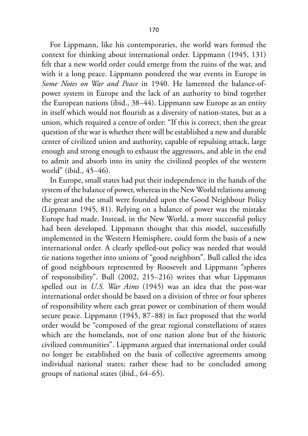For Lippmann, like his contemporaries, the world wars formed the context for thinking about international order. Lippmann (1945, 131) felt that a new world order could emerge from the ruins of the war, and with it a long peace. Lippmann pondered the war events in Europe in *Some Notes on War and Peace* in 1940. He lamented the balance-ofpower system in Europe and the lack of an authority to bind together the European nations (ibid., 38−44). Lippmann saw Europe as an entity in itself which would not flourish as a diversity of nation-states, but as a union, which required a centre of order: "If this is correct, then the great question of the war is whether there will be established a new and durable center of civilized union and authority, capable of repulsing attack, large enough and strong enough to exhaust the aggressors, and able in the end to admit and absorb into its unity the civilized peoples of the western world" (ibid., 45−46).

In Europe, small states had put their independence in the hands of the system of the balance of power, whereas in the New World relations among the great and the small were founded upon the Good Neighbour Policy (Lippmann 1945, 81). Relying on a balance of power was the mistake Europe had made. Instead, in the New World, a more successful policy had been developed. Lippmann thought that this model, successfully implemented in the Western Hemisphere, could form the basis of a new international order. A clearly spelled-out policy was needed that would tie nations together into unions of "good neighbors". Bull called the idea of good neighbours represented by Roosevelt and Lippmann "spheres of responsibility". Bull (2002, 215−216) writes that what Lippmann spelled out in *U.S. War Aims* (1945) was an idea that the post-war international order should be based on a division of three or four spheres of responsibility where each great power or combination of them would secure peace. Lippmann (1945, 87−88) in fact proposed that the world order would be "composed of the great regional constellations of states which are the homelands, not of one nation alone but of the historic civilized communities". Lippmann argued that international order could no longer be established on the basis of collective agreements among individual national states; rather these had to be concluded among groups of national states (ibid., 64−65).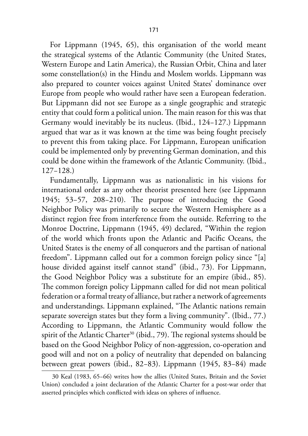For Lippmann (1945, 65), this organisation of the world meant the strategical systems of the Atlantic Community (the United States, Western Europe and Latin America), the Russian Orbit, China and later some constellation(s) in the Hindu and Moslem worlds. Lippmann was also prepared to counter voices against United States' dominance over Europe from people who would rather have seen a European federation. But Lippmann did not see Europe as a single geographic and strategic entity that could form a political union. The main reason for this was that Germany would inevitably be its nucleus. (Ibid., 124−127.) Lippmann argued that war as it was known at the time was being fought precisely to prevent this from taking place. For Lippmann, European unification could be implemented only by preventing German domination, and this could be done within the framework of the Atlantic Community. (Ibid., 127−128.)

Fundamentally, Lippmann was as nationalistic in his visions for international order as any other theorist presented here (see Lippmann 1945; 53-57, 208-210). The purpose of introducing the Good Neighbor Policy was primarily to secure the Western Hemisphere as a distinct region free from interference from the outside. Referring to the Monroe Doctrine, Lippmann (1945, 49) declared, "Within the region of the world which fronts upon the Atlantic and Pacific Oceans, the United States is the enemy of all conquerors and the partisan of national freedom". Lippmann called out for a common foreign policy since "[a] house divided against itself cannot stand" (ibid., 73). For Lippmann, the Good Neighbor Policy was a substitute for an empire (ibid., 85). The common foreign policy Lippmann called for did not mean political federation or a formal treaty of alliance, but rather a network of agreements and understandings. Lippmann explained, "The Atlantic nations remain separate sovereign states but they form a living community". (Ibid., 77.) According to Lippmann, the Atlantic Community would follow the spirit of the Atlantic Charter<sup>30</sup> (ibid., 79). The regional systems should be based on the Good Neighbor Policy of non-aggression, co-operation and good will and not on a policy of neutrality that depended on balancing between great powers (ibid., 82−83). Lippmann (1945, 83−84) made

<sup>30</sup> Keal (1983, 65−66) writes how the allies (United States, Britain and the Soviet Union) concluded a joint declaration of the Atlantic Charter for a post-war order that asserted principles which conflicted with ideas on spheres of influence.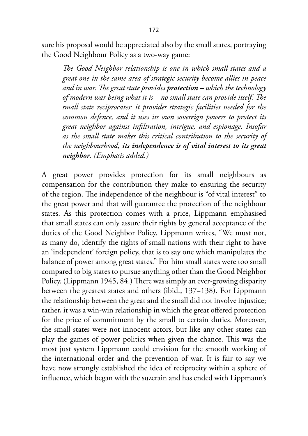sure his proposal would be appreciated also by the small states, portraying the Good Neighbour Policy as a two-way game:

*The Good Neighbor relationship is one in which small states and a great one in the same area of strategic security become allies in peace and in war. The great state provides protection – which the technology* of modern war being what it is – no small state can provide itself. The *small state reciprocates: it provides strategic facilities needed for the common defence, and it uses its own sovereign powers to protect its great neighbor against infi ltration, intrigue, and espionage. Insofar as the small state makes this critical contribution to the security of the neighbourhood, its independence is of vital interest to its great neighbor. (Emphasis added.)* 

A great power provides protection for its small neighbours as compensation for the contribution they make to ensuring the security of the region. The independence of the neighbour is "of vital interest" to the great power and that will guarantee the protection of the neighbour states. As this protection comes with a price, Lippmann emphasised that small states can only assure their rights by general acceptance of the duties of the Good Neighbor Policy. Lippmann writes, "We must not, as many do, identify the rights of small nations with their right to have an 'independent' foreign policy, that is to say one which manipulates the balance of power among great states." For him small states were too small compared to big states to pursue anything other than the Good Neighbor Policy. (Lippmann 1945, 84.) There was simply an ever-growing disparity between the greatest states and others (ibid., 137−138). For Lippmann the relationship between the great and the small did not involve injustice; rather, it was a win-win relationship in which the great offered protection for the price of commitment by the small to certain duties. Moreover, the small states were not innocent actors, but like any other states can play the games of power politics when given the chance. This was the most just system Lippmann could envision for the smooth working of the international order and the prevention of war. It is fair to say we have now strongly established the idea of reciprocity within a sphere of influence, which began with the suzerain and has ended with Lippmann's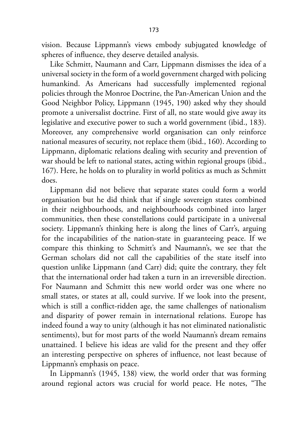vision. Because Lippmann's views embody subjugated knowledge of spheres of influence, they deserve detailed analysis.

Like Schmitt, Naumann and Carr, Lippmann dismisses the idea of a universal society in the form of a world government charged with policing humankind. As Americans had successfully implemented regional policies through the Monroe Doctrine, the Pan-American Union and the Good Neighbor Policy, Lippmann (1945, 190) asked why they should promote a universalist doctrine. First of all, no state would give away its legislative and executive power to such a world government (ibid., 183). Moreover, any comprehensive world organisation can only reinforce national measures of security, not replace them (ibid., 160). According to Lippmann, diplomatic relations dealing with security and prevention of war should be left to national states, acting within regional groups (ibid., 167). Here, he holds on to plurality in world politics as much as Schmitt does.

Lippmann did not believe that separate states could form a world organisation but he did think that if single sovereign states combined in their neighbourhoods, and neighbourhoods combined into larger communities, then these constellations could participate in a universal society. Lippmann's thinking here is along the lines of Carr's, arguing for the incapabilities of the nation-state in guaranteeing peace. If we compare this thinking to Schmitt's and Naumann's, we see that the German scholars did not call the capabilities of the state itself into question unlike Lippmann (and Carr) did; quite the contrary, they felt that the international order had taken a turn in an irreversible direction. For Naumann and Schmitt this new world order was one where no small states, or states at all, could survive. If we look into the present, which is still a conflict-ridden age, the same challenges of nationalism and disparity of power remain in international relations. Europe has indeed found a way to unity (although it has not eliminated nationalistic sentiments), but for most parts of the world Naumann's dream remains unattained. I believe his ideas are valid for the present and they offer an interesting perspective on spheres of influence, not least because of Lippmann's emphasis on peace.

In Lippmann's (1945, 138) view, the world order that was forming around regional actors was crucial for world peace. He notes, "The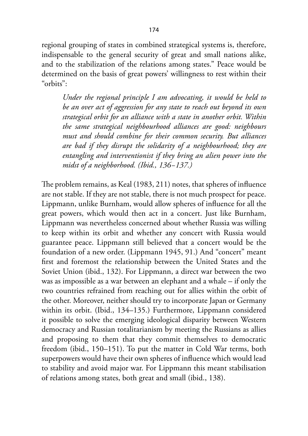regional grouping of states in combined strategical systems is, therefore, indispensable to the general security of great and small nations alike, and to the stabilization of the relations among states." Peace would be determined on the basis of great powers' willingness to rest within their "orbits":

*Under the regional principle I am advocating, it would be held to be an over act of aggression for any state to reach out beyond its own strategical orbit for an alliance with a state in another orbit. Within the same strategical neighbourhood alliances are good: neighbours must and should combine for their common security. But alliances are bad if they disrupt the solidarity of a neighbourhood; they are entangling and interventionist if they bring an alien power into the midst of a neighborhood. (Ibid., 136−137.)*

The problem remains, as Keal (1983, 211) notes, that spheres of influence are not stable. If they are not stable, there is not much prospect for peace. Lippmann, unlike Burnham, would allow spheres of influence for all the great powers, which would then act in a concert. Just like Burnham, Lippmann was nevertheless concerned about whether Russia was willing to keep within its orbit and whether any concert with Russia would guarantee peace. Lippmann still believed that a concert would be the foundation of a new order. (Lippmann 1945, 91.) And "concert" meant first and foremost the relationship between the United States and the Soviet Union (ibid., 132). For Lippmann, a direct war between the two was as impossible as a war between an elephant and a whale – if only the two countries refrained from reaching out for allies within the orbit of the other. Moreover, neither should try to incorporate Japan or Germany within its orbit. (Ibid., 134–135.) Furthermore, Lippmann considered it possible to solve the emerging ideological disparity between Western democracy and Russian totalitarianism by meeting the Russians as allies and proposing to them that they commit themselves to democratic freedom (ibid., 150–151). To put the matter in Cold War terms, both superpowers would have their own spheres of influence which would lead to stability and avoid major war. For Lippmann this meant stabilisation of relations among states, both great and small (ibid., 138).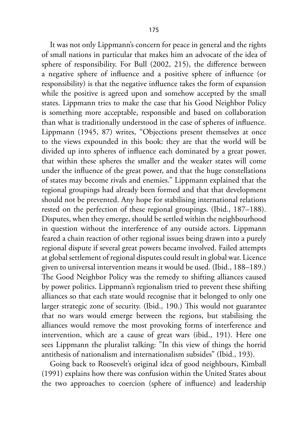It was not only Lippmann's concern for peace in general and the rights of small nations in particular that makes him an advocate of the idea of

sphere of responsibility. For Bull (2002, 215), the difference between a negative sphere of influence and a positive sphere of influence (or responsibility) is that the negative influence takes the form of expansion while the positive is agreed upon and somehow accepted by the small states. Lippmann tries to make the case that his Good Neighbor Policy is something more acceptable, responsible and based on collaboration than what is traditionally understood in the case of spheres of influence. Lippmann (1945, 87) writes, "Objections present themselves at once to the views expounded in this book: they are that the world will be divided up into spheres of influence each dominated by a great power, that within these spheres the smaller and the weaker states will come under the influence of the great power, and that the huge constellations of states may become rivals and enemies." Lippmann explained that the regional groupings had already been formed and that that development should not be prevented. Any hope for stabilising international relations rested on the perfection of these regional groupings. (Ibid., 187–188). Disputes, when they emerge, should be settled within the neighbourhood in question without the interference of any outside actors. Lippmann feared a chain reaction of other regional issues being drawn into a purely regional dispute if several great powers became involved. Failed attempts at global settlement of regional disputes could result in global war. Licence given to universal intervention means it would be used. (Ibid., 188–189.) The Good Neighbor Policy was the remedy to shifting alliances caused by power politics. Lippmann's regionalism tried to prevent these shifting alliances so that each state would recognise that it belonged to only one larger strategic zone of security. (Ibid., 190.) This would not guarantee that no wars would emerge between the regions, but stabilising the alliances would remove the most provoking forms of interference and intervention, which are a cause of great wars (ibid., 191). Here one sees Lippmann the pluralist talking: "In this view of things the horrid antithesis of nationalism and internationalism subsides" (Ibid., 193).

Going back to Roosevelt's original idea of good neighbours, Kimball (1991) explains how there was confusion within the United States about the two approaches to coercion (sphere of influence) and leadership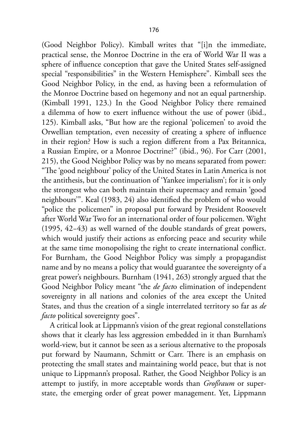(Good Neighbor Policy). Kimball writes that "[i]n the immediate, practical sense, the Monroe Doctrine in the era of World War II was a sphere of influence conception that gave the United States self-assigned special "responsibilities" in the Western Hemisphere". Kimball sees the Good Neighbor Policy, in the end, as having been a reformulation of the Monroe Doctrine based on hegemony and not an equal partnership. (Kimball 1991, 123.) In the Good Neighbor Policy there remained a dilemma of how to exert influence without the use of power (ibid., 125). Kimball asks, "But how are the regional 'policemen' to avoid the Orwellian temptation, even necessity of creating a sphere of influence in their region? How is such a region different from a Pax Britannica, a Russian Empire, or a Monroe Doctrine?" (ibid., 96). For Carr (2001, 215), the Good Neighbor Policy was by no means separated from power: "The 'good neighbour' policy of the United States in Latin America is not the antithesis, but the continuation of 'Yankee imperialism'; for it is only the strongest who can both maintain their supremacy and remain 'good neighbours". Keal (1983, 24) also identified the problem of who would "police the policemen" in proposal put forward by President Roosevelt after World War Two for an international order of four policemen. Wight (1995, 42−43) as well warned of the double standards of great powers, which would justify their actions as enforcing peace and security while at the same time monopolising the right to create international conflict. For Burnham, the Good Neighbor Policy was simply a propagandist name and by no means a policy that would guarantee the sovereignty of a great power's neighbours. Burnham (1941, 263) strongly argued that the Good Neighbor Policy meant "the *de fact*o elimination of independent sovereignty in all nations and colonies of the area except the United States, and thus the creation of a single interrelated territory so far as *de facto* political sovereignty goes".

A critical look at Lippmann's vision of the great regional constellations shows that it clearly has less aggression embedded in it than Burnham's world-view, but it cannot be seen as a serious alternative to the proposals put forward by Naumann, Schmitt or Carr. There is an emphasis on protecting the small states and maintaining world peace, but that is not unique to Lippmann's proposal. Rather, the Good Neighbor Policy is an attempt to justify, in more acceptable words than *Großraum* or superstate, the emerging order of great power management. Yet, Lippmann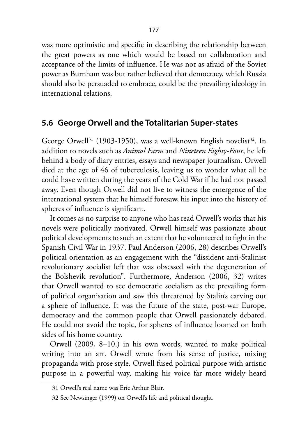was more optimistic and specific in describing the relationship between the great powers as one which would be based on collaboration and acceptance of the limits of influence. He was not as afraid of the Soviet power as Burnham was but rather believed that democracy, which Russia should also be persuaded to embrace, could be the prevailing ideology in international relations.

# **5.6 George Orwell and the Totalitarian Super-states**

George Orwell<sup>31</sup> (1903-1950), was a well-known English novelist<sup>32</sup>. In addition to novels such as *Animal Farm* and *Nineteen Eighty-Four*, he left behind a body of diary entries, essays and newspaper journalism. Orwell died at the age of 46 of tuberculosis, leaving us to wonder what all he could have written during the years of the Cold War if he had not passed away. Even though Orwell did not live to witness the emergence of the international system that he himself foresaw, his input into the history of spheres of influence is significant.

It comes as no surprise to anyone who has read Orwell's works that his novels were politically motivated. Orwell himself was passionate about political developments to such an extent that he volunteered to fight in the Spanish Civil War in 1937. Paul Anderson (2006, 28) describes Orwell's political orientation as an engagement with the "dissident anti-Stalinist revolutionary socialist left that was obsessed with the degeneration of the Bolshevik revolution". Furthermore, Anderson (2006, 32) writes that Orwell wanted to see democratic socialism as the prevailing form of political organisation and saw this threatened by Stalin's carving out a sphere of influence. It was the future of the state, post-war Europe, democracy and the common people that Orwell passionately debated. He could not avoid the topic, for spheres of influence loomed on both sides of his home country.

Orwell (2009, 8–10.) in his own words, wanted to make political writing into an art. Orwell wrote from his sense of justice, mixing propaganda with prose style. Orwell fused political purpose with artistic purpose in a powerful way, making his voice far more widely heard

<sup>31</sup> Orwell's real name was Eric Arthur Blair.

<sup>32</sup> See Newsinger (1999) on Orwell's life and political thought.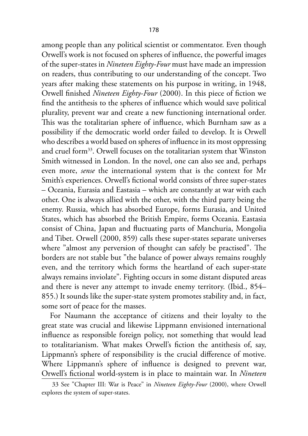178

among people than any political scientist or commentator. Even though Orwell's work is not focused on spheres of influence, the powerful images of the super-states in *Nineteen Eighty-Four* must have made an impression on readers, thus contributing to our understanding of the concept. Two years after making these statements on his purpose in writing, in 1948, Orwell finished *Nineteen Eighty-Four* (2000). In this piece of fiction we find the antithesis to the spheres of influence which would save political plurality, prevent war and create a new functioning international order. This was the totalitarian sphere of influence, which Burnham saw as a possibility if the democratic world order failed to develop. It is Orwell who describes a world based on spheres of influence in its most oppressing and cruel form<sup>33</sup>. Orwell focuses on the totalitarian system that Winston Smith witnessed in London. In the novel, one can also see and, perhaps even more, *sense* the international system that is the context for Mr Smith's experiences. Orwell's fictional world consists of three super-states – Oceania, Eurasia and Eastasia – which are constantly at war with each other. One is always allied with the other, with the third party being the enemy. Russia, which has absorbed Europe, forms Eurasia, and United States, which has absorbed the British Empire, forms Oceania. Eastasia consist of China, Japan and fluctuating parts of Manchuria, Mongolia and Tibet. Orwell (2000, 859) calls these super-states separate universes where "almost any perversion of thought can safely be practised". The borders are not stable but "the balance of power always remains roughly even, and the territory which forms the heartland of each super-state always remains inviolate". Fighting occurs in some distant disputed areas and there is never any attempt to invade enemy territory. (Ibid., 854– 855.) It sounds like the super-state system promotes stability and, in fact, some sort of peace for the masses.

For Naumann the acceptance of citizens and their loyalty to the great state was crucial and likewise Lippmann envisioned international influence as responsible foreign policy, not something that would lead to totalitarianism. What makes Orwell's fiction the antithesis of, say, Lippmann's sphere of responsibility is the crucial difference of motive. Where Lippmann's sphere of influence is designed to prevent war, Orwell's fictional world-system is in place to maintain war. In *Nineteen* 

<sup>33</sup> See "Chapter III: War is Peace" in *Nineteen Eighty-Four* (2000), where Orwell explores the system of super-states.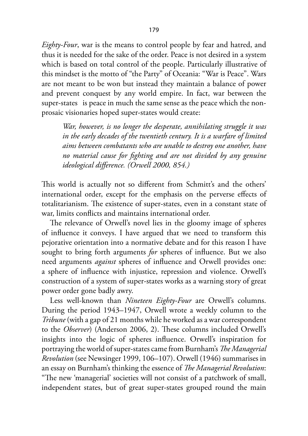*Eighty-Four*, war is the means to control people by fear and hatred, and thus it is needed for the sake of the order. Peace is not desired in a system which is based on total control of the people. Particularly illustrative of this mindset is the motto of "the Party" of Oceania: "War is Peace". Wars are not meant to be won but instead they maintain a balance of power and prevent conquest by any world empire. In fact, war between the super-states is peace in much the same sense as the peace which the nonprosaic visionaries hoped super-states would create:

*War, however, is no longer the desperate, annihilating struggle it was in the early decades of the twentieth century. It is a warfare of limited aims between combatants who are unable to destroy one another, have no material cause for fighting and are not divided by any genuine ideological diff erence. (Orwell 2000, 854.)*

This world is actually not so different from Schmitt's and the others' international order, except for the emphasis on the perverse effects of totalitarianism. The existence of super-states, even in a constant state of war, limits conflicts and maintains international order.

The relevance of Orwell's novel lies in the gloomy image of spheres of influence it conveys. I have argued that we need to transform this pejorative orientation into a normative debate and for this reason I have sought to bring forth arguments *for* spheres of influence. But we also need arguments *against* spheres of influence and Orwell provides one: a sphere of influence with injustice, repression and violence. Orwell's construction of a system of super-states works as a warning story of great power order gone badly awry.

Less well-known than *Nineteen Eighty-Four* are Orwell's columns. During the period 1943–1947, Orwell wrote a weekly column to the *Tribune* (with a gap of 21 months while he worked as a war correspondent to the *Observer*) (Anderson 2006, 2). These columns included Orwell's insights into the logic of spheres influence. Orwell's inspiration for portraying the world of super-states came from Burnham's *The Managerial Revolution* (see Newsinger 1999, 106–107). Orwell (1946) summarises in an essay on Burnham's thinking the essence of *The Managerial Revolution*: "The new 'managerial' societies will not consist of a patchwork of small, independent states, but of great super-states grouped round the main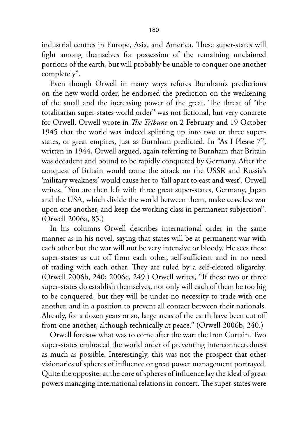industrial centres in Europe, Asia, and America. These super-states will fight among themselves for possession of the remaining unclaimed portions of the earth, but will probably be unable to conquer one another completely".

Even though Orwell in many ways refutes Burnham's predictions on the new world order, he endorsed the prediction on the weakening of the small and the increasing power of the great. The threat of "the totalitarian super-states world order" was not fictional, but very concrete for Orwell. Orwell wrote in *The Tribune* on 2 February and 19 October 1945 that the world was indeed splitting up into two or three superstates, or great empires, just as Burnham predicted. In "As I Please 7", written in 1944, Orwell argued, again referring to Burnham that Britain was decadent and bound to be rapidly conquered by Germany. After the conquest of Britain would come the attack on the USSR and Russia's 'military weakness' would cause her to 'fall apart to east and west'. Orwell writes, "You are then left with three great super-states, Germany, Japan and the USA, which divide the world between them, make ceaseless war upon one another, and keep the working class in permanent subjection". (Orwell 2006a, 85.)

In his columns Orwell describes international order in the same manner as in his novel, saying that states will be at permanent war with each other but the war will not be very intensive or bloody. He sees these super-states as cut off from each other, self-sufficient and in no need of trading with each other. They are ruled by a self-elected oligarchy. (Orwell 2006b, 240; 2006c, 249.) Orwell writes, "If these two or three super-states do establish themselves, not only will each of them be too big to be conquered, but they will be under no necessity to trade with one another, and in a position to prevent all contact between their nationals. Already, for a dozen years or so, large areas of the earth have been cut off from one another, although technically at peace." (Orwell 2006b, 240.)

Orwell foresaw what was to come after the war: the Iron Curtain. Two super-states embraced the world order of preventing interconnectedness as much as possible. Interestingly, this was not the prospect that other visionaries of spheres of influence or great power management portrayed. Quite the opposite: at the core of spheres of influence lay the ideal of great powers managing international relations in concert. The super-states were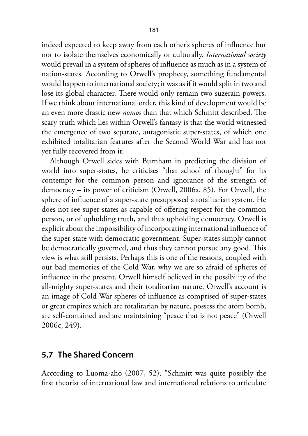indeed expected to keep away from each other's spheres of influence but not to isolate themselves economically or culturally. *International society* would prevail in a system of spheres of influence as much as in a system of nation-states. According to Orwell's prophecy, something fundamental would happen to international society; it was as if it would split in two and lose its global character. There would only remain two suzerain powers. If we think about international order, this kind of development would be an even more drastic new *nomos* than that which Schmitt described. The scary truth which lies within Orwell's fantasy is that the world witnessed the emergence of two separate, antagonistic super-states, of which one exhibited totalitarian features after the Second World War and has not yet fully recovered from it.

Although Orwell sides with Burnham in predicting the division of world into super-states, he criticises "that school of thought" for its contempt for the common person and ignorance of the strength of democracy – its power of criticism (Orwell, 2006a, 85). For Orwell, the sphere of influence of a super-state presupposed a totalitarian system. He does not see super-states as capable of offering respect for the common person, or of upholding truth, and thus upholding democracy. Orwell is explicit about the impossibility of incorporating international influence of the super-state with democratic government. Super-states simply cannot be democratically governed, and thus they cannot pursue any good. This view is what still persists. Perhaps this is one of the reasons, coupled with our bad memories of the Cold War, why we are so afraid of spheres of influence in the present. Orwell himself believed in the possibility of the all-mighty super-states and their totalitarian nature. Orwell's account is an image of Cold War spheres of influence as comprised of super-states or great empires which are totalitarian by nature, possess the atom bomb, are self-contained and are maintaining "peace that is not peace" (Orwell 2006c, 249).

### **5.7 The Shared Concern**

According to Luoma-aho (2007, 52), "Schmitt was quite possibly the first theorist of international law and international relations to articulate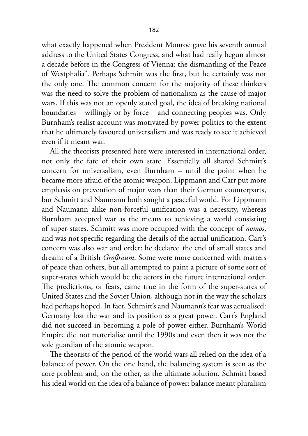what exactly happened when President Monroe gave his seventh annual address to the United States Congress, and what had really begun almost a decade before in the Congress of Vienna: the dismantling of the Peace of Westphalia". Perhaps Schmitt was the first, but he certainly was not the only one. The common concern for the majority of these thinkers was the need to solve the problem of nationalism as the cause of major wars. If this was not an openly stated goal, the idea of breaking national boundaries – willingly or by force – and connecting peoples was. Only Burnham's realist account was motivated by power politics to the extent that he ultimately favoured universalism and was ready to see it achieved even if it meant war.

All the theorists presented here were interested in international order, not only the fate of their own state. Essentially all shared Schmitt's concern for universalism, even Burnham – until the point when he became more afraid of the atomic weapon. Lippmann and Carr put more emphasis on prevention of major wars than their German counterparts, but Schmitt and Naumann both sought a peaceful world. For Lippmann and Naumann alike non-forceful unification was a necessity, whereas Burnham accepted war as the means to achieving a world consisting of super-states. Schmitt was more occupied with the concept of *nomos*, and was not specific regarding the details of the actual unification. Carr's concern was also war and order: he declared the end of small states and dreamt of a British *Großraum*. Some were more concerned with matters of peace than others, but all attempted to paint a picture of some sort of super-states which would be the actors in the future international order. The predictions, or fears, came true in the form of the super-states of United States and the Soviet Union, although not in the way the scholars had perhaps hoped. In fact, Schmitt's and Naumann's fear was actualised: Germany lost the war and its position as a great power. Carr's England did not succeed in becoming a pole of power either. Burnham's World Empire did not materialise until the 1990s and even then it was not the sole guardian of the atomic weapon.

The theorists of the period of the world wars all relied on the idea of a balance of power. On the one hand, the balancing system is seen as the core problem and, on the other, as the ultimate solution. Schmitt based his ideal world on the idea of a balance of power: balance meant pluralism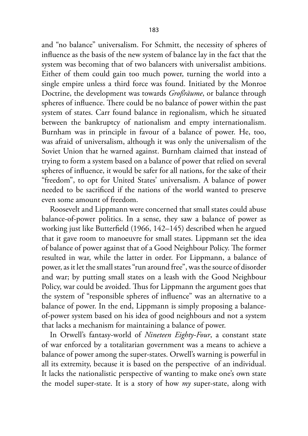and "no balance" universalism. For Schmitt, the necessity of spheres of influence as the basis of the new system of balance lay in the fact that the system was becoming that of two balancers with universalist ambitions. Either of them could gain too much power, turning the world into a single empire unless a third force was found. Initiated by the Monroe Doctrine, the development was towards *Großräume*, or balance through spheres of influence. There could be no balance of power within the past system of states. Carr found balance in regionalism, which he situated between the bankruptcy of nationalism and empty internationalism. Burnham was in principle in favour of a balance of power. He, too, was afraid of universalism, although it was only the universalism of the Soviet Union that he warned against. Burnham claimed that instead of trying to form a system based on a balance of power that relied on several spheres of influence, it would be safer for all nations, for the sake of their "freedom", to opt for United States' universalism. A balance of power needed to be sacrificed if the nations of the world wanted to preserve even some amount of freedom.

Roosevelt and Lippmann were concerned that small states could abuse balance-of-power politics. In a sense, they saw a balance of power as working just like Butterfield (1966, 142–145) described when he argued that it gave room to manoeuvre for small states. Lippmann set the idea of balance of power against that of a Good Neighbour Policy. The former resulted in war, while the latter in order. For Lippmann, a balance of power, as it let the small states "run around free", was the source of disorder and war; by putting small states on a leash with the Good Neighbour Policy, war could be avoided. Thus for Lippmann the argument goes that the system of "responsible spheres of influence" was an alternative to a balance of power. In the end, Lippmann is simply proposing a balanceof-power system based on his idea of good neighbours and not a system that lacks a mechanism for maintaining a balance of power.

In Orwell's fantasy-world of *Nineteen Eighty-Four*, a constant state of war enforced by a totalitarian government was a means to achieve a balance of power among the super-states. Orwell's warning is powerful in all its extremity, because it is based on the perspective of an individual. It lacks the nationalistic perspective of wanting to make one's own state the model super-state. It is a story of how *my* super-state, along with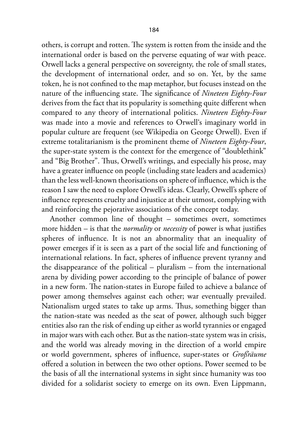others, is corrupt and rotten. The system is rotten from the inside and the international order is based on the perverse equating of war with peace. Orwell lacks a general perspective on sovereignty, the role of small states, the development of international order, and so on. Yet, by the same token, he is not confined to the map metaphor, but focuses instead on the nature of the influencing state. The significance of *Nineteen Eighty-Four* derives from the fact that its popularity is something quite different when compared to any theory of international politics. *Nineteen Eighty-Four*  was made into a movie and references to Orwell's imaginary world in popular culture are frequent (see Wikipedia on George Orwell). Even if extreme totalitarianism is the prominent theme of *Nineteen Eighty-Four*, the super-state system is the context for the emergence of "doublethink" and "Big Brother". Thus, Orwell's writings, and especially his prose, may have a greater influence on people (including state leaders and academics) than the less well-known theorisations on sphere of influence, which is the reason I saw the need to explore Orwell's ideas. Clearly, Orwell's sphere of influence represents cruelty and injustice at their utmost, complying with and reinforcing the pejorative associations of the concept today.

Another common line of thought – sometimes overt, sometimes more hidden – is that the *normality* or *necessity* of power is what justifies spheres of influence. It is not an abnormality that an inequality of power emerges if it is seen as a part of the social life and functioning of international relations. In fact, spheres of influence prevent tyranny and the disappearance of the political – pluralism – from the international arena by dividing power according to the principle of balance of power in a new form. The nation-states in Europe failed to achieve a balance of power among themselves against each other; war eventually prevailed. Nationalism urged states to take up arms. Thus, something bigger than the nation-state was needed as the seat of power, although such bigger entities also ran the risk of ending up either as world tyrannies or engaged in major wars with each other. But as the nation-state system was in crisis, and the world was already moving in the direction of a world empire or world government, spheres of influence, super-states or *Großräume* offered a solution in between the two other options. Power seemed to be the basis of all the international systems in sight since humanity was too divided for a solidarist society to emerge on its own. Even Lippmann,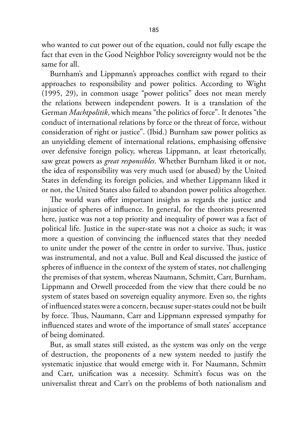who wanted to cut power out of the equation, could not fully escape the fact that even in the Good Neighbor Policy sovereignty would not be the same for all.

Burnham's and Lippmann's approaches conflict with regard to their approaches to responsibility and power politics. According to Wight (1995, 29), in common usage "power politics" does not mean merely the relations between independent powers. It is a translation of the German *Machtpolitik*, which means "the politics of force". It denotes "the conduct of international relations by force or the threat of force, without consideration of right or justice". (Ibid.) Burnham saw power politics as an unyielding element of international relations, emphasising offensive over defensive foreign policy, whereas Lippmann, at least rhetorically, saw great powers as *great responsibles*. Whether Burnham liked it or not, the idea of responsibility was very much used (or abused) by the United States in defending its foreign policies, and whether Lippmann liked it or not, the United States also failed to abandon power politics altogether.

The world wars offer important insights as regards the justice and injustice of spheres of influence. In general, for the theorists presented here, justice was not a top priority and inequality of power was a fact of political life. Justice in the super-state was not a choice as such; it was more a question of convincing the influenced states that they needed to unite under the power of the centre in order to survive. Thus, justice was instrumental, and not a value. Bull and Keal discussed the justice of spheres of influence in the context of the system of states, not challenging the premises of that system, whereas Naumann, Schmitt, Carr, Burnham, Lippmann and Orwell proceeded from the view that there could be no system of states based on sovereign equality anymore. Even so, the rights of influenced states were a concern, because super-states could not be built by force. Thus, Naumann, Carr and Lippmann expressed sympathy for influenced states and wrote of the importance of small states' acceptance of being dominated.

But, as small states still existed, as the system was only on the verge of destruction, the proponents of a new system needed to justify the systematic injustice that would emerge with it. For Naumann, Schmitt and Carr, unification was a necessity. Schmitt's focus was on the universalist threat and Carr's on the problems of both nationalism and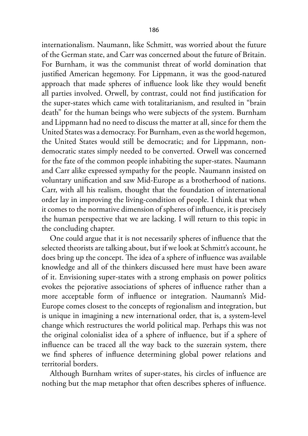internationalism. Naumann, like Schmitt, was worried about the future of the German state, and Carr was concerned about the future of Britain. For Burnham, it was the communist threat of world domination that justified American hegemony. For Lippmann, it was the good-natured approach that made spheres of influence look like they would benefit all parties involved. Orwell, by contrast, could not find justification for the super-states which came with totalitarianism, and resulted in "brain death" for the human beings who were subjects of the system. Burnham and Lippmann had no need to discuss the matter at all, since for them the United States was a democracy. For Burnham, even as the world hegemon, the United States would still be democratic; and for Lippmann, nondemocratic states simply needed to be converted. Orwell was concerned for the fate of the common people inhabiting the super-states. Naumann and Carr alike expressed sympathy for the people. Naumann insisted on voluntary unification and saw Mid-Europe as a brotherhood of nations. Carr, with all his realism, thought that the foundation of international order lay in improving the living-condition of people. I think that when it comes to the normative dimension of spheres of influence, it is precisely the human perspective that we are lacking. I will return to this topic in the concluding chapter.

One could argue that it is not necessarily spheres of influence that the selected theorists are talking about, but if we look at Schmitt's account, he does bring up the concept. The idea of a sphere of influence was available knowledge and all of the thinkers discussed here must have been aware of it. Envisioning super-states with a strong emphasis on power politics evokes the pejorative associations of spheres of influence rather than a more acceptable form of influence or integration. Naumann's Mid-Europe comes closest to the concepts of regionalism and integration, but is unique in imagining a new international order, that is, a system-level change which restructures the world political map. Perhaps this was not the original colonialist idea of a sphere of influence, but if a sphere of influence can be traced all the way back to the suzerain system, there we find spheres of influence determining global power relations and territorial borders.

Although Burnham writes of super-states, his circles of influence are nothing but the map metaphor that often describes spheres of influence.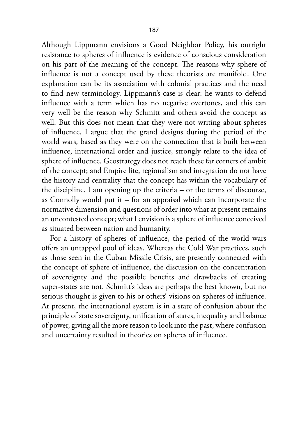Although Lippmann envisions a Good Neighbor Policy, his outright resistance to spheres of influence is evidence of conscious consideration on his part of the meaning of the concept. The reasons why sphere of influence is not a concept used by these theorists are manifold. One explanation can be its association with colonial practices and the need to find new terminology. Lippmann's case is clear: he wants to defend influence with a term which has no negative overtones, and this can very well be the reason why Schmitt and others avoid the concept as well. But this does not mean that they were not writing about spheres of influence. I argue that the grand designs during the period of the world wars, based as they were on the connection that is built between influence, international order and justice, strongly relate to the idea of sphere of influence. Geostrategy does not reach these far corners of ambit of the concept; and Empire lite, regionalism and integration do not have the history and centrality that the concept has within the vocabulary of the discipline. I am opening up the criteria – or the terms of discourse, as Connolly would put it – for an appraisal which can incorporate the normative dimension and questions of order into what at present remains an uncontested concept; what I envision is a sphere of influence conceived as situated between nation and humanity.

For a history of spheres of influence, the period of the world wars offers an untapped pool of ideas. Whereas the Cold War practices, such as those seen in the Cuban Missile Crisis, are presently connected with the concept of sphere of influence, the discussion on the concentration of sovereignty and the possible benefits and drawbacks of creating super-states are not. Schmitt's ideas are perhaps the best known, but no serious thought is given to his or others' visions on spheres of influence. At present, the international system is in a state of confusion about the principle of state sovereignty, unification of states, inequality and balance of power, giving all the more reason to look into the past, where confusion and uncertainty resulted in theories on spheres of influence.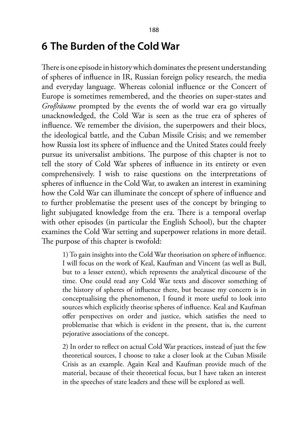# **6 The Burden of the Cold War**

There is one episode in history which dominates the present understanding of spheres of influence in IR, Russian foreign policy research, the media and everyday language. Whereas colonial influence or the Concert of Europe is sometimes remembered, and the theories on super-states and *Großräume* prompted by the events the of world war era go virtually unacknowledged, the Cold War is seen as the true era of spheres of influence. We remember the division, the superpowers and their blocs, the ideological battle, and the Cuban Missile Crisis; and we remember how Russia lost its sphere of influence and the United States could freely pursue its universalist ambitions. The purpose of this chapter is not to tell the story of Cold War spheres of influence in its entirety or even comprehensively. I wish to raise questions on the interpretations of spheres of influence in the Cold War, to awaken an interest in examining how the Cold War can illuminate the concept of sphere of influence and to further problematise the present uses of the concept by bringing to light subjugated knowledge from the era. There is a temporal overlap with other episodes (in particular the English School), but the chapter examines the Cold War setting and superpower relations in more detail. The purpose of this chapter is twofold:

1) To gain insights into the Cold War theorisation on sphere of influence. I will focus on the work of Keal, Kaufman and Vincent (as well as Bull, but to a lesser extent), which represents the analytical discourse of the time. One could read any Cold War texts and discover something of the history of spheres of influence there, but because my concern is in conceptualising the phenomenon, I found it more useful to look into sources which explicitly theorise spheres of influence. Keal and Kaufman offer perspectives on order and justice, which satisfies the need to problematise that which is evident in the present, that is, the current pejorative associations of the concept.

2) In order to reflect on actual Cold War practices, instead of just the few theoretical sources, I choose to take a closer look at the Cuban Missile Crisis as an example. Again Keal and Kaufman provide much of the material, because of their theoretical focus, but I have taken an interest in the speeches of state leaders and these will be explored as well.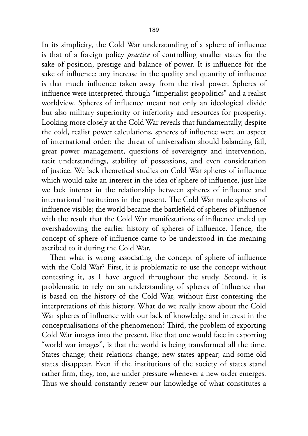In its simplicity, the Cold War understanding of a sphere of influence is that of a foreign policy *practice* of controlling smaller states for the sake of position, prestige and balance of power. It is influence for the sake of influence: any increase in the quality and quantity of influence is that much influence taken away from the rival power. Spheres of influence were interpreted through "imperialist geopolitics" and a realist worldview. Spheres of influence meant not only an ideological divide but also military superiority or inferiority and resources for prosperity. Looking more closely at the Cold War reveals that fundamentally, despite the cold, realist power calculations, spheres of influence were an aspect of international order: the threat of universalism should balancing fail, great power management, questions of sovereignty and intervention, tacit understandings, stability of possessions, and even consideration of justice. We lack theoretical studies on Cold War spheres of influence which would take an interest in the idea of sphere of influence, just like we lack interest in the relationship between spheres of influence and international institutions in the present. The Cold War made spheres of influence visible; the world became the battlefield of spheres of influence with the result that the Cold War manifestations of influence ended up overshadowing the earlier history of spheres of influence. Hence, the concept of sphere of influence came to be understood in the meaning ascribed to it during the Cold War.

Then what is wrong associating the concept of sphere of influence with the Cold War? First, it is problematic to use the concept without contesting it, as I have argued throughout the study. Second, it is problematic to rely on an understanding of spheres of influence that is based on the history of the Cold War, without first contesting the interpretations of this history. What do we really know about the Cold War spheres of influence with our lack of knowledge and interest in the conceptualisations of the phenomenon? Third, the problem of exporting Cold War images into the present, like that one would face in exporting "world war images", is that the world is being transformed all the time. States change; their relations change; new states appear; and some old states disappear. Even if the institutions of the society of states stand rather firm, they, too, are under pressure whenever a new order emerges. Thus we should constantly renew our knowledge of what constitutes a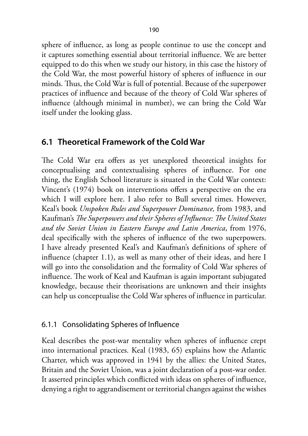sphere of influence, as long as people continue to use the concept and it captures something essential about territorial influence. We are better equipped to do this when we study our history, in this case the history of the Cold War, the most powerful history of spheres of influence in our minds. Thus, the Cold War is full of potential. Because of the superpower practices of influence and because of the theory of Cold War spheres of influence (although minimal in number), we can bring the Cold War itself under the looking glass.

## **6.1 Theoretical Framework of the Cold War**

The Cold War era offers as yet unexplored theoretical insights for conceptualising and contextualising spheres of influence. For one thing, the English School literature is situated in the Cold War context: Vincent's (1974) book on interventions offers a perspective on the era which I will explore here. I also refer to Bull several times. However, Keal's book *Unspoken Rules and Superpower Dominance,* from 1983, and Kaufman's *The Superpowers and their Spheres of Influence: The United States and the Soviet Union in Eastern Europe and Latin America*, from 1976, deal specifically with the spheres of influence of the two superpowers. I have already presented Keal's and Kaufman's definitions of sphere of influence (chapter 1.1), as well as many other of their ideas, and here I will go into the consolidation and the formality of Cold War spheres of influence. The work of Keal and Kaufman is again important subjugated knowledge, because their theorisations are unknown and their insights can help us conceptualise the Cold War spheres of influence in particular.

## 6.1.1 Consolidating Spheres of Influence

Keal describes the post-war mentality when spheres of influence crept into international practices. Keal (1983, 65) explains how the Atlantic Charter, which was approved in 1941 by the allies: the United States, Britain and the Soviet Union, was a joint declaration of a post-war order. It asserted principles which conflicted with ideas on spheres of influence, denying a right to aggrandisement or territorial changes against the wishes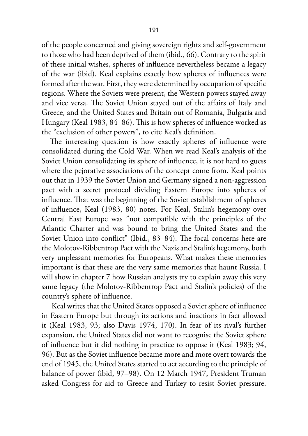of the people concerned and giving sovereign rights and self-government to those who had been deprived of them (ibid., 66). Contrary to the spirit of these initial wishes, spheres of influence nevertheless became a legacy of the war (ibid). Keal explains exactly how spheres of influences were formed after the war. First, they were determined by occupation of specific regions. Where the Soviets were present, the Western powers stayed away and vice versa. The Soviet Union stayed out of the affairs of Italy and Greece, and the United States and Britain out of Romania, Bulgaria and Hungary (Keal 1983, 84–86). This is how spheres of influence worked as the "exclusion of other powers", to cite Keal's definition.

The interesting question is how exactly spheres of influence were consolidated during the Cold War. When we read Keal's analysis of the Soviet Union consolidating its sphere of influence, it is not hard to guess where the pejorative associations of the concept come from. Keal points out that in 1939 the Soviet Union and Germany signed a non-aggression pact with a secret protocol dividing Eastern Europe into spheres of influence. That was the beginning of the Soviet establishment of spheres of influence, Keal (1983, 80) notes. For Keal, Stalin's hegemony over Central East Europe was "not compatible with the principles of the Atlantic Charter and was bound to bring the United States and the Soviet Union into conflict" (Ibid., 83–84). The focal concerns here are the Molotov-Ribbentrop Pact with the Nazis and Stalin's hegemony, both very unpleasant memories for Europeans. What makes these memories important is that these are the very same memories that haunt Russia. I will show in chapter 7 how Russian analysts try to explain away this very same legacy (the Molotov-Ribbentrop Pact and Stalin's policies) of the country's sphere of influence.

Keal writes that the United States opposed a Soviet sphere of influence in Eastern Europe but through its actions and inactions in fact allowed it (Keal 1983, 93; also Davis 1974, 170). In fear of its rival's further expansion, the United States did not want to recognise the Soviet sphere of influence but it did nothing in practice to oppose it (Keal 1983; 94, 96). But as the Soviet influence became more and more overt towards the end of 1945, the United States started to act according to the principle of balance of power (ibid, 97–98). On 12 March 1947, President Truman asked Congress for aid to Greece and Turkey to resist Soviet pressure.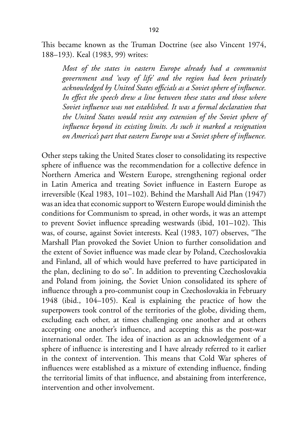This became known as the Truman Doctrine (see also Vincent 1974, 188–193). Keal (1983, 99) writes:

*Most of the states in eastern Europe already had a communist government and 'way of life' and the region had been privately*  acknowledged by United States officials as a Soviet sphere of influence. In effect the speech drew a line between these states and those where Soviet influence was not established. It was a formal declaration that *the United States would resist any extension of the Soviet sphere of infl uence beyond its existing limits. As such it marked a resignation on America's part that eastern Europe was a Soviet sphere of infl uence.*

Other steps taking the United States closer to consolidating its respective sphere of influence was the recommendation for a collective defence in Northern America and Western Europe, strengthening regional order in Latin America and treating Soviet influence in Eastern Europe as irreversible (Keal 1983, 101–102). Behind the Marshall Aid Plan (1947) was an idea that economic support to Western Europe would diminish the conditions for Communism to spread, in other words, it was an attempt to prevent Soviet influence spreading westwards (ibid, 101-102). This was, of course, against Soviet interests. Keal (1983, 107) observes, "The Marshall Plan provoked the Soviet Union to further consolidation and the extent of Soviet influence was made clear by Poland, Czechoslovakia and Finland, all of which would have preferred to have participated in the plan, declining to do so". In addition to preventing Czechoslovakia and Poland from joining, the Soviet Union consolidated its sphere of influence through a pro-communist coup in Czechoslovakia in February 1948 (ibid., 104–105). Keal is explaining the practice of how the superpowers took control of the territories of the globe, dividing them, excluding each other, at times challenging one another and at others accepting one another's influence, and accepting this as the post-war international order. The idea of inaction as an acknowledgement of a sphere of influence is interesting and I have already referred to it earlier in the context of intervention. This means that Cold War spheres of influences were established as a mixture of extending influence, finding the territorial limits of that influence, and abstaining from interference, intervention and other involvement.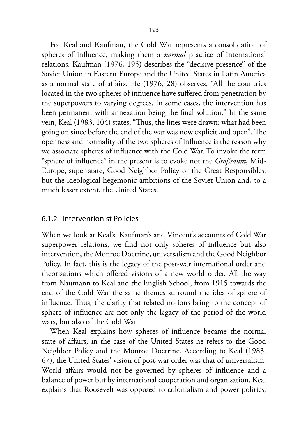For Keal and Kaufman, the Cold War represents a consolidation of spheres of influence, making them a *normal* practice of international relations. Kaufman (1976, 195) describes the "decisive presence" of the Soviet Union in Eastern Europe and the United States in Latin America as a normal state of affairs. He (1976, 28) observes, "All the countries located in the two spheres of influence have suffered from penetration by the superpowers to varying degrees. In some cases, the intervention has been permanent with annexation being the final solution." In the same vein, Keal (1983, 104) states, "Thus, the lines were drawn: what had been going on since before the end of the war was now explicit and open". The openness and normality of the two spheres of influence is the reason why we associate spheres of influence with the Cold War. To invoke the term "sphere of influence" in the present is to evoke not the *Großraum*, Mid-Europe, super-state, Good Neighbor Policy or the Great Responsibles, but the ideological hegemonic ambitions of the Soviet Union and, to a much lesser extent, the United States.

#### 6.1.2 Interventionist Policies

When we look at Keal's, Kaufman's and Vincent's accounts of Cold War superpower relations, we find not only spheres of influence but also intervention, the Monroe Doctrine, universalism and the Good Neighbor Policy. In fact, this is the legacy of the post-war international order and theorisations which offered visions of a new world order. All the way from Naumann to Keal and the English School, from 1915 towards the end of the Cold War the same themes surround the idea of sphere of influence. Thus, the clarity that related notions bring to the concept of sphere of influence are not only the legacy of the period of the world wars, but also of the Cold War.

When Keal explains how spheres of influence became the normal state of affairs, in the case of the United States he refers to the Good Neighbor Policy and the Monroe Doctrine. According to Keal (1983, 67), the United States' vision of post-war order was that of universalism: World affairs would not be governed by spheres of influence and a balance of power but by international cooperation and organisation. Keal explains that Roosevelt was opposed to colonialism and power politics,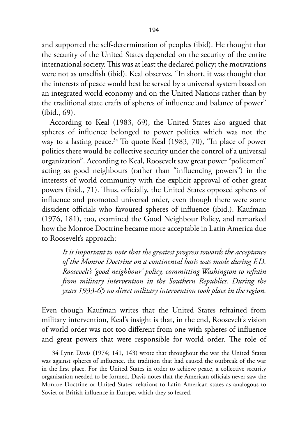and supported the self-determination of peoples (ibid). He thought that the security of the United States depended on the security of the entire international society. This was at least the declared policy; the motivations were not as unselfish (ibid). Keal observes, "In short, it was thought that the interests of peace would best be served by a universal system based on an integrated world economy and on the United Nations rather than by the traditional state crafts of spheres of influence and balance of power" (ibid., 69).

According to Keal (1983, 69), the United States also argued that spheres of influence belonged to power politics which was not the way to a lasting peace.<sup>34</sup> To quote Keal  $(1983, 70)$ , "In place of power politics there would be collective security under the control of a universal organization". According to Keal, Roosevelt saw great power "policemen" acting as good neighbours (rather than "influencing powers") in the interests of world community with the explicit approval of other great powers (ibid., 71). Thus, officially, the United States opposed spheres of influence and promoted universal order, even though there were some dissident officials who favoured spheres of influence (ibid.). Kaufman (1976, 181), too, examined the Good Neighbour Policy, and remarked how the Monroe Doctrine became more acceptable in Latin America due to Roosevelt's approach:

*It is important to note that the greatest progress towards the acceptance of the Monroe Doctrine on a continental basis was made during F.D. Roosevelt's 'good neighbour' policy, committing Washington to refrain from military intervention in the Southern Republics. During the years 1933-65 no direct military intervention took place in the region.*

Even though Kaufman writes that the United States refrained from military intervention, Keal's insight is that, in the end, Roosevelt's vision of world order was not too different from one with spheres of influence and great powers that were responsible for world order. The role of

<sup>34</sup> Lynn Davis (1974; 141, 143) wrote that throughout the war the United States was against spheres of influence, the tradition that had caused the outbreak of the war in the first place. For the United States in order to achieve peace, a collective security organisation needed to be formed. Davis notes that the American officials never saw the Monroe Doctrine or United States' relations to Latin American states as analogous to Soviet or British influence in Europe, which they so feared.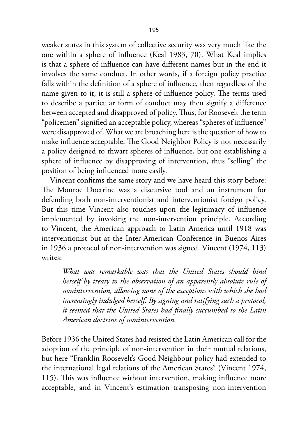weaker states in this system of collective security was very much like the one within a sphere of influence (Keal 1983, 70). What Keal implies is that a sphere of influence can have different names but in the end it involves the same conduct. In other words, if a foreign policy practice falls within the definition of a sphere of influence, then regardless of the name given to it, it is still a sphere-of-influence policy. The terms used to describe a particular form of conduct may then signify a difference between accepted and disapproved of policy. Thus, for Roosevelt the term "policemen" signified an acceptable policy, whereas "spheres of influence" were disapproved of. What we are broaching here is the question of how to make influence acceptable. The Good Neighbor Policy is not necessarily a policy designed to thwart spheres of influence, but one establishing a sphere of influence by disapproving of intervention, thus "selling" the position of being influenced more easily.

Vincent confirms the same story and we have heard this story before: The Monroe Doctrine was a discursive tool and an instrument for defending both non-interventionist and interventionist foreign policy. But this time Vincent also touches upon the legitimacy of influence implemented by invoking the non-intervention principle. According to Vincent, the American approach to Latin America until 1918 was interventionist but at the Inter-American Conference in Buenos Aires in 1936 a protocol of non-intervention was signed. Vincent (1974, 113) writes:

*What was remarkable was that the United States should bind herself by treaty to the observation of an apparently absolute rule of nonintervention, allowing none of the exceptions with which she had increasingly indulged herself. By signing and ratifying such a protocol,*  it seemed that the United States had finally succumbed to the Latin *American doctrine of nonintervention.*

Before 1936 the United States had resisted the Latin American call for the adoption of the principle of non-intervention in their mutual relations, but here "Franklin Roosevelt's Good Neighbour policy had extended to the international legal relations of the American States" (Vincent 1974, 115). This was influence without intervention, making influence more acceptable, and in Vincent's estimation transposing non-intervention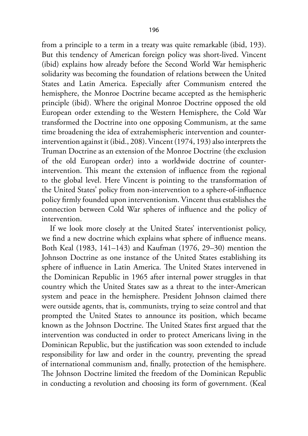from a principle to a term in a treaty was quite remarkable (ibid, 193). But this tendency of American foreign policy was short-lived. Vincent (ibid) explains how already before the Second World War hemispheric solidarity was becoming the foundation of relations between the United States and Latin America. Especially after Communism entered the hemisphere, the Monroe Doctrine became accepted as the hemispheric principle (ibid). Where the original Monroe Doctrine opposed the old European order extending to the Western Hemisphere, the Cold War transformed the Doctrine into one opposing Communism, at the same time broadening the idea of extrahemispheric intervention and counterintervention against it (ibid., 208). Vincent (1974, 193) also interprets the Truman Doctrine as an extension of the Monroe Doctrine (the exclusion of the old European order) into a worldwide doctrine of counterintervention. This meant the extension of influence from the regional to the global level. Here Vincent is pointing to the transformation of the United States' policy from non-intervention to a sphere-of-influence policy firmly founded upon interventionism. Vincent thus establishes the connection between Cold War spheres of influence and the policy of intervention.

If we look more closely at the United States' interventionist policy, we find a new doctrine which explains what sphere of influence means. Both Keal (1983, 141–143) and Kaufman (1976, 29–30) mention the Johnson Doctrine as one instance of the United States establishing its sphere of influence in Latin America. The United States intervened in the Dominican Republic in 1965 after internal power struggles in that country which the United States saw as a threat to the inter-American system and peace in the hemisphere. President Johnson claimed there were outside agents, that is, communists, trying to seize control and that prompted the United States to announce its position, which became known as the Johnson Doctrine. The United States first argued that the intervention was conducted in order to protect Americans living in the Dominican Republic, but the justification was soon extended to include responsibility for law and order in the country, preventing the spread of international communism and, finally, protection of the hemisphere. The Johnson Doctrine limited the freedom of the Dominican Republic in conducting a revolution and choosing its form of government. (Keal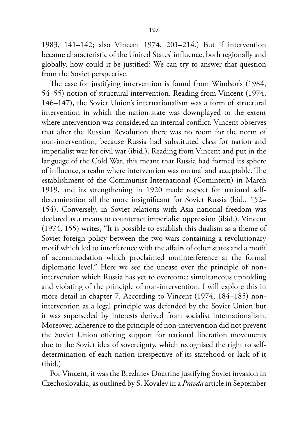1983, 141–142; also Vincent 1974, 201–214.) But if intervention became characteristic of the United States' influence, both regionally and globally, how could it be justified? We can try to answer that question from the Soviet perspective.

The case for justifying intervention is found from Windsor's (1984, 54–55) notion of structural intervention. Reading from Vincent (1974, 146–147), the Soviet Union's internationalism was a form of structural intervention in which the nation-state was downplayed to the extent where intervention was considered an internal conflict. Vincent observes that after the Russian Revolution there was no room for the norm of non-intervention, because Russia had substituted class for nation and imperialist war for civil war (ibid.). Reading from Vincent and put in the language of the Cold War, this meant that Russia had formed its sphere of influence, a realm where intervention was normal and acceptable. The establishment of the Communist International (Comintern) in March 1919, and its strengthening in 1920 made respect for national selfdetermination all the more insignificant for Soviet Russia (bid., 152-154). Conversely, in Soviet relations with Asia national freedom was declared as a means to counteract imperialist oppression (ibid.). Vincent (1974, 155) writes, "It is possible to establish this dualism as a theme of Soviet foreign policy between the two wars containing a revolutionary motif which led to interference with the affairs of other states and a motif of accommodation which proclaimed noninterference at the formal diplomatic level." Here we see the unease over the principle of nonintervention which Russia has yet to overcome: simultaneous upholding and violating of the principle of non-intervention. I will explore this in more detail in chapter 7. According to Vincent (1974, 184–185) nonintervention as a legal principle was defended by the Soviet Union but it was superseded by interests derived from socialist internationalism. Moreover, adherence to the principle of non-intervention did not prevent the Soviet Union offering support for national liberation movements due to the Soviet idea of sovereignty, which recognised the right to selfdetermination of each nation irrespective of its statehood or lack of it (ibid.).

For Vincent, it was the Brezhnev Doctrine justifying Soviet invasion in Czechoslovakia, as outlined by S. Kovalev in a *Pravda* article in September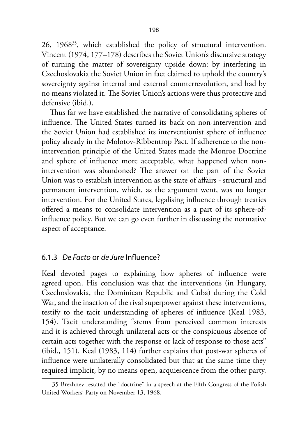26, 196835, which established the policy of structural intervention. Vincent (1974, 177–178) describes the Soviet Union's discursive strategy of turning the matter of sovereignty upside down: by interfering in Czechoslovakia the Soviet Union in fact claimed to uphold the country's sovereignty against internal and external counterrevolution, and had by no means violated it. The Soviet Union's actions were thus protective and defensive (ibid.).

Thus far we have established the narrative of consolidating spheres of influence. The United States turned its back on non-intervention and the Soviet Union had established its interventionist sphere of influence policy already in the Molotov-Ribbentrop Pact. If adherence to the nonintervention principle of the United States made the Monroe Doctrine and sphere of influence more acceptable, what happened when nonintervention was abandoned? The answer on the part of the Soviet Union was to establish intervention as the state of affairs - structural and permanent intervention, which, as the argument went, was no longer intervention. For the United States, legalising influence through treaties offered a means to consolidate intervention as a part of its sphere-ofinfluence policy. But we can go even further in discussing the normative aspect of acceptance.

### 6.1.3 De Facto or de Jure Influence?

Keal devoted pages to explaining how spheres of influence were agreed upon. His conclusion was that the interventions (in Hungary, Czechoslovakia, the Dominican Republic and Cuba) during the Cold War, and the inaction of the rival superpower against these interventions, testify to the tacit understanding of spheres of influence (Keal 1983, 154). Tacit understanding "stems from perceived common interests and it is achieved through unilateral acts or the conspicuous absence of certain acts together with the response or lack of response to those acts" (ibid., 151). Keal (1983, 114) further explains that post-war spheres of influence were unilaterally consolidated but that at the same time they required implicit, by no means open, acquiescence from the other party.

<sup>35</sup> Brezhnev restated the "doctrine" in a speech at the Fifth Congress of the Polish United Workers' Party on November 13, 1968.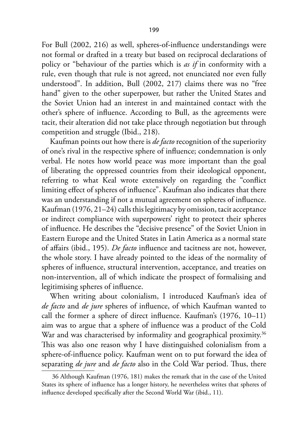For Bull (2002, 216) as well, spheres-of-influence understandings were not formal or drafted in a treaty but based on reciprocal declarations of policy or "behaviour of the parties which is *as if* in conformity with a rule, even though that rule is not agreed, not enunciated nor even fully understood". In addition, Bull (2002, 217) claims there was no "free hand" given to the other superpower, but rather the United States and the Soviet Union had an interest in and maintained contact with the other's sphere of influence. According to Bull, as the agreements were tacit, their alteration did not take place through negotiation but through competition and struggle (Ibid., 218).

Kaufman points out how there is *de facto* recognition of the superiority of one's rival in the respective sphere of influence; condemnation is only verbal. He notes how world peace was more important than the goal of liberating the oppressed countries from their ideological opponent, referring to what Keal wrote extensively on regarding the "conflict limiting effect of spheres of influence". Kaufman also indicates that there was an understanding if not a mutual agreement on spheres of influence. Kaufman (1976, 21–24) calls this legitimacy by omission, tacit acceptance or indirect compliance with superpowers' right to protect their spheres of influence. He describes the "decisive presence" of the Soviet Union in Eastern Europe and the United States in Latin America as a normal state of affairs (ibid., 195). *De facto* influence and tacitness are not, however, the whole story. I have already pointed to the ideas of the normality of spheres of influence, structural intervention, acceptance, and treaties on non-intervention, all of which indicate the prospect of formalising and legitimising spheres of influence.

When writing about colonialism, I introduced Kaufman's idea of *de facto* and *de jure* spheres of influence, of which Kaufman wanted to call the former a sphere of direct influence. Kaufman's (1976, 10-11) aim was to argue that a sphere of influence was a product of the Cold War and was characterised by informality and geographical proximity.<sup>36</sup> This was also one reason why I have distinguished colonialism from a sphere-of-influence policy. Kaufman went on to put forward the idea of separating *de jure* and *de facto* also in the Cold War period. Thus, there

<sup>36</sup> Although Kaufman (1976, 181) makes the remark that in the case of the United States its sphere of influence has a longer history, he nevertheless writes that spheres of influence developed specifically after the Second World War (ibid., 11).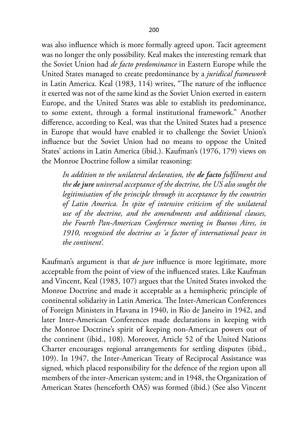was also influence which is more formally agreed upon. Tacit agreement was no longer the only possibility. Keal makes the interesting remark that the Soviet Union had *de facto predominance* in Eastern Europe while the United States managed to create predominance by a *juridical framework*  in Latin America. Keal (1983, 114) writes, "The nature of the influence it exerted was not of the same kind as the Soviet Union exerted in eastern Europe, and the United States was able to establish its predominance, to some extent, through a formal institutional framework." Another difference, according to Keal, was that the United States had a presence in Europe that would have enabled it to challenge the Soviet Union's influence but the Soviet Union had no means to oppose the United States' actions in Latin America (ibid.). Kaufman's (1976, 179) views on the Monroe Doctrine follow a similar reasoning:

In addition to the unilateral declaration, the de facto fulfilment and *the de jure universal acceptance of the doctrine, the US also sought the legitimisation of the principle through its acceptance by the countries of Latin America. In spite of intensive criticism of the unilateral use of the doctrine, and the amendments and additional clauses, the Fourth Pan-American Conference meeting in Buenos Aires, in 1910, recognised the doctrine as 'a factor of international peace in the continent'.*

Kaufman's argument is that *de jure* influence is more legitimate, more acceptable from the point of view of the influenced states. Like Kaufman and Vincent, Keal (1983, 107) argues that the United States invoked the Monroe Doctrine and made it acceptable as a hemispheric principle of continental solidarity in Latin America. The Inter-American Conferences of Foreign Ministers in Havana in 1940, in Rio de Janeiro in 1942, and later Inter-American Conferences made declarations in keeping with the Monroe Doctrine's spirit of keeping non-American powers out of the continent (ibid., 108). Moreover, Article 52 of the United Nations Charter encourages regional arrangements for settling disputes (ibid., 109). In 1947, the Inter-American Treaty of Reciprocal Assistance was signed, which placed responsibility for the defence of the region upon all members of the inter-American system; and in 1948, the Organization of American States (henceforth OAS) was formed (ibid.) (See also Vincent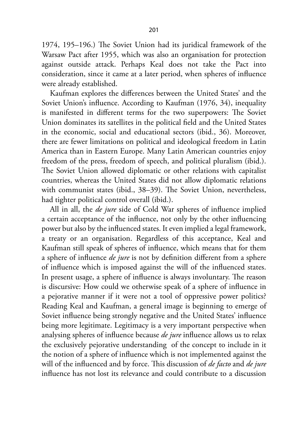1974, 195-196.) The Soviet Union had its juridical framework of the Warsaw Pact after 1955, which was also an organisation for protection against outside attack. Perhaps Keal does not take the Pact into consideration, since it came at a later period, when spheres of influence were already established.

Kaufman explores the differences between the United States' and the Soviet Union's influence. According to Kaufman (1976, 34), inequality is manifested in different terms for the two superpowers: The Soviet Union dominates its satellites in the political field and the United States in the economic, social and educational sectors (ibid., 36). Moreover, there are fewer limitations on political and ideological freedom in Latin America than in Eastern Europe. Many Latin American countries enjoy freedom of the press, freedom of speech, and political pluralism (ibid.). The Soviet Union allowed diplomatic or other relations with capitalist countries, whereas the United States did not allow diplomatic relations with communist states (ibid., 38–39). The Soviet Union, nevertheless, had tighter political control overall (ibid.).

All in all, the *de jure* side of Cold War spheres of influence implied a certain acceptance of the influence, not only by the other influencing power but also by the influenced states. It even implied a legal framework, a treaty or an organisation. Regardless of this acceptance, Keal and Kaufman still speak of spheres of influence, which means that for them a sphere of influence *de jure* is not by definition different from a sphere of influence which is imposed against the will of the influenced states. In present usage, a sphere of influence is always involuntary. The reason is discursive: How could we otherwise speak of a sphere of influence in a pejorative manner if it were not a tool of oppressive power politics? Reading Keal and Kaufman, a general image is beginning to emerge of Soviet influence being strongly negative and the United States' influence being more legitimate. Legitimacy is a very important perspective when analysing spheres of influence because *de jure* influence allows us to relax the exclusively pejorative understanding of the concept to include in it the notion of a sphere of influence which is not implemented against the will of the influenced and by force. This discussion of *de facto* and *de jure* influence has not lost its relevance and could contribute to a discussion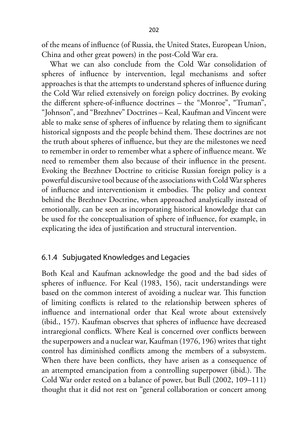of the means of influence (of Russia, the United States, European Union, China and other great powers) in the post-Cold War era.

What we can also conclude from the Cold War consolidation of spheres of influence by intervention, legal mechanisms and softer approaches is that the attempts to understand spheres of influence during the Cold War relied extensively on foreign policy doctrines. By evoking the different sphere-of-influence doctrines - the "Monroe", "Truman", "Johnson", and "Brezhnev" Doctrines – Keal, Kaufman and Vincent were able to make sense of spheres of influence by relating them to significant historical signposts and the people behind them. These doctrines are not the truth about spheres of influence, but they are the milestones we need to remember in order to remember what a sphere of influence meant. We need to remember them also because of their influence in the present. Evoking the Brezhnev Doctrine to criticise Russian foreign policy is a powerful discursive tool because of the associations with Cold War spheres of influence and interventionism it embodies. The policy and context behind the Brezhnev Doctrine, when approached analytically instead of emotionally, can be seen as incorporating historical knowledge that can be used for the conceptualisation of sphere of influence, for example, in explicating the idea of justification and structural intervention.

#### 6.1.4 Subjugated Knowledges and Legacies

Both Keal and Kaufman acknowledge the good and the bad sides of spheres of influence. For Keal (1983, 156), tacit understandings were based on the common interest of avoiding a nuclear war. This function of limiting conflicts is related to the relationship between spheres of influence and international order that Keal wrote about extensively (ibid., 157). Kaufman observes that spheres of influence have decreased intraregional conflicts. Where Keal is concerned over conflicts between the superpowers and a nuclear war, Kaufman (1976, 196) writes that tight control has diminished conflicts among the members of a subsystem. When there have been conflicts, they have arisen as a consequence of an attempted emancipation from a controlling superpower (ibid.). The Cold War order rested on a balance of power, but Bull (2002, 109–111) thought that it did not rest on "general collaboration or concert among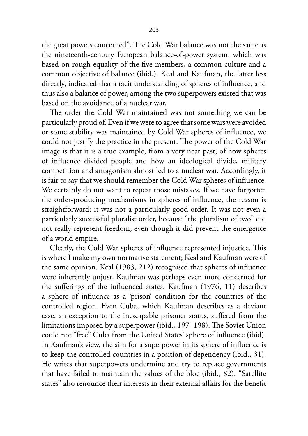the great powers concerned". The Cold War balance was not the same as the nineteenth-century European balance-of-power system, which was based on rough equality of the five members, a common culture and a common objective of balance (ibid.). Keal and Kaufman, the latter less directly, indicated that a tacit understanding of spheres of influence, and thus also a balance of power, among the two superpowers existed that was based on the avoidance of a nuclear war.

The order the Cold War maintained was not something we can be particularly proud of. Even if we were to agree that some wars were avoided or some stability was maintained by Cold War spheres of influence, we could not justify the practice in the present. The power of the Cold War image is that it is a true example, from a very near past, of how spheres of influence divided people and how an ideological divide, military competition and antagonism almost led to a nuclear war. Accordingly, it is fair to say that we should remember the Cold War spheres of influence. We certainly do not want to repeat those mistakes. If we have forgotten the order-producing mechanisms in spheres of influence, the reason is straightforward: it was not a particularly good order. It was not even a particularly successful pluralist order, because "the pluralism of two" did not really represent freedom, even though it did prevent the emergence of a world empire.

Clearly, the Cold War spheres of influence represented injustice. This is where I make my own normative statement; Keal and Kaufman were of the same opinion. Keal (1983, 212) recognised that spheres of influence were inherently unjust. Kaufman was perhaps even more concerned for the sufferings of the influenced states. Kaufman (1976, 11) describes a sphere of influence as a 'prison' condition for the countries of the controlled region. Even Cuba, which Kaufman describes as a deviant case, an exception to the inescapable prisoner status, suffered from the limitations imposed by a superpower (ibid., 197–198). The Soviet Union could not "free" Cuba from the United States' sphere of influence (ibid). In Kaufman's view, the aim for a superpower in its sphere of influence is to keep the controlled countries in a position of dependency (ibid., 31). He writes that superpowers undermine and try to replace governments that have failed to maintain the values of the bloc (ibid., 82). "Satellite states" also renounce their interests in their external affairs for the benefit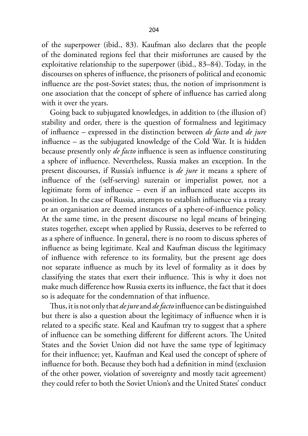of the superpower (ibid., 83). Kaufman also declares that the people of the dominated regions feel that their misfortunes are caused by the exploitative relationship to the superpower (ibid., 83–84). Today, in the discourses on spheres of influence, the prisoners of political and economic influence are the post-Soviet states; thus, the notion of imprisonment is one association that the concept of sphere of influence has carried along with it over the years.

Going back to subjugated knowledges, in addition to (the illusion of) stability and order, there is the question of formalness and legitimacy of infl uence – expressed in the distinction between *de facto* and *de jure*  influence – as the subjugated knowledge of the Cold War. It is hidden because presently only *de facto* influence is seen as influence constituting a sphere of influence. Nevertheless, Russia makes an exception. In the present discourses, if Russia's influence is *de jure* it means a sphere of influence of the (self-serving) suzerain or imperialist power, not a legitimate form of influence – even if an influenced state accepts its position. In the case of Russia, attempts to establish influence via a treaty or an organisation are deemed instances of a sphere-of-influence policy. At the same time, in the present discourse no legal means of bringing states together, except when applied by Russia, deserves to be referred to as a sphere of influence. In general, there is no room to discuss spheres of influence as being legitimate. Keal and Kaufman discuss the legitimacy of influence with reference to its formality, but the present age does not separate influence as much by its level of formality as it does by classifying the states that exert their influence. This is why it does not make much difference how Russia exerts its influence, the fact that it does so is adequate for the condemnation of that influence.

Thus, it is not only that *de jure* and *de facto* influence can be distinguished but there is also a question about the legitimacy of influence when it is related to a specific state. Keal and Kaufman try to suggest that a sphere of influence can be something different for different actors. The United States and the Soviet Union did not have the same type of legitimacy for their influence; yet, Kaufman and Keal used the concept of sphere of influence for both. Because they both had a definition in mind (exclusion of the other power, violation of sovereignty and mostly tacit agreement) they could refer to both the Soviet Union's and the United States' conduct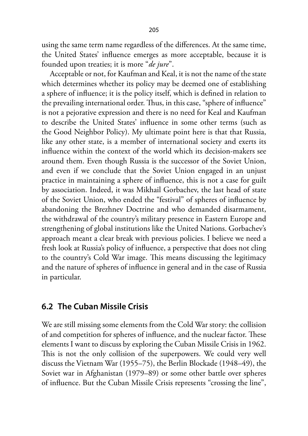using the same term name regardless of the differences. At the same time, the United States' influence emerges as more acceptable, because it is founded upon treaties; it is more "*de jure*".

Acceptable or not, for Kaufman and Keal, it is not the name of the state which determines whether its policy may be deemed one of establishing a sphere of influence; it is the policy itself, which is defined in relation to the prevailing international order. Thus, in this case, "sphere of influence" is not a pejorative expression and there is no need for Keal and Kaufman to describe the United States' influence in some other terms (such as the Good Neighbor Policy). My ultimate point here is that that Russia, like any other state, is a member of international society and exerts its influence within the context of the world which its decision-makers see around them. Even though Russia is the successor of the Soviet Union, and even if we conclude that the Soviet Union engaged in an unjust practice in maintaining a sphere of influence, this is not a case for guilt by association. Indeed, it was Mikhail Gorbachev, the last head of state of the Soviet Union, who ended the "festival" of spheres of influence by abandoning the Brezhnev Doctrine and who demanded disarmament, the withdrawal of the country's military presence in Eastern Europe and strengthening of global institutions like the United Nations. Gorbachev's approach meant a clear break with previous policies. I believe we need a fresh look at Russia's policy of influence, a perspective that does not cling to the country's Cold War image. This means discussing the legitimacy and the nature of spheres of influence in general and in the case of Russia in particular.

## **6.2 The Cuban Missile Crisis**

We are still missing some elements from the Cold War story: the collision of and competition for spheres of influence, and the nuclear factor. These elements I want to discuss by exploring the Cuban Missile Crisis in 1962. This is not the only collision of the superpowers. We could very well discuss the Vietnam War (1955–75), the Berlin Blockade (1948–49), the Soviet war in Afghanistan (1979–89) or some other battle over spheres of influence. But the Cuban Missile Crisis represents "crossing the line",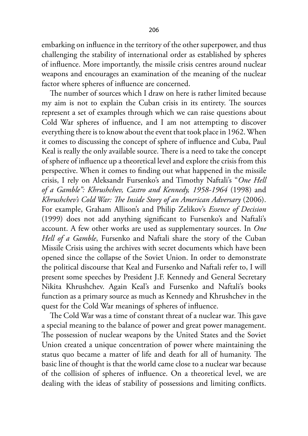embarking on influence in the territory of the other superpower, and thus challenging the stability of international order as established by spheres of influence. More importantly, the missile crisis centres around nuclear weapons and encourages an examination of the meaning of the nuclear factor where spheres of influence are concerned.

The number of sources which I draw on here is rather limited because my aim is not to explain the Cuban crisis in its entirety. The sources represent a set of examples through which we can raise questions about Cold War spheres of influence, and I am not attempting to discover everything there is to know about the event that took place in 1962. When it comes to discussing the concept of sphere of influence and Cuba, Paul Keal is really the only available source. There is a need to take the concept of sphere of influence up a theoretical level and explore the crisis from this perspective. When it comes to finding out what happened in the missile crisis, I rely on Aleksandr Fursenko's and Timothy Naftali's "*One Hell of a Gamble": Khrushchev, Castro and Kennedy, 1958-1964* (1998) and *Khrushchev's Cold War: The Inside Story of an American Adversary* (2006). For example, Graham Allison's and Philip Zelikov's *Essence of Decision*  (1999) does not add anything significant to Fursenko's and Naftali's account. A few other works are used as supplementary sources. In *One Hell of a Gamble*, Fursenko and Naftali share the story of the Cuban Missile Crisis using the archives with secret documents which have been opened since the collapse of the Soviet Union. In order to demonstrate the political discourse that Keal and Fursenko and Naftali refer to, I will present some speeches by President J.F. Kennedy and General Secretary Nikita Khrushchev. Again Keal's and Fursenko and Naftali's books function as a primary source as much as Kennedy and Khrushchev in the quest for the Cold War meanings of spheres of influence.

The Cold War was a time of constant threat of a nuclear war. This gave a special meaning to the balance of power and great power management. The possession of nuclear weapons by the United States and the Soviet Union created a unique concentration of power where maintaining the status quo became a matter of life and death for all of humanity. The basic line of thought is that the world came close to a nuclear war because of the collision of spheres of influence. On a theoretical level, we are dealing with the ideas of stability of possessions and limiting conflicts.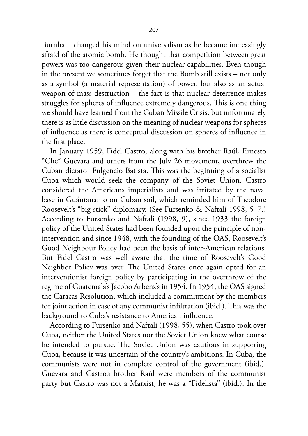Burnham changed his mind on universalism as he became increasingly afraid of the atomic bomb. He thought that competition between great powers was too dangerous given their nuclear capabilities. Even though in the present we sometimes forget that the Bomb still exists – not only as a symbol (a material representation) of power, but also as an actual weapon of mass destruction – the fact is that nuclear deterrence makes struggles for spheres of influence extremely dangerous. This is one thing we should have learned from the Cuban Missile Crisis, but unfortunately there is as little discussion on the meaning of nuclear weapons for spheres of influence as there is conceptual discussion on spheres of influence in the first place.

In January 1959, Fidel Castro, along with his brother Raúl, Ernesto "Che" Guevara and others from the July 26 movement, overthrew the Cuban dictator Fulgencio Batista. This was the beginning of a socialist Cuba which would seek the company of the Soviet Union. Castro considered the Americans imperialists and was irritated by the naval base in Guántanamo on Cuban soil, which reminded him of Theodore Roosevelt's "big stick" diplomacy. (See Fursenko & Naftali 1998, 5–7.) According to Fursenko and Naftali (1998, 9), since 1933 the foreign policy of the United States had been founded upon the principle of nonintervention and since 1948, with the founding of the OAS, Roosevelt's Good Neighbour Policy had been the basis of inter-American relations. But Fidel Castro was well aware that the time of Roosevelt's Good Neighbor Policy was over. The United States once again opted for an interventionist foreign policy by participating in the overthrow of the regime of Guatemala's Jacobo Arbenz's in 1954. In 1954, the OAS signed the Caracas Resolution, which included a commitment by the members for joint action in case of any communist infiltration (ibid.). This was the background to Cuba's resistance to American influence.

According to Fursenko and Naftali (1998, 55), when Castro took over Cuba, neither the United States nor the Soviet Union knew what course he intended to pursue. The Soviet Union was cautious in supporting Cuba, because it was uncertain of the country's ambitions. In Cuba, the communists were not in complete control of the government (ibid.). Guevara and Castro's brother Raúl were members of the communist party but Castro was not a Marxist; he was a "Fidelista" (ibid.). In the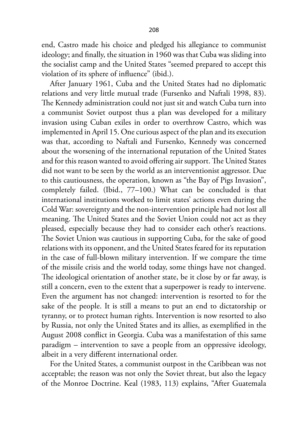end, Castro made his choice and pledged his allegiance to communist ideology; and finally, the situation in 1960 was that Cuba was sliding into the socialist camp and the United States "seemed prepared to accept this violation of its sphere of influence" (ibid.).

After January 1961, Cuba and the United States had no diplomatic relations and very little mutual trade (Fursenko and Naftali 1998, 83). The Kennedy administration could not just sit and watch Cuba turn into a communist Soviet outpost thus a plan was developed for a military invasion using Cuban exiles in order to overthrow Castro, which was implemented in April 15. One curious aspect of the plan and its execution was that, according to Naftali and Fursenko, Kennedy was concerned about the worsening of the international reputation of the United States and for this reason wanted to avoid offering air support. The United States did not want to be seen by the world as an interventionist aggressor. Due to this cautiousness, the operation, known as "the Bay of Pigs Invasion", completely failed. (Ibid., 77–100.) What can be concluded is that international institutions worked to limit states' actions even during the Cold War: sovereignty and the non-intervention principle had not lost all meaning. The United States and the Soviet Union could not act as they pleased, especially because they had to consider each other's reactions. The Soviet Union was cautious in supporting Cuba, for the sake of good relations with its opponent, and the United States feared for its reputation in the case of full-blown military intervention. If we compare the time of the missile crisis and the world today, some things have not changed. The ideological orientation of another state, be it close by or far away, is still a concern, even to the extent that a superpower is ready to intervene. Even the argument has not changed: intervention is resorted to for the sake of the people. It is still a means to put an end to dictatorship or tyranny, or to protect human rights. Intervention is now resorted to also by Russia, not only the United States and its allies, as exemplified in the August 2008 conflict in Georgia. Cuba was a manifestation of this same paradigm – intervention to save a people from an oppressive ideology, albeit in a very different international order.

For the United States, a communist outpost in the Caribbean was not acceptable; the reason was not only the Soviet threat, but also the legacy of the Monroe Doctrine. Keal (1983, 113) explains, "After Guatemala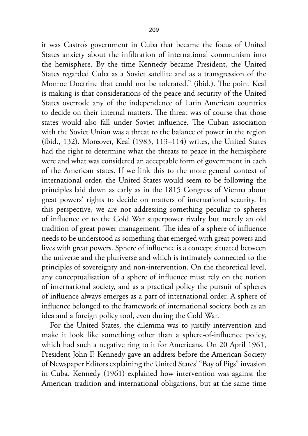it was Castro's government in Cuba that became the focus of United States anxiety about the infiltration of international communism into the hemisphere. By the time Kennedy became President, the United States regarded Cuba as a Soviet satellite and as a transgression of the Monroe Doctrine that could not be tolerated." (ibid.). The point Keal is making is that considerations of the peace and security of the United States overrode any of the independence of Latin American countries to decide on their internal matters. The threat was of course that those states would also fall under Soviet influence. The Cuban association with the Soviet Union was a threat to the balance of power in the region (ibid., 132). Moreover, Keal (1983, 113–114) writes, the United States had the right to determine what the threats to peace in the hemisphere were and what was considered an acceptable form of government in each of the American states. If we link this to the more general context of international order, the United States would seem to be following the principles laid down as early as in the 1815 Congress of Vienna about great powers' rights to decide on matters of international security. In this perspective, we are not addressing something peculiar to spheres of influence or to the Cold War superpower rivalry but merely an old tradition of great power management. The idea of a sphere of influence needs to be understood as something that emerged with great powers and lives with great powers. Sphere of influence is a concept situated between the universe and the pluriverse and which is intimately connected to the principles of sovereignty and non-intervention. On the theoretical level, any conceptualisation of a sphere of influence must rely on the notion of international society, and as a practical policy the pursuit of spheres of influence always emerges as a part of international order. A sphere of influence belonged to the framework of international society, both as an idea and a foreign policy tool, even during the Cold War.

For the United States, the dilemma was to justify intervention and make it look like something other than a sphere-of-influence policy, which had such a negative ring to it for Americans. On 20 April 1961, President John F. Kennedy gave an address before the American Society of Newspaper Editors explaining the United States' "Bay of Pigs" invasion in Cuba. Kennedy (1961) explained how intervention was against the American tradition and international obligations, but at the same time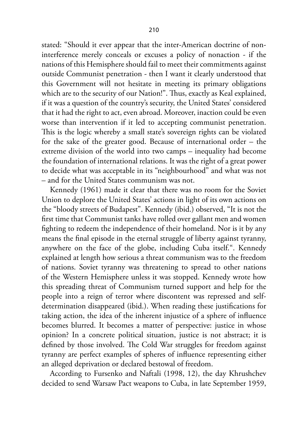stated: "Should it ever appear that the inter-American doctrine of noninterference merely conceals or excuses a policy of nonaction - if the nations of this Hemisphere should fail to meet their commitments against outside Communist penetration - then I want it clearly understood that this Government will not hesitate in meeting its primary obligations which are to the security of our Nation!". Thus, exactly as Keal explained, if it was a question of the country's security, the United States' considered that it had the right to act, even abroad. Moreover, inaction could be even worse than intervention if it led to accepting communist penetration. This is the logic whereby a small state's sovereign rights can be violated for the sake of the greater good. Because of international order – the extreme division of the world into two camps – inequality had become the foundation of international relations. It was the right of a great power to decide what was acceptable in its "neighbourhood" and what was not – and for the United States communism was not.

Kennedy (1961) made it clear that there was no room for the Soviet Union to deplore the United States' actions in light of its own actions on the "bloody streets of Budapest". Kennedy (ibid.) observed, "It is not the first time that Communist tanks have rolled over gallant men and women fighting to redeem the independence of their homeland. Nor is it by any means the final episode in the eternal struggle of liberty against tyranny, anywhere on the face of the globe, including Cuba itself.". Kennedy explained at length how serious a threat communism was to the freedom of nations. Soviet tyranny was threatening to spread to other nations of the Western Hemisphere unless it was stopped. Kennedy wrote how this spreading threat of Communism turned support and help for the people into a reign of terror where discontent was repressed and selfdetermination disappeared (ibid.). When reading these justifications for taking action, the idea of the inherent injustice of a sphere of influence becomes blurred. It becomes a matter of perspective: justice in whose opinion? In a concrete political situation, justice is not abstract; it is defined by those involved. The Cold War struggles for freedom against tyranny are perfect examples of spheres of influence representing either an alleged deprivation or declared bestowal of freedom.

According to Fursenko and Naftali (1998, 12), the day Khrushchev decided to send Warsaw Pact weapons to Cuba, in late September 1959,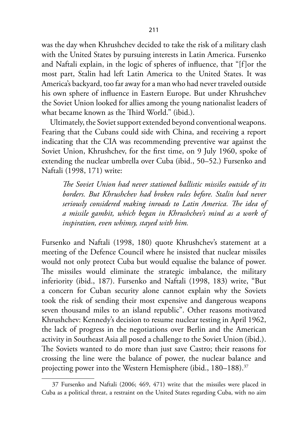was the day when Khrushchev decided to take the risk of a military clash with the United States by pursuing interests in Latin America. Fursenko and Naftali explain, in the logic of spheres of influence, that "[f]or the most part, Stalin had left Latin America to the United States. It was America's backyard, too far away for a man who had never traveled outside his own sphere of influence in Eastern Europe. But under Khrushchev the Soviet Union looked for allies among the young nationalist leaders of what became known as the Third World." (ibid.).

Ultimately, the Soviet support extended beyond conventional weapons. Fearing that the Cubans could side with China, and receiving a report indicating that the CIA was recommending preventive war against the Soviet Union, Khrushchev, for the first time, on 9 July 1960, spoke of extending the nuclear umbrella over Cuba (ibid., 50–52.) Fursenko and Naftali (1998, 171) write:

*The Soviet Union had never stationed ballistic missiles outside of its borders. But Khrushchev had broken rules before. Stalin had never*  seriously considered making inroads to Latin America. The idea of *a missile gambit, which began in Khrushchev's mind as a work of inspiration, even whimsy, stayed with him.*

Fursenko and Naftali (1998, 180) quote Khrushchev's statement at a meeting of the Defence Council where he insisted that nuclear missiles would not only protect Cuba but would equalise the balance of power. The missiles would eliminate the strategic imbalance, the military inferiority (ibid., 187). Fursenko and Naftali (1998, 183) write, "But a concern for Cuban security alone cannot explain why the Soviets took the risk of sending their most expensive and dangerous weapons seven thousand miles to an island republic". Other reasons motivated Khrushchev: Kennedy's decision to resume nuclear testing in April 1962, the lack of progress in the negotiations over Berlin and the American activity in Southeast Asia all posed a challenge to the Soviet Union (ibid.). The Soviets wanted to do more than just save Castro; their reasons for crossing the line were the balance of power, the nuclear balance and projecting power into the Western Hemisphere (ibid., 180–188).<sup>37</sup>

<sup>37</sup> Fursenko and Naftali (2006; 469, 471) write that the missiles were placed in Cuba as a political threat, a restraint on the United States regarding Cuba, with no aim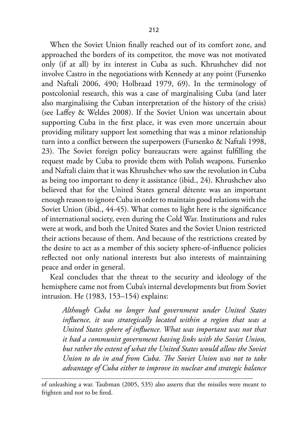When the Soviet Union finally reached out of its comfort zone, and approached the borders of its competitor, the move was not motivated only (if at all) by its interest in Cuba as such. Khrushchev did not involve Castro in the negotiations with Kennedy at any point (Fursenko and Naftali 2006, 490; Holbraad 1979, 69). In the terminology of postcolonial research, this was a case of marginalising Cuba (and later also marginalising the Cuban interpretation of the history of the crisis) (see Laffey & Weldes 2008). If the Soviet Union was uncertain about supporting Cuba in the first place, it was even more uncertain about providing military support lest something that was a minor relationship turn into a conflict between the superpowers (Fursenko & Naftali 1998, 23). The Soviet foreign policy bureaucrats were against fulfilling the request made by Cuba to provide them with Polish weapons. Fursenko and Naftali claim that it was Khrushchev who saw the revolution in Cuba as being too important to deny it assistance (ibid., 24). Khrushchev also believed that for the United States general détente was an important enough reason to ignore Cuba in order to maintain good relations with the Soviet Union (ibid., 44-45). What comes to light here is the significance of international society, even during the Cold War. Institutions and rules were at work, and both the United States and the Soviet Union restricted their actions because of them. And because of the restrictions created by the desire to act as a member of this society sphere-of-influence policies reflected not only national interests but also interests of maintaining peace and order in general.

Keal concludes that the threat to the security and ideology of the hemisphere came not from Cuba's internal developments but from Soviet intrusion. He (1983, 153–154) explains:

*Although Cuba no longer had government under United States infl uence, it was strategically located within a region that was a United States sphere of influence. What was important was not that it had a communist government having links with the Soviet Union, but rather the extent of what the United States would allow the Soviet*  Union to do in and from Cuba. The Soviet Union was not to take *advantage of Cuba either to improve its nuclear and strategic balance* 

of unleashing a war. Taubman (2005, 535) also asserts that the missiles were meant to frighten and not to be fired.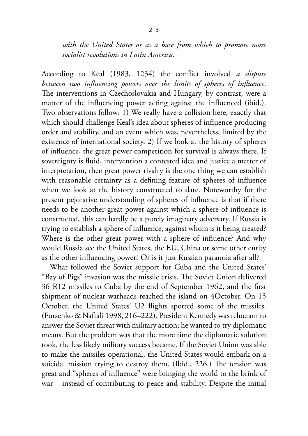*with the United States or as a base from which to promote more socialist revolutions in Latin America.* 

According to Keal (1983, 1234) the conflict involved *a dispute* between two influencing powers over the limits of spheres of influence. The interventions in Czechoslovakia and Hungary, by contrast, were a matter of the influencing power acting against the influenced (ibid.). Two observations follow: 1) We really have a collision here, exactly that which should challenge Keal's idea about spheres of influence producing order and stability, and an event which was, nevertheless, limited by the existence of international society. 2) If we look at the history of spheres of influence, the great power competition for survival is always there. If sovereignty is fluid, intervention a contested idea and justice a matter of interpretation, then great power rivalry is the one thing we can establish with reasonable certainty as a defining feature of spheres of influence when we look at the history constructed to date. Noteworthy for the present pejorative understanding of spheres of influence is that if there needs to be another great power against which a sphere of influence is constructed, this can hardly be a purely imaginary adversary. If Russia is trying to establish a sphere of influence, against whom is it being created? Where is the other great power with a sphere of influence? And why would Russia see the United States, the EU, China or some other entity as the other influencing power? Or is it just Russian paranoia after all?

What followed the Soviet support for Cuba and the United States' "Bay of Pigs" invasion was the missile crisis. The Soviet Union delivered 36 R12 missiles to Cuba by the end of September 1962, and the first shipment of nuclear warheads reached the island on 4October. On 15 October, the United States' U2 flights spotted some of the missiles. (Fursenko & Naftali 1998, 216–222). President Kennedy was reluctant to answer the Soviet threat with military action; he wanted to try diplomatic means. But the problem was that the more time the diplomatic solution took, the less likely military success became. If the Soviet Union was able to make the missiles operational, the United States would embark on a suicidal mission trying to destroy them. (Ibid., 226.) The tension was great and "spheres of influence" were bringing the world to the brink of war – instead of contributing to peace and stability. Despite the initial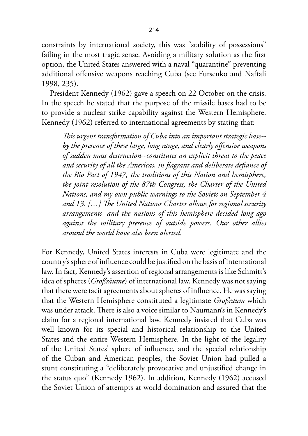constraints by international society, this was "stability of possessions" failing in the most tragic sense. Avoiding a military solution as the first option, the United States answered with a naval "quarantine" preventing additional offensive weapons reaching Cuba (see Fursenko and Naftali 1998, 235).

President Kennedy (1962) gave a speech on 22 October on the crisis. In the speech he stated that the purpose of the missile bases had to be to provide a nuclear strike capability against the Western Hemisphere. Kennedy (1962) referred to international agreements by stating that:

*Th is urgent transformation of Cuba into an important strategic base-* by the presence of these large, long range, and clearly offensive weapons *of sudden mass destruction--constitutes an explicit threat to the peace*  and security of all the Americas, in flagrant and deliberate defiance of *the Rio Pact of 1947, the traditions of this Nation and hemisphere, the joint resolution of the 87th Congress, the Charter of the United Nations, and my own public warnings to the Soviets on September 4*  and 13. [...] The United Nations Charter allows for regional security *arrangements--and the nations of this hemisphere decided long ago against the military presence of outside powers. Our other allies around the world have also been alerted.* 

For Kennedy, United States interests in Cuba were legitimate and the country's sphere of influence could be justified on the basis of international law. In fact, Kennedy's assertion of regional arrangements is like Schmitt's idea of spheres (*Großräume*) of international law. Kennedy was not saying that there were tacit agreements about spheres of influence. He was saying that the Western Hemisphere constituted a legitimate *Großraum* which was under attack. There is also a voice similar to Naumann's in Kennedy's claim for a regional international law. Kennedy insisted that Cuba was well known for its special and historical relationship to the United States and the entire Western Hemisphere. In the light of the legality of the United States' sphere of influence, and the special relationship of the Cuban and American peoples, the Soviet Union had pulled a stunt constituting a "deliberately provocative and unjustified change in the status quo" (Kennedy 1962). In addition, Kennedy (1962) accused the Soviet Union of attempts at world domination and assured that the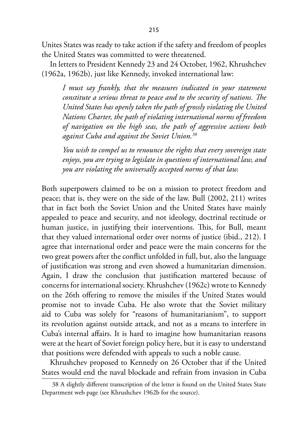Unites States was ready to take action if the safety and freedom of peoples the United States was committed to were threatened.

In letters to President Kennedy 23 and 24 October, 1962, Khrushchev (1962a, 1962b), just like Kennedy, invoked international law:

*I must say frankly, that the measures indicated in your statement constitute a serious threat to peace and to the security of nations. The United States has openly taken the path of grossly violating the United Nations Charter, the path of violating international norms of freedom of navigation on the high seas, the path of aggressive actions both against Cuba and against the Soviet Union.38*

*You wish to compel us to renounce the rights that every sovereign state enjoys, you are trying to legislate in questions of international law, and you are violating the universally accepted norms of that law.*

Both superpowers claimed to be on a mission to protect freedom and peace; that is, they were on the side of the law. Bull (2002, 211) writes that in fact both the Soviet Union and the United States have mainly appealed to peace and security, and not ideology, doctrinal rectitude or human justice, in justifying their interventions. This, for Bull, meant that they valued international order over norms of justice (ibid., 212). I agree that international order and peace were the main concerns for the two great powers after the conflict unfolded in full, but, also the language of justification was strong and even showed a humanitarian dimension. Again, I draw the conclusion that justification mattered because of concerns for international society. Khrushchev (1962c) wrote to Kennedy on the 26th offering to remove the missiles if the United States would promise not to invade Cuba. He also wrote that the Soviet military aid to Cuba was solely for "reasons of humanitarianism", to support its revolution against outside attack, and not as a means to interfere in Cuba's internal affairs. It is hard to imagine how humanitarian reasons were at the heart of Soviet foreign policy here, but it is easy to understand that positions were defended with appeals to such a noble cause.

Khrushchev proposed to Kennedy on 26 October that if the United States would end the naval blockade and refrain from invasion in Cuba

<sup>38</sup> A slightly different transcription of the letter is found on the United States State Department web page (see Khrushchev 1962b for the source).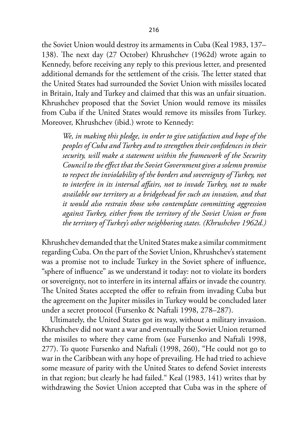the Soviet Union would destroy its armaments in Cuba (Keal 1983, 137– 138). The next day (27 October) Khrushchev (1962d) wrote again to Kennedy, before receiving any reply to this previous letter, and presented additional demands for the settlement of the crisis. The letter stated that the United States had surrounded the Soviet Union with missiles located in Britain, Italy and Turkey and claimed that this was an unfair situation. Khrushchev proposed that the Soviet Union would remove its missiles from Cuba if the United States would remove its missiles from Turkey. Moreover, Khrushchev (ibid.) wrote to Kennedy:

*We, in making this pledge, in order to give satisfaction and hope of the peoples of Cuba and Turkey and to strengthen their confi dences in their security, will make a statement within the framework of the Security Council to the effect that the Soviet Government gives a solemn promise to respect the inviolability of the borders and sovereignty of Turkey, not*  to interfere in its internal affairs, not to invade Turkey, not to make *available our territory as a bridgehead for such an invasion, and that it would also restrain those who contemplate committing aggression against Turkey, either from the territory of the Soviet Union or from the territory of Turkey's other neighboring states. (Khrushchev 1962d.)*

Khrushchev demanded that the United States make a similar commitment regarding Cuba. On the part of the Soviet Union, Khrushchev's statement was a promise not to include Turkey in the Soviet sphere of influence, "sphere of influence" as we understand it today: not to violate its borders or sovereignty, not to interfere in its internal affairs or invade the country. The United States accepted the offer to refrain from invading Cuba but the agreement on the Jupiter missiles in Turkey would be concluded later under a secret protocol (Fursenko & Naftali 1998, 278–287).

Ultimately, the United States got its way, without a military invasion. Khrushchev did not want a war and eventually the Soviet Union returned the missiles to where they came from (see Fursenko and Naftali 1998, 277). To quote Fursenko and Naftali (1998, 260), "He could not go to war in the Caribbean with any hope of prevailing. He had tried to achieve some measure of parity with the United States to defend Soviet interests in that region; but clearly he had failed." Keal (1983, 141) writes that by withdrawing the Soviet Union accepted that Cuba was in the sphere of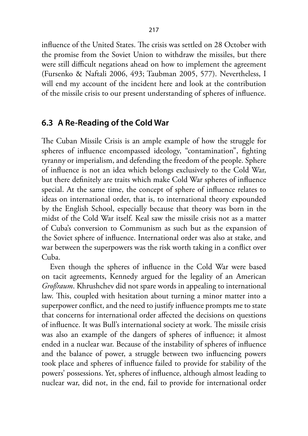influence of the United States. The crisis was settled on 28 October with the promise from the Soviet Union to withdraw the missiles, but there were still difficult negations ahead on how to implement the agreement (Fursenko & Naftali 2006, 493; Taubman 2005, 577). Nevertheless, I will end my account of the incident here and look at the contribution of the missile crisis to our present understanding of spheres of influence.

# **6.3 A Re-Reading of the Cold War**

The Cuban Missile Crisis is an ample example of how the struggle for spheres of influence encompassed ideology, "contamination", fighting tyranny or imperialism, and defending the freedom of the people. Sphere of influence is not an idea which belongs exclusively to the Cold War, but there definitely are traits which make Cold War spheres of influence special. At the same time, the concept of sphere of influence relates to ideas on international order, that is, to international theory expounded by the English School, especially because that theory was born in the midst of the Cold War itself. Keal saw the missile crisis not as a matter of Cuba's conversion to Communism as such but as the expansion of the Soviet sphere of influence. International order was also at stake, and war between the superpowers was the risk worth taking in a conflict over Cuba.

Even though the spheres of influence in the Cold War were based on tacit agreements, Kennedy argued for the legality of an American *Großraum*. Khrushchev did not spare words in appealing to international law. This, coupled with hesitation about turning a minor matter into a superpower conflict, and the need to justify influence prompts me to state that concerns for international order affected the decisions on questions of influence. It was Bull's international society at work. The missile crisis was also an example of the dangers of spheres of influence; it almost ended in a nuclear war. Because of the instability of spheres of influence and the balance of power, a struggle between two influencing powers took place and spheres of influence failed to provide for stability of the powers' possessions. Yet, spheres of influence, although almost leading to nuclear war, did not, in the end, fail to provide for international order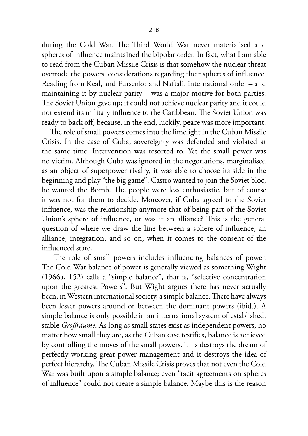during the Cold War. The Third World War never materialised and spheres of influence maintained the bipolar order. In fact, what I am able to read from the Cuban Missile Crisis is that somehow the nuclear threat overrode the powers' considerations regarding their spheres of influence. Reading from Keal, and Fursenko and Naftali, international order – and maintaining it by nuclear parity – was a major motive for both parties. The Soviet Union gave up; it could not achieve nuclear parity and it could not extend its military influence to the Caribbean. The Soviet Union was ready to back off, because, in the end, luckily, peace was more important.

The role of small powers comes into the limelight in the Cuban Missile Crisis. In the case of Cuba, sovereignty was defended and violated at the same time. Intervention was resorted to. Yet the small power was no victim. Although Cuba was ignored in the negotiations, marginalised as an object of superpower rivalry, it was able to choose its side in the beginning and play "the big game". Castro wanted to join the Soviet bloc; he wanted the Bomb. The people were less enthusiastic, but of course it was not for them to decide. Moreover, if Cuba agreed to the Soviet influence, was the relationship anymore that of being part of the Soviet Union's sphere of influence, or was it an alliance? This is the general question of where we draw the line between a sphere of influence, an alliance, integration, and so on, when it comes to the consent of the influenced state

The role of small powers includes influencing balances of power. The Cold War balance of power is generally viewed as something Wight (1966a, 152) calls a "simple balance", that is, "selective concentration upon the greatest Powers". But Wight argues there has never actually been, in Western international society, a simple balance. There have always been lesser powers around or between the dominant powers (ibid.). A simple balance is only possible in an international system of established, stable *Großräume*. As long as small states exist as independent powers, no matter how small they are, as the Cuban case testifies, balance is achieved by controlling the moves of the small powers. This destroys the dream of perfectly working great power management and it destroys the idea of perfect hierarchy. The Cuban Missile Crisis proves that not even the Cold War was built upon a simple balance; even "tacit agreements on spheres of influence" could not create a simple balance. Maybe this is the reason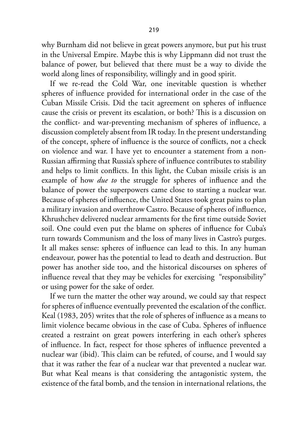why Burnham did not believe in great powers anymore, but put his trust in the Universal Empire. Maybe this is why Lippmann did not trust the balance of power, but believed that there must be a way to divide the world along lines of responsibility, willingly and in good spirit.

If we re-read the Cold War, one inevitable question is whether spheres of influence provided for international order in the case of the Cuban Missile Crisis. Did the tacit agreement on spheres of influence cause the crisis or prevent its escalation, or both? This is a discussion on the conflict- and war-preventing mechanism of spheres of influence, a discussion completely absent from IR today. In the present understanding of the concept, sphere of influence is the source of conflicts, not a check on violence and war. I have yet to encounter a statement from a non-Russian affirming that Russia's sphere of influence contributes to stability and helps to limit conflicts. In this light, the Cuban missile crisis is an example of how *due to* the struggle for spheres of influence and the balance of power the superpowers came close to starting a nuclear war. Because of spheres of influence, the United States took great pains to plan a military invasion and overthrow Castro. Because of spheres of influence, Khrushchev delivered nuclear armaments for the first time outside Soviet soil. One could even put the blame on spheres of influence for Cuba's turn towards Communism and the loss of many lives in Castro's purges. It all makes sense: spheres of influence can lead to this. In any human endeavour, power has the potential to lead to death and destruction. But power has another side too, and the historical discourses on spheres of influence reveal that they may be vehicles for exercising "responsibility" or using power for the sake of order.

If we turn the matter the other way around, we could say that respect for spheres of influence eventually prevented the escalation of the conflict. Keal (1983, 205) writes that the role of spheres of influence as a means to limit violence became obvious in the case of Cuba. Spheres of influence created a restraint on great powers interfering in each other's spheres of influence. In fact, respect for those spheres of influence prevented a nuclear war (ibid). This claim can be refuted, of course, and I would say that it was rather the fear of a nuclear war that prevented a nuclear war. But what Keal means is that considering the antagonistic system, the existence of the fatal bomb, and the tension in international relations, the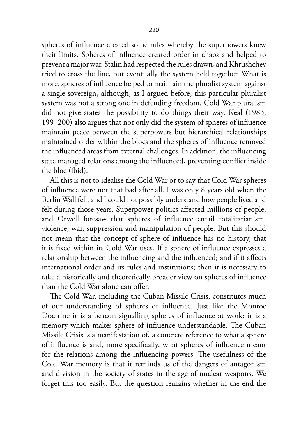spheres of influence created some rules whereby the superpowers knew their limits. Spheres of influence created order in chaos and helped to prevent a major war. Stalin had respected the rules drawn, and Khrushchev tried to cross the line, but eventually the system held together. What is more, spheres of influence helped to maintain the pluralist system against a single sovereign, although, as I argued before, this particular pluralist system was not a strong one in defending freedom. Cold War pluralism did not give states the possibility to do things their way. Keal (1983, 199–200) also argues that not only did the system of spheres of influence maintain peace between the superpowers but hierarchical relationships maintained order within the blocs and the spheres of influence removed the influenced areas from external challenges. In addition, the influencing state managed relations among the influenced, preventing conflict inside the bloc (ibid).

All this is not to idealise the Cold War or to say that Cold War spheres of influence were not that bad after all. I was only 8 years old when the Berlin Wall fell, and I could not possibly understand how people lived and felt during those years. Superpower politics affected millions of people, and Orwell foresaw that spheres of influence entail totalitarianism, violence, war, suppression and manipulation of people. But this should not mean that the concept of sphere of influence has no history, that it is fixed within its Cold War uses. If a sphere of influence expresses a relationship between the influencing and the influenced; and if it affects international order and its rules and institutions; then it is necessary to take a historically and theoretically broader view on spheres of influence than the Cold War alone can offer.

The Cold War, including the Cuban Missile Crisis, constitutes much of our understanding of spheres of influence. Just like the Monroe Doctrine it is a beacon signalling spheres of influence at work: it is a memory which makes sphere of influence understandable. The Cuban Missile Crisis is a manifestation of, a concrete reference to what a sphere of influence is and, more specifically, what spheres of influence meant for the relations among the influencing powers. The usefulness of the Cold War memory is that it reminds us of the dangers of antagonism and division in the society of states in the age of nuclear weapons. We forget this too easily. But the question remains whether in the end the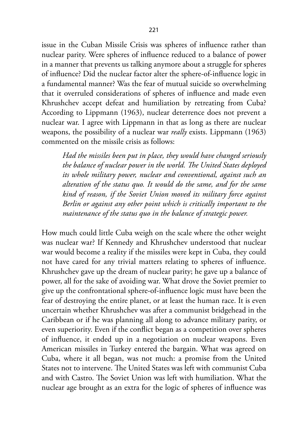issue in the Cuban Missile Crisis was spheres of influence rather than nuclear parity. Were spheres of influence reduced to a balance of power in a manner that prevents us talking anymore about a struggle for spheres of influence? Did the nuclear factor alter the sphere-of-influence logic in a fundamental manner? Was the fear of mutual suicide so overwhelming that it overruled considerations of spheres of influence and made even Khrushchev accept defeat and humiliation by retreating from Cuba? According to Lippmann (1963), nuclear deterrence does not prevent a nuclear war. I agree with Lippmann in that as long as there are nuclear weapons, the possibility of a nuclear war *really* exists. Lippmann (1963) commented on the missile crisis as follows:

*Had the missiles been put in place, they would have changed seriously*  the balance of nuclear power in the world. The United States deployed *its whole military power, nuclear and conventional, against such an alteration of the status quo. It would do the same, and for the same kind of reason, if the Soviet Union moved its military force against Berlin or against any other point which is critically important to the maintenance of the status quo in the balance of strategic power.*

How much could little Cuba weigh on the scale where the other weight was nuclear war? If Kennedy and Khrushchev understood that nuclear war would become a reality if the missiles were kept in Cuba, they could not have cared for any trivial matters relating to spheres of influence. Khrushchev gave up the dream of nuclear parity; he gave up a balance of power, all for the sake of avoiding war. What drove the Soviet premier to give up the confrontational sphere-of-influence logic must have been the fear of destroying the entire planet, or at least the human race. It is even uncertain whether Khrushchev was after a communist bridgehead in the Caribbean or if he was planning all along to advance military parity, or even superiority. Even if the conflict began as a competition over spheres of influence, it ended up in a negotiation on nuclear weapons. Even American missiles in Turkey entered the bargain. What was agreed on Cuba, where it all began, was not much: a promise from the United States not to intervene. The United States was left with communist Cuba and with Castro. The Soviet Union was left with humiliation. What the nuclear age brought as an extra for the logic of spheres of influence was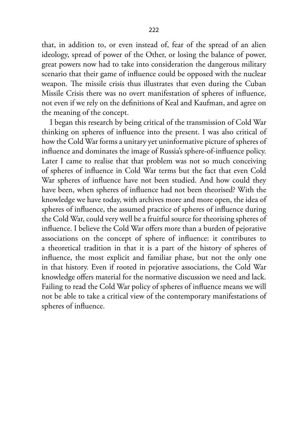that, in addition to, or even instead of, fear of the spread of an alien ideology, spread of power of the Other, or losing the balance of power, great powers now had to take into consideration the dangerous military scenario that their game of influence could be opposed with the nuclear weapon. The missile crisis thus illustrates that even during the Cuban Missile Crisis there was no overt manifestation of spheres of influence, not even if we rely on the definitions of Keal and Kaufman, and agree on the meaning of the concept.

I began this research by being critical of the transmission of Cold War thinking on spheres of influence into the present. I was also critical of how the Cold War forms a unitary yet uninformative picture of spheres of influence and dominates the image of Russia's sphere-of-influence policy. Later I came to realise that that problem was not so much conceiving of spheres of influence in Cold War terms but the fact that even Cold War spheres of influence have not been studied. And how could they have been, when spheres of influence had not been theorised? With the knowledge we have today, with archives more and more open, the idea of spheres of influence, the assumed practice of spheres of influence during the Cold War, could very well be a fruitful source for theorising spheres of influence. I believe the Cold War offers more than a burden of pejorative associations on the concept of sphere of influence: it contributes to a theoretical tradition in that it is a part of the history of spheres of influence, the most explicit and familiar phase, but not the only one in that history. Even if rooted in pejorative associations, the Cold War knowledge offers material for the normative discussion we need and lack. Failing to read the Cold War policy of spheres of influence means we will not be able to take a critical view of the contemporary manifestations of spheres of influence.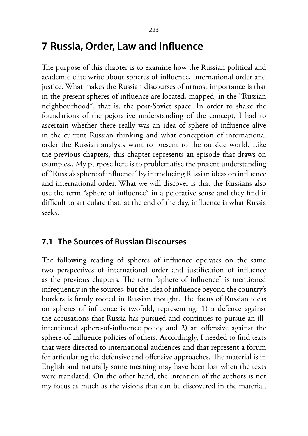# **7 Russia, Order, Law and Infl uence**

The purpose of this chapter is to examine how the Russian political and academic elite write about spheres of influence, international order and justice. What makes the Russian discourses of utmost importance is that in the present spheres of influence are located, mapped, in the "Russian neighbourhood", that is, the post-Soviet space. In order to shake the foundations of the pejorative understanding of the concept, I had to ascertain whether there really was an idea of sphere of influence alive in the current Russian thinking and what conception of international order the Russian analysts want to present to the outside world. Like the previous chapters, this chapter represents an episode that draws on examples,. My purpose here is to problematise the present understanding of "Russia's sphere of influence" by introducing Russian ideas on influence and international order. What we will discover is that the Russians also use the term "sphere of influence" in a pejorative sense and they find it difficult to articulate that, at the end of the day, influence is what Russia seeks.

# **7.1 The Sources of Russian Discourses**

The following reading of spheres of influence operates on the same two perspectives of international order and justification of influence as the previous chapters. The term "sphere of influence" is mentioned infrequently in the sources, but the idea of influence beyond the country's borders is firmly rooted in Russian thought. The focus of Russian ideas on spheres of influence is twofold, representing: 1) a defence against the accusations that Russia has pursued and continues to pursue an illintentioned sphere-of-influence policy and 2) an offensive against the sphere-of-influence policies of others. Accordingly, I needed to find texts that were directed to international audiences and that represent a forum for articulating the defensive and offensive approaches. The material is in English and naturally some meaning may have been lost when the texts were translated. On the other hand, the intention of the authors is not my focus as much as the visions that can be discovered in the material,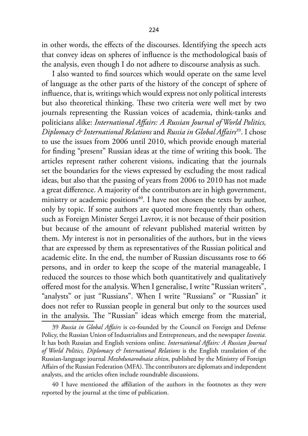in other words, the effects of the discourses. Identifying the speech acts that convey ideas on spheres of influence is the methodological basis of the analysis, even though I do not adhere to discourse analysis as such.

I also wanted to find sources which would operate on the same level of language as the other parts of the history of the concept of sphere of influence, that is, writings which would express not only political interests but also theoretical thinking. These two criteria were well met by two journals representing the Russian voices of academia, think-tanks and politicians alike: *International Affairs: A Russian Journal of World Politics*, *Diplomacy & International Relations* and *Russia in Global Affairs*<sup>39</sup>. I chose to use the issues from 2006 until 2010, which provide enough material for finding "present" Russian ideas at the time of writing this book. The articles represent rather coherent visions, indicating that the journals set the boundaries for the views expressed by excluding the most radical ideas, but also that the passing of years from 2006 to 2010 has not made a great difference. A majority of the contributors are in high government, ministry or academic positions<sup>40</sup>. I have not chosen the texts by author, only by topic. If some authors are quoted more frequently than others, such as Foreign Minister Sergei Lavrov, it is not because of their position but because of the amount of relevant published material written by them. My interest is not in personalities of the authors, but in the views that are expressed by them as representatives of the Russian political and academic elite. In the end, the number of Russian discussants rose to 66 persons, and in order to keep the scope of the material manageable, I reduced the sources to those which both quantitatively and qualitatively offered most for the analysis. When I generalise, I write "Russian writers", "analysts" or just "Russians". When I write "Russians" or "Russian" it does not refer to Russian people in general but only to the sources used in the analysis. The "Russian" ideas which emerge from the material,

39 *Russia in Global Affairs* is co-founded by the Council on Foreign and Defense Policy, the Russian Union of Industrialists and Entrepreneurs, and the newspaper *Izvestia*. It has both Russian and English versions online. *International Affairs: A Russian Journal of World Politics, Diplomacy & International Relations* is the English translation of the Russian-language journal *Mezhdunarodnaia zhizn*, published by the Ministry of Foreign Affairs of the Russian Federation (MFA). The contributors are diplomats and independent analysts, and the articles often include roundtable discussions.

40 I have mentioned the affiliation of the authors in the footnotes as they were reported by the journal at the time of publication.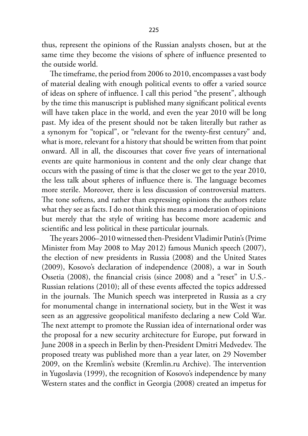thus, represent the opinions of the Russian analysts chosen, but at the same time they become the visions of sphere of influence presented to the outside world.

The timeframe, the period from 2006 to 2010, encompasses a vast body of material dealing with enough political events to offer a varied source of ideas on sphere of influence. I call this period "the present", although by the time this manuscript is published many significant political events will have taken place in the world, and even the year 2010 will be long past. My idea of the present should not be taken literally but rather as a synonym for "topical", or "relevant for the twenty-first century" and, what is more, relevant for a history that should be written from that point onward. All in all, the discourses that cover five years of international events are quite harmonious in content and the only clear change that occurs with the passing of time is that the closer we get to the year 2010, the less talk about spheres of influence there is. The language becomes more sterile. Moreover, there is less discussion of controversial matters. The tone softens, and rather than expressing opinions the authors relate what they see as facts. I do not think this means a moderation of opinions but merely that the style of writing has become more academic and scientific and less political in these particular journals.

The years 2006–2010 witnessed then-President Vladimir Putin's (Prime Minister from May 2008 to May 2012) famous Munich speech (2007), the election of new presidents in Russia (2008) and the United States (2009), Kosovo's declaration of independence (2008), a war in South Ossetia (2008), the financial crisis (since 2008) and a "reset" in U.S.-Russian relations (2010); all of these events affected the topics addressed in the journals. The Munich speech was interpreted in Russia as a cry for monumental change in international society, but in the West it was seen as an aggressive geopolitical manifesto declaring a new Cold War. The next attempt to promote the Russian idea of international order was the proposal for a new security architecture for Europe, put forward in June 2008 in a speech in Berlin by then-President Dmitri Medvedev. The proposed treaty was published more than a year later, on 29 November 2009, on the Kremlin's website (Kremlin.ru Archive). The intervention in Yugoslavia (1999), the recognition of Kosovo's independence by many Western states and the conflict in Georgia (2008) created an impetus for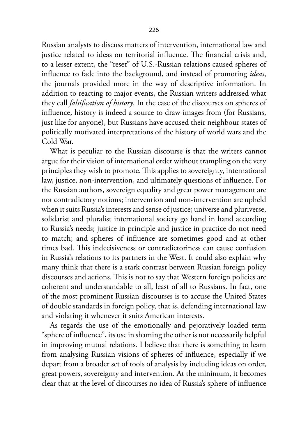Russian analysts to discuss matters of intervention, international law and justice related to ideas on territorial influence. The financial crisis and, to a lesser extent, the "reset" of U.S.-Russian relations caused spheres of influence to fade into the background, and instead of promoting *ideas*, the journals provided more in the way of descriptive information. In addition to reacting to major events, the Russian writers addressed what they call *falsification of history*. In the case of the discourses on spheres of influence, history is indeed a source to draw images from (for Russians, just like for anyone), but Russians have accused their neighbour states of politically motivated interpretations of the history of world wars and the Cold War.

What is peculiar to the Russian discourse is that the writers cannot argue for their vision of international order without trampling on the very principles they wish to promote. This applies to sovereignty, international law, justice, non-intervention, and ultimately questions of influence. For the Russian authors, sovereign equality and great power management are not contradictory notions; intervention and non-intervention are upheld when it suits Russia's interests and sense of justice; universe and pluriverse, solidarist and pluralist international society go hand in hand according to Russia's needs; justice in principle and justice in practice do not need to match; and spheres of influence are sometimes good and at other times bad. This indecisiveness or contradictoriness can cause confusion in Russia's relations to its partners in the West. It could also explain why many think that there is a stark contrast between Russian foreign policy discourses and actions. This is not to say that Western foreign policies are coherent and understandable to all, least of all to Russians. In fact, one of the most prominent Russian discourses is to accuse the United States of double standards in foreign policy, that is, defending international law and violating it whenever it suits American interests.

As regards the use of the emotionally and pejoratively loaded term "sphere of influence", its use in shaming the other is not necessarily helpful in improving mutual relations. I believe that there is something to learn from analysing Russian visions of spheres of influence, especially if we depart from a broader set of tools of analysis by including ideas on order, great powers, sovereignty and intervention. At the minimum, it becomes clear that at the level of discourses no idea of Russia's sphere of influence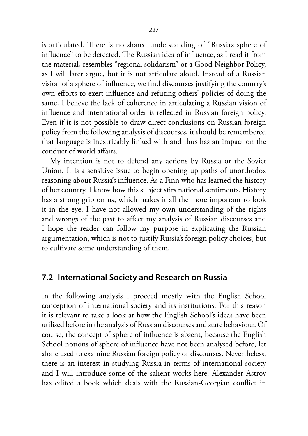is articulated. There is no shared understanding of "Russia's sphere of influence" to be detected. The Russian idea of influence, as I read it from the material, resembles "regional solidarism" or a Good Neighbor Policy, as I will later argue, but it is not articulate aloud. Instead of a Russian vision of a sphere of influence, we find discourses justifying the country's own efforts to exert influence and refuting others' policies of doing the same. I believe the lack of coherence in articulating a Russian vision of influence and international order is reflected in Russian foreign policy. Even if it is not possible to draw direct conclusions on Russian foreign policy from the following analysis of discourses, it should be remembered that language is inextricably linked with and thus has an impact on the conduct of world affairs.

My intention is not to defend any actions by Russia or the Soviet Union. It is a sensitive issue to begin opening up paths of unorthodox reasoning about Russia's influence. As a Finn who has learned the history of her country, I know how this subject stirs national sentiments. History has a strong grip on us, which makes it all the more important to look it in the eye. I have not allowed my own understanding of the rights and wrongs of the past to affect my analysis of Russian discourses and I hope the reader can follow my purpose in explicating the Russian argumentation, which is not to justify Russia's foreign policy choices, but to cultivate some understanding of them.

# **7.2 International Society and Research on Russia**

In the following analysis I proceed mostly with the English School conception of international society and its institutions. For this reason it is relevant to take a look at how the English School's ideas have been utilised before in the analysis of Russian discourses and state behaviour. Of course, the concept of sphere of influence is absent, because the English School notions of sphere of influence have not been analysed before, let alone used to examine Russian foreign policy or discourses. Nevertheless, there is an interest in studying Russia in terms of international society and I will introduce some of the salient works here. Alexander Astrov has edited a book which deals with the Russian-Georgian conflict in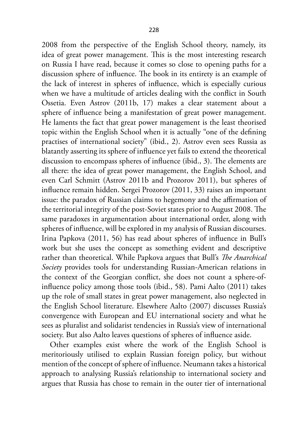2008 from the perspective of the English School theory, namely, its idea of great power management. This is the most interesting research on Russia I have read, because it comes so close to opening paths for a discussion sphere of influence. The book in its entirety is an example of the lack of interest in spheres of influence, which is especially curious when we have a multitude of articles dealing with the conflict in South Ossetia. Even Astrov (2011b, 17) makes a clear statement about a sphere of influence being a manifestation of great power management. He laments the fact that great power management is the least theorised topic within the English School when it is actually "one of the defining practises of international society" (ibid., 2). Astrov even sees Russia as blatantly asserting its sphere of influence yet fails to extend the theoretical discussion to encompass spheres of influence (ibid., 3). The elements are all there: the idea of great power management, the English School, and even Carl Schmitt (Astrov 2011b and Prozorov 2011), but spheres of influence remain hidden. Sergei Prozorov (2011, 33) raises an important issue: the paradox of Russian claims to hegemony and the affirmation of the territorial integrity of the post-Soviet states prior to August 2008. The same paradoxes in argumentation about international order, along with spheres of influence, will be explored in my analysis of Russian discourses. Irina Papkova (2011, 56) has read about spheres of influence in Bull's work but she uses the concept as something evident and descriptive rather than theoretical. While Papkova argues that Bull's *The Anarchical Society* provides tools for understanding Russian-American relations in the context of the Georgian conflict, she does not count a sphere-ofinfluence policy among those tools (ibid., 58). Pami Aalto (2011) takes up the role of small states in great power management, also neglected in the English School literature. Elsewhere Aalto (2007) discusses Russia's convergence with European and EU international society and what he sees as pluralist and solidarist tendencies in Russia's view of international society. But also Aalto leaves questions of spheres of influence aside.

Other examples exist where the work of the English School is meritoriously utilised to explain Russian foreign policy, but without mention of the concept of sphere of influence. Neumann takes a historical approach to analysing Russia's relationship to international society and argues that Russia has chose to remain in the outer tier of international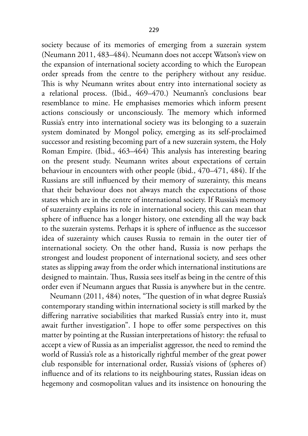society because of its memories of emerging from a suzerain system (Neumann 2011, 483–484). Neumann does not accept Watson's view on the expansion of international society according to which the European order spreads from the centre to the periphery without any residue. This is why Neumann writes about entry into international society as a relational process. (Ibid., 469–470.) Neumann's conclusions bear resemblance to mine. He emphasises memories which inform present actions consciously or unconsciously. The memory which informed Russia's entry into international society was its belonging to a suzerain system dominated by Mongol policy, emerging as its self-proclaimed successor and resisting becoming part of a new suzerain system, the Holy Roman Empire. (Ibid., 463–464) This analysis has interesting bearing on the present study. Neumann writes about expectations of certain behaviour in encounters with other people (ibid., 470–471, 484). If the Russians are still influenced by their memory of suzerainty, this means that their behaviour does not always match the expectations of those states which are in the centre of international society. If Russia's memory of suzerainty explains its role in international society, this can mean that sphere of influence has a longer history, one extending all the way back to the suzerain systems. Perhaps it is sphere of influence as the successor idea of suzerainty which causes Russia to remain in the outer tier of international society. On the other hand, Russia is now perhaps the strongest and loudest proponent of international society, and sees other states as slipping away from the order which international institutions are designed to maintain. Thus, Russia sees itself as being in the centre of this order even if Neumann argues that Russia is anywhere but in the centre.

Neumann (2011, 484) notes, "The question of in what degree Russia's contemporary standing within international society is still marked by the differing narrative sociabilities that marked Russia's entry into it, must await further investigation". I hope to offer some perspectives on this matter by pointing at the Russian interpretations of history: the refusal to accept a view of Russia as an imperialist aggressor, the need to remind the world of Russia's role as a historically rightful member of the great power club responsible for international order, Russia's visions of (spheres of) influence and of its relations to its neighbouring states, Russian ideas on hegemony and cosmopolitan values and its insistence on honouring the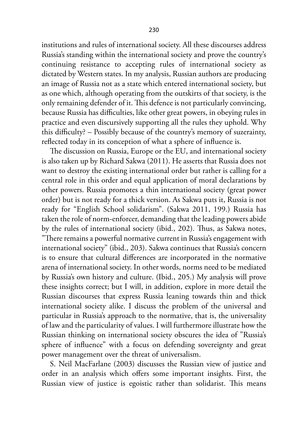institutions and rules of international society. All these discourses address Russia's standing within the international society and prove the country's continuing resistance to accepting rules of international society as dictated by Western states. In my analysis, Russian authors are producing an image of Russia not as a state which entered international society, but as one which, although operating from the outskirts of that society, is the only remaining defender of it. This defence is not particularly convincing, because Russia has difficulties, like other great powers, in obeying rules in practice and even discursively supporting all the rules they uphold. Why this difficulty? – Possibly because of the country's memory of suzerainty, reflected today in its conception of what a sphere of influence is.

The discussion on Russia, Europe or the EU, and international society is also taken up by Richard Sakwa (2011). He asserts that Russia does not want to destroy the existing international order but rather is calling for a central role in this order and equal application of moral declarations by other powers. Russia promotes a thin international society (great power order) but is not ready for a thick version. As Sakwa puts it, Russia is not ready for "English School solidarism". (Sakwa 2011, 199.) Russia has taken the role of norm-enforcer, demanding that the leading powers abide by the rules of international society (ibid., 202). Thus, as Sakwa notes, "There remains a powerful normative current in Russia's engagement with international society" (ibid., 203). Sakwa continues that Russia's concern is to ensure that cultural differences are incorporated in the normative arena of international society. In other words, norms need to be mediated by Russia's own history and culture. (Ibid., 205.) My analysis will prove these insights correct; but I will, in addition, explore in more detail the Russian discourses that express Russia leaning towards thin and thick international society alike. I discuss the problem of the universal and particular in Russia's approach to the normative, that is, the universality of law and the particularity of values. I will furthermore illustrate how the Russian thinking on international society obscures the idea of "Russia's sphere of influence" with a focus on defending sovereignty and great power management over the threat of universalism.

S. Neil MacFarlane (2003) discusses the Russian view of justice and order in an analysis which offers some important insights. First, the Russian view of justice is egoistic rather than solidarist. This means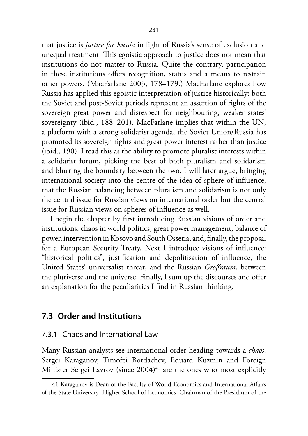that justice is *justice for Russia* in light of Russia's sense of exclusion and unequal treatment. This egoistic approach to justice does not mean that institutions do not matter to Russia. Quite the contrary, participation in these institutions offers recognition, status and a means to restrain other powers. (MacFarlane 2003, 178–179.) MacFarlane explores how Russia has applied this egoistic interpretation of justice historically: both the Soviet and post-Soviet periods represent an assertion of rights of the sovereign great power and disrespect for neighbouring, weaker states' sovereignty (ibid., 188–201). MacFarlane implies that within the UN, a platform with a strong solidarist agenda, the Soviet Union/Russia has promoted its sovereign rights and great power interest rather than justice (ibid., 190). I read this as the ability to promote pluralist interests within a solidarist forum, picking the best of both pluralism and solidarism and blurring the boundary between the two. I will later argue, bringing international society into the centre of the idea of sphere of influence, that the Russian balancing between pluralism and solidarism is not only the central issue for Russian views on international order but the central issue for Russian views on spheres of influence as well.

I begin the chapter by first introducing Russian visions of order and institutions: chaos in world politics, great power management, balance of power, intervention in Kosovo and South Ossetia, and, finally, the proposal for a European Security Treaty. Next I introduce visions of influence: "historical politics", justification and depolitisation of influence, the United States' universalist threat, and the Russian *Großraum*, between the pluriverse and the universe. Finally, I sum up the discourses and offer an explanation for the peculiarities I find in Russian thinking.

### **7.3 Order and Institutions**

#### 7.3.1 Chaos and International Law

Many Russian analysts see international order heading towards a *chaos*. Sergei Karaganov, Timofei Bordachev, Eduard Kuzmin and Foreign Minister Sergei Lavrov (since  $2004$ )<sup>41</sup> are the ones who most explicitly

<sup>41</sup> Karaganov is Dean of the Faculty of World Economics and International Affairs of the State University–Higher School of Economics, Chairman of the Presidium of the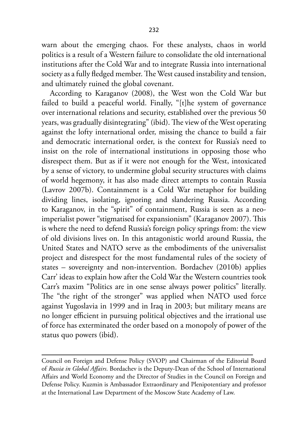warn about the emerging chaos. For these analysts, chaos in world politics is a result of a Western failure to consolidate the old international institutions after the Cold War and to integrate Russia into international society as a fully fledged member. The West caused instability and tension, and ultimately ruined the global covenant.

According to Karaganov (2008), the West won the Cold War but failed to build a peaceful world. Finally, "[t]he system of governance over international relations and security, established over the previous 50 years, was gradually disintegrating" (ibid). The view of the West operating against the lofty international order, missing the chance to build a fair and democratic international order, is the context for Russia's need to insist on the role of international institutions in opposing those who disrespect them. But as if it were not enough for the West, intoxicated by a sense of victory, to undermine global security structures with claims of world hegemony, it has also made direct attempts to contain Russia (Lavrov 2007b). Containment is a Cold War metaphor for building dividing lines, isolating, ignoring and slandering Russia. According to Karaganov, in the "spirit" of containment, Russia is seen as a neoimperialist power "stigmatised for expansionism" (Karaganov 2007). This is where the need to defend Russia's foreign policy springs from: the view of old divisions lives on. In this antagonistic world around Russia, the United States and NATO serve as the embodiments of the universalist project and disrespect for the most fundamental rules of the society of states – sovereignty and non-intervention. Bordachev (2010b) applies Carr' ideas to explain how after the Cold War the Western countries took Carr's maxim "Politics are in one sense always power politics" literally. The "the right of the stronger" was applied when NATO used force against Yugoslavia in 1999 and in Iraq in 2003; but military means are no longer efficient in pursuing political objectives and the irrational use of force has exterminated the order based on a monopoly of power of the status quo powers (ibid).

Council on Foreign and Defense Policy (SVOP) and Chairman of the Editorial Board of Russia in Global Affairs. Bordachev is the Deputy-Dean of the School of International Affairs and World Economy and the Director of Studies in the Council on Foreign and Defense Policy. Kuzmin is Ambassador Extraordinary and Plenipotentiary and professor at the International Law Department of the Moscow State Academy of Law.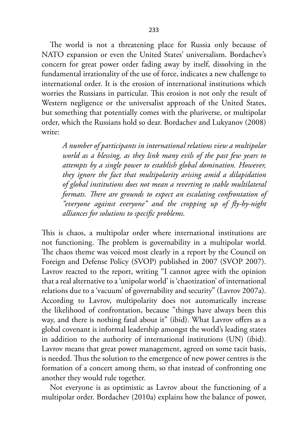The world is not a threatening place for Russia only because of NATO expansion or even the United States' universalism. Bordachev's concern for great power order fading away by itself, dissolving in the fundamental irrationality of the use of force, indicates a new challenge to international order. It is the erosion of international institutions which worries the Russians in particular. This erosion is not only the result of Western negligence or the universalist approach of the United States, but something that potentially comes with the pluriverse, or multipolar order, which the Russians hold so dear. Bordachev and Lukyanov (2008) write:

*A number of participants in international relations view a multipolar world as a blessing, as they link many evils of the past few years to attempts by a single power to establish global domination. However, they ignore the fact that multipolarity arising amid a dilapidation of global institutions does not mean a reverting to stable multilateral formats. There are grounds to expect an escalating confrontation of* "everyone against everyone" and the cropping up of fly-by-night *alliances for solutions to specific problems.* 

This is chaos, a multipolar order where international institutions are not functioning. The problem is governability in a multipolar world. The chaos theme was voiced most clearly in a report by the Council on Foreign and Defense Policy (SVOP) published in 2007 (SVOP 2007). Lavrov reacted to the report, writing "I cannot agree with the opinion that a real alternative to a 'unipolar world' is 'chaotization' of international relations due to a 'vacuum' of governability and security" (Lavrov 2007a). According to Lavrov, multipolarity does not automatically increase the likelihood of confrontation, because "things have always been this way, and there is nothing fatal about it" (ibid). What Lavrov offers as a global covenant is informal leadership amongst the world's leading states in addition to the authority of international institutions (UN) (ibid). Lavrov means that great power management, agreed on some tacit basis, is needed. Thus the solution to the emergence of new power centres is the formation of a concert among them, so that instead of confronting one another they would rule together.

Not everyone is as optimistic as Lavrov about the functioning of a multipolar order. Bordachev (2010a) explains how the balance of power,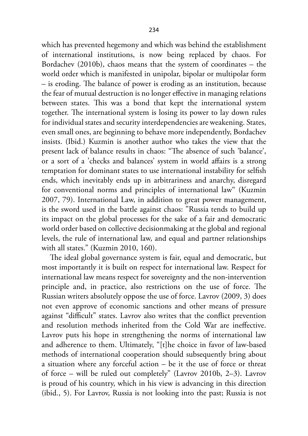which has prevented hegemony and which was behind the establishment of international institutions, is now being replaced by chaos. For Bordachev (2010b), chaos means that the system of coordinates – the world order which is manifested in unipolar, bipolar or multipolar form – is eroding. The balance of power is eroding as an institution, because the fear of mutual destruction is no longer effective in managing relations between states. This was a bond that kept the international system together. The international system is losing its power to lay down rules for individual states and security interdependencies are weakening. States, even small ones, are beginning to behave more independently, Bordachev insists. (Ibid.) Kuzmin is another author who takes the view that the present lack of balance results in chaos: "The absence of such 'balance', or a sort of a 'checks and balances' system in world affairs is a strong temptation for dominant states to use international instability for selfish ends, which inevitably ends up in arbitrariness and anarchy, disregard for conventional norms and principles of international law" (Kuzmin 2007, 79). International Law, in addition to great power management, is the sword used in the battle against chaos: "Russia tends to build up its impact on the global processes for the sake of a fair and democratic world order based on collective decisionmaking at the global and regional levels, the rule of international law, and equal and partner relationships with all states." (Kuzmin 2010, 160).

The ideal global governance system is fair, equal and democratic, but most importantly it is built on respect for international law. Respect for international law means respect for sovereignty and the non-intervention principle and, in practice, also restrictions on the use of force. The Russian writers absolutely oppose the use of force. Lavrov (2009, 3) does not even approve of economic sanctions and other means of pressure against "difficult" states. Lavrov also writes that the conflict prevention and resolution methods inherited from the Cold War are ineffective. Lavrov puts his hope in strengthening the norms of international law and adherence to them. Ultimately, "[t]he choice in favor of law-based methods of international cooperation should subsequently bring about a situation where any forceful action – be it the use of force or threat of force – will be ruled out completely" (Lavrov 2010b, 2–3). Lavrov is proud of his country, which in his view is advancing in this direction (ibid., 5). For Lavrov, Russia is not looking into the past; Russia is not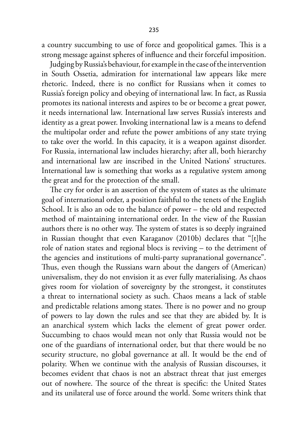a country succumbing to use of force and geopolitical games. This is a strong message against spheres of influence and their forceful imposition.

Judging by Russia's behaviour, for example in the case of the intervention in South Ossetia, admiration for international law appears like mere rhetoric. Indeed, there is no conflict for Russians when it comes to Russia's foreign policy and obeying of international law. In fact, as Russia promotes its national interests and aspires to be or become a great power, it needs international law. International law serves Russia's interests and identity as a great power. Invoking international law is a means to defend the multipolar order and refute the power ambitions of any state trying to take over the world. In this capacity, it is a weapon against disorder. For Russia, international law includes hierarchy; after all, both hierarchy and international law are inscribed in the United Nations' structures. International law is something that works as a regulative system among the great and for the protection of the small.

The cry for order is an assertion of the system of states as the ultimate goal of international order, a position faithful to the tenets of the English School. It is also an ode to the balance of power – the old and respected method of maintaining international order. In the view of the Russian authors there is no other way. The system of states is so deeply ingrained in Russian thought that even Karaganov (2010b) declares that "[t]he role of nation states and regional blocs is reviving – to the detriment of the agencies and institutions of multi-party supranational governance". Thus, even though the Russians warn about the dangers of (American) universalism, they do not envision it as ever fully materialising. As chaos gives room for violation of sovereignty by the strongest, it constitutes a threat to international society as such. Chaos means a lack of stable and predictable relations among states. There is no power and no group of powers to lay down the rules and see that they are abided by. It is an anarchical system which lacks the element of great power order. Succumbing to chaos would mean not only that Russia would not be one of the guardians of international order, but that there would be no security structure, no global governance at all. It would be the end of polarity. When we continue with the analysis of Russian discourses, it becomes evident that chaos is not an abstract threat that just emerges out of nowhere. The source of the threat is specific: the United States and its unilateral use of force around the world. Some writers think that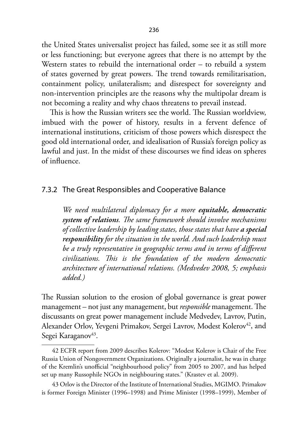the United States universalist project has failed, some see it as still more or less functioning; but everyone agrees that there is no attempt by the Western states to rebuild the international order - to rebuild a system of states governed by great powers. The trend towards remilitarisation, containment policy, unilateralism; and disrespect for sovereignty and non-intervention principles are the reasons why the multipolar dream is not becoming a reality and why chaos threatens to prevail instead.

This is how the Russian writers see the world. The Russian worldview, imbued with the power of history, results in a fervent defence of international institutions, criticism of those powers which disrespect the good old international order, and idealisation of Russia's foreign policy as lawful and just. In the midst of these discourses we find ideas on spheres of influence.

#### 7.3.2 The Great Responsibles and Cooperative Balance

*We need multilateral diplomacy for a more equitable, democratic system of relations. Th e same framework should involve mechanisms of collective leadership by leading states, those states that have a special responsibility for the situation in the world. And such leadership must*  be a truly representative in geographic terms and in terms of different *civilizations. Th is is the foundation of the modern democratic architecture of international relations. (Medvedev 2008, 5; emphasis added.)* 

The Russian solution to the erosion of global governance is great power management – not just any management, but *responsible* management. The discussants on great power management include Medvedev, Lavrov, Putin, Alexander Orlov, Yevgeni Primakov, Sergei Lavrov, Modest Kolerov<sup>42</sup>, and Segei Karaganov<sup>43</sup>.

<sup>42</sup> ECFR report from 2009 describes Kolerov: "Modest Kolerov is Chair of the Free Russia Union of Nongovernment Organizations. Originally a journalist, he was in charge of the Kremlin's unofficial "neighbourhood policy" from 2005 to 2007, and has helped set up many Russophile NGOs in neighbouring states." (Krastev et al. 2009).

<sup>43</sup> Orlov is the Director of the Institute of International Studies, MGIMO. Primakov is former Foreign Minister (1996–1998) and Prime Minister (1998–1999), Member of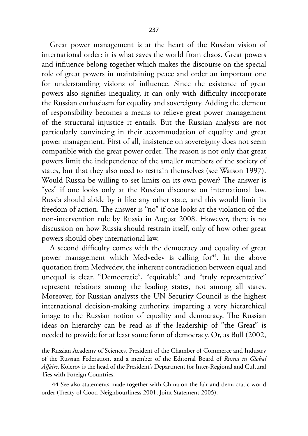Great power management is at the heart of the Russian vision of international order: it is what saves the world from chaos. Great powers and influence belong together which makes the discourse on the special role of great powers in maintaining peace and order an important one for understanding visions of influence. Since the existence of great powers also signifies inequality, it can only with difficulty incorporate the Russian enthusiasm for equality and sovereignty. Adding the element of responsibility becomes a means to relieve great power management of the structural injustice it entails. But the Russian analysts are not particularly convincing in their accommodation of equality and great power management. First of all, insistence on sovereignty does not seem compatible with the great power order. The reason is not only that great powers limit the independence of the smaller members of the society of states, but that they also need to restrain themselves (see Watson 1997). Would Russia be willing to set limits on its own power? The answer is "yes" if one looks only at the Russian discourse on international law. Russia should abide by it like any other state, and this would limit its freedom of action. The answer is "no" if one looks at the violation of the non-intervention rule by Russia in August 2008. However, there is no discussion on how Russia should restrain itself, only of how other great powers should obey international law.

A second difficulty comes with the democracy and equality of great power management which Medvedev is calling for<sup>44</sup>. In the above quotation from Medvedev, the inherent contradiction between equal and unequal is clear. "Democratic", "equitable" and "truly representative" represent relations among the leading states, not among all states. Moreover, for Russian analysts the UN Security Council is the highest international decision-making authority, imparting a very hierarchical image to the Russian notion of equality and democracy. The Russian ideas on hierarchy can be read as if the leadership of "the Great" is needed to provide for at least some form of democracy. Or, as Bull (2002,

the Russian Academy of Sciences, President of the Chamber of Commerce and Industry of the Russian Federation, and a member of the Editorial Board of *Russia in Global*  Affairs. Kolerov is the head of the President's Department for Inter-Regional and Cultural Ties with Foreign Countries.

<sup>44</sup> See also statements made together with China on the fair and democratic world order (Treaty of Good-Neighbourliness 2001, Joint Statement 2005).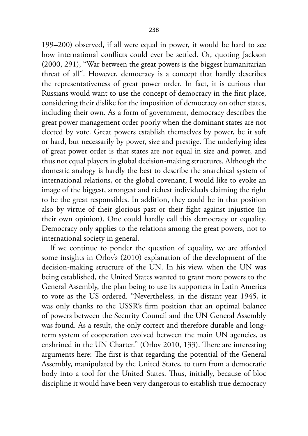199–200) observed, if all were equal in power, it would be hard to see how international conflicts could ever be settled. Or, quoting Jackson (2000, 291), "War between the great powers is the biggest humanitarian threat of all". However, democracy is a concept that hardly describes the representativeness of great power order. In fact, it is curious that Russians would want to use the concept of democracy in the first place, considering their dislike for the imposition of democracy on other states, including their own. As a form of government, democracy describes the great power management order poorly when the dominant states are not elected by vote. Great powers establish themselves by power, be it soft or hard, but necessarily by power, size and prestige. The underlying idea of great power order is that states are not equal in size and power, and thus not equal players in global decision-making structures. Although the domestic analogy is hardly the best to describe the anarchical system of international relations, or the global covenant, I would like to evoke an image of the biggest, strongest and richest individuals claiming the right to be the great responsibles. In addition, they could be in that position also by virtue of their glorious past or their fight against injustice (in their own opinion). One could hardly call this democracy or equality. Democracy only applies to the relations among the great powers, not to international society in general.

If we continue to ponder the question of equality, we are afforded some insights in Orlov's (2010) explanation of the development of the decision-making structure of the UN. In his view, when the UN was being established, the United States wanted to grant more powers to the General Assembly, the plan being to use its supporters in Latin America to vote as the US ordered. "Nevertheless, in the distant year 1945, it was only thanks to the USSR's firm position that an optimal balance of powers between the Security Council and the UN General Assembly was found. As a result, the only correct and therefore durable and longterm system of cooperation evolved between the main UN agencies, as enshrined in the UN Charter." (Orlov 2010, 133). There are interesting arguments here: The first is that regarding the potential of the General Assembly, manipulated by the United States, to turn from a democratic body into a tool for the United States. Thus, initially, because of bloc discipline it would have been very dangerous to establish true democracy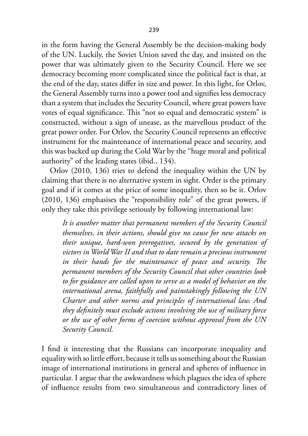in the form having the General Assembly be the decision-making body of the UN. Luckily, the Soviet Union saved the day, and insisted on the power that was ultimately given to the Security Council. Here we see democracy becoming more complicated since the political fact is that, at the end of the day, states differ in size and power. In this light, for Orlov, the General Assembly turns into a power tool and signifies less democracy than a system that includes the Security Council, where great powers have votes of equal significance. This "not so equal and democratic system" is constructed, without a sign of unease, as the marvellous product of the great power order. For Orlov, the Security Council represents an effective instrument for the maintenance of international peace and security, and this was backed up during the Cold War by the "huge moral and political authority" of the leading states (ibid., 134).

Orlov (2010, 136) tries to defend the inequality within the UN by claiming that there is no alternative system in sight. Order is the primary goal and if it comes at the price of some inequality, then so be it. Orlov (2010, 136) emphasises the "responsibility role" of the great powers, if only they take this privilege seriously by following international law:

*It is another matter that permanent members of the Security Council themselves, in their actions, should give no cause for new attacks on their unique, hard-won prerogatives, secured by the generation of victors in World War II and that to date remain a precious instrument in their hands for the maintenance of peace and security. The permanent members of the Security Council that other countries look to for guidance are called upon to serve as a model of behavior on the international arena, faithfully and painstakingly following the UN Charter and other norms and principles of international law. And*  they definitely must exclude actions involving the use of military force *or the use of other forms of coercion without approval from the UN Security Council.*

I find it interesting that the Russians can incorporate inequality and equality with so little effort, because it tells us something about the Russian image of international institutions in general and spheres of influence in particular. I argue that the awkwardness which plagues the idea of sphere of influence results from two simultaneous and contradictory lines of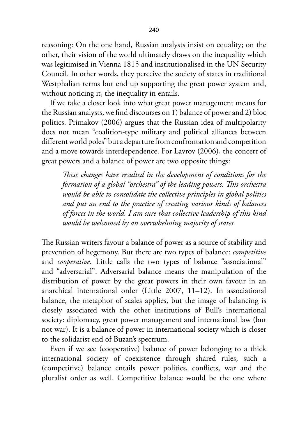reasoning: On the one hand, Russian analysts insist on equality; on the other, their vision of the world ultimately draws on the inequality which was legitimised in Vienna 1815 and institutionalised in the UN Security Council. In other words, they perceive the society of states in traditional Westphalian terms but end up supporting the great power system and, without noticing it, the inequality in entails.

If we take a closer look into what great power management means for the Russian analysts, we find discourses on 1) balance of power and 2) bloc politics. Primakov (2006) argues that the Russian idea of multipolarity does not mean "coalition-type military and political alliances between different world poles" but a departure from confrontation and competition and a move towards interdependence. For Lavrov (2006), the concert of great powers and a balance of power are two opposite things:

*Th ese changes have resulted in the development of conditions for the formation of a global "orchestra" of the leading powers. This orchestra would be able to consolidate the collective principles in global politics and put an end to the practice of creating various kinds of balances of forces in the world. I am sure that collective leadership of this kind would be welcomed by an overwhelming majority of states.* 

The Russian writers favour a balance of power as a source of stability and prevention of hegemony. But there are two types of balance: *competitive* and *cooperative*. Little calls the two types of balance "associational" and "adversarial". Adversarial balance means the manipulation of the distribution of power by the great powers in their own favour in an anarchical international order (Little 2007, 11–12). In associational balance, the metaphor of scales applies, but the image of balancing is closely associated with the other institutions of Bull's international society: diplomacy, great power management and international law (but not war). It is a balance of power in international society which is closer to the solidarist end of Buzan's spectrum.

Even if we see (cooperative) balance of power belonging to a thick international society of coexistence through shared rules, such a (competitive) balance entails power politics, conflicts, war and the pluralist order as well. Competitive balance would be the one where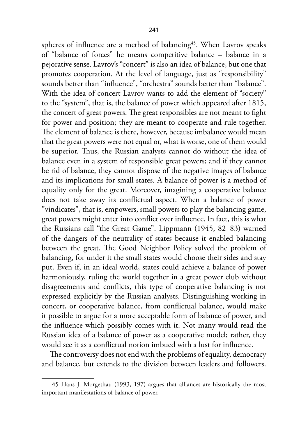241 spheres of influence are a method of balancing<sup>45</sup>. When Lavrov speaks

of "balance of forces" he means competitive balance – balance in a pejorative sense. Lavrov's "concert" is also an idea of balance, but one that promotes cooperation. At the level of language, just as "responsibility" sounds better than "influence", "orchestra" sounds better than "balance". With the idea of concert Lavrov wants to add the element of "society" to the "system", that is, the balance of power which appeared after 1815, the concert of great powers. The great responsibles are not meant to fight for power and position; they are meant to cooperate and rule together. The element of balance is there, however, because imbalance would mean that the great powers were not equal or, what is worse, one of them would be superior. Thus, the Russian analysts cannot do without the idea of balance even in a system of responsible great powers; and if they cannot be rid of balance, they cannot dispose of the negative images of balance and its implications for small states. A balance of power is a method of equality only for the great. Moreover, imagining a cooperative balance does not take away its conflictual aspect. When a balance of power "vindicates", that is, empowers, small powers to play the balancing game, great powers might enter into conflict over influence. In fact, this is what the Russians call "the Great Game". Lippmann (1945, 82–83) warned of the dangers of the neutrality of states because it enabled balancing between the great. The Good Neighbor Policy solved the problem of balancing, for under it the small states would choose their sides and stay put. Even if, in an ideal world, states could achieve a balance of power harmoniously, ruling the world together in a great power club without disagreements and conflicts, this type of cooperative balancing is not expressed explicitly by the Russian analysts. Distinguishing working in concert, or cooperative balance, from conflictual balance, would make it possible to argue for a more acceptable form of balance of power, and the influence which possibly comes with it. Not many would read the Russian idea of a balance of power as a cooperative model; rather, they would see it as a conflictual notion imbued with a lust for influence.

The controversy does not end with the problems of equality, democracy and balance, but extends to the division between leaders and followers.

<sup>45</sup> Hans J. Morgethau (1993, 197) argues that alliances are historically the most important manifestations of balance of power.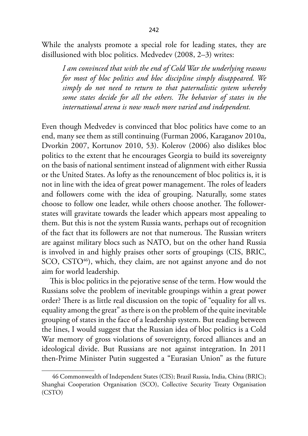While the analysts promote a special role for leading states, they are disillusioned with bloc politics. Medvedev (2008, 2–3) writes:

*I am convinced that with the end of Cold War the underlying reasons for most of bloc politics and bloc discipline simply disappeared. We simply do not need to return to that paternalistic system whereby*  some states decide for all the others. The behavior of states in the *international arena is now much more varied and independent.* 

Even though Medvedev is convinced that bloc politics have come to an end, many see them as still continuing (Furman 2006, Karaganov 2010a, Dvorkin 2007, Kortunov 2010, 53). Kolerov (2006) also dislikes bloc politics to the extent that he encourages Georgia to build its sovereignty on the basis of national sentiment instead of alignment with either Russia or the United States. As lofty as the renouncement of bloc politics is, it is not in line with the idea of great power management. The roles of leaders and followers come with the idea of grouping. Naturally, some states choose to follow one leader, while others choose another. The followerstates will gravitate towards the leader which appears most appealing to them. But this is not the system Russia wants, perhaps out of recognition of the fact that its followers are not that numerous. The Russian writers are against military blocs such as NATO, but on the other hand Russia is involved in and highly praises other sorts of groupings (CIS, BRIC, SCO, CSTO<sup>46</sup>), which, they claim, are not against anyone and do not aim for world leadership.

This is bloc politics in the pejorative sense of the term. How would the Russians solve the problem of inevitable groupings within a great power order? There is as little real discussion on the topic of "equality for all vs. equality among the great" as there is on the problem of the quite inevitable grouping of states in the face of a leadership system. But reading between the lines, I would suggest that the Russian idea of bloc politics is a Cold War memory of gross violations of sovereignty, forced alliances and an ideological divide. But Russians are not against integration. In 2011 then-Prime Minister Putin suggested a "Eurasian Union" as the future

<sup>46</sup> Commonwealth of Independent States (CIS); Brazil Russia, India, China (BRIC); Shanghai Cooperation Organisation (SCO), Collective Security Treaty Organisation (CSTO)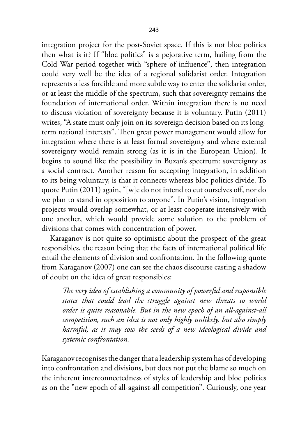integration project for the post-Soviet space. If this is not bloc politics then what is it? If "bloc politics" is a pejorative term, hailing from the Cold War period together with "sphere of influence", then integration could very well be the idea of a regional solidarist order. Integration represents a less forcible and more subtle way to enter the solidarist order, or at least the middle of the spectrum, such that sovereignty remains the foundation of international order. Within integration there is no need to discuss violation of sovereignty because it is voluntary. Putin (2011) writes, "A state must only join on its sovereign decision based on its longterm national interests". Then great power management would allow for integration where there is at least formal sovereignty and where external sovereignty would remain strong (as it is in the European Union). It begins to sound like the possibility in Buzan's spectrum: sovereignty as a social contract. Another reason for accepting integration, in addition to its being voluntary, is that it connects whereas bloc politics divide. To quote Putin (2011) again, "[w]e do not intend to cut ourselves off, nor do we plan to stand in opposition to anyone". In Putin's vision, integration projects would overlap somewhat, or at least cooperate intensively with one another, which would provide some solution to the problem of divisions that comes with concentration of power.

Karaganov is not quite so optimistic about the prospect of the great responsibles, the reason being that the facts of international political life entail the elements of division and confrontation. In the following quote from Karaganov (2007) one can see the chaos discourse casting a shadow of doubt on the idea of great responsibles:

*The very idea of establishing a community of powerful and responsible states that could lead the struggle against new threats to world order is quite reasonable. But in the new epoch of an all-against-all competition, such an idea is not only highly unlikely, but also simply harmful, as it may sow the seeds of a new ideological divide and systemic confrontation.*

Karaganov recognises the danger that a leadership system has of developing into confrontation and divisions, but does not put the blame so much on the inherent interconnectedness of styles of leadership and bloc politics as on the "new epoch of all-against-all competition". Curiously, one year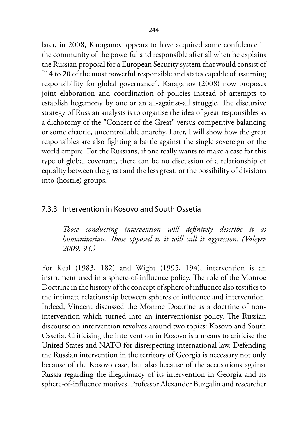later, in 2008, Karaganov appears to have acquired some confidence in the community of the powerful and responsible after all when he explains the Russian proposal for a European Security system that would consist of "14 to 20 of the most powerful responsible and states capable of assuming responsibility for global governance". Karaganov (2008) now proposes joint elaboration and coordination of policies instead of attempts to establish hegemony by one or an all-against-all struggle. The discursive strategy of Russian analysts is to organise the idea of great responsibles as a dichotomy of the "Concert of the Great" versus competitive balancing or some chaotic, uncontrollable anarchy. Later, I will show how the great responsibles are also fighting a battle against the single sovereign or the world empire. For the Russians, if one really wants to make a case for this type of global covenant, there can be no discussion of a relationship of equality between the great and the less great, or the possibility of divisions into (hostile) groups.

# 7.3.3 Intervention in Kosovo and South Ossetia

Those conducting intervention will definitely describe it as *humanitarian. Th ose opposed to it will call it aggression. (Valeyev 2009, 93.)*

For Keal (1983, 182) and Wight (1995, 194), intervention is an instrument used in a sphere-of-influence policy. The role of the Monroe Doctrine in the history of the concept of sphere of influence also testifies to the intimate relationship between spheres of influence and intervention. Indeed, Vincent discussed the Monroe Doctrine as a doctrine of nonintervention which turned into an interventionist policy. The Russian discourse on intervention revolves around two topics: Kosovo and South Ossetia. Criticising the intervention in Kosovo is a means to criticise the United States and NATO for disrespecting international law. Defending the Russian intervention in the territory of Georgia is necessary not only because of the Kosovo case, but also because of the accusations against Russia regarding the illegitimacy of its intervention in Georgia and its sphere-of-influence motives. Professor Alexander Buzgalin and researcher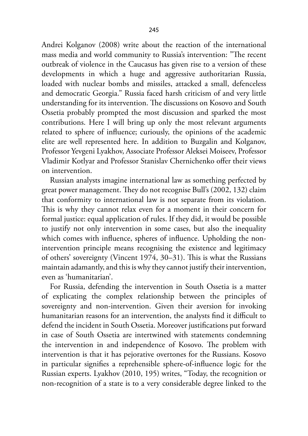Andrei Kolganov (2008) write about the reaction of the international mass media and world community to Russia's intervention: "The recent outbreak of violence in the Caucasus has given rise to a version of these developments in which a huge and aggressive authoritarian Russia, loaded with nuclear bombs and missiles, attacked a small, defenceless and democratic Georgia." Russia faced harsh criticism of and very little understanding for its intervention. The discussions on Kosovo and South Ossetia probably prompted the most discussion and sparked the most contributions. Here I will bring up only the most relevant arguments related to sphere of influence; curiously, the opinions of the academic elite are well represented here. In addition to Buzgalin and Kolganov, Professor Yevgeni Lyakhov, Associate Professor Aleksei Moiseev, Professor Vladimir Kotlyar and Professor Stanislav Chernichenko offer their views on intervention.

Russian analysts imagine international law as something perfected by great power management. They do not recognise Bull's (2002, 132) claim that conformity to international law is not separate from its violation. This is why they cannot relax even for a moment in their concern for formal justice: equal application of rules. If they did, it would be possible to justify not only intervention in some cases, but also the inequality which comes with influence, spheres of influence. Upholding the nonintervention principle means recognising the existence and legitimacy of others' sovereignty (Vincent 1974, 30–31). This is what the Russians maintain adamantly, and this is why they cannot justify their intervention, even as 'humanitarian'.

For Russia, defending the intervention in South Ossetia is a matter of explicating the complex relationship between the principles of sovereignty and non-intervention. Given their aversion for invoking humanitarian reasons for an intervention, the analysts find it difficult to defend the incident in South Ossetia. Moreover justifications put forward in case of South Ossetia are intertwined with statements condemning the intervention in and independence of Kosovo. The problem with intervention is that it has pejorative overtones for the Russians. Kosovo in particular signifies a reprehensible sphere-of-influence logic for the Russian experts. Lyakhov (2010, 195) writes, "Today, the recognition or non-recognition of a state is to a very considerable degree linked to the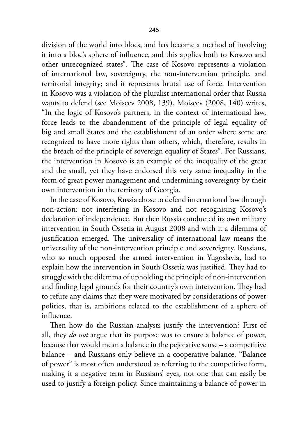division of the world into blocs, and has become a method of involving it into a bloc's sphere of influence, and this applies both to Kosovo and other unrecognized states". The case of Kosovo represents a violation of international law, sovereignty, the non-intervention principle, and territorial integrity; and it represents brutal use of force. Intervention in Kosovo was a violation of the pluralist international order that Russia wants to defend (see Moiseev 2008, 139). Moiseev (2008, 140) writes, "In the logic of Kosovo's partners, in the context of international law, force leads to the abandonment of the principle of legal equality of big and small States and the establishment of an order where some are recognized to have more rights than others, which, therefore, results in the breach of the principle of sovereign equality of States". For Russians, the intervention in Kosovo is an example of the inequality of the great and the small, yet they have endorsed this very same inequality in the form of great power management and undermining sovereignty by their own intervention in the territory of Georgia.

In the case of Kosovo, Russia chose to defend international law through non-action: not interfering in Kosovo and not recognising Kosovo's declaration of independence. But then Russia conducted its own military intervention in South Ossetia in August 2008 and with it a dilemma of justification emerged. The universality of international law means the universality of the non-intervention principle and sovereignty. Russians, who so much opposed the armed intervention in Yugoslavia, had to explain how the intervention in South Ossetia was justified. They had to struggle with the dilemma of upholding the principle of non-intervention and finding legal grounds for their country's own intervention. They had to refute any claims that they were motivated by considerations of power politics, that is, ambitions related to the establishment of a sphere of influence.

Then how do the Russian analysts justify the intervention? First of all, they *do not* argue that its purpose was to ensure a balance of power, because that would mean a balance in the pejorative sense – a competitive balance – and Russians only believe in a cooperative balance. "Balance of power" is most often understood as referring to the competitive form, making it a negative term in Russians' eyes, not one that can easily be used to justify a foreign policy. Since maintaining a balance of power in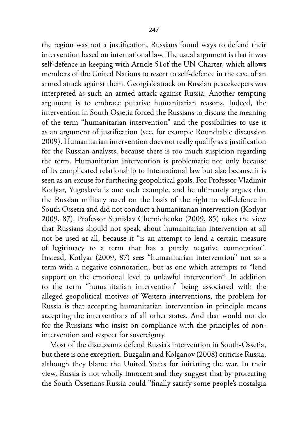the region was not a justification, Russians found ways to defend their intervention based on international law. The usual argument is that it was self-defence in keeping with Article 51of the UN Charter, which allows members of the United Nations to resort to self-defence in the case of an armed attack against them. Georgia's attack on Russian peacekeepers was interpreted as such an armed attack against Russia. Another tempting argument is to embrace putative humanitarian reasons. Indeed, the intervention in South Ossetia forced the Russians to discuss the meaning of the term "humanitarian intervention" and the possibilities to use it as an argument of justification (see, for example Roundtable discussion 2009). Humanitarian intervention does not really qualify as a justification for the Russian analysts, because there is too much suspicion regarding the term. Humanitarian intervention is problematic not only because of its complicated relationship to international law but also because it is seen as an excuse for furthering geopolitical goals. For Professor Vladimir Kotlyar, Yugoslavia is one such example, and he ultimately argues that the Russian military acted on the basis of the right to self-defence in South Ossetia and did not conduct a humanitarian intervention (Kotlyar 2009, 87). Professor Stanislav Chernichenko (2009, 85) takes the view that Russians should not speak about humanitarian intervention at all not be used at all, because it "is an attempt to lend a certain measure of legitimacy to a term that has a purely negative connotation". Instead, Kotlyar (2009, 87) sees "humanitarian intervention" not as a term with a negative connotation, but as one which attempts to "lend support on the emotional level to unlawful intervention". In addition to the term "humanitarian intervention" being associated with the alleged geopolitical motives of Western interventions, the problem for Russia is that accepting humanitarian intervention in principle means accepting the interventions of all other states. And that would not do for the Russians who insist on compliance with the principles of nonintervention and respect for sovereignty.

Most of the discussants defend Russia's intervention in South-Ossetia, but there is one exception. Buzgalin and Kolganov (2008) criticise Russia, although they blame the United States for initiating the war. In their view, Russia is not wholly innocent and they suggest that by protecting the South Ossetians Russia could "finally satisfy some people's nostalgia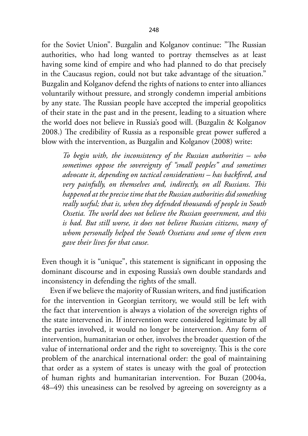for the Soviet Union". Buzgalin and Kolganov continue: "The Russian authorities, who had long wanted to portray themselves as at least having some kind of empire and who had planned to do that precisely in the Caucasus region, could not but take advantage of the situation." Buzgalin and Kolganov defend the rights of nations to enter into alliances voluntarily without pressure, and strongly condemn imperial ambitions by any state. The Russian people have accepted the imperial geopolitics of their state in the past and in the present, leading to a situation where the world does not believe in Russia's good will. (Buzgalin & Kolganov 2008.) The credibility of Russia as a responsible great power suffered a blow with the intervention, as Buzgalin and Kolganov (2008) write:

*To begin with, the inconsistency of the Russian authorities – who sometimes oppose the sovereignty of "small peoples" and sometimes advocate it, depending on tactical considerations – has backfi red, and very painfully, on themselves and, indirectly, on all Russians. This happened at the precise time that the Russian authorities did something really useful; that is, when they defended thousands of people in South*  **Ossetia.** The world does not believe the Russian government, and this *is bad. But still worse, it does not believe Russian citizens, many of whom personally helped the South Ossetians and some of them even gave their lives for that cause.*

Even though it is "unique", this statement is significant in opposing the dominant discourse and in exposing Russia's own double standards and inconsistency in defending the rights of the small.

Even if we believe the majority of Russian writers, and find justification for the intervention in Georgian territory, we would still be left with the fact that intervention is always a violation of the sovereign rights of the state intervened in. If intervention were considered legitimate by all the parties involved, it would no longer be intervention. Any form of intervention, humanitarian or other, involves the broader question of the value of international order and the right to sovereignty. This is the core problem of the anarchical international order: the goal of maintaining that order as a system of states is uneasy with the goal of protection of human rights and humanitarian intervention. For Buzan (2004a, 48–49) this uneasiness can be resolved by agreeing on sovereignty as a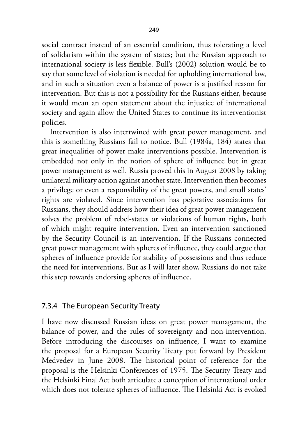social contract instead of an essential condition, thus tolerating a level of solidarism within the system of states; but the Russian approach to international society is less flexible. Bull's (2002) solution would be to say that some level of violation is needed for upholding international law, and in such a situation even a balance of power is a justified reason for intervention. But this is not a possibility for the Russians either, because it would mean an open statement about the injustice of international society and again allow the United States to continue its interventionist policies.

Intervention is also intertwined with great power management, and this is something Russians fail to notice. Bull (1984a, 184) states that great inequalities of power make interventions possible. Intervention is embedded not only in the notion of sphere of influence but in great power management as well. Russia proved this in August 2008 by taking unilateral military action against another state. Intervention then becomes a privilege or even a responsibility of the great powers, and small states' rights are violated. Since intervention has pejorative associations for Russians, they should address how their idea of great power management solves the problem of rebel-states or violations of human rights, both of which might require intervention. Even an intervention sanctioned by the Security Council is an intervention. If the Russians connected great power management with spheres of influence, they could argue that spheres of influence provide for stability of possessions and thus reduce the need for interventions. But as I will later show, Russians do not take this step towards endorsing spheres of influence.

### 7.3.4 The European Security Treaty

I have now discussed Russian ideas on great power management, the balance of power, and the rules of sovereignty and non-intervention. Before introducing the discourses on influence, I want to examine the proposal for a European Security Treaty put forward by President Medvedev in June 2008. The historical point of reference for the proposal is the Helsinki Conferences of 1975. The Security Treaty and the Helsinki Final Act both articulate a conception of international order which does not tolerate spheres of influence. The Helsinki Act is evoked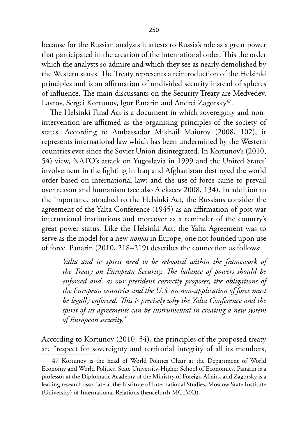because for the Russian analysts it attests to Russia's role as a great power that participated in the creation of the international order. This the order which the analysts so admire and which they see as nearly demolished by the Western states. The Treaty represents a reintroduction of the Helsinki principles and is an affirmation of undivided security instead of spheres of influence. The main discussants on the Security Treaty are Medvedev, Lavrov, Sergei Kortunov, Igor Panarin and Andrei Zagorsky<sup>47</sup>.

The Helsinki Final Act is a document in which sovereignty and nonintervention are affirmed as the organising principles of the society of states. According to Ambassador Mikhail Maiorov (2008, 102), it represents international law which has been undermined by the Western countries ever since the Soviet Union disintegrated. In Kortunov's (2010, 54) view, NATO's attack on Yugoslavia in 1999 and the United States' involvement in the fighting in Iraq and Afghanistan destroyed the world order based on international law; and the use of force came to prevail over reason and humanism (see also Alekseev 2008, 134). In addition to the importance attached to the Helsinki Act, the Russians consider the agreement of the Yalta Conference (1945) as an affirmation of post-war international institutions and moreover as a reminder of the country's great power status. Like the Helsinki Act, the Yalta Agreement was to serve as the model for a new *nomos* in Europe, one not founded upon use of force. Panarin (2010, 218–219) describes the connection as follows:

*Yalta and its spirit need to be rebooted within the framework of*  the Treaty on European Security. The balance of powers should be *enforced and, as our president correctly proposes, the obligations of the European countries and the U.S. on non-application of force must*  be legally enforced. This is precisely why the Yalta Conference and the *spirit of its agreements can be instrumental in creating a new system of European security."* 

According to Kortunov (2010, 54), the principles of the proposed treaty are "respect for sovereignty and territorial integrity of all its members,

<sup>47</sup> Kortunov is the head of World Politics Chair at the Department of World Economy and World Politics, State University-Higher School of Economics. Panarin is a professor at the Diplomatic Academy of the Ministry of Foreign Affairs, and Zagorsky is a leading research associate at the Institute of International Studies, Moscow State Institute (University) of International Relations (henceforth MGIMO).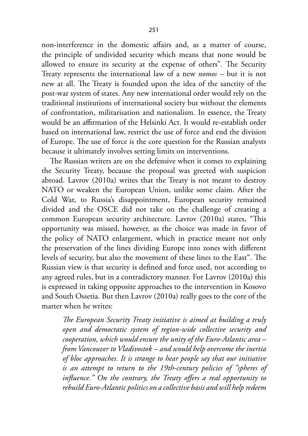non-interference in the domestic affairs and, as a matter of course, the principle of undivided security which means that none would be allowed to ensure its security at the expense of others". The Security Treaty represents the international law of a new *nomos* – but it is not new at all. The Treaty is founded upon the idea of the sanctity of the post-war system of states. Any new international order would rely on the traditional institutions of international society but without the elements of confrontation, militarisation and nationalism. In essence, the Treaty would be an affirmation of the Helsinki Act. It would re-establish order based on international law, restrict the use of force and end the division of Europe. The use of force is the core question for the Russian analysts because it ultimately involves setting limits on interventions.

The Russian writers are on the defensive when it comes to explaining the Security Treaty, because the proposal was greeted with suspicion abroad. Lavrov (2010a) writes that the Treaty is not meant to destroy NATO or weaken the European Union, unlike some claim. After the Cold War, to Russia's disappointment, European security remained divided and the OSCE did not take on the challenge of creating a common European security architecture. Lavrov (2010a) states, "This opportunity was missed, however, as the choice was made in favor of the policy of NATO enlargement, which in practice meant not only the preservation of the lines dividing Europe into zones with different levels of security, but also the movement of these lines to the East". The Russian view is that security is defined and force used, not according to any agreed rules, but in a contradictory manner. For Lavrov (2010a) this is expressed in taking opposite approaches to the intervention in Kosovo and South Ossetia. But then Lavrov (2010a) really goes to the core of the matter when he writes:

The European Security Treaty initiative is aimed at building a truly *open and democratic system of region-wide collective security and cooperation, which would ensure the unity of the Euro-Atlantic area – from Vancouver to Vladivostok – and would help overcome the inertia of bloc approaches. It is strange to hear people say that our initiative is an attempt to return to the 19th-century policies of "spheres of*  influence." On the contrary, the Treaty offers a real opportunity to *rebuild Euro-Atlantic politics on a collective basis and will help redeem*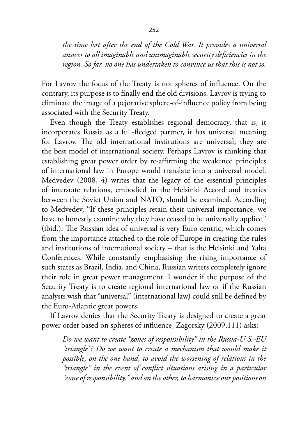*the time lost after the end of the Cold War. It provides a universal answer to all imaginable and unimaginable security defi ciencies in the region. So far, no one has undertaken to convince us that this is not so.*

For Lavrov the focus of the Treaty is not spheres of influence. On the contrary, its purpose is to finally end the old divisions. Lavrov is trying to eliminate the image of a pejorative sphere-of-influence policy from being associated with the Security Treaty.

Even though the Treaty establishes regional democracy, that is, it incorporates Russia as a full-fledged partner, it has universal meaning for Lavrov. The old international institutions are universal; they are the best model of international society. Perhaps Lavrov is thinking that establishing great power order by re-affirming the weakened principles of international law in Europe would translate into a universal model. Medvedev (2008, 4) writes that the legacy of the essential principles of interstate relations, embodied in the Helsinki Accord and treaties between the Soviet Union and NATO, should be examined. According to Medvedev, "If these principles retain their universal importance, we have to honestly examine why they have ceased to be universally applied" (ibid.). The Russian idea of universal is very Euro-centric, which comes from the importance attached to the role of Europe in creating the rules and institutions of international society – that is the Helsinki and Yalta Conferences. While constantly emphasising the rising importance of such states as Brazil, India, and China, Russian writers completely ignore their role in great power management. I wonder if the purpose of the Security Treaty is to create regional international law or if the Russian analysts wish that "universal" (international law) could still be defined by the Euro-Atlantic great powers.

If Lavrov denies that the Security Treaty is designed to create a great power order based on spheres of influence, Zagorsky (2009,111) asks:

*Do we want to create "zones of responsibility" in the Russia-U.S.-EU "triangle"? Do we want to create a mechanism that would make it possible, on the one hand, to avoid the worsening of relations in the*  "triangle" in the event of conflict situations arising in a particular *"zone of responsibility," and on the other, to harmonize our positions on*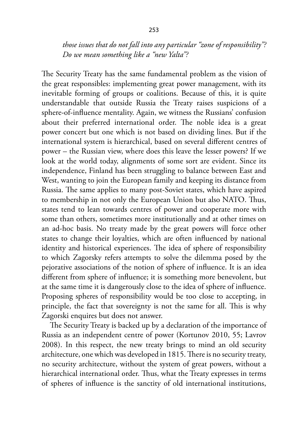## *those issues that do not fall into any particular "zone of responsibility"? Do we mean something like a "new Yalta"?*

The Security Treaty has the same fundamental problem as the vision of the great responsibles: implementing great power management, with its inevitable forming of groups or coalitions. Because of this, it is quite understandable that outside Russia the Treaty raises suspicions of a sphere-of-influence mentality. Again, we witness the Russians' confusion about their preferred international order. The noble idea is a great power concert but one which is not based on dividing lines. But if the international system is hierarchical, based on several different centres of power – the Russian view, where does this leave the lesser powers? If we look at the world today, alignments of some sort are evident. Since its independence, Finland has been struggling to balance between East and West, wanting to join the European family and keeping its distance from Russia. The same applies to many post-Soviet states, which have aspired to membership in not only the European Union but also NATO. Thus, states tend to lean towards centres of power and cooperate more with some than others, sometimes more institutionally and at other times on an ad-hoc basis. No treaty made by the great powers will force other states to change their loyalties, which are often influenced by national identity and historical experiences. The idea of sphere of responsibility to which Zagorsky refers attempts to solve the dilemma posed by the pejorative associations of the notion of sphere of influence. It is an idea different from sphere of influence; it is something more benevolent, but at the same time it is dangerously close to the idea of sphere of influence. Proposing spheres of responsibility would be too close to accepting, in principle, the fact that sovereignty is not the same for all. This is why Zagorski enquires but does not answer.

The Security Treaty is backed up by a declaration of the importance of Russia as an independent centre of power (Kortunov 2010, 55; Lavrov 2008). In this respect, the new treaty brings to mind an old security architecture, one which was developed in 1815. There is no security treaty, no security architecture, without the system of great powers, without a hierarchical international order. Thus, what the Treaty expresses in terms of spheres of influence is the sanctity of old international institutions,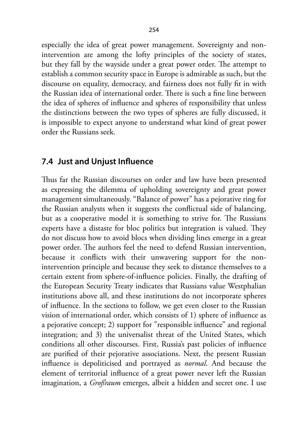especially the idea of great power management. Sovereignty and nonintervention are among the lofty principles of the society of states, but they fall by the wayside under a great power order. The attempt to establish a common security space in Europe is admirable as such, but the discourse on equality, democracy, and fairness does not fully fit in with the Russian idea of international order. There is such a fine line between the idea of spheres of influence and spheres of responsibility that unless the distinctions between the two types of spheres are fully discussed, it is impossible to expect anyone to understand what kind of great power order the Russians seek.

## **7.4 Just and Unjust Influence**

Thus far the Russian discourses on order and law have been presented as expressing the dilemma of upholding sovereignty and great power management simultaneously. "Balance of power" has a pejorative ring for the Russian analysts when it suggests the conflictual side of balancing, but as a cooperative model it is something to strive for. The Russians experts have a distaste for bloc politics but integration is valued. They do not discuss how to avoid blocs when dividing lines emerge in a great power order. The authors feel the need to defend Russian intervention, because it conflicts with their unwavering support for the nonintervention principle and because they seek to distance themselves to a certain extent from sphere-of-influence policies. Finally, the drafting of the European Security Treaty indicates that Russians value Westphalian institutions above all, and these institutions do not incorporate spheres of influence. In the sections to follow, we get even closer to the Russian vision of international order, which consists of 1) sphere of influence as a pejorative concept; 2) support for "responsible influence" and regional integration; and 3) the universalist threat of the United States, which conditions all other discourses. First, Russia's past policies of influence are purified of their pejorative associations. Next, the present Russian influence is depoliticised and portrayed as *normal*. And because the element of territorial influence of a great power never left the Russian imagination, a *Großraum* emerges, albeit a hidden and secret one. I use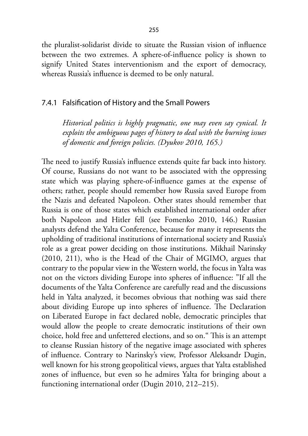the pluralist-solidarist divide to situate the Russian vision of influence between the two extremes. A sphere-of-influence policy is shown to signify United States interventionism and the export of democracy, whereas Russia's influence is deemed to be only natural.

#### 7.4.1 Falsification of History and the Small Powers

*Historical politics is highly pragmatic, one may even say cynical. It exploits the ambiguous pages of history to deal with the burning issues of domestic and foreign policies. (Dyukov 2010, 165.)*

The need to justify Russia's influence extends quite far back into history. Of course, Russians do not want to be associated with the oppressing state which was playing sphere-of-influence games at the expense of others; rather, people should remember how Russia saved Europe from the Nazis and defeated Napoleon. Other states should remember that Russia is one of those states which established international order after both Napoleon and Hitler fell (see Fomenko 2010, 146.) Russian analysts defend the Yalta Conference, because for many it represents the upholding of traditional institutions of international society and Russia's role as a great power deciding on those institutions. Mikhail Narinsky (2010, 211), who is the Head of the Chair of MGIMO, argues that contrary to the popular view in the Western world, the focus in Yalta was not on the victors dividing Europe into spheres of influence: "If all the documents of the Yalta Conference are carefully read and the discussions held in Yalta analyzed, it becomes obvious that nothing was said there about dividing Europe up into spheres of influence. The Declaration on Liberated Europe in fact declared noble, democratic principles that would allow the people to create democratic institutions of their own choice, hold free and unfettered elections, and so on." This is an attempt to cleanse Russian history of the negative image associated with spheres of influence. Contrary to Narinsky's view, Professor Aleksandr Dugin, well known for his strong geopolitical views, argues that Yalta established zones of influence, but even so he admires Yalta for bringing about a functioning international order (Dugin 2010, 212–215).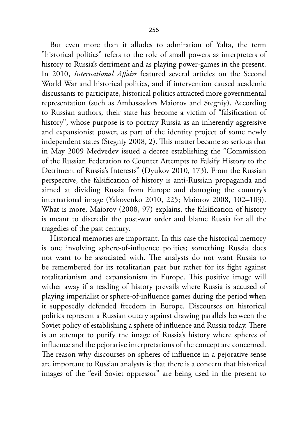But even more than it alludes to admiration of Yalta, the term "historical politics" refers to the role of small powers as interpreters of history to Russia's detriment and as playing power-games in the present. In 2010, *International Affairs* featured several articles on the Second World War and historical politics, and if intervention caused academic discussants to participate, historical politics attracted more governmental representation (such as Ambassadors Maiorov and Stegniy). According to Russian authors, their state has become a victim of "falsification of history", whose purpose is to portray Russia as an inherently aggressive and expansionist power, as part of the identity project of some newly independent states (Stegniy 2008, 2). This matter became so serious that in May 2009 Medvedev issued a decree establishing the "Commission of the Russian Federation to Counter Attempts to Falsify History to the Detriment of Russia's Interests" (Dyukov 2010, 173). From the Russian perspective, the falsification of history is anti-Russian propaganda and aimed at dividing Russia from Europe and damaging the country's international image (Yakovenko 2010, 225; Maiorov 2008, 102–103). What is more, Maiorov (2008, 97) explains, the falsification of history is meant to discredit the post-war order and blame Russia for all the tragedies of the past century.

Historical memories are important. In this case the historical memory is one involving sphere-of-influence politics; something Russia does not want to be associated with. The analysts do not want Russia to be remembered for its totalitarian past but rather for its fight against totalitarianism and expansionism in Europe. This positive image will wither away if a reading of history prevails where Russia is accused of playing imperialist or sphere-of-influence games during the period when it supposedly defended freedom in Europe. Discourses on historical politics represent a Russian outcry against drawing parallels between the Soviet policy of establishing a sphere of influence and Russia today. There is an attempt to purify the image of Russia's history where spheres of influence and the pejorative interpretations of the concept are concerned. The reason why discourses on spheres of influence in a pejorative sense are important to Russian analysts is that there is a concern that historical images of the "evil Soviet oppressor" are being used in the present to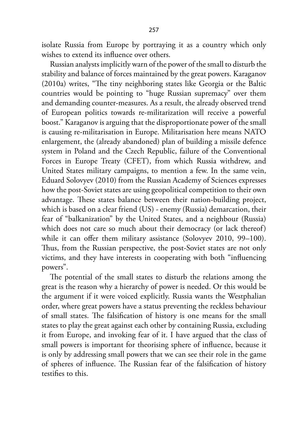isolate Russia from Europe by portraying it as a country which only wishes to extend its influence over others.

Russian analysts implicitly warn of the power of the small to disturb the stability and balance of forces maintained by the great powers. Karaganov  $(2010a)$  writes, "The tiny neighboring states like Georgia or the Baltic countries would be pointing to "huge Russian supremacy" over them and demanding counter-measures. As a result, the already observed trend of European politics towards re-militarization will receive a powerful boost." Karaganov is arguing that the disproportionate power of the small is causing re-militarisation in Europe. Militarisation here means NATO enlargement, the (already abandoned) plan of building a missile defence system in Poland and the Czech Republic, failure of the Conventional Forces in Europe Treaty (CFET), from which Russia withdrew, and United States military campaigns, to mention a few. In the same vein, Eduard Solovyev (2010) from the Russian Academy of Sciences expresses how the post-Soviet states are using geopolitical competition to their own advantage. These states balance between their nation-building project, which is based on a clear friend (US) - enemy (Russia) demarcation, their fear of "balkanization" by the United States, and a neighbour (Russia) which does not care so much about their democracy (or lack thereof) while it can offer them military assistance (Solovyev 2010, 99–100). Thus, from the Russian perspective, the post-Soviet states are not only victims, and they have interests in cooperating with both "influencing powers".

The potential of the small states to disturb the relations among the great is the reason why a hierarchy of power is needed. Or this would be the argument if it were voiced explicitly. Russia wants the Westphalian order, where great powers have a status preventing the reckless behaviour of small states. The falsification of history is one means for the small states to play the great against each other by containing Russia, excluding it from Europe, and invoking fear of it. I have argued that the class of small powers is important for theorising sphere of influence, because it is only by addressing small powers that we can see their role in the game of spheres of influence. The Russian fear of the falsification of history testifies to this.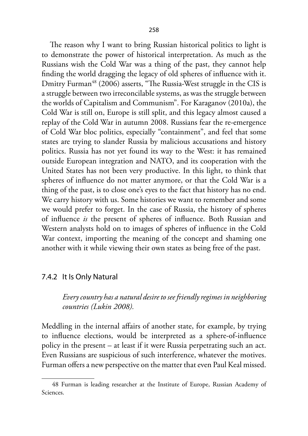The reason why I want to bring Russian historical politics to light is to demonstrate the power of historical interpretation. As much as the Russians wish the Cold War was a thing of the past, they cannot help finding the world dragging the legacy of old spheres of influence with it. Dmitry Furman<sup>48</sup> (2006) asserts, "The Russia-West struggle in the CIS is a struggle between two irreconcilable systems, as was the struggle between the worlds of Capitalism and Communism". For Karaganov (2010a), the Cold War is still on, Europe is still split, and this legacy almost caused a replay of the Cold War in autumn 2008. Russians fear the re-emergence of Cold War bloc politics, especially "containment", and feel that some states are trying to slander Russia by malicious accusations and history politics. Russia has not yet found its way to the West: it has remained outside European integration and NATO, and its cooperation with the United States has not been very productive. In this light, to think that spheres of influence do not matter anymore, or that the Cold War is a thing of the past, is to close one's eyes to the fact that history has no end. We carry history with us. Some histories we want to remember and some we would prefer to forget. In the case of Russia, the history of spheres of influence *is* the present of spheres of influence. Both Russian and Western analysts hold on to images of spheres of influence in the Cold War context, importing the meaning of the concept and shaming one another with it while viewing their own states as being free of the past.

## 7.4.2 It Is Only Natural

*Every country has a natural desire to see friendly regimes in neighboring countries (Lukin 2008).*

Meddling in the internal affairs of another state, for example, by trying to influence elections, would be interpreted as a sphere-of-influence policy in the present – at least if it were Russia perpetrating such an act. Even Russians are suspicious of such interference, whatever the motives. Furman offers a new perspective on the matter that even Paul Keal missed.

<sup>48</sup> Furman is leading researcher at the Institute of Europe, Russian Academy of Sciences.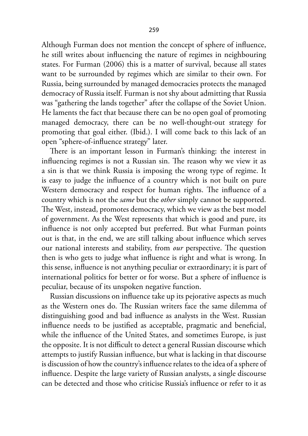Although Furman does not mention the concept of sphere of influence, he still writes about influencing the nature of regimes in neighbouring states. For Furman (2006) this is a matter of survival, because all states want to be surrounded by regimes which are similar to their own. For Russia, being surrounded by managed democracies protects the managed democracy of Russia itself. Furman is not shy about admitting that Russia was "gathering the lands together" after the collapse of the Soviet Union. He laments the fact that because there can be no open goal of promoting managed democracy, there can be no well-thought-out strategy for promoting that goal either. (Ibid.). I will come back to this lack of an open "sphere-of-influence strategy" later.

There is an important lesson in Furman's thinking: the interest in influencing regimes is not a Russian sin. The reason why we view it as a sin is that we think Russia is imposing the wrong type of regime. It is easy to judge the influence of a country which is not built on pure Western democracy and respect for human rights. The influence of a country which is not the *same* but the *other* simply cannot be supported. The West, instead, promotes democracy, which we view as the best model of government. As the West represents that which is good and pure, its influence is not only accepted but preferred. But what Furman points out is that, in the end, we are still talking about influence which serves our national interests and stability, from *our* perspective. The question then is who gets to judge what influence is right and what is wrong. In this sense, influence is not anything peculiar or extraordinary; it is part of international politics for better or for worse. But a sphere of influence is peculiar, because of its unspoken negative function.

Russian discussions on influence take up its pejorative aspects as much as the Western ones do. The Russian writers face the same dilemma of distinguishing good and bad influence as analysts in the West. Russian influence needs to be justified as acceptable, pragmatic and beneficial, while the influence of the United States, and sometimes Europe, is just the opposite. It is not difficult to detect a general Russian discourse which attempts to justify Russian influence, but what is lacking in that discourse is discussion of how the country's influence relates to the idea of a sphere of influence. Despite the large variety of Russian analysts, a single discourse can be detected and those who criticise Russia's influence or refer to it as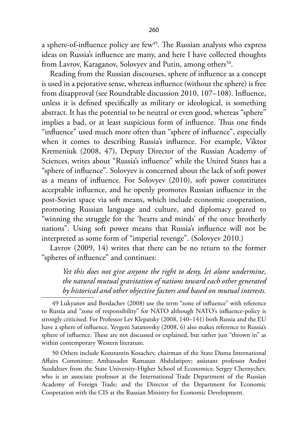a sphere-of-influence policy are few<sup>49</sup>. The Russian analysts who express ideas on Russia's influence are many, and here I have collected thoughts from Lavrov, Karaganov, Solovyev and Putin, among others<sup>50</sup>.

Reading from the Russian discourses, sphere of influence as a concept is used in a pejorative sense, whereas influence (without the sphere) is free from disapproval (see Roundtable discussion 2010, 107-108). Influence, unless it is defined specifically as military or ideological, is something abstract. It has the potential to be neutral or even good, whereas "sphere" implies a bad, or at least suspicious form of influence. Thus one finds "influence" used much more often than "sphere of influence", especially when it comes to describing Russia's influence. For example, Viktor Kremeniuk (2008, 47), Deputy Director of the Russian Academy of Sciences, writes about "Russia's influence" while the United States has a "sphere of influence". Solovyev is concerned about the lack of soft power as a means of influence. For Solovyev (2010), soft power constitutes acceptable influence, and he openly promotes Russian influence in the post-Soviet space via soft means, which include economic cooperation, promoting Russian language and culture, and diplomacy geared to "winning the struggle for the 'hearts and minds' of the once brotherly nations". Using soft power means that Russia's influence will not be interpreted as some form of "imperial revenge". (Solovyev 2010.)

Lavrov (2009, 14) writes that there can be no return to the former "spheres of influence" and continues:

*Yet this does not give anyone the right to deny, let alone undermine, the natural mutual gravitation of nations toward each other generated by historical and other objective factors and based on mutual interests.* 

49 Lukyanov and Bordachev (2008) use the term "zone of influence" with reference to Russia and "zone of responsibility" for NATO although NATO's influence-policy is strongly criticised. For Professor Lev Klepatsky (2008, 140–141) both Russia and the EU have a sphere of influence. Yevgeni Satanovsky (2008, 6) also makes reference to Russia's sphere of influence. These are not discussed or explained, but rather just "thrown in" as within contemporary Western literature.

50 Others include Konstantin Kosachev, chairman of the State Duma International Affairs Committee; Ambassador Ramazan Abdulatipov; assistant professor Andrei Suzdaltsev from the State University-Higher School of Economics; Sergey Chernychev, who is an associate professor at the International Trade Department of the Russian Academy of Foreign Trade; and the Director of the Department for Economic Cooperation with the CIS at the Russian Ministry for Economic Development.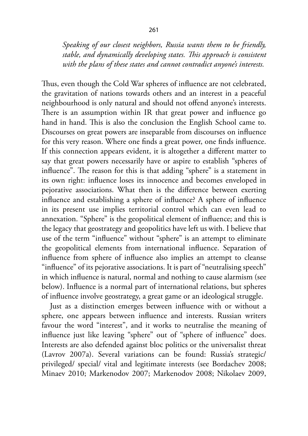*Speaking of our closest neighbors, Russia wants them to be friendly,*  stable, and dynamically developing states. This approach is consistent *with the plans of these states and cannot contradict anyone's interests.*

Thus, even though the Cold War spheres of influence are not celebrated, the gravitation of nations towards others and an interest in a peaceful neighbourhood is only natural and should not offend anyone's interests. There is an assumption within IR that great power and influence go hand in hand. This is also the conclusion the English School came to. Discourses on great powers are inseparable from discourses on influence for this very reason. Where one finds a great power, one finds influence. If this connection appears evident, it is altogether a different matter to say that great powers necessarily have or aspire to establish "spheres of influence". The reason for this is that adding "sphere" is a statement in its own right: influence loses its innocence and becomes enveloped in pejorative associations. What then is the difference between exerting influence and establishing a sphere of influence? A sphere of influence in its present use implies territorial control which can even lead to annexation. "Sphere" is the geopolitical element of influence; and this is the legacy that geostrategy and geopolitics have left us with. I believe that use of the term "influence" without "sphere" is an attempt to eliminate the geopolitical elements from international influence. Separation of influence from sphere of influence also implies an attempt to cleanse "influence" of its pejorative associations. It is part of "neutralising speech" in which influence is natural, normal and nothing to cause alarmism (see below). Influence is a normal part of international relations, but spheres of influence involve geostrategy, a great game or an ideological struggle.

Just as a distinction emerges between influence with or without a sphere, one appears between influence and interests. Russian writers favour the word "interest", and it works to neutralise the meaning of influence just like leaving "sphere" out of "sphere of influence" does. Interests are also defended against bloc politics or the universalist threat (Lavrov 2007a). Several variations can be found: Russia's strategic/ privileged/ special/ vital and legitimate interests (see Bordachev 2008; Minaev 2010; Markenodov 2007; Markenodov 2008; Nikolaev 2009,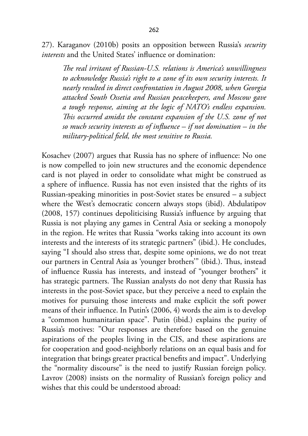27). Karaganov (2010b) posits an opposition between Russia's *security interests* and the United States' influence or domination:

*The real irritant of Russian-U.S. relations is America's unwillingness to acknowledge Russia's right to a zone of its own security interests. It nearly resulted in direct confrontation in August 2008, when Georgia attacked South Ossetia and Russian peacekeepers, and Moscow gave a tough response, aiming at the logic of NATO's endless expansion. This occurred amidst the constant expansion of the U.S. zone of not so much security interests as of infl uence – if not domination – in the*  military-political field, the most sensitive to Russia.

Kosachev (2007) argues that Russia has no sphere of influence: No one is now compelled to join new structures and the economic dependence card is not played in order to consolidate what might be construed as a sphere of influence. Russia has not even insisted that the rights of its Russian-speaking minorities in post-Soviet states be ensured – a subject where the West's democratic concern always stops (ibid). Abdulatipov  $(2008, 157)$  continues depoliticising Russia's influence by arguing that Russia is not playing any games in Central Asia or seeking a monopoly in the region. He writes that Russia "works taking into account its own interests and the interests of its strategic partners" (ibid.). He concludes, saying "I should also stress that, despite some opinions, we do not treat our partners in Central Asia as 'younger brothers'" (ibid.). Thus, instead of influence Russia has interests, and instead of "younger brothers" it has strategic partners. The Russian analysts do not deny that Russia has interests in the post-Soviet space, but they perceive a need to explain the motives for pursuing those interests and make explicit the soft power means of their influence. In Putin's (2006, 4) words the aim is to develop a "common humanitarian space". Putin (ibid.) explains the purity of Russia's motives: "Our responses are therefore based on the genuine aspirations of the peoples living in the CIS, and these aspirations are for cooperation and good-neighborly relations on an equal basis and for integration that brings greater practical benefits and impact". Underlying the "normality discourse" is the need to justify Russian foreign policy. Lavrov (2008) insists on the normality of Russian's foreign policy and wishes that this could be understood abroad: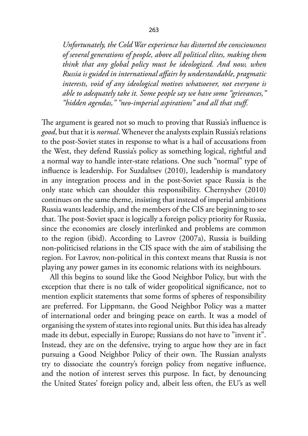*Unfortunately, the Cold War experience has distorted the consciousness of several generations of people, above all political elites, making them think that any global policy must be ideologized. And now, when Russia is guided in international aff airs by understandable, pragmatic interests, void of any ideological motives whatsoever, not everyone is able to adequately take it. Some people say we have some "grievances," "hidden agendas," "neo-imperial aspirations" and all that stuff .* 

The argument is geared not so much to proving that Russia's influence is *good*, but that it is *normal*. Whenever the analysts explain Russia's relations to the post-Soviet states in response to what is a hail of accusations from the West, they defend Russia's policy as something logical, rightful and a normal way to handle inter-state relations. One such "normal" type of influence is leadership. For Suzdaltsev (2010), leadership is mandatory in any integration process and in the post-Soviet space Russia is the only state which can shoulder this responsibility. Chernyshev (2010) continues on the same theme, insisting that instead of imperial ambitions Russia wants leadership, and the members of the CIS are beginning to see that. The post-Soviet space is logically a foreign policy priority for Russia, since the economies are closely interlinked and problems are common to the region (ibid). According to Lavrov (2007a), Russia is building non-politicised relations in the CIS space with the aim of stabilising the region. For Lavrov, non-political in this context means that Russia is not playing any power games in its economic relations with its neighbours.

All this begins to sound like the Good Neighbor Policy, but with the exception that there is no talk of wider geopolitical significance, not to mention explicit statements that some forms of spheres of responsibility are preferred. For Lippmann, the Good Neighbor Policy was a matter of international order and bringing peace on earth. It was a model of organising the system of states into regional units. But this idea has already made its debut, especially in Europe; Russians do not have to "invent it". Instead, they are on the defensive, trying to argue how they are in fact pursuing a Good Neighbor Policy of their own. The Russian analysts try to dissociate the country's foreign policy from negative influence, and the notion of interest serves this purpose. In fact, by denouncing the United States' foreign policy and, albeit less often, the EU's as well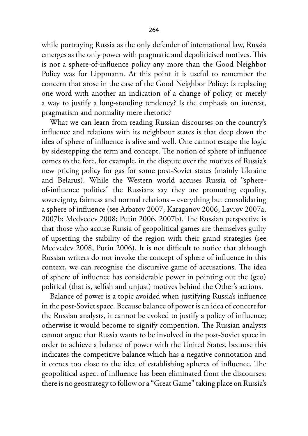while portraying Russia as the only defender of international law, Russia emerges as the only power with pragmatic and depoliticised motives. This is not a sphere-of-influence policy any more than the Good Neighbor Policy was for Lippmann. At this point it is useful to remember the concern that arose in the case of the Good Neighbor Policy: Is replacing one word with another an indication of a change of policy, or merely a way to justify a long-standing tendency? Is the emphasis on interest, pragmatism and normality mere rhetoric?

What we can learn from reading Russian discourses on the country's influence and relations with its neighbour states is that deep down the idea of sphere of influence is alive and well. One cannot escape the logic by sidestepping the term and concept. The notion of sphere of influence comes to the fore, for example, in the dispute over the motives of Russia's new pricing policy for gas for some post-Soviet states (mainly Ukraine and Belarus). While the Western world accuses Russia of "sphereof-influence politics" the Russians say they are promoting equality, sovereignty, fairness and normal relations – everything but consolidating a sphere of influence (see Arbatov 2007, Karaganov 2006, Lavrov 2007a, 2007b; Medvedev 2008; Putin 2006, 2007b). The Russian perspective is that those who accuse Russia of geopolitical games are themselves guilty of upsetting the stability of the region with their grand strategies (see Medvedev 2008, Putin 2006). It is not difficult to notice that although Russian writers do not invoke the concept of sphere of influence in this context, we can recognise the discursive game of accusations. The idea of sphere of influence has considerable power in pointing out the (geo) political (that is, selfish and unjust) motives behind the Other's actions.

Balance of power is a topic avoided when justifying Russia's influence in the post-Soviet space. Because balance of power is an idea of concert for the Russian analysts, it cannot be evoked to justify a policy of influence; otherwise it would become to signify competition. The Russian analysts cannot argue that Russia wants to be involved in the post-Soviet space in order to achieve a balance of power with the United States, because this indicates the competitive balance which has a negative connotation and it comes too close to the idea of establishing spheres of influence. The geopolitical aspect of influence has been eliminated from the discourses: there is no geostrategy to follow or a "Great Game" taking place on Russia's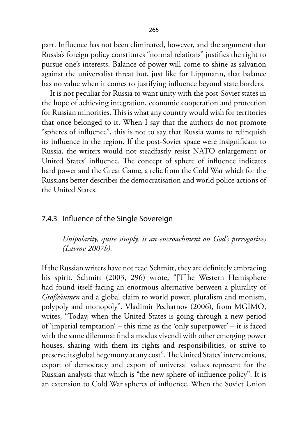part. Influence has not been eliminated, however, and the argument that Russia's foreign policy constitutes "normal relations" justifies the right to pursue one's interests. Balance of power will come to shine as salvation against the universalist threat but, just like for Lippmann, that balance has no value when it comes to justifying influence beyond state borders.

It is not peculiar for Russia to want unity with the post-Soviet states in the hope of achieving integration, economic cooperation and protection for Russian minorities. This is what any country would wish for territories that once belonged to it. When I say that the authors do not promote "spheres of influence", this is not to say that Russia wants to relinquish its influence in the region. If the post-Soviet space were insignificant to Russia, the writers would not steadfastly resist NATO enlargement or United States' influence. The concept of sphere of influence indicates hard power and the Great Game, a relic from the Cold War which for the Russians better describes the democratisation and world police actions of the United States.

#### 7.4.3 Influence of the Single Sovereign

*Unipolarity, quite simply, is an encroachment on God's prerogatives (Lavrov 2007b).*

If the Russian writers have not read Schmitt, they are definitely embracing his spirit. Schmitt (2003, 296) wrote, "[T]he Western Hemisphere had found itself facing an enormous alternative between a plurality of *Großräumen* and a global claim to world power, pluralism and monism, polypoly and monopoly". Vladimir Pechatnov (2006), from MGIMO, writes, "Today, when the United States is going through a new period of 'imperial temptation' – this time as the 'only superpower' – it is faced with the same dilemma: find a modus vivendi with other emerging power houses, sharing with them its rights and responsibilities, or strive to preserve its global hegemony at any cost". The United States' interventions, export of democracy and export of universal values represent for the Russian analysts that which is "the new sphere-of-influence policy". It is an extension to Cold War spheres of influence. When the Soviet Union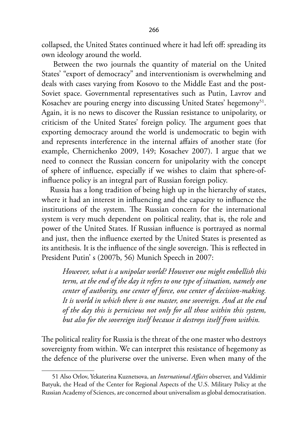collapsed, the United States continued where it had left off: spreading its own ideology around the world.

 Between the two journals the quantity of material on the United States' "export of democracy" and interventionism is overwhelming and deals with cases varying from Kosovo to the Middle East and the post-Soviet space. Governmental representatives such as Putin, Lavrov and Kosachev are pouring energy into discussing United States' hegemony<sup>51</sup>. Again, it is no news to discover the Russian resistance to unipolarity, or criticism of the United States' foreign policy. The argument goes that exporting democracy around the world is undemocratic to begin with and represents interference in the internal affairs of another state (for example, Chernichenko 2009, 149; Kosachev 2007). I argue that we need to connect the Russian concern for unipolarity with the concept of sphere of influence, especially if we wishes to claim that sphere-ofinfluence policy is an integral part of Russian foreign policy.

Russia has a long tradition of being high up in the hierarchy of states, where it had an interest in influencing and the capacity to influence the institutions of the system. The Russian concern for the international system is very much dependent on political reality, that is, the role and power of the United States. If Russian influence is portrayed as normal and just, then the influence exerted by the United States is presented as its antithesis. It is the influence of the single sovereign. This is reflected in President Putin' s (2007b, 56) Munich Speech in 2007:

*However, what is a unipolar world? However one might embellish this term, at the end of the day it refers to one type of situation, namely one center of authority, one center of force, one center of decision-making. It is world in which there is one master, one sovereign. And at the end of the day this is pernicious not only for all those within this system, but also for the sovereign itself because it destroys itself from within.*

The political reality for Russia is the threat of the one master who destroys sovereignty from within. We can interpret this resistance of hegemony as the defence of the pluriverse over the universe. Even when many of the

<sup>51</sup> Also Orlov, Yekaterina Kuznetsova, an *International Affairs* observer, and Valdimir Batyuk, the Head of the Center for Regional Aspects of the U.S. Military Policy at the Russian Academy of Sciences, are concerned about universalism as global democratisation.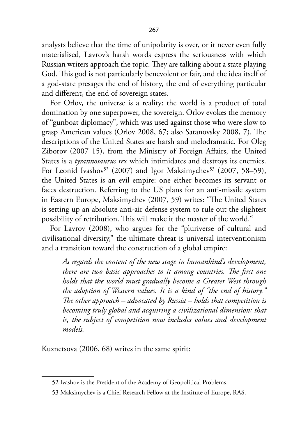analysts believe that the time of unipolarity is over, or it never even fully materialised, Lavrov's harsh words express the seriousness with which Russian writers approach the topic. They are talking about a state playing God. This god is not particularly benevolent or fair, and the idea itself of a god-state presages the end of history, the end of everything particular and different, the end of sovereign states.

For Orlov, the universe is a reality: the world is a product of total domination by one superpower, the sovereign. Orlov evokes the memory of "gunboat diplomacy", which was used against those who were slow to grasp American values (Orlov 2008, 67; also Satanovsky 2008, 7). The descriptions of the United States are harsh and melodramatic. For Oleg Ziborov (2007 15), from the Ministry of Foreign Affairs, the United States is a *tyrannosaurus re*x which intimidates and destroys its enemies. For Leonid Ivashov<sup>52</sup> (2007) and Igor Maksimychev<sup>53</sup> (2007, 58–59), the United States is an evil empire: one either becomes its servant or faces destruction. Referring to the US plans for an anti-missile system in Eastern Europe, Maksimychev (2007, 59) writes: "The United States is setting up an absolute anti-air defense system to rule out the slightest possibility of retribution. This will make it the master of the world."

For Lavrov (2008), who argues for the "pluriverse of cultural and civilisational diversity," the ultimate threat is universal interventionism and a transition toward the construction of a global empire:

*As regards the content of the new stage in humankind's development,*  there are two basic approaches to it among countries. The first one *holds that the world must gradually become a Greater West through the adoption of Western values. It is a kind of "the end of history."*  The other approach – advocated by Russia – holds that competition is *becoming truly global and acquiring a civilizational dimension; that is, the subject of competition now includes values and development models.*

Kuznetsova (2006, 68) writes in the same spirit:

<sup>52</sup> Ivashov is the President of the Academy of Geopolitical Problems.

<sup>53</sup> Maksimychev is a Chief Research Fellow at the Institute of Europe, RAS.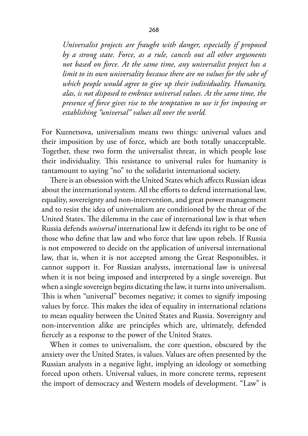*Universalist projects are fraught with danger, especially if proposed by a strong state. Force, as a rule, cancels out all other arguments not based on force. At the same time, any universalist project has a limit to its own universality because there are no values for the sake of which people would agree to give up their individuality. Humanity, alas, is not disposed to embrace universal values. At the same time, the presence of force gives rise to the temptation to use it for imposing or establishing "universal" values all over the world.*

For Kuznetsova, universalism means two things: universal values and their imposition by use of force, which are both totally unacceptable. Together, these two form the universalist threat, in which people lose their individuality. This resistance to universal rules for humanity is tantamount to saying "no" to the solidarist international society.

There is an obsession with the United States which affects Russian ideas about the international system. All the efforts to defend international law, equality, sovereignty and non-intervention, and great power management and to resist the idea of universalism are conditioned by the threat of the United States. The dilemma in the case of international law is that when Russia defends *universal* international law it defends its right to be one of those who define that law and who force that law upon rebels. If Russia is not empowered to decide on the application of universal international law, that is, when it is not accepted among the Great Responsibles, it cannot support it. For Russian analysts, international law is universal when it is not being imposed and interpreted by a single sovereign. But when a single sovereign begins dictating the law, it turns into universalism. This is when "universal" becomes negative; it comes to signify imposing values by force. This makes the idea of equality in international relations to mean equality between the United States and Russia. Sovereignty and non-intervention alike are principles which are, ultimately, defended fiercely as a response to the power of the United States.

When it comes to universalism, the core question, obscured by the anxiety over the United States, is values. Values are often presented by the Russian analysts in a negative light, implying an ideology or something forced upon others. Universal values, in more concrete terms, represent the import of democracy and Western models of development. "Law" is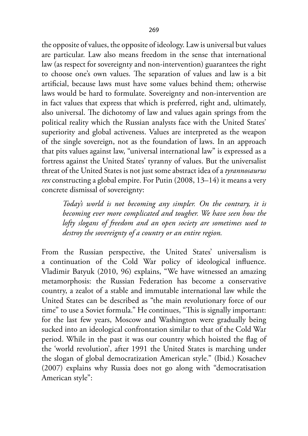the opposite of values, the opposite of ideology. Law is universal but values are particular. Law also means freedom in the sense that international law (as respect for sovereignty and non-intervention) guarantees the right to choose one's own values. The separation of values and law is a bit artificial, because laws must have some values behind them; otherwise laws would be hard to formulate. Sovereignty and non-intervention are in fact values that express that which is preferred, right and, ultimately, also universal. The dichotomy of law and values again springs from the political reality which the Russian analysts face with the United States' superiority and global activeness. Values are interpreted as the weapon of the single sovereign, not as the foundation of laws. In an approach that pits values against law, "universal international law" is expressed as a fortress against the United States' tyranny of values. But the universalist threat of the United States is not just some abstract idea of a *tyrannosaurus rex* constructing a global empire. For Putin (2008, 13–14) it means a very concrete dismissal of sovereignty:

*Today's world is not becoming any simpler. On the contrary, it is becoming ever more complicated and tougher. We have seen how the lofty slogans of freedom and an open society are sometimes used to destroy the sovereignty of a country or an entire region.*

From the Russian perspective, the United States' universalism is a continuation of the Cold War policy of ideological influence. Vladimir Batyuk (2010, 96) explains, "We have witnessed an amazing metamorphosis: the Russian Federation has become a conservative country, a zealot of a stable and immutable international law while the United States can be described as "the main revolutionary force of our time" to use a Soviet formula." He continues, "This is signally important: for the last few years, Moscow and Washington were gradually being sucked into an ideological confrontation similar to that of the Cold War period. While in the past it was our country which hoisted the flag of the 'world revolution', after 1991 the United States is marching under the slogan of global democratization American style." (Ibid.) Kosachev (2007) explains why Russia does not go along with "democratisation American style":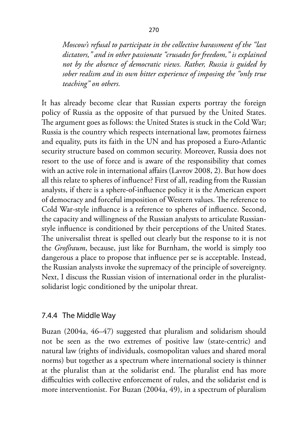*Moscow's refusal to participate in the collective harassment of the "last dictators," and in other passionate "crusades for freedom," is explained not by the absence of democratic views. Rather, Russia is guided by sober realism and its own bitter experience of imposing the "only true teaching" on others.*

It has already become clear that Russian experts portray the foreign policy of Russia as the opposite of that pursued by the United States. The argument goes as follows: the United States is stuck in the Cold War; Russia is the country which respects international law, promotes fairness and equality, puts its faith in the UN and has proposed a Euro-Atlantic security structure based on common security. Moreover, Russia does not resort to the use of force and is aware of the responsibility that comes with an active role in international affairs (Lavrov 2008, 2). But how does all this relate to spheres of influence? First of all, reading from the Russian analysts, if there is a sphere-of-influence policy it is the American export of democracy and forceful imposition of Western values. The reference to Cold War-style influence is a reference to spheres of influence. Second, the capacity and willingness of the Russian analysts to articulate Russianstyle influence is conditioned by their perceptions of the United States. The universalist threat is spelled out clearly but the response to it is not the *Großraum*, because, just like for Burnham, the world is simply too dangerous a place to propose that influence per se is acceptable. Instead, the Russian analysts invoke the supremacy of the principle of sovereignty. Next, I discuss the Russian vision of international order in the pluralistsolidarist logic conditioned by the unipolar threat.

#### 7.4.4 The Middle Way

Buzan (2004a, 46–47) suggested that pluralism and solidarism should not be seen as the two extremes of positive law (state-centric) and natural law (rights of individuals, cosmopolitan values and shared moral norms) but together as a spectrum where international society is thinner at the pluralist than at the solidarist end. The pluralist end has more difficulties with collective enforcement of rules, and the solidarist end is more interventionist. For Buzan (2004a, 49), in a spectrum of pluralism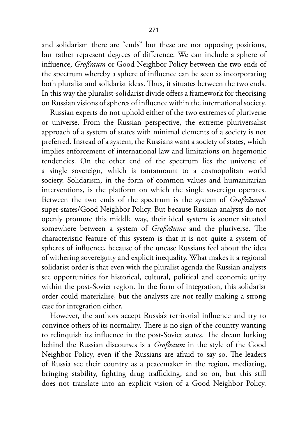and solidarism there are "ends" but these are not opposing positions, but rather represent degrees of difference. We can include a sphere of influence, *Großraum* or Good Neighbor Policy between the two ends of the spectrum whereby a sphere of influence can be seen as incorporating both pluralist and solidarist ideas. Thus, it situates between the two ends. In this way the pluralist-solidarist divide offers a framework for theorising on Russian visions of spheres of influence within the international society.

Russian experts do not uphold either of the two extremes of pluriverse or universe. From the Russian perspective, the extreme pluriversalist approach of a system of states with minimal elements of a society is not preferred. Instead of a system, the Russians want a society of states, which implies enforcement of international law and limitations on hegemonic tendencies. On the other end of the spectrum lies the universe of a single sovereign, which is tantamount to a cosmopolitan world society. Solidarism, in the form of common values and humanitarian interventions, is the platform on which the single sovereign operates. Between the two ends of the spectrum is the system of *Großräume*/ super-states/Good Neighbor Policy. But because Russian analysts do not openly promote this middle way, their ideal system is sooner situated somewhere between a system of *Großräume* and the pluriverse. The characteristic feature of this system is that it is not quite a system of spheres of influence, because of the unease Russians feel about the idea of withering sovereignty and explicit inequality. What makes it a regional solidarist order is that even with the pluralist agenda the Russian analysts see opportunities for historical, cultural, political and economic unity within the post-Soviet region. In the form of integration, this solidarist order could materialise, but the analysts are not really making a strong case for integration either.

However, the authors accept Russia's territorial influence and try to convince others of its normality. There is no sign of the country wanting to relinquish its influence in the post-Soviet states. The dream lurking behind the Russian discourses is a *Großraum* in the style of the Good Neighbor Policy, even if the Russians are afraid to say so. The leaders of Russia see their country as a peacemaker in the region, mediating, bringing stability, fighting drug trafficking, and so on, but this still does not translate into an explicit vision of a Good Neighbor Policy.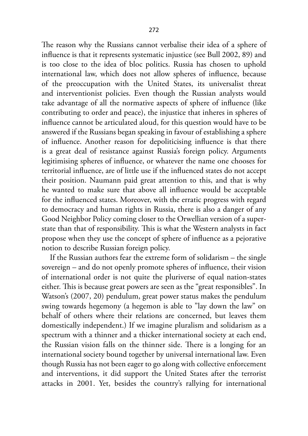The reason why the Russians cannot verbalise their idea of a sphere of influence is that it represents systematic injustice (see Bull 2002, 89) and is too close to the idea of bloc politics. Russia has chosen to uphold international law, which does not allow spheres of influence, because of the preoccupation with the United States, its universalist threat and interventionist policies. Even though the Russian analysts would take advantage of all the normative aspects of sphere of influence (like contributing to order and peace), the injustice that inheres in spheres of influence cannot be articulated aloud, for this question would have to be answered if the Russians began speaking in favour of establishing a sphere of influence. Another reason for depoliticising influence is that there is a great deal of resistance against Russia's foreign policy. Arguments legitimising spheres of influence, or whatever the name one chooses for territorial influence, are of little use if the influenced states do not accept their position. Naumann paid great attention to this, and that is why he wanted to make sure that above all influence would be acceptable for the influenced states. Moreover, with the erratic progress with regard to democracy and human rights in Russia, there is also a danger of any Good Neighbor Policy coming closer to the Orwellian version of a superstate than that of responsibility. This is what the Western analysts in fact propose when they use the concept of sphere of influence as a pejorative notion to describe Russian foreign policy.

If the Russian authors fear the extreme form of solidarism – the single sovereign – and do not openly promote spheres of influence, their vision of international order is not quite the pluriverse of equal nation-states either. This is because great powers are seen as the "great responsibles". In Watson's (2007, 20) pendulum, great power status makes the pendulum swing towards hegemony (a hegemon is able to "lay down the law" on behalf of others where their relations are concerned, but leaves them domestically independent.) If we imagine pluralism and solidarism as a spectrum with a thinner and a thicker international society at each end, the Russian vision falls on the thinner side. There is a longing for an international society bound together by universal international law. Even though Russia has not been eager to go along with collective enforcement and interventions, it did support the United States after the terrorist attacks in 2001. Yet, besides the country's rallying for international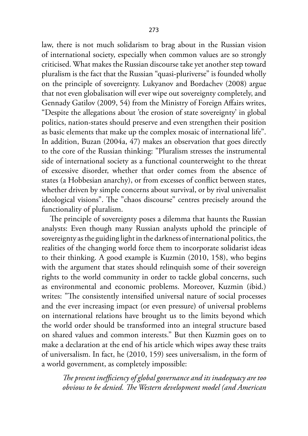law, there is not much solidarism to brag about in the Russian vision of international society, especially when common values are so strongly criticised. What makes the Russian discourse take yet another step toward pluralism is the fact that the Russian "quasi-pluriverse" is founded wholly on the principle of sovereignty. Lukyanov and Bordachev (2008) argue that not even globalisation will ever wipe out sovereignty completely, and Gennady Gatilov (2009, 54) from the Ministry of Foreign Affairs writes, "Despite the allegations about 'the erosion of state sovereignty' in global politics, nation-states should preserve and even strengthen their position as basic elements that make up the complex mosaic of international life". In addition, Buzan (2004a, 47) makes an observation that goes directly to the core of the Russian thinking: "Pluralism stresses the instrumental side of international society as a functional counterweight to the threat of excessive disorder, whether that order comes from the absence of states (a Hobbesian anarchy), or from excesses of conflict between states, whether driven by simple concerns about survival, or by rival universalist ideological visions". The "chaos discourse" centres precisely around the functionality of pluralism.

The principle of sovereignty poses a dilemma that haunts the Russian analysts: Even though many Russian analysts uphold the principle of sovereignty as the guiding light in the darkness of international politics, the realities of the changing world force them to incorporate solidarist ideas to their thinking. A good example is Kuzmin (2010, 158), who begins with the argument that states should relinquish some of their sovereign rights to the world community in order to tackle global concerns, such as environmental and economic problems. Moreover, Kuzmin (ibid.) writes: "The consistently intensified universal nature of social processes and the ever increasing impact (or even pressure) of universal problems on international relations have brought us to the limits beyond which the world order should be transformed into an integral structure based on shared values and common interests." But then Kuzmin goes on to make a declaration at the end of his article which wipes away these traits of universalism. In fact, he (2010, 159) sees universalism, in the form of a world government, as completely impossible:

The present inefficiency of global governance and its inadequacy are too *obvious to be denied. The Western development model (and American*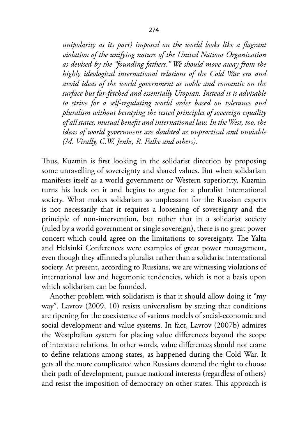unipolarity as its part) imposed on the world looks like a flagrant *violation of the unifying nature of the United Nations Organization as devised by the "founding fathers." We should move away from the highly ideological international relations of the Cold War era and avoid ideas of the world government as noble and romantic on the surface but far-fetched and essentially Utopian. Instead it is advisable to strive for a self-regulating world order based on tolerance and pluralism without betraying the tested principles of sovereign equality of all states, mutual benefi t and international law. In the West, too, the ideas of world government are doubted as unpractical and unviable* 

Thus, Kuzmin is first looking in the solidarist direction by proposing some unravelling of sovereignty and shared values. But when solidarism manifests itself as a world government or Western superiority, Kuzmin turns his back on it and begins to argue for a pluralist international society. What makes solidarism so unpleasant for the Russian experts is not necessarily that it requires a loosening of sovereignty and the principle of non-intervention, but rather that in a solidarist society (ruled by a world government or single sovereign), there is no great power concert which could agree on the limitations to sovereignty. The Yalta and Helsinki Conferences were examples of great power management, even though they affirmed a pluralist rather than a solidarist international society. At present, according to Russians, we are witnessing violations of international law and hegemonic tendencies, which is not a basis upon which solidarism can be founded.

*(M. Virally, C.W. Jenks, R. Falke and others).*

Another problem with solidarism is that it should allow doing it "my way". Lavrov (2009, 10) resists universalism by stating that conditions are ripening for the coexistence of various models of social-economic and social development and value systems. In fact, Lavrov (2007b) admires the Westphalian system for placing value differences beyond the scope of interstate relations. In other words, value differences should not come to define relations among states, as happened during the Cold War. It gets all the more complicated when Russians demand the right to choose their path of development, pursue national interests (regardless of others) and resist the imposition of democracy on other states. This approach is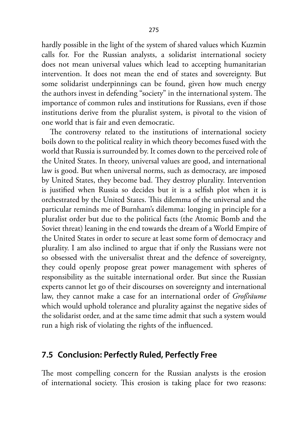hardly possible in the light of the system of shared values which Kuzmin calls for. For the Russian analysts, a solidarist international society does not mean universal values which lead to accepting humanitarian intervention. It does not mean the end of states and sovereignty. But some solidarist underpinnings can be found, given how much energy the authors invest in defending "society" in the international system. The importance of common rules and institutions for Russians, even if those institutions derive from the pluralist system, is pivotal to the vision of one world that is fair and even democratic.

The controversy related to the institutions of international society boils down to the political reality in which theory becomes fused with the world that Russia is surrounded by. It comes down to the perceived role of the United States. In theory, universal values are good, and international law is good. But when universal norms, such as democracy, are imposed by United States, they become bad. They destroy plurality. Intervention is justified when Russia so decides but it is a selfish plot when it is orchestrated by the United States. This dilemma of the universal and the particular reminds me of Burnham's dilemma: longing in principle for a pluralist order but due to the political facts (the Atomic Bomb and the Soviet threat) leaning in the end towards the dream of a World Empire of the United States in order to secure at least some form of democracy and plurality. I am also inclined to argue that if only the Russians were not so obsessed with the universalist threat and the defence of sovereignty, they could openly propose great power management with spheres of responsibility as the suitable international order. But since the Russian experts cannot let go of their discourses on sovereignty and international law, they cannot make a case for an international order of *Großräume* which would uphold tolerance and plurality against the negative sides of the solidarist order, and at the same time admit that such a system would run a high risk of violating the rights of the influenced.

## **7.5 Conclusion: Perfectly Ruled, Perfectly Free**

The most compelling concern for the Russian analysts is the erosion of international society. This erosion is taking place for two reasons: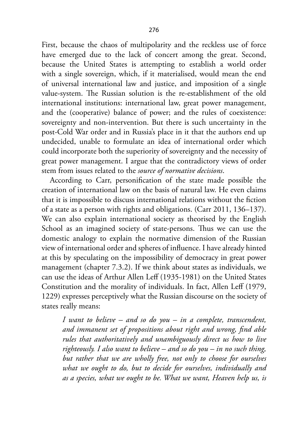First, because the chaos of multipolarity and the reckless use of force have emerged due to the lack of concert among the great. Second, because the United States is attempting to establish a world order with a single sovereign, which, if it materialised, would mean the end of universal international law and justice, and imposition of a single value-system. The Russian solution is the re-establishment of the old international institutions: international law, great power management, and the (cooperative) balance of power; and the rules of coexistence: sovereignty and non-intervention. But there is such uncertainty in the post-Cold War order and in Russia's place in it that the authors end up undecided, unable to formulate an idea of international order which could incorporate both the superiority of sovereignty and the necessity of great power management. I argue that the contradictory views of order stem from issues related to the *source of normative decisions*.

According to Carr, personification of the state made possible the creation of international law on the basis of natural law. He even claims that it is impossible to discuss international relations without the fiction of a state as a person with rights and obligations. (Carr 2011, 136–137). We can also explain international society as theorised by the English School as an imagined society of state-persons. Thus we can use the domestic analogy to explain the normative dimension of the Russian view of international order and spheres of influence. I have already hinted at this by speculating on the impossibility of democracy in great power management (chapter 7.3.2). If we think about states as individuals, we can use the ideas of Arthur Allen Leff (1935-1981) on the United States Constitution and the morality of individuals. In fact, Allen Leff (1979, 1229) expresses perceptively what the Russian discourse on the society of states really means:

*I want to believe – and so do you – in a complete, transcendent,*  and immanent set of propositions about right and wrong, find able *rules that authoritatively and unambiguously direct us how to live righteously. I also want to believe – and so do you – in no such thing, but rather that we are wholly free, not only to choose for ourselves what we ought to do, but to decide for ourselves, individually and as a species, what we ought to be. What we want, Heaven help us, is*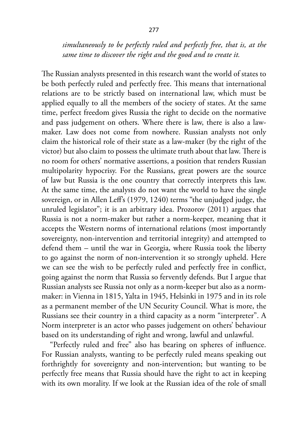*simultaneously to be perfectly ruled and perfectly free, that is, at the same time to discover the right and the good and to create it.*

The Russian analysts presented in this research want the world of states to be both perfectly ruled and perfectly free. This means that international relations are to be strictly based on international law, which must be applied equally to all the members of the society of states. At the same time, perfect freedom gives Russia the right to decide on the normative and pass judgement on others. Where there is law, there is also a lawmaker. Law does not come from nowhere. Russian analysts not only claim the historical role of their state as a law-maker (by the right of the victor) but also claim to possess the ultimate truth about that law. There is no room for others' normative assertions, a position that renders Russian multipolarity hypocrisy. For the Russians, great powers are the source of law but Russia is the one country that correctly interprets this law. At the same time, the analysts do not want the world to have the single sovereign, or in Allen Leff's (1979, 1240) terms "the unjudged judge, the unruled legislator"; it is an arbitrary idea. Prozorov (2011) argues that Russia is not a norm-maker but rather a norm-keeper, meaning that it accepts the Western norms of international relations (most importantly sovereignty, non-intervention and territorial integrity) and attempted to defend them – until the war in Georgia, where Russia took the liberty to go against the norm of non-intervention it so strongly upheld. Here we can see the wish to be perfectly ruled and perfectly free in conflict, going against the norm that Russia so fervently defends. But I argue that Russian analysts see Russia not only as a norm-keeper but also as a normmaker: in Vienna in 1815, Yalta in 1945, Helsinki in 1975 and in its role as a permanent member of the UN Security Council. What is more, the Russians see their country in a third capacity as a norm "interpreter". A Norm interpreter is an actor who passes judgement on others' behaviour based on its understanding of right and wrong, lawful and unlawful.

"Perfectly ruled and free" also has bearing on spheres of influence. For Russian analysts, wanting to be perfectly ruled means speaking out forthrightly for sovereignty and non-intervention; but wanting to be perfectly free means that Russia should have the right to act in keeping with its own morality. If we look at the Russian idea of the role of small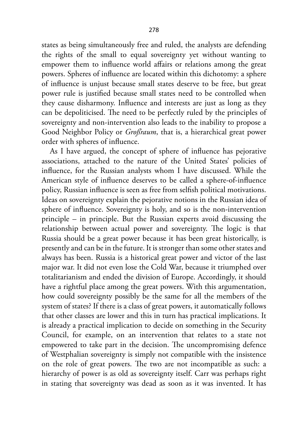states as being simultaneously free and ruled, the analysts are defending the rights of the small to equal sovereignty yet without wanting to empower them to influence world affairs or relations among the great powers. Spheres of influence are located within this dichotomy: a sphere of influence is unjust because small states deserve to be free, but great power rule is justified because small states need to be controlled when they cause disharmony. Influence and interests are just as long as they can be depoliticised. The need to be perfectly ruled by the principles of sovereignty and non-intervention also leads to the inability to propose a Good Neighbor Policy or *Großraum*, that is, a hierarchical great power order with spheres of influence.

As I have argued, the concept of sphere of influence has pejorative associations, attached to the nature of the United States' policies of influence, for the Russian analysts whom I have discussed. While the American style of influence deserves to be called a sphere-of-influence policy, Russian influence is seen as free from selfish political motivations. Ideas on sovereignty explain the pejorative notions in the Russian idea of sphere of influence. Sovereignty is holy, and so is the non-intervention principle – in principle. But the Russian experts avoid discussing the relationship between actual power and sovereignty. The logic is that Russia should be a great power because it has been great historically, is presently and can be in the future. It is stronger than some other states and always has been. Russia is a historical great power and victor of the last major war. It did not even lose the Cold War, because it triumphed over totalitarianism and ended the division of Europe. Accordingly, it should have a rightful place among the great powers. With this argumentation, how could sovereignty possibly be the same for all the members of the system of states? If there is a class of great powers, it automatically follows that other classes are lower and this in turn has practical implications. It is already a practical implication to decide on something in the Security Council, for example, on an intervention that relates to a state not empowered to take part in the decision. The uncompromising defence of Westphalian sovereignty is simply not compatible with the insistence on the role of great powers. The two are not incompatible as such: a hierarchy of power is as old as sovereignty itself. Carr was perhaps right in stating that sovereignty was dead as soon as it was invented. It has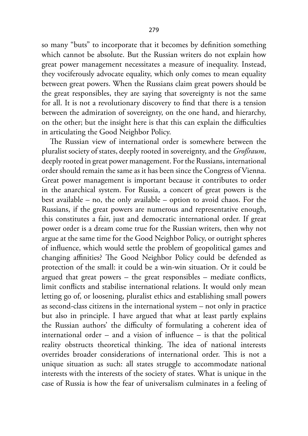so many "buts" to incorporate that it becomes by definition something which cannot be absolute. But the Russian writers do not explain how great power management necessitates a measure of inequality. Instead, they vociferously advocate equality, which only comes to mean equality between great powers. When the Russians claim great powers should be the great responsibles, they are saying that sovereignty is not the same for all. It is not a revolutionary discovery to find that there is a tension between the admiration of sovereignty, on the one hand, and hierarchy, on the other; but the insight here is that this can explain the difficulties in articulating the Good Neighbor Policy.

The Russian view of international order is somewhere between the pluralist society of states, deeply rooted in sovereignty, and the *Großraum*, deeply rooted in great power management. For the Russians, international order should remain the same as it has been since the Congress of Vienna. Great power management is important because it contributes to order in the anarchical system. For Russia, a concert of great powers is the best available – no, the only available – option to avoid chaos. For the Russians, if the great powers are numerous and representative enough, this constitutes a fair, just and democratic international order. If great power order is a dream come true for the Russian writers, then why not argue at the same time for the Good Neighbor Policy, or outright spheres of influence, which would settle the problem of geopolitical games and changing affinities? The Good Neighbor Policy could be defended as protection of the small: it could be a win-win situation. Or it could be argued that great powers  $-$  the great responsibles  $-$  mediate conflicts, limit conflicts and stabilise international relations. It would only mean letting go of, or loosening, pluralist ethics and establishing small powers as second-class citizens in the international system – not only in practice but also in principle. I have argued that what at least partly explains the Russian authors' the difficulty of formulating a coherent idea of international order – and a vision of influence – is that the political reality obstructs theoretical thinking. The idea of national interests overrides broader considerations of international order. This is not a unique situation as such: all states struggle to accommodate national interests with the interests of the society of states. What is unique in the case of Russia is how the fear of universalism culminates in a feeling of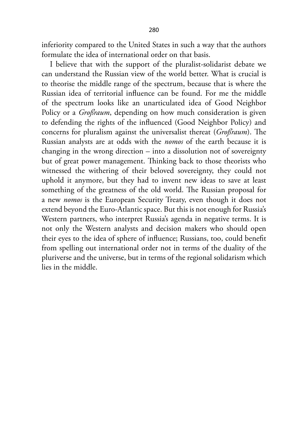inferiority compared to the United States in such a way that the authors formulate the idea of international order on that basis.

I believe that with the support of the pluralist-solidarist debate we can understand the Russian view of the world better. What is crucial is to theorise the middle range of the spectrum, because that is where the Russian idea of territorial influence can be found. For me the middle of the spectrum looks like an unarticulated idea of Good Neighbor Policy or a *Großraum*, depending on how much consideration is given to defending the rights of the influenced (Good Neighbor Policy) and concerns for pluralism against the universalist thereat (*Großraum*). The Russian analysts are at odds with the *nomos* of the earth because it is changing in the wrong direction – into a dissolution not of sovereignty but of great power management. Thinking back to those theorists who witnessed the withering of their beloved sovereignty, they could not uphold it anymore, but they had to invent new ideas to save at least something of the greatness of the old world. The Russian proposal for a new *nomos* is the European Security Treaty, even though it does not extend beyond the Euro-Atlantic space. But this is not enough for Russia's Western partners, who interpret Russia's agenda in negative terms. It is not only the Western analysts and decision makers who should open their eyes to the idea of sphere of influence; Russians, too, could benefit from spelling out international order not in terms of the duality of the pluriverse and the universe, but in terms of the regional solidarism which lies in the middle.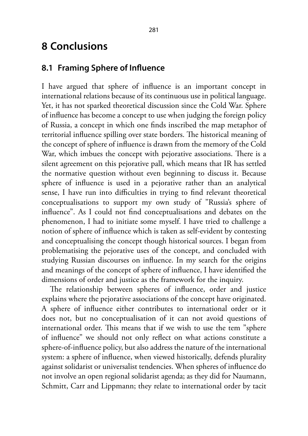# **8 Conclusions**

## **8.1 Framing Sphere of Influence**

I have argued that sphere of influence is an important concept in international relations because of its continuous use in political language. Yet, it has not sparked theoretical discussion since the Cold War. Sphere of influence has become a concept to use when judging the foreign policy of Russia, a concept in which one finds inscribed the map metaphor of territorial influence spilling over state borders. The historical meaning of the concept of sphere of influence is drawn from the memory of the Cold War, which imbues the concept with pejorative associations. There is a silent agreement on this pejorative pall, which means that IR has settled the normative question without even beginning to discuss it. Because sphere of influence is used in a pejorative rather than an analytical sense, I have run into difficulties in trying to find relevant theoretical conceptualisations to support my own study of "Russia's sphere of influence". As I could not find conceptualisations and debates on the phenomenon, I had to initiate some myself. I have tried to challenge a notion of sphere of influence which is taken as self-evident by contesting and conceptualising the concept though historical sources. I began from problematising the pejorative uses of the concept, and concluded with studying Russian discourses on influence. In my search for the origins and meanings of the concept of sphere of influence, I have identified the dimensions of order and justice as the framework for the inquiry.

The relationship between spheres of influence, order and justice explains where the pejorative associations of the concept have originated. A sphere of influence either contributes to international order or it does not, but no conceptualisation of it can not avoid questions of international order. This means that if we wish to use the tem "sphere of influence" we should not only reflect on what actions constitute a sphere-of-influence policy, but also address the nature of the international system: a sphere of influence, when viewed historically, defends plurality against solidarist or universalist tendencies. When spheres of influence do not involve an open regional solidarist agenda; as they did for Naumann, Schmitt, Carr and Lippmann; they relate to international order by tacit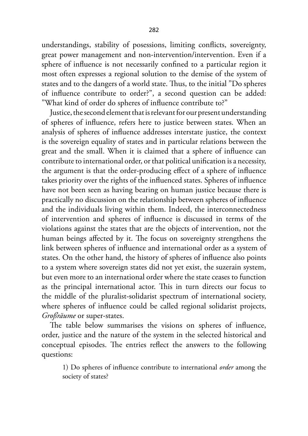understandings, stability of posessions, limiting conflicts, sovereignty, great power management and non-intervention/intervention. Even if a sphere of influence is not necessarily confined to a particular region it most often expresses a regional solution to the demise of the system of states and to the dangers of a world state. Thus, to the initial "Do spheres of influence contribute to order?", a second question can be added: "What kind of order do spheres of influence contribute to?"

Justice, the second element that is relevant for our present understanding of spheres of influence, refers here to justice between states. When an analysis of spheres of influence addresses interstate justice, the context is the sovereign equality of states and in particular relations between the great and the small. When it is claimed that a sphere of influence can contribute to international order, or that political unification is a necessity, the argument is that the order-producing effect of a sphere of influence takes priority over the rights of the influenced states. Spheres of influence have not been seen as having bearing on human justice because there is practically no discussion on the relationship between spheres of influence and the individuals living within them. Indeed, the interconnectedness of intervention and spheres of influence is discussed in terms of the violations against the states that are the objects of intervention, not the human beings affected by it. The focus on sovereignty strengthens the link between spheres of influence and international order as a system of states. On the other hand, the history of spheres of influence also points to a system where sovereign states did not yet exist, the suzerain system, but even more to an international order where the state ceases to function as the principal international actor. This in turn directs our focus to the middle of the pluralist-solidarist spectrum of international society, where spheres of influence could be called regional solidarist projects, *Großräume* or super-states.

The table below summarises the visions on spheres of influence, order, justice and the nature of the system in the selected historical and conceptual episodes. The entries reflect the answers to the following questions:

1) Do spheres of influence contribute to international *order* among the society of states?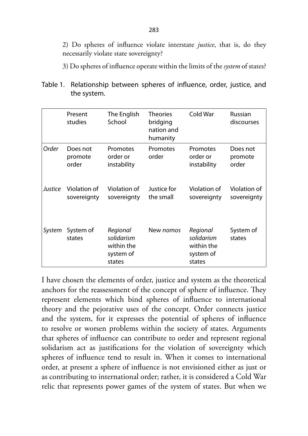2) Do spheres of influence violate interstate *justice*, that is, do they necessarily violate state sovereignty?

3) Do spheres of influence operate within the limits of the *system* of states?

| Table 1. Relationship between spheres of influence, order, justice, and |  |  |  |
|-------------------------------------------------------------------------|--|--|--|
| the system.                                                             |  |  |  |

|         | Present<br>studies           | The English<br>School                                       | Theories<br>bridging<br>nation and<br>humanity | Cold War                                                    | Russian<br>discourses        |
|---------|------------------------------|-------------------------------------------------------------|------------------------------------------------|-------------------------------------------------------------|------------------------------|
| Order   | Does not<br>promote<br>order | Promotes<br>order or<br>instability                         | Promotes<br>order                              | Promotes<br>order or<br>instability                         | Does not<br>promote<br>order |
| Justice | Violation of<br>sovereignty  | Violation of<br>sovereignty                                 | Justice for<br>the small                       | Violation of<br>sovereignty                                 | Violation of<br>sovereignty  |
| System  | System of<br>states          | Regional<br>solidarism<br>within the<br>system of<br>states | New nomos                                      | Regional<br>solidarism<br>within the<br>system of<br>states | System of<br>states          |

I have chosen the elements of order, justice and system as the theoretical anchors for the reassessment of the concept of sphere of influence. They represent elements which bind spheres of influence to international theory and the pejorative uses of the concept. Order connects justice and the system, for it expresses the potential of spheres of influence to resolve or worsen problems within the society of states. Arguments that spheres of influence can contribute to order and represent regional solidarism act as justifications for the violation of sovereignty which spheres of influence tend to result in. When it comes to international order, at present a sphere of influence is not envisioned either as just or as contributing to international order; rather, it is considered a Cold War relic that represents power games of the system of states. But when we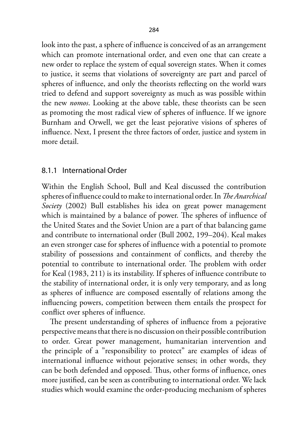look into the past, a sphere of influence is conceived of as an arrangement which can promote international order, and even one that can create a new order to replace the system of equal sovereign states. When it comes to justice, it seems that violations of sovereignty are part and parcel of spheres of influence, and only the theorists reflecting on the world wars tried to defend and support sovereignty as much as was possible within the new *nomos*. Looking at the above table, these theorists can be seen as promoting the most radical view of spheres of influence. If we ignore Burnham and Orwell, we get the least pejorative visions of spheres of influence. Next, I present the three factors of order, justice and system in more detail.

#### 8.1.1 International Order

Within the English School, Bull and Keal discussed the contribution spheres of influence could to make to international order. In *The Anarchical Society* (2002) Bull establishes his idea on great power management which is maintained by a balance of power. The spheres of influence of the United States and the Soviet Union are a part of that balancing game and contribute to international order (Bull 2002, 199–204). Keal makes an even stronger case for spheres of influence with a potential to promote stability of possessions and containment of conflicts, and thereby the potential to contribute to international order. The problem with order for Keal (1983, 211) is its instability. If spheres of influence contribute to the stability of international order, it is only very temporary, and as long as spheres of influence are composed essentally of relations among the influencing powers, competition between them entails the prospect for conflict over spheres of influence.

The present understanding of spheres of influence from a pejorative perspective means that there is no discussion on their possible contribution to order. Great power management, humanitarian intervention and the principle of a "responsibility to protect" are examples of ideas of international influence without pejorative senses; in other words, they can be both defended and opposed. Thus, other forms of influence, ones more justified, can be seen as contributing to international order. We lack studies which would examine the order-producing mechanism of spheres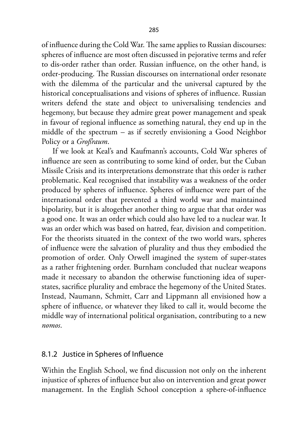of influence during the Cold War. The same applies to Russian discourses: spheres of influence are most often discussed in pejorative terms and refer to dis-order rather than order. Russian influence, on the other hand, is order-producing. The Russian discourses on international order resonate with the dilemma of the particular and the universal captured by the historical conceptualisations and visions of spheres of influence. Russian writers defend the state and object to universalising tendencies and hegemony, but because they admire great power management and speak in favour of regional influence as something natural, they end up in the middle of the spectrum – as if secretly envisioning a Good Neighbor Policy or a *Großraum*.

 If we look at Keal's and Kaufmann's accounts, Cold War spheres of influence are seen as contributing to some kind of order, but the Cuban Missile Crisis and its interpretations demonstrate that this order is rather problematic. Keal recognised that instability was a weakness of the order produced by spheres of influence. Spheres of influence were part of the international order that prevented a third world war and maintained bipolarity, but it is altogether another thing to argue that that order was a good one. It was an order which could also have led to a nuclear war. It was an order which was based on hatred, fear, division and competition. For the theorists situated in the context of the two world wars, spheres of influence were the salvation of plurality and thus they embodied the promotion of order. Only Orwell imagined the system of super-states as a rather frightening order. Burnham concluded that nuclear weapons made it necessary to abandon the otherwise functioning idea of superstates, sacrifice plurality and embrace the hegemony of the United States. Instead, Naumann, Schmitt, Carr and Lippmann all envisioned how a sphere of influence, or whatever they liked to call it, would become the middle way of international political organisation, contributing to a new *nomos*.

## 8.1.2 Justice in Spheres of Influence

Within the English School, we find discussion not only on the inherent injustice of spheres of influence but also on intervention and great power management. In the English School conception a sphere-of-influence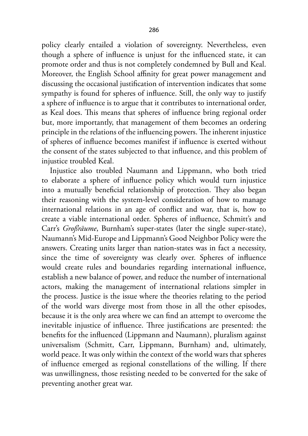policy clearly entailed a violation of sovereignty. Nevertheless, even though a sphere of influence is unjust for the influenced state, it can promote order and thus is not completely condemned by Bull and Keal. Moreover, the English School affinity for great power management and discussing the occasional justification of intervention indicates that some sympathy is found for spheres of influence. Still, the only way to justify a sphere of influence is to argue that it contributes to international order, as Keal does. This means that spheres of influence bring regional order but, more importantly, that management of them becomes an ordering principle in the relations of the influencing powers. The inherent injustice of spheres of influence becomes manifest if influence is exerted without the consent of the states subjected to that influence, and this problem of injustice troubled Keal.

Injustice also troubled Naumann and Lippmann, who both tried to elaborate a sphere of influence policy which would turn injustice into a mutually beneficial relationship of protection. They also began their reasoning with the system-level consideration of how to manage international relations in an age of conflict and war, that is, how to create a viable international order. Spheres of influence, Schmitt's and Carr's *Großräume*, Burnham's super-states (later the single super-state), Naumann's Mid-Europe and Lippmann's Good Neighbor Policy were the answers. Creating units larger than nation-states was in fact a necessity, since the time of sovereignty was clearly over. Spheres of influence would create rules and boundaries regarding international influence, establish a new balance of power, and reduce the number of international actors, making the management of international relations simpler in the process. Justice is the issue where the theories relating to the period of the world wars diverge most from those in all the other episodes, because it is the only area where we can find an attempt to overcome the inevitable injustice of influence. Three justifications are presented: the benefits for the influenced (Lippmann and Naumann), pluralism against universalism (Schmitt, Carr, Lippmann, Burnham) and, ultimately, world peace. It was only within the context of the world wars that spheres of influence emerged as regional constellations of the willing. If there was unwillingness, those resisting needed to be converted for the sake of preventing another great war.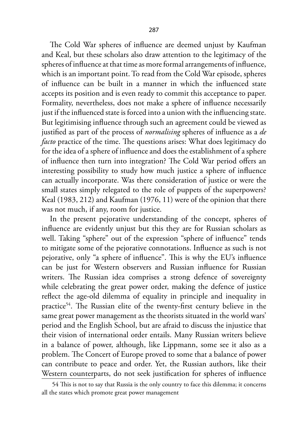The Cold War spheres of influence are deemed unjust by Kaufman and Keal, but these scholars also draw attention to the legitimacy of the spheres of influence at that time as more formal arrangements of influence, which is an important point. To read from the Cold War episode, spheres of influence can be built in a manner in which the influenced state accepts its position and is even ready to commit this acceptance to paper. Formality, nevertheless, does not make a sphere of influence necessarily just if the influenced state is forced into a union with the influencing state. But legitimising influence through such an agreement could be viewed as justified as part of the process of *normalising* spheres of influence as a *de facto* practice of the time. The questions arises: What does legitimacy do for the idea of a sphere of influence and does the establishment of a sphere of influence then turn into integration? The Cold War period offers an interesting possibility to study how much justice a sphere of influence can actually incorporate. Was there consideration of justice or were the small states simply relegated to the role of puppets of the superpowers? Keal (1983, 212) and Kaufman (1976, 11) were of the opinion that there was not much, if any, room for justice.

In the present pejorative understanding of the concept, spheres of influence are evidently unjust but this they are for Russian scholars as well. Taking "sphere" out of the expression "sphere of influence" tends to mitigate some of the pejorative connotations. Influence as such is not pejorative, only "a sphere of influence". This is why the EU's influence can be just for Western observers and Russian influence for Russian writers. The Russian idea comprises a strong defence of sovereignty while celebrating the great power order, making the defence of justice reflect the age-old dilemma of equality in principle and inequality in practice<sup>54</sup>. The Russian elite of the twenty-first century believe in the same great power management as the theorists situated in the world wars' period and the English School, but are afraid to discuss the injustice that their vision of international order entails. Many Russian writers believe in a balance of power, although, like Lippmann, some see it also as a problem. The Concert of Europe proved to some that a balance of power can contribute to peace and order. Yet, the Russian authors, like their Western counterparts, do not seek justification for spheres of influence

<sup>54</sup> This is not to say that Russia is the only country to face this dilemma; it concerns all the states which promote great power management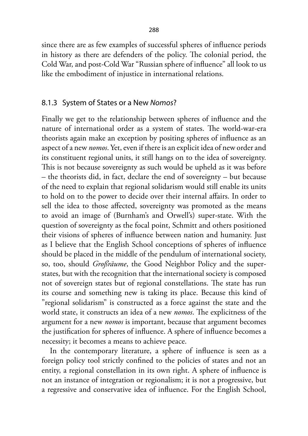since there are as few examples of successful spheres of influence periods in history as there are defenders of the policy. The colonial period, the Cold War, and post-Cold War "Russian sphere of influence" all look to us like the embodiment of injustice in international relations.

#### 8.1.3 System of States or a New Nomos?

Finally we get to the relationship between spheres of influence and the nature of international order as a system of states. The world-war-era theorists again make an exception by positing spheres of influence as an aspect of a new *nomos*. Yet, even if there is an explicit idea of new order and its constituent regional units, it still hangs on to the idea of sovereignty. This is not because sovereignty as such would be upheld as it was before – the theorists did, in fact, declare the end of sovereignty – but because of the need to explain that regional solidarism would still enable its units to hold on to the power to decide over their internal affairs. In order to sell the idea to those affected, sovereignty was promoted as the means to avoid an image of (Burnham's and Orwell's) super-state. With the question of sovereignty as the focal point, Schmitt and others positioned their visions of spheres of influence between nation and humanity. Just as I believe that the English School conceptions of spheres of influence should be placed in the middle of the pendulum of international society, so, too, should *Großräume*, the Good Neighbor Policy and the superstates, but with the recognition that the international society is composed not of sovereign states but of regional constellations. The state has run its course and something new is taking its place. Because this kind of "regional solidarism" is constructed as a force against the state and the world state, it constructs an idea of a new *nomos*. The explicitness of the argument for a new *nomos* is important, because that argument becomes the justification for spheres of influence. A sphere of influence becomes a necessity; it becomes a means to achieve peace.

In the contemporary literature, a sphere of influence is seen as a foreign policy tool strictly confined to the policies of states and not an entity, a regional constellation in its own right. A sphere of influence is not an instance of integration or regionalism; it is not a progressive, but a regressive and conservative idea of influence. For the English School,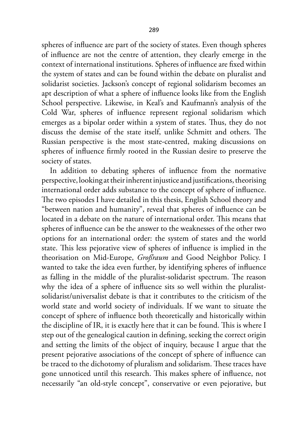spheres of influence are part of the society of states. Even though spheres of influence are not the centre of attention, they clearly emerge in the context of international institutions. Spheres of influence are fixed within the system of states and can be found within the debate on pluralist and solidarist societies. Jackson's concept of regional solidarism becomes an apt description of what a sphere of influence looks like from the English School perspective. Likewise, in Keal's and Kaufmann's analysis of the Cold War, spheres of influence represent regional solidarism which emerges as a bipolar order within a system of states. Thus, they do not discuss the demise of the state itself, unlike Schmitt and others. The Russian perspective is the most state-centred, making discussions on spheres of influence firmly rooted in the Russian desire to preserve the society of states.

In addition to debating spheres of influence from the normative perspective, looking at their inherent injustice and justifications, theorising international order adds substance to the concept of sphere of influence. The two episodes I have detailed in this thesis, English School theory and "between nation and humanity", reveal that spheres of influence can be located in a debate on the nature of international order. This means that spheres of influence can be the answer to the weaknesses of the other two options for an international order: the system of states and the world state. This less pejorative view of spheres of influence is implied in the theorisation on Mid-Europe, *Großraum* and Good Neighbor Policy. I wanted to take the idea even further, by identifying spheres of influence as falling in the middle of the pluralist-solidarist spectrum. The reason why the idea of a sphere of influence sits so well within the pluralistsolidarist/universalist debate is that it contributes to the criticism of the world state and world society of individuals. If we want to situate the concept of sphere of influence both theoretically and historically within the discipline of IR, it is exactly here that it can be found. This is where I step out of the genealogical caution in defining, seeking the correct origin and setting the limits of the object of inquiry, because I argue that the present pejorative associations of the concept of sphere of influence can be traced to the dichotomy of pluralism and solidarism. These traces have gone unnoticed until this research. This makes sphere of influence, not necessarily "an old-style concept", conservative or even pejorative, but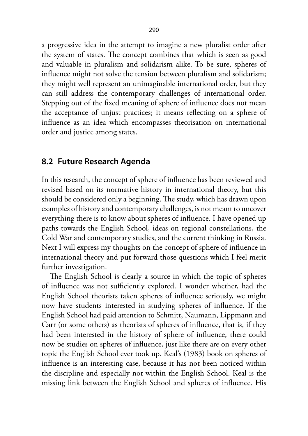a progressive idea in the attempt to imagine a new pluralist order after the system of states. The concept combines that which is seen as good and valuable in pluralism and solidarism alike. To be sure, spheres of influence might not solve the tension between pluralism and solidarism; they might well represent an unimaginable international order, but they can still address the contemporary challenges of international order. Stepping out of the fixed meaning of sphere of influence does not mean the acceptance of unjust practices; it means reflecting on a sphere of influence as an idea which encompasses theorisation on international order and justice among states.

## **8.2 Future Research Agenda**

In this research, the concept of sphere of influence has been reviewed and revised based on its normative history in international theory, but this should be considered only a beginning. The study, which has drawn upon examples of history and contemporary challenges, is not meant to uncover everything there is to know about spheres of influence. I have opened up paths towards the English School, ideas on regional constellations, the Cold War and contemporary studies, and the current thinking in Russia. Next I will express my thoughts on the concept of sphere of influence in international theory and put forward those questions which I feel merit further investigation.

The English School is clearly a source in which the topic of spheres of influence was not sufficiently explored. I wonder whether, had the English School theorists taken spheres of influence seriously, we might now have students interested in studying spheres of influence. If the English School had paid attention to Schmitt, Naumann, Lippmann and Carr (or some others) as theorists of spheres of influence, that is, if they had been interested in the history of sphere of influence, there could now be studies on spheres of influence, just like there are on every other topic the English School ever took up. Keal's (1983) book on spheres of influence is an interesting case, because it has not been noticed within the discipline and especially not within the English School. Keal is the missing link between the English School and spheres of influence. His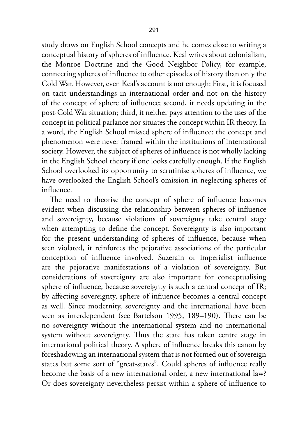study draws on English School concepts and he comes close to writing a conceptual history of spheres of influence. Keal writes about colonialism, the Monroe Doctrine and the Good Neighbor Policy, for example, connecting spheres of influence to other episodes of history than only the Cold War. However, even Keal's account is not enough: First, it is focused on tacit understandings in international order and not on the history of the concept of sphere of influence; second, it needs updating in the post-Cold War situation; third, it neither pays attention to the uses of the concept in political parlance nor situates the concept within IR theory. In a word, the English School missed sphere of influence: the concept and phenomenon were never framed within the institutions of international society. However, the subject of spheres of influence is not wholly lacking in the English School theory if one looks carefully enough. If the English School overlooked its opportunity to scrutinise spheres of influence, we have overlooked the English School's omission in neglecting spheres of influence.

The need to theorise the concept of sphere of influence becomes evident when discussing the relationship between spheres of influence and sovereignty, because violations of sovereignty take central stage when attempting to define the concept. Sovereignty is also important for the present understanding of spheres of influence, because when seen violated, it reinforces the pejorative associations of the particular conception of influence involved. Suzerain or imperialist influence are the pejorative manifestations of a violation of sovereignty. But considerations of sovereignty are also important for conceptualising sphere of influence, because sovereignty is such a central concept of IR; by affecting sovereignty, sphere of influence becomes a central concept as well. Since modernity, sovereignty and the international have been seen as interdependent (see Bartelson 1995, 189-190). There can be no sovereignty without the international system and no international system without sovereignty. Thus the state has taken centre stage in international political theory. A sphere of influence breaks this canon by foreshadowing an international system that is not formed out of sovereign states but some sort of "great-states". Could spheres of influence really become the basis of a new international order, a new international law? Or does sovereignty nevertheless persist within a sphere of influence to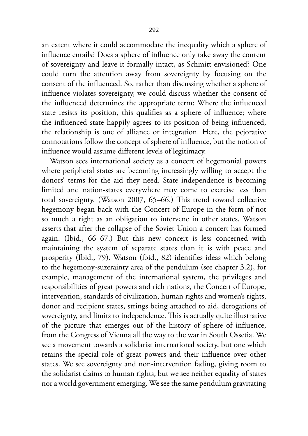an extent where it could accommodate the inequality which a sphere of influence entails? Does a sphere of influence only take away the content of sovereignty and leave it formally intact, as Schmitt envisioned? One could turn the attention away from sovereignty by focusing on the consent of the influenced. So, rather than discussing whether a sphere of influence violates sovereignty, we could discuss whether the consent of the influenced determines the appropriate term: Where the influenced state resists its position, this qualifies as a sphere of influence; where the influenced state happily agrees to its position of being influenced, the relationship is one of alliance or integration. Here, the pejorative connotations follow the concept of sphere of influence, but the notion of influence would assume different levels of legitimacy.

Watson sees international society as a concert of hegemonial powers where peripheral states are becoming increasingly willing to accept the donors' terms for the aid they need. State independence is becoming limited and nation-states everywhere may come to exercise less than total sovereignty. (Watson 2007, 65–66.) This trend toward collective hegemony began back with the Concert of Europe in the form of not so much a right as an obligation to intervene in other states. Watson asserts that after the collapse of the Soviet Union a concert has formed again. (Ibid., 66–67.) But this new concert is less concerned with maintaining the system of separate states than it is with peace and prosperity (Ibid., 79). Watson (ibid., 82) identifies ideas which belong to the hegemony-suzerainty area of the pendulum (see chapter 3.2), for example, management of the international system, the privileges and responsibilities of great powers and rich nations, the Concert of Europe, intervention, standards of civilization, human rights and women's rights, donor and recipient states, strings being attached to aid, derogations of sovereignty, and limits to independence. This is actually quite illustrative of the picture that emerges out of the history of sphere of influence, from the Congress of Vienna all the way to the war in South Ossetia. We see a movement towards a solidarist international society, but one which retains the special role of great powers and their influence over other states. We see sovereignty and non-intervention fading, giving room to the solidarist claims to human rights, but we see neither equality of states nor a world government emerging. We see the same pendulum gravitating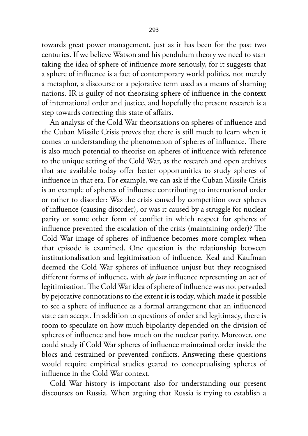towards great power management, just as it has been for the past two centuries. If we believe Watson and his pendulum theory we need to start taking the idea of sphere of influence more seriously, for it suggests that a sphere of influence is a fact of contemporary world politics, not merely a metaphor, a discourse or a pejorative term used as a means of shaming nations. IR is guilty of not theorising sphere of influence in the context of international order and justice, and hopefully the present research is a step towards correcting this state of affairs.

An analysis of the Cold War theorisations on spheres of influence and the Cuban Missile Crisis proves that there is still much to learn when it comes to understanding the phenomenon of spheres of influence. There is also much potential to theorise on spheres of influence with reference to the unique setting of the Cold War, as the research and open archives that are available today offer better opportunities to study spheres of influence in that era. For example, we can ask if the Cuban Missile Crisis is an example of spheres of influence contributing to international order or rather to disorder: Was the crisis caused by competition over spheres of influence (causing disorder), or was it caused by a struggle for nuclear parity or some other form of conflict in which respect for spheres of influence prevented the escalation of the crisis (maintaining order)? The Cold War image of spheres of influence becomes more complex when that episode is examined. One question is the relationship between institutionalisation and legitimisation of influence. Keal and Kaufman deemed the Cold War spheres of influence unjust but they recognised different forms of influence, with *de jure* influence representing an act of legitimisation. The Cold War idea of sphere of influence was not pervaded by pejorative connotations to the extent it is today, which made it possible to see a sphere of influence as a formal arrangement that an influenced state can accept. In addition to questions of order and legitimacy, there is room to speculate on how much bipolarity depended on the division of spheres of influence and how much on the nuclear parity. Moreover, one could study if Cold War spheres of influence maintained order inside the blocs and restrained or prevented conflicts. Answering these questions would require empirical studies geared to conceptualising spheres of influence in the Cold War context.

Cold War history is important also for understanding our present discourses on Russia. When arguing that Russia is trying to establish a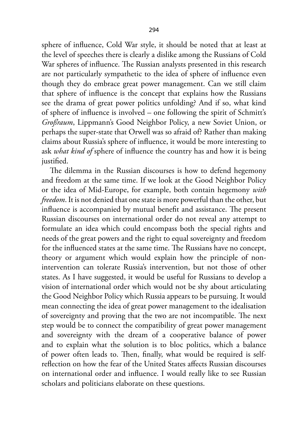sphere of influence, Cold War style, it should be noted that at least at the level of speeches there is clearly a dislike among the Russians of Cold War spheres of influence. The Russian analysts presented in this research are not particularly sympathetic to the idea of sphere of influence even though they do embrace great power management. Can we still claim that sphere of influence is the concept that explains how the Russians see the drama of great power politics unfolding? And if so, what kind of sphere of influence is involved – one following the spirit of Schmitt's *Großraum*, Lippmann's Good Neighbor Policy, a new Soviet Union, or perhaps the super-state that Orwell was so afraid of? Rather than making claims about Russia's sphere of influence, it would be more interesting to ask *what kind of* sphere of influence the country has and how it is being justified.

The dilemma in the Russian discourses is how to defend hegemony and freedom at the same time. If we look at the Good Neighbor Policy or the idea of Mid-Europe, for example, both contain hegemony *with freedom*. It is not denied that one state is more powerful than the other, but influence is accompanied by mutual benefit and assistance. The present Russian discourses on international order do not reveal any attempt to formulate an idea which could encompass both the special rights and needs of the great powers and the right to equal sovereignty and freedom for the influenced states at the same time. The Russians have no concept, theory or argument which would explain how the principle of nonintervention can tolerate Russia's intervention, but not those of other states. As I have suggested, it would be useful for Russians to develop a vision of international order which would not be shy about articulating the Good Neighbor Policy which Russia appears to be pursuing. It would mean connecting the idea of great power management to the idealisation of sovereignty and proving that the two are not incompatible. The next step would be to connect the compatibility of great power management and sovereignty with the dream of a cooperative balance of power and to explain what the solution is to bloc politics, which a balance of power often leads to. Then, finally, what would be required is selfreflection on how the fear of the United States affects Russian discourses on international order and influence. I would really like to see Russian scholars and politicians elaborate on these questions.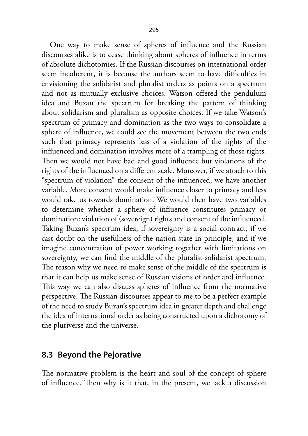One way to make sense of spheres of influence and the Russian discourses alike is to cease thinking about spheres of influence in terms of absolute dichotomies. If the Russian discourses on international order seem incoherent, it is because the authors seem to have difficulties in envisioning the solidarist and pluralist orders as points on a spectrum and not as mutually exclusive choices. Watson offered the pendulum idea and Buzan the spectrum for breaking the pattern of thinking about solidarism and pluralism as opposite choices. If we take Watson's spectrum of primacy and domination as the two ways to consolidate a sphere of influence, we could see the movement between the two ends such that primacy represents less of a violation of the rights of the influenced and domination involves more of a trampling of those rights. Then we would not have bad and good influence but violations of the rights of the influenced on a different scale. Moreover, if we attach to this "spectrum of violation" the consent of the influenced, we have another variable. More consent would make influence closer to primacy and less would take us towards domination. We would then have two variables to determine whether a sphere of influence constitutes primacy or domination: violation of (sovereign) rights and consent of the influenced. Taking Buzan's spectrum idea, if sovereignty is a social contract, if we cast doubt on the usefulness of the nation-state in principle, and if we imagine concentration of power working together with limitations on sovereignty, we can find the middle of the pluralist-solidarist spectrum. The reason why we need to make sense of the middle of the spectrum is that it can help us make sense of Russian visions of order and influence. This way we can also discuss spheres of influence from the normative perspective. The Russian discourses appear to me to be a perfect example of the need to study Buzan's spectrum idea in greater depth and challenge the idea of international order as being constructed upon a dichotomy of the pluriverse and the universe.

## **8.3 Beyond the Pejorative**

The normative problem is the heart and soul of the concept of sphere of influence. Then why is it that, in the present, we lack a discussion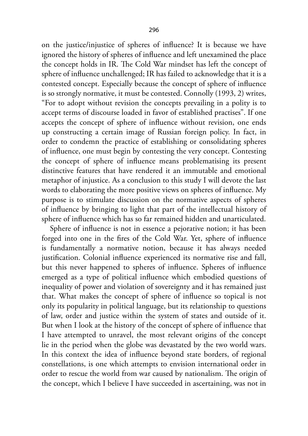on the justice/injustice of spheres of influence? It is because we have ignored the history of spheres of influence and left unexamined the place the concept holds in IR. The Cold War mindset has left the concept of sphere of influence unchallenged; IR has failed to acknowledge that it is a contested concept. Especially because the concept of sphere of influence is so strongly normative, it must be contested. Connolly (1993, 2) writes, "For to adopt without revision the concepts prevailing in a polity is to accept terms of discourse loaded in favor of established practises". If one accepts the concept of sphere of influence without revision, one ends up constructing a certain image of Russian foreign policy. In fact, in order to condemn the practice of establishing or consolidating spheres of influence, one must begin by contesting the very concept. Contesting the concept of sphere of influence means problematising its present distinctive features that have rendered it an immutable and emotional metaphor of injustice. As a conclusion to this study I will devote the last words to elaborating the more positive views on spheres of influence. My purpose is to stimulate discussion on the normative aspects of spheres of influence by bringing to light that part of the intellectual history of sphere of influence which has so far remained hidden and unarticulated.

Sphere of influence is not in essence a pejorative notion; it has been forged into one in the fires of the Cold War. Yet, sphere of influence is fundamentally a normative notion, because it has always needed justification. Colonial influence experienced its normative rise and fall, but this never happened to spheres of influence. Spheres of influence emerged as a type of political influence which embodied questions of inequality of power and violation of sovereignty and it has remained just that. What makes the concept of sphere of influence so topical is not only its popularity in political language, but its relationship to questions of law, order and justice within the system of states and outside of it. But when I look at the history of the concept of sphere of influence that I have attempted to unravel, the most relevant origins of the concept lie in the period when the globe was devastated by the two world wars. In this context the idea of influence beyond state borders, of regional constellations, is one which attempts to envision international order in order to rescue the world from war caused by nationalism. The origin of the concept, which I believe I have succeeded in ascertaining, was not in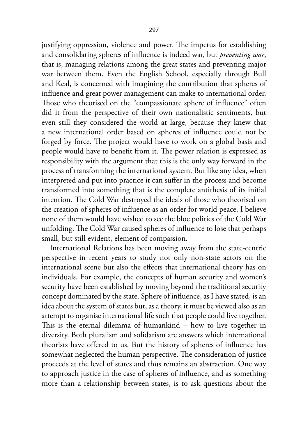justifying oppression, violence and power. The impetus for establishing and consolidating spheres of influence is indeed war, but *preventing war*, that is, managing relations among the great states and preventing major war between them. Even the English School, especially through Bull and Keal, is concerned with imagining the contribution that spheres of influence and great power management can make to international order. Those who theorised on the "compassionate sphere of influence" often did it from the perspective of their own nationalistic sentiments, but even still they considered the world at large, because they knew that a new international order based on spheres of influence could not be forged by force. The project would have to work on a global basis and people would have to benefit from it. The power relation is expressed as responsibility with the argument that this is the only way forward in the process of transforming the international system. But like any idea, when interpreted and put into practice it can suffer in the process and become transformed into something that is the complete antithesis of its initial intention. The Cold War destroyed the ideals of those who theorised on the creation of spheres of influence as an order for world peace. I believe none of them would have wished to see the bloc politics of the Cold War unfolding. The Cold War caused spheres of influence to lose that perhaps small, but still evident, element of compassion.

International Relations has been moving away from the state-centric perspective in recent years to study not only non-state actors on the international scene but also the effects that international theory has on individuals. For example, the concepts of human security and women's security have been established by moving beyond the traditional security concept dominated by the state. Sphere of influence, as I have stated, is an idea about the system of states but, as a theory, it must be viewed also as an attempt to organise international life such that people could live together. This is the eternal dilemma of humankind  $-$  how to live together in diversity. Both pluralism and solidarism are answers which international theorists have offered to us. But the history of spheres of influence has somewhat neglected the human perspective. The consideration of justice proceeds at the level of states and thus remains an abstraction. One way to approach justice in the case of spheres of influence, and as something more than a relationship between states, is to ask questions about the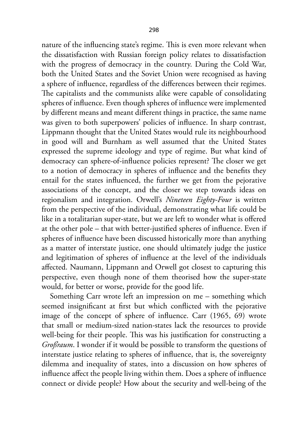nature of the influencing state's regime. This is even more relevant when the dissatisfaction with Russian foreign policy relates to dissatisfaction with the progress of democracy in the country. During the Cold War, both the United States and the Soviet Union were recognised as having a sphere of influence, regardless of the differences between their regimes. The capitalists and the communists alike were capable of consolidating spheres of influence. Even though spheres of influence were implemented by different means and meant different things in practice, the same name was given to both superpowers' policies of influence. In sharp contrast, Lippmann thought that the United States would rule its neighbourhood in good will and Burnham as well assumed that the United States expressed the supreme ideology and type of regime. But what kind of democracy can sphere-of-influence policies represent? The closer we get to a notion of democracy in spheres of influence and the benefits they entail for the states influenced, the further we get from the pejorative associations of the concept, and the closer we step towards ideas on regionalism and integration. Orwell's *Nineteen Eighty-Four* is written from the perspective of the individual, demonstrating what life could be like in a totalitarian super-state, but we are left to wonder what is offered at the other pole – that with better-justified spheres of influence. Even if spheres of influence have been discussed historically more than anything as a matter of interstate justice, one should ultimately judge the justice and legitimation of spheres of influence at the level of the individuals affected. Naumann, Lippmann and Orwell got closest to capturing this perspective, even though none of them theorised how the super-state would, for better or worse, provide for the good life.

Something Carr wrote left an impression on me – something which seemed insignificant at first but which conflicted with the pejorative image of the concept of sphere of influence. Carr (1965, 69) wrote that small or medium-sized nation-states lack the resources to provide well-being for their people. This was his justification for constructing a *Großraum*. I wonder if it would be possible to transform the questions of interstate justice relating to spheres of influence, that is, the sovereignty dilemma and inequality of states, into a discussion on how spheres of influence affect the people living within them. Does a sphere of influence connect or divide people? How about the security and well-being of the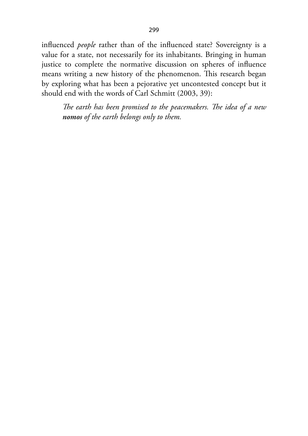influenced *people* rather than of the influenced state? Sovereignty is a value for a state, not necessarily for its inhabitants. Bringing in human justice to complete the normative discussion on spheres of influence means writing a new history of the phenomenon. This research began by exploring what has been a pejorative yet uncontested concept but it should end with the words of Carl Schmitt (2003, 39):

The earth has been promised to the peacemakers. The idea of a new *nomos of the earth belongs only to them.*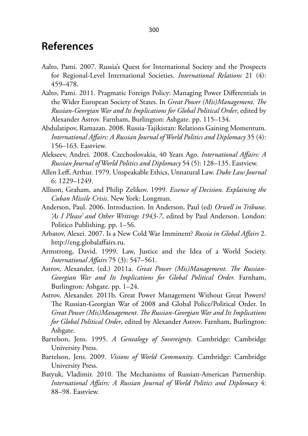## **References**

- Aalto, Pami. 2007. Russia's Quest for International Society and the Prospects for Regional-Level International Societies. *International Relations* 21 (4): 459–478.
- Aalto, Pami. 2011. Pragmatic Foreign Policy: Managing Power Differentials in the Wider European Society of States. In *Great Power (Mis)Management. The Russian-Georgian War and Its Implications for Global Political Order*, edited by Alexander Astrov. Farnham, Burlington: Ashgate. pp. 115–134.
- Abdulatipov, Ramazan. 2008. Russia-Tajikistan: Relations Gaining Momentum. *International Aff airs: A Russian Journal of World Politics and Diplomacy* 35 (4): 156–163. Eastview.
- Alekseev, Andrei. 2008. Czechoslovakia, 40 Years Ago. *International Affairs: A Russian Journal of World Politics and Diplomacy* 54 (5): 128–135. Eastview.
- Allen Leff, Arthur. 1979. Unspeakable Ethics, Unnatural Law. *Duke Law Journal* 6: 1229–1249.
- Allison, Graham, and Philip Zelikov. 1999. *Essence of Decision. Explaining the Cuban Missile Crisis*. New York: Longman.
- Anderson, Paul. 2006. Introduction. In Anderson, Paul (ed) *Orwell in Tribune*. *'As I Please' and Other Writings 1943-7*, edited by Paul Anderson. London: Politico Publishing. pp. 1–56.
- Arbatov, Alexei. 2007. Is a New Cold War Imminent? *Russia in Global Affairs* 2. http://eng.globalaffairs.ru.
- Armstrong, David. 1999. Law, Justice and the Idea of a World Society. *International Affairs* 75 (3): 547–561.
- Astrov, Alexander, (ed.) 2011a. Great Power (Mis)Management. The Russian-*Georgian War and Its Implications for Global Political Order.* Farnham, Burlington: Ashgate. pp. 1–24.
- Astrov, Alexander. 2011b. Great Power Management Without Great Powers? The Russian-Georgian War of 2008 and Global Police/Political Order. In Great Power (Mis)Management. The Russian-Georgian War and Its Implications *for Global Political Order*, edited by Alexander Astrov. Farnham, Burlington: Ashgate.
- Bartelson, Jens. 1995. *A Genealogy of Sovereignty*. Cambridge: Cambridge University Press.
- Bartelson, Jens. 2009. *Visions of World Community*. Cambridge: Cambridge University Press.
- Batyuk, Vladimir. 2010. The Mechanisms of Russian-American Partnership. *International Affairs: A Russian Journal of World Politics and Diplomacy* 4: 88–98. Eastview.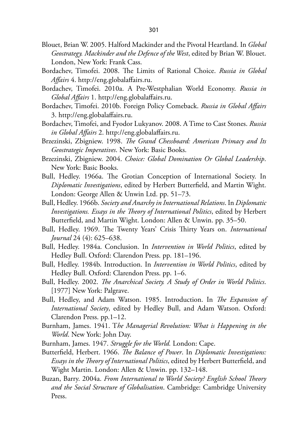- Blouet, Brian W. 2005. Halford Mackinder and the Pivotal Heartland. In *Global Geostrategy. Mackinder and the Defence of the West*, edited by Brian W. Blouet. London, New York: Frank Cass.
- Bordachev, Timofei. 2008. The Limits of Rational Choice. *Russia in Global Affairs* 4. http://eng.globalaffairs.ru.
- Bordachev, Timofei. 2010a. A Pre-Westphalian World Economy. *Russia in Global Affairs* 1. http://eng.globalaffairs.ru.
- Bordachev, Timofei. 2010b. Foreign Policy Comeback. *Russia in Global Affairs* 3. http://eng.globalaffairs.ru.
- Bordachev, Timofei, and Fyodor Lukyanov. 2008. A Time to Cast Stones. *Russia in Global Affairs* 2. http://eng.globalaffairs.ru.
- Brzezinski, Zbigniew. 1998. *The Grand Chessboard: American Primacy and Its Geostrategic Imperatives*. New York: Basic Books.
- Brzezinski, Zbigniew. 2004. *Choice: Global Domination Or Global Leadership*. New York: Basic Books.
- Bull, Hedley. 1966a. The Grotian Conception of International Society. In *Diplomatic Investigations*, edited by Herbert Butterfield, and Martin Wight. London: George Allen & Unwin Ltd. pp. 51–73.
- Bull, Hedley. 1966b. *Society and Anarchy in International Relations*. In *Diplomatic Investigations. Essays in the Theory of International Politics*, edited by Herbert Butterfield, and Martin Wight. London: Allen & Unwin. pp. 35–50.
- Bull, Hedley. 1969. The Twenty Years' Crisis Thirty Years on. *International Journal* 24 (4): 625–638.
- Bull, Hedley. 1984a. Conclusion. In *Intervention in World Politics*, edited by Hedley Bull. Oxford: Clarendon Press. pp. 181–196.
- Bull, Hedley. 1984b. Introduction. In *Intervention in World Politics*, edited by Hedley Bull. Oxford: Clarendon Press. pp. 1–6.
- Bull, Hedley. 2002. *The Anarchical Society. A Study of Order in World Politics*. [1977] New York: Palgrave.
- Bull, Hedley, and Adam Watson. 1985. Introduction. In *The Expansion of International Society*, edited by Hedley Bull, and Adam Watson. Oxford: Clarendon Press. pp.1–12.
- Burnham, James. 1941. T*he Managerial Revolution: What is Happening in the World*. New York: John Day.
- Burnham, James. 1947. *Struggle for the World.* London: Cape.
- Butterfield, Herbert. 1966. *The Balance of Power*. In *Diplomatic Investigations: Essays in the Theory of International Politics*, edited by Herbert Butterfield, and Wight Martin. London: Allen & Unwin. pp. 132–148.
- Buzan, Barry. 2004a. *From International to World Society? English School Theory and the Social Structure of Globalisation*. Cambridge: Cambridge University Press.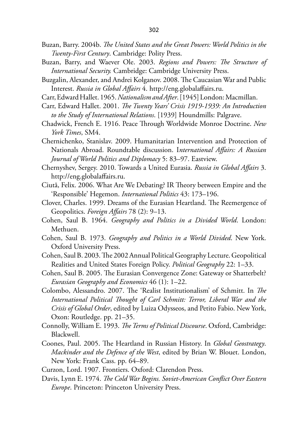- Buzan, Barry. 2004b. *The United States and the Great Powers: World Politics in the Twenty-First Century*. Cambridge: Polity Press.
- Buzan, Barry, and Waever Ole. 2003. *Regions and Powers: The Structure of International Security.* Cambridge: Cambridge University Press.
- Buzgalin, Alexander, and Andrei Kolganov. 2008. The Caucasian War and Public Interest. *Russia in Global Affairs* 4. http://eng.globalaffairs.ru.
- Carr, Edward Hallet. 1965. *Nationalism and After*. [1945] London: Macmillan.
- Carr, Edward Hallet. 2001. *The Twenty Years' Crisis 1919-1939: An Introduction to the Study of International Relations*. [1939] Houndmills: Palgrave.
- Chadwick, French E. 1916. Peace Through Worldwide Monroe Doctrine. New *York Times*, SM4.
- Chernichenko, Stanislav. 2009. Humanitarian Intervention and Protection of Nationals Abroad. Roundtable discussion. International Affairs: A Russian *Journal of World Politics and Diplomacy* 5: 83–97. Eastview.
- Chernyshev, Sergey. 2010. Towards a United Eurasia. *Russia in Global Affairs* 3. http://eng.globalaffairs.ru.
- Ciută, Felix. 2006. What Are We Debating? IR Theory between Empire and the 'Responsible' Hegemon. *International Politics* 43: 173–196.
- Clover, Charles. 1999. Dreams of the Eurasian Heartland. The Reemergence of Geopolitics. *Foreign Affairs* 78 (2): 9-13.
- Cohen, Saul B. 1964. *Geography and Politics in a Divided World*. London: Methuen.
- Cohen, Saul B. 1973. *Geography and Politics in a World Divided*. New York. Oxford University Press.
- Cohen, Saul B. 2003. The 2002 Annual Political Geography Lecture. Geopolitical Realities and United States Foreign Policy. *Political Geography* 22: 1–33.
- Cohen, Saul B. 2005. The Eurasian Convergence Zone: Gateway or Shatterbelt? *Eurasian Geography and Economics* 46 (1): 1–22.
- Colombo, Alessandro. 2007. The 'Realist Institutionalism' of Schmitt. In *The* International Political Thought of Carl Schmitt: Terror, Liberal War and the *Crisis of Global Order*, edited by Luiza Odysseos, and Petito Fabio. New York, Oxon: Routledge. pp. 21–35.
- Connolly, William E. 1993. *The Terms of Political Discourse*. Oxford, Cambridge: **Blackwell**
- Coones, Paul. 2005. The Heartland in Russian History. In *Global Geostrategy*. *Mackinder and the Defence of the West*, edited by Brian W. Blouet. London, New York: Frank Cass. pp. 64–89.
- Curzon, Lord. 1907. Frontiers. Oxford: Clarendon Press.
- Davis, Lynn E. 1974. *The Cold War Begins. Soviet-American Conflict Over Eastern Europe*. Princeton: Princeton University Press.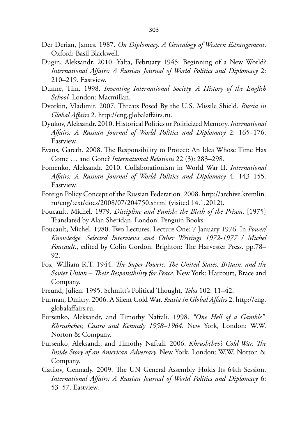- Der Derian, James. 1987. *On Diplomacy. A Genealogy of Western Estrangement*. Oxford: Basil Blackwell.
- Dugin, Aleksandr. 2010. Yalta, February 1945: Beginning of a New World? *International Affairs: A Russian Journal of World Politics and Diplomacy 2:* 210–219. Eastview.
- Dunne, Tim. 1998. *Inventing International Society. A History of the English School.* London: Macmillan.
- Dvorkin, Vladimir. 2007. Threats Posed By the U.S. Missile Shield. *Russia in Global Affairs* 2. http://eng.globalaffairs.ru.
- Dyukov, Aleksandr. 2010. Historical Politics or Politicized Memory. *International Aff airs: A Russian Journal of World Politics and Diplomacy* 2: 165–176. Eastview.
- Evans, Gareth. 2008. The Responsibility to Protect: An Idea Whose Time Has Come … and Gone? *International Relations* 22 (3): 283–298.
- Fomenko, Aleksandr. 2010. Collaborationism in World War II. *International Aff airs: A Russian Journal of World Politics and Diplomacy* 4: 143–155. Eastview.
- Foreign Policy Concept of the Russian Federation. 2008. http://archive.kremlin. ru/eng/text/docs/2008/07/204750.shtml (visited 14.1.2012).
- Foucault, Michel. 1979. *Discipline and Punish: the Birth of the Prison*. [1975] Translated by Alan Sheridan. London: Penguin Books.
- Foucault, Michel. 1980. Two Lectures. Lecture One: 7 January 1976. In *Power/ Knowledge. Selected Interviews and Other Writings 1972-1977 / Michel Foucault.*, edited by Colin Gordon. Brighton: The Harvester Press. pp.78-92.
- Fox, William R.T. 1944. *The Super-Powers: The United States, Britain, and the Soviet Union – Their Responsibility for Peace.* New York: Harcourt, Brace and Company.
- Freund, Julien. 1995. Schmitt's Political Thought. *Telos* 102: 11-42.
- Furman, Dmitry. 2006. A Silent Cold War. *Russia in Global Aff airs* 2. http://eng. globalaffairs.ru.
- Fursenko, Aleksandr, and Timothy Naftali. 1998. *"One Hell of a Gamble". Khrushchev, Castro and Kennedy 1958–1964*. New York, London: W.W. Norton & Company.
- Fursenko, Aleksandr, and Timothy Naftali. 2006. *Khrushchev's Cold War. The Inside Story of an American Adversary.* New York, London: W.W. Norton & Company.
- Gatilov, Gennady. 2009. The UN General Assembly Holds Its 64th Session. International Affairs: A Russian Journal of World Politics and Diplomacy 6: 53–57. Eastview.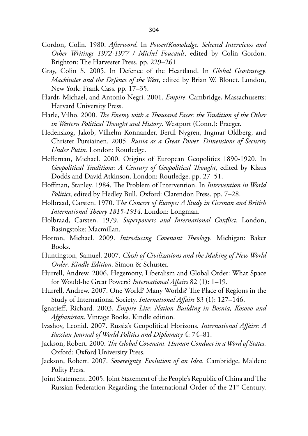- Gordon, Colin. 1980. *Afterword*. In *Power/Knowledge. Selected Interviews and Other Writings 1972-1977 / Michel Foucault*, edited by Colin Gordon. Brighton: The Harvester Press. pp. 229–261.
- Gray, Colin S. 2005. In Defence of the Heartland. In *Global Geostrategy. Mackinder and the Defence of the West*, edited by Brian W. Blouet. London, New York: Frank Cass. pp. 17–35.
- Hardt, Michael, and Antonio Negri. 2001. *Empire*. Cambridge, Massachusetts: Harvard University Press.
- Harle, Vilho. 2000. *The Enemy with a Thousand Faces: the Tradition of the Other in Western Political Thought and History*. Westport (Conn.): Praeger.
- Hedenskog, Jakob, Vilhelm Konnander, Bertil Nygren, Ingmar Oldberg, and Christer Pursiainen. 2005. *Russia as a Great Power. Dimensions of Security Under Putin.* London: Routledge.
- Heffernan, Michael. 2000. Origins of European Geopolitics 1890-1920. In Geopolitical Traditions: A Century of Geopolitical Thought, edited by Klaus Dodds and David Atkinson. London: Routledge. pp. 27–51.
- Hoffman, Stanley. 1984. The Problem of Intervention. In *Intervention in World Politics*, edited by Hedley Bull. Oxford: Clarendon Press. pp. 7–28.
- Holbraad, Carsten. 1970. T*he Concert of Europe: A Study in German and British International Theory 1815-1914*. London: Longman.
- Holbraad, Carsten. 1979. Superpowers and International Conflict. London, Basingstoke: Macmillan.
- Horton, Michael. 2009. *Introducing Covenant Theology*. Michigan: Baker Books.
- Huntington, Samuel. 2007. *Clash of Civilizations and the Making of New World Order*. *Kindle Edition*. Simon & Schuster.
- Hurrell, Andrew. 2006. Hegemony, Liberalism and Global Order: What Space for Would-be Great Powers? *International Affairs* 82 (1): 1-19.
- Hurrell, Andrew. 2007. One World? Many Worlds? The Place of Regions in the Study of International Society. *International Affairs* 83 (1): 127-146.
- Ignatieff, Richard. 2003. *Empire Lite: Nation Building in Bosnia, Kosovo and Afghanistan*. Vintage Books. Kindle edition.
- Ivashov, Leonid. 2007. Russia's Geopolitical Horizons. *International Affairs: A Russian Journal of World Politics and Diplomacy* 4: 74–81.
- Jackson, Robert. 2000. *The Global Covenant. Human Conduct in a Word of States.* Oxford: Oxford University Press.
- Jackson, Robert. 2007. *Sovereignty. Evolution of an Idea*. Cambridge, Malden: Polity Press.
- Joint Statement. 2005. Joint Statement of the People's Republic of China and The Russian Federation Regarding the International Order of the 21<sup>st</sup> Century.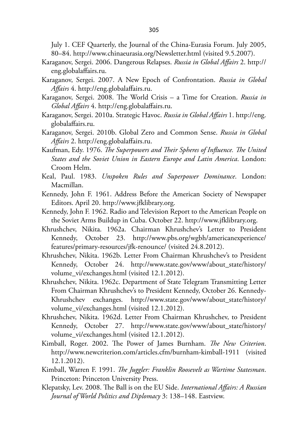July 1. CEF Quarterly, the Journal of the China-Eurasia Forum. July 2005, 80–84. http://www.chinaeurasia.org/Newsletter.html (visited 9.5.2007).

- Karaganov, Sergei. 2006. Dangerous Relapses. Russia in Global Affairs 2. http:// eng.globalaffairs.ru.
- Karaganov, Sergei. 2007. A New Epoch of Confrontation. *Russia in Global Affairs* 4. http://eng.globalaffairs.ru.
- Karaganov, Sergei. 2008. The World Crisis a Time for Creation. *Russia in Global Affairs* 4. http://eng.globalaffairs.ru.
- Karaganov, Sergei. 2010a. Strategic Havoc. *Russia in Global Affairs* 1. http://eng. globalaffairs.ru.
- Karaganov, Sergei. 2010b. Global Zero and Common Sense. *Russia in Global Affairs* 2. http://eng.globalaffairs.ru.
- Kaufman, Edy. 1976. *The Superpowers and Their Spheres of Influence*. *The United States and the Soviet Union in Eastern Europe and Latin America*. London: Croom Helm.
- Keal, Paul. 1983. *Unspoken Rules and Superpower Dominance*. London: Macmillan.
- Kennedy, John F. 1961. Address Before the American Society of Newspaper Editors. April 20. http://www.jfklibrary.org.
- Kennedy, John F. 1962. Radio and Television Report to the American People on the Soviet Arms Buildup in Cuba. October 22. http://www.jfklibrary.org.
- Khrushchev, Nikita. 1962a. Chairman Khrushchev's Letter to President Kennedy, October 23. http://www.pbs.org/wgbh/americanexperience/ features/primary-resources/jfk-renounce/ (visited 24.8.2012).
- Khrushchev, Nikita. 1962b. Letter From Chairman Khrushchev's to President Kennedy, October 24. http://www.state.gov/www/about\_state/history/ volume\_vi/exchanges.html (visited 12.1.2012).
- Khrushchev, Nikita. 1962c. Department of State Telegram Transmitting Letter From Chairman Khrushchev's to President Kennedy, October 26. Kennedy-Khrushchev exchanges. http://www.state.gov/www/about\_state/history/ volume\_vi/exchanges.html (visited 12.1.2012).
- Khrushchev, Nikita. 1962d. Letter From Chairman Khrushchev, to President Kennedy, October 27. http://www.state.gov/www/about\_state/history/ volume\_vi/exchanges.html (visited 12.1.2012).
- Kimball, Roger. 2002. The Power of James Burnham. *The New Criterion*. http://www.newcriterion.com/articles.cfm/burnham-kimball-1911 (visited 12.1.2012).
- Kimball, Warren F. 1991. *The Juggler: Franklin Roosevelt as Wartime Statesman*. Princeton: Princeton University Press.
- Klepatsky, Lev. 2008. The Ball is on the EU Side. *International Affairs: A Russian Journal of World Politics and Diplomacy* 3: 138–148. Eastview.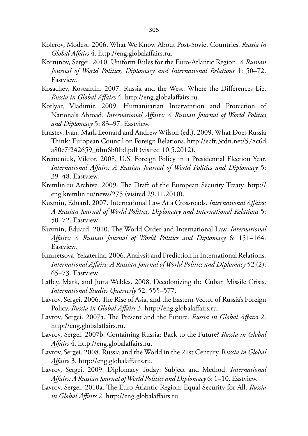- Kolerov, Modest. 2006. What We Know About Post-Soviet Countries. *Russia in Global Affairs* 4. http://eng.globalaffairs.ru.
- Kortunov, Sergei. 2010. Uniform Rules for the Euro-Atlantic Region. *A Russian Journal of World Politics, Diplomacy and International Relations* 1: 50–72. Eastview.
- Kosachev, Kostantin. 2007. Russia and the West: Where the Differences Lie. *Russia in Global Affairs* 4. http://eng.globalaffairs.ru.
- Kotlyar, Vladimir. 2009. Humanitarian Intervention and Protection of Nationals Abroad. *International Affairs: A Russian Journal of World Politics and Diplomacy* 5: 83–97. Eastview.
- Krastev, Ivan, Mark Leonard and Andrew Wilson (ed.). 2009. What Does Russia Think? European Council on Foreign Relations. http://ecfr.3cdn.net/578c6d a80e7f242659\_6fm6b0ltd.pdf (visited 10.5.2012).
- Kremeniuk, Viktor. 2008. U.S. Foreign Policy in a Presidential Election Year. *International Affairs: A Russian Journal of World Politics and Diplomacy 5:* 39–48. Eastview.
- Kremlin.ru Archive. 2009. The Draft of the European Security Treaty. http:// eng.kremlin.ru/news/275 (visited 29.11.2010).
- Kuzmin, Eduard. 2007. International Law At a Crossroads. *International Affairs: A Russian Journal of World Politics, Diplomacy and International Relations* 5: 50–72. Eastview.
- Kuzmin, Eduard. 2010. The World Order and International Law. *International Aff airs: A Russian Journal of World Politics and Diplomacy* 6: 151–164. Eastview.
- Kuznetsova, Yekaterina. 2006. Analysis and Prediction in International Relations. *International Affairs: A Russian Journal of World Politics and Diplomacy* 52 (2): 65–73. Eastview.
- Laffev, Mark, and Jutta Weldes. 2008. Decolonizing the Cuban Missile Crisis. *International Studies Quarterly* 52: 555–577.
- Lavrov, Sergei. 2006. The Rise of Asia, and the Eastern Vector of Russia's Foreign Policy. *Russia in Global Affairs* 3. http://eng.globalaffairs.ru.
- Lavrov, Sergei. 2007a. The Present and the Future. *Russia in Global Affairs* 2. http://eng.globalaffairs.ru.
- Lavrov, Sergei. 2007b. Containing Russia: Back to the Future? *Russia in Global Affairs* 4. http://eng.globalaffairs.ru.
- Lavrov, Sergei. 2008. Russia and the World in the 21st Century. R*ussia in Global Affairs* 3. http://eng.globalaffairs.ru.
- Lavrov, Sergei. 2009. Diplomacy Today: Subject and Method. *International* Affairs: A Russian Journal of World Politics and Diplomacy 6: 1-10. Eastview.
- Lavrov, Sergei. 2010a. The Euro-Atlantic Region: Equal Security for All. *Russia in Global Affairs* 2. http://eng.globalaffairs.ru.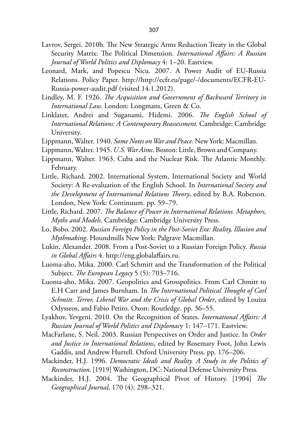- Lavrov, Sergei. 2010b. The New Strategic Arms Reduction Treaty in the Global Security Matrix: The Political Dimension. *International Affairs: A Russian Journal of World Politics and Diplomacy* 4: 1–20. Eastview.
- Leonard, Mark, and Popescu Nicu. 2007. A Power Audit of EU-Russia Relations. Policy Paper. http://http://ecfr.eu/page/-/documents/ECFR-EU-Russia-power-audit.pdf (visited 14.1.2012).
- Lindley, M. F. 1926. *The Acquisition and Government of Backward Territory in International Law.* London: Longmans, Green & Co.
- Linklater, Andrei and Suganami, Hidemi. 2006. *The English School of International Relations: A Contemporary Reassessment.* Cambridge: Cambridge University.
- Lippmann, Walter. 1940. *Some Notes on War and Peace.* New York: Macmillan.
- Lippmann, Walter. 1945. *U.S. War Aims*. Boston: Little, Brown and Company.
- Lippmann, Walter. 1963. Cuba and the Nuclear Risk. The Atlantic Monthly. February.
- Little, Richard. 2002. International System, International Society and World Society: A Re-evaluation of the English School. In *International Society and the Development of International Relations Theory*, edited by B.A. Roberson. London, New York: Continuum. pp. 59–79.
- Little, Richard. 2007. *The Balance of Power in International Relations. Metaphors, Myths and Models*. Cambridge: Cambridge University Press.
- Lo, Bobo. 2002. *Russian Foreign Policy in the Post-Soviet Era: Reality, Illusion and Mythmaking*. Houndmills New York: Palgrave Macmillan.
- Lukin, Alexander. 2008. From a Post-Soviet to a Russian Foreign Policy. *Russia in Global Affairs* 4. http://eng.globalaffairs.ru.
- Luoma-aho, Mika. 2000. Carl Schmitt and the Transformation of the Political Subject. *The European Legacy* 5 (5): 703–716.
- Luoma-aho, Mika. 2007. Geopolitics and Grosspolitics. From Carl Chmitt to E.H Carr and James Burnham. In *The International Political Thought of Carl Schmitt. Terror, Liberal War and the Crisis of Global Order*, edited by Louiza Odysseos, and Fabio Petito. Oxon: Routledge. pp. 36–55.
- Lyakhov, Yevgeni. 2010. On the Recognition of States. *International Affairs: A Russian Journal of World Politics and Diplomac*y 1: 147–171. Eastview.
- MacFarlane, S. Neil. 2003. Russian Perspectives on Order and Justice. In *Order and Justice in International Relations*, edited by Rosemary Foot, John Lewis Gaddis, and Andrew Hurrell. Oxford University Press. pp. 176–206.
- Mackinder, H.J. 1996. *Democratic Ideals and Reality. A Study in the Politics of Reconstruction*. [1919] Washington, DC: National Defense University Press.
- Mackinder, H.J. 2004. The Geographical Pivot of History. [1904] The *Geographical Journal*, 170 (4): 298–321.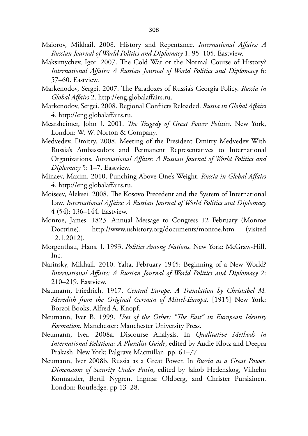- Maiorov, Mikhail. 2008. History and Repentance. *International Affairs: A Russian Journal of World Politics and Diplomacy* 1: 95–105. Eastview.
- Maksimychev, Igor. 2007. The Cold War or the Normal Course of History? International Affairs: A Russian Journal of World Politics and Diplomacy 6: 57–60. Eastview.
- Markenodov, Sergei. 2007. The Paradoxes of Russia's Georgia Policy. *Russia in Global Affairs* 2. http://eng.globalaffairs.ru.
- Markenodov, Sergei. 2008. Regional Conflicts Reloaded. *Russia in Global Affairs* 4. http://eng.globalaffairs.ru.
- Mearsheimer, John J. 2001. *The Tragedy of Great Power Politics*. New York, London: W. W. Norton & Company.
- Medvedev, Dmitry. 2008. Meeting of the President Dmitry Medvedev With Russia's Ambassadors and Permanent Representatives to International Organizations. *International Affairs: A Russian Journal of World Politics and Diplomacy* 5: 1–7. Eastview.
- Minaev, Maxim. 2010. Punching Above One's Weight. *Russia in Global Affairs* 4. http://eng.globalaffairs.ru.
- Moiseev, Aleksei. 2008. The Kosovo Precedent and the System of International Law. *International Affairs: A Russian Journal of World Politics and Diplomacy* 4 (54): 136–144. Eastview.
- Monroe, James. 1823. Annual Message to Congress 12 February (Monroe Doctrine). http://www.ushistory.org/documents/monroe.htm (visited 12.1.2012).
- Morgenthau, Hans. J. 1993. *Politics Among Nations*. New York: McGraw-Hill, Inc.
- Narinsky, Mikhail. 2010. Yalta, February 1945: Beginning of a New World? *International Affairs: A Russian Journal of World Politics and Diplomacy 2:* 210–219. Eastview.
- Naumann, Friedrich. 1917. *Central Europe. A Translation by Christabel M. Meredith from the Original German of Mittel-Europa*. [1915] New York: Borzoi Books, Alfred A. Knopf.
- Neumann, Iver B. 1999. *Uses of the Other: "The East" in European Identity Formation.* Manchester: Manchester University Press.
- Neumann, Iver. 2008a. Discourse Analysis. In *Qualitative Methods in International Relations: A Pluralist Guide*, edited by Audie Klotz and Deepra Prakash. New York: Palgrave Macmillan. pp. 61–77.
- Neumann, Iver 2008b. Russia as a Great Power. In *Russia as a Great Power. Dimensions of Security Under Putin*, edited by Jakob Hedenskog, Vilhelm Konnander, Bertil Nygren, Ingmar Oldberg, and Christer Pursiainen. London: Routledge. pp 13–28.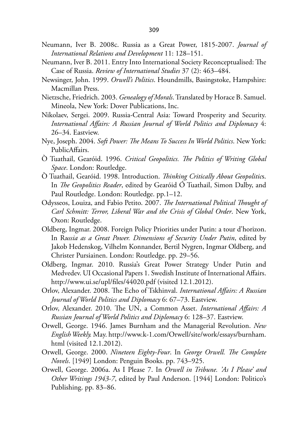- Neumann, Iver B. 2008c. Russia as a Great Power, 1815-2007. *Journal of International Relations and Development* 11: 128–151.
- Neumann, Iver B. 2011. Entry Into International Society Reconceptualised: The Case of Russia. *Review of International Studies* 37 (2): 463–484.
- Newsinger, John. 1999. *Orwell's Politics*. Houndmills, Basingstoke, Hampshire: Macmillan Press.
- Nietzsche, Friedrich. 2003. *Genealogy of Morals*. Translated by Horace B. Samuel. Mineola, New York: Dover Publications, Inc.
- Nikolaev, Sergei. 2009. Russia-Central Asia: Toward Prosperity and Security. *International Affairs: A Russian Journal of World Politics and Diplomacy 4:* 26–34. Eastview.
- Nye, Joseph. 2004. *Soft Power: The Means To Success In World Politics*. New York: PublicAffairs.
- $\hat{O}$  Tuathail, Gearóid. 1996. *Critical Geopolitics. The Politics of Writing Global Space*. London: Routledge.
- Ò Tuathail, Gearóid. 1998. Introduction. *Th inking Critically About Geopolitic*s. In *The Geopolitics Reader*, edited by Gearóid Ó Tuathail, Simon Dalby, and Paul Routledge. London: Routledge. pp.1–12.
- Odysseos, Louiza, and Fabio Petito. 2007. *The International Political Thought of Carl Schmitt: Terror, Liberal War and the Crisis of Global Order*. New York, Oxon: Routledge.
- Oldberg, Ingmar. 2008. Foreign Policy Priorities under Putin: a tour d'horizon. In R*ussia as a Great Power. Dimensions of Security Under Putin*, edited by Jakob Hedenskog, Vilhelm Konnander, Bertil Nygren, Ingmar Oldberg, and Christer Pursiainen. London: Routledge. pp. 29–56.
- Oldberg, Ingmar. 2010. Russia's Great Power Strategy Under Putin and Medvedev. UI Occasional Papers 1. Swedish Institute of International Affairs. http://www.ui.se/upl/files/44020.pdf (visited 12.1.2012).
- Orlov, Alexander. 2008. The Echo of Tskhinval. *International Affairs: A Russian Journal of World Politics and Diplomacy* 6: 67–73. Eastview.
- Orlov, Alexander. 2010. The UN, a Common Asset. *International Affairs: A Russian Journal of World Politics and Diplomacy* 6: 128–37. Eastview.
- Orwell, George. 1946. James Burnham and the Managerial Revolution. *New English Weekly.* May. http://www.k-1.com/Orwell/site/work/essays/burnham. html (visited 12.1.2012).
- Orwell, George. 2000. *Nineteen Eighty-Four*. In *George Orwell. The Complete Novels*. [1949] London: Penguin Books. pp. 743–925.
- Orwell, George. 2006a. As I Please 7. In *Orwell in Tribune. 'As I Please' and Other Writings 1943-7*, edited by Paul Anderson. [1944] London: Politico's Publishing. pp. 83–86.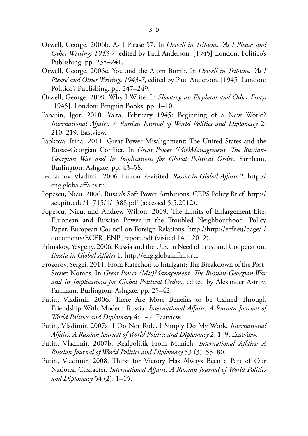- Orwell, George. 2006b. As I Please 57. In *Orwell in Tribune. 'As I Please' and Other Writings 1943-7*, edited by Paul Anderson. [1945] London: Politico's Publishing. pp. 238–241.
- Orwell, George. 2006c. You and the Atom Bomb. In *Orwell in Tribune. 'As I Please' and Other Writings 1943-7*, edited by Paul Anderson. [1945] London: Politico's Publishing. pp. 247–249.
- Orwell, George. 2009. Why I Write. In *Shooting an Elephant and Other Essays*  [1945]. London: Penguin Books. pp. 1–10.
- Panarin, Igor. 2010. Yalta, February 1945: Beginning of a New World? International Affairs: A Russian Journal of World Politics and Diplomacy 2: 210–219. Eastview.
- Papkova, Irina. 2011. Great Power Misalignment: The United States and the Russo-Georgian Conflict. In *Great Power (Mis)Management*. The Russian-*Georgian War and Its Implications for Global Political Order*, Farnham, Burlington: Ashgate. pp. 43–58.
- Pechatnov, Vladimir. 2006. Fulton Revisited. *Russia in Global Affairs* 2. http:// eng.globalaffairs.ru.
- Popescu, Nicu. 2006. Russia's Soft Power Ambitions. CEPS Policy Brief. http:// aei.pitt.edu/11715/1/1388.pdf (accessed 5.5.2012).
- Popescu, Nicu, and Andrew Wilson. 2009. The Limits of Enlargement-Lite: European and Russian Power in the Troubled Neighbourhood. Policy Paper. European Council on Foreign Relations. http://http://ecfr.eu/page/-/ documents/ECFR\_ENP\_report.pdf (visited 14.1.2012).
- Primakov, Yevgeny. 2006. Russia and the U.S. In Need of Trust and Cooperation. *Russia in Global Affairs* 1. http://eng.globalaffairs.ru.
- Prozorov, Sergei. 2011. From Katechon to Intrigant: The Breakdown of the Post-Soviet Nomos. In *Great Power (Mis)Management. The Russian-Georgian War and Its Implications for Global Political Order*., edited by Alexander Astrov. Farnham, Burlington: Ashgate. pp. 25–42.
- Putin, Vladimir. 2006. There Are More Benefits to be Gained Through Friendship With Modern Russia. *International Affairs: A Russian Journal of World Politics and Diplomacy* 4: 1–7. Eastview.
- Putin, Vladimir. 2007a. I Do Not Rule, I Simply Do My Work. *International Aff airs: A Russian Journal of World Politics and Diplomacy* 2: 1–9. Eastview.
- Putin, Vladimir. 2007b. Realpolitik From Munich. *International Affairs: A Russian Journal of World Politics and Diplomacy* 53 (3): 55–80.
- Putin, Vladimir. 2008. Thirst for Victory Has Always Been a Part of Our National Character. *International Affairs: A Russian Journal of World Politics and Diplomacy* 54 (2): 1–15.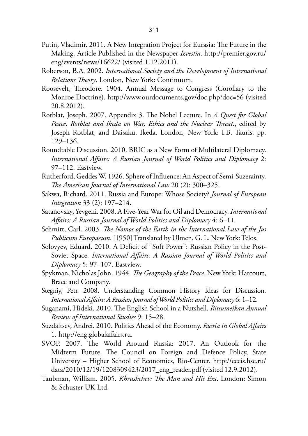- Putin, Vladimir. 2011. A New Integration Project for Eurasia: The Future in the Making. Article Published in the Newspaper *Izvestia*. http://premier.gov.ru/ eng/events/news/16622/ (visited 1.12.2011).
- Roberson, B.A. 2002. *International Society and the Development of International Relations Theory*. London, New York: Continuum.
- Roosevelt, Theodore. 1904. Annual Message to Congress (Corollary to the Monroe Doctrine). http://www.ourdocuments.gov/doc.php?doc=56 (visited 20.8.2012).
- Rotblat, Joseph. 2007. Appendix 3. The Nobel Lecture. In *A Quest for Global* Peace. Rotblat and Ikeda on War, Ethics and the Nuclear Threat., edited by Joseph Rotblat, and Daisaku. Ikeda. London, New York: I.B. Tauris. pp. 129–136.
- Roundtable Discussion. 2010. BRIC as a New Form of Multilateral Diplomacy. *International Affairs: A Russian Journal of World Politics and Diplomacy 2:* 97–112. Eastview.
- Rutherford, Geddes W. 1926. Sphere of Influence: An Aspect of Semi-Suzerainty. *Th e American Journal of International Law* 20 (2): 300–325.
- Sakwa, Richard. 2011. Russia and Europe: Whose Society? *Journal of European Integration* 33 (2): 197–214.
- Satanovsky, Yevgeni. 2008. A Five-Year War for Oil and Democracy. *International Aff airs: A Russian Journal of World Politics and Diplomacy* 4: 6–11.
- Schmitt, Carl. 2003. *The Nomos of the Earth in the International Law of the Jus Publicum Europaeum*. [1950] Translated by Ulmen, G. L. New York: Telos.
- Solovyev, Eduard. 2010. A Deficit of "Soft Power": Russian Policy in the Post-Soviet Space. *International Affairs: A Russian Journal of World Politics and Diplomacy* 5: 97–107. Eastview.
- Spykman, Nicholas John. 1944. *The Geography of the Peace*. New York: Harcourt, Brace and Company.
- Stegniy, Petr. 2008. Understanding Common History Ideas for Discussion. *International Aff airs: A Russian Journal of World Politics and Diplomacy* 6: 1–12.
- Suganami, Hideki. 2010. The English School in a Nutshell. *Ritsumeikan Annual Review of International Studies* 9: 15–28.
- Suzdaltsev, Andrei. 2010. Politics Ahead of the Economy. *Russia in Global Affairs* 1. http://eng.globalaffairs.ru.
- SVOP. 2007. The World Around Russia: 2017. An Outlook for the Midterm Future. The Council on Foreign and Defence Policy, State University – Higher School of Economics, Rio-Center. http://cceis.hse.ru/ data/2010/12/19/1208309423/2017\_eng\_reader.pdf (visited 12.9.2012).
- Taubman, William. 2005. *Khrushchev: The Man and His Era*. London: Simon & Schuster UK Ltd.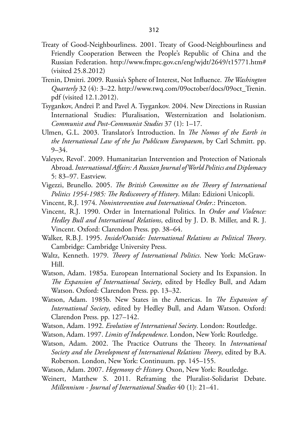- Treaty of Good-Neighbourliness. 2001. Treaty of Good-Neighbourliness and Friendly Cooperation Between the People's Republic of China and the Russian Federation. http://www.fmprc.gov.cn/eng/wjdt/2649/t15771.htm# (visited 25.8.2012)
- Trenin, Dmitri. 2009. Russia's Sphere of Interest, Not Influence. *The Washington Quarterly* 32 (4): 3–22. http://www.twq.com/09october/docs/09oct\_Trenin. pdf (visited 12.1.2012).
- Tsygankov, Andrei P. and Pavel A. Tsygankov. 2004. New Directions in Russian International Studies: Pluralisation, Westernization and Isolationism. *Communist and Post-Communist Studies* 37 (1): 1–17.
- Ulmen, G.L. 2003. Translator's Introduction. In *The Nomos of the Earth in the International Law of the Jus Publicum Europaeum*, by Carl Schmitt. pp. 9–34.
- Valeyev, Revol'. 2009. Humanitarian Intervention and Protection of Nationals Abroad. *International Affairs: A Russian Journal of World Politics and Diplomacy* 5: 83–97. Eastview.
- Vigezzi, Brunello. 2005. *The British Committee on the Theory of International* Politics 1954-1985: The Rediscovery of History. Milan: Edizioni Unicopli.
- Vincent, R.J. 1974. *Nonintervention and International Order*.: Princeton.
- Vincent, R.J. 1990. Order in International Politics. In *Order and Violence: Hedley Bull and International Relations*, edited by J. D. B. Miller, and R. J. Vincent. Oxford: Clarendon Press. pp. 38–64.
- Walker, R.B.J. 1995. *Inside/Outside: International Relations as Political Theory*. Cambridge: Cambridge University Press.
- Waltz, Kenneth. 1979. *Theory of International Politics*. New York: McGraw-Hill.
- Watson, Adam. 1985a. European International Society and Its Expansion. In The Expansion of International Society, edited by Hedley Bull, and Adam Watson. Oxford: Clarendon Press. pp. 13–32.
- Watson, Adam. 1985b. New States in the Americas. In *The Expansion of International Society*, edited by Hedley Bull, and Adam Watson. Oxford: Clarendon Press. pp. 127–142.
- Watson, Adam. 1992. *Evolution of International Society*. London: Routledge.
- Watson, Adam. 1997. *Limits of Independence*. London, New York: Routledge.
- Watson, Adam. 2002. The Practice Outruns the Theory. In *International Society and the Development of International Relations Theory*, edited by B.A. Roberson. London, New York: Continuum. pp. 145–155.
- Watson, Adam. 2007. *Hegemony & History.* Oxon, New York: Routledge.
- Weinert, Matthew S. 2011. Reframing the Pluralist-Solidarist Debate. *Millennium - Journal of International Studies* 40 (1): 21–41.